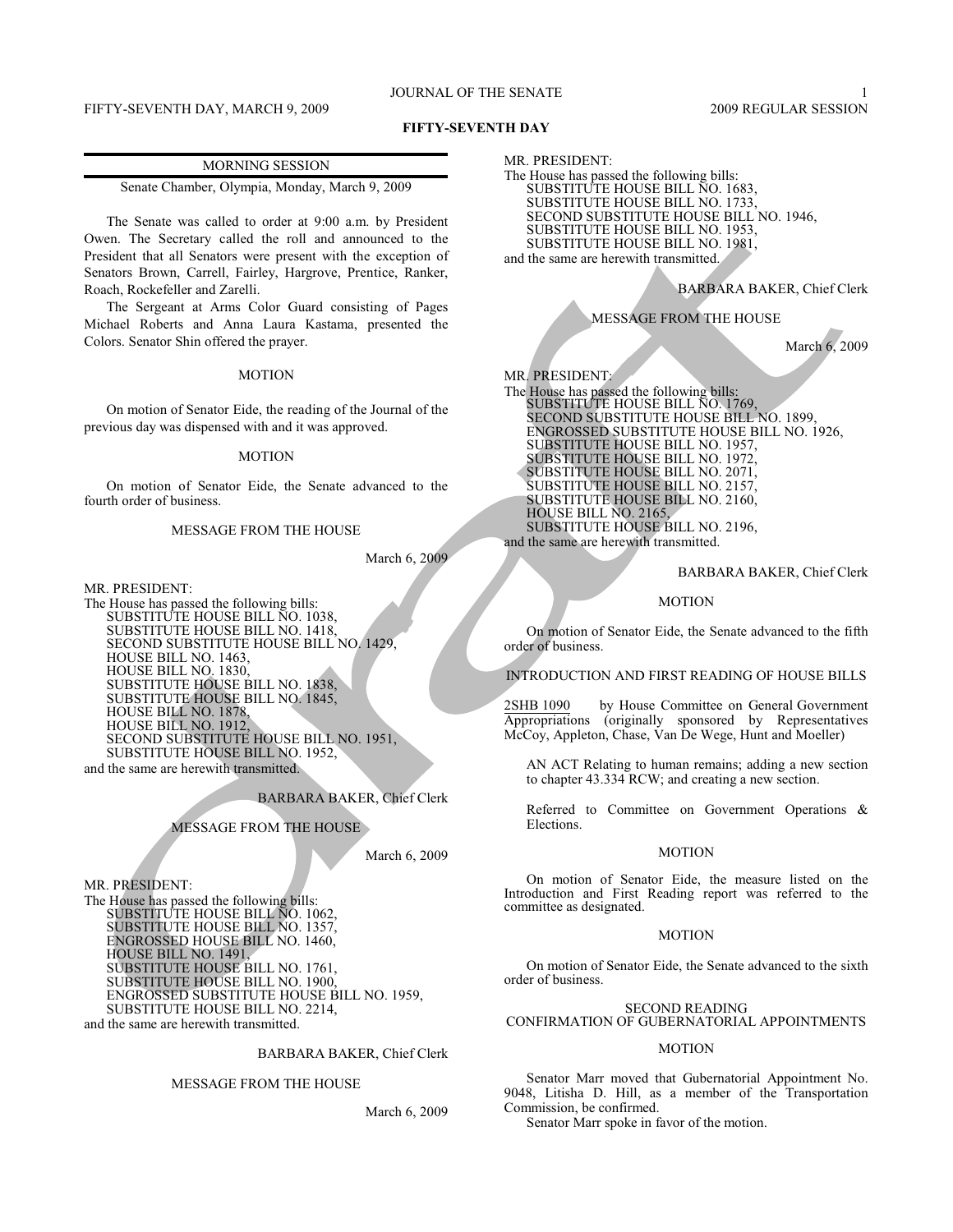# JOURNAL OF THE SENATE

# FIFTY-SEVENTH DAY, MARCH 9, 2009 2009 REGULAR SESSION

# 1

# **FIFTY-SEVENTH DAY**

# MORNING SESSION

Senate Chamber, Olympia, Monday, March 9, 2009

The Senate was called to order at 9:00 a.m. by President Owen. The Secretary called the roll and announced to the President that all Senators were present with the exception of Senators Brown, Carrell, Fairley, Hargrove, Prentice, Ranker, Roach, Rockefeller and Zarelli.

The Sergeant at Arms Color Guard consisting of Pages Michael Roberts and Anna Laura Kastama, presented the Colors. Senator Shin offered the prayer.

# **MOTION**

On motion of Senator Eide, the reading of the Journal of the previous day was dispensed with and it was approved.

## MOTION

On motion of Senator Eide, the Senate advanced to the fourth order of business.

# MESSAGE FROM THE HOUSE

March 6, 2009

MR. PRESIDENT:

The House has passed the following bills: SUBSTITUTE HOUSE BILL NO. 1038, SUBSTITUTE HOUSE BILL NO. 1418, SECOND SUBSTITUTE HOUSE BILL NO. 1429, HOUSE BILL NO. 1463, HOUSE BILL NO. 1830, SUBSTITUTE HOUSE BILL NO. 1838, SUBSTITUTE HOUSE BILL NO. 1845, HOUSE BILL NO. 1878, HOUSE BILL NO. 1912, SECOND SUBSTITUTE HOUSE BILL NO. 1951, SUBSTITUTE HOUSE BILL NO. 1952, and the same are herewith transmitted.

BARBARA BAKER, Chief Clerk

MESSAGE FROM THE HOUSE

March 6, 2009

# MR. PRESIDENT:

The House has passed the following bills: SUBSTITUTE HOUSE BILL NO. 1062, SUBSTITUTE HOUSE BILL NO. 1357, ENGROSSED HOUSE BILL NO. 1460, HOUSE BILL NO. 1491, SUBSTITUTE HOUSE BILL NO. 1761, SUBSTITUTE HOUSE BILL NO. 1900, ENGROSSED SUBSTITUTE HOUSE BILL NO. 1959, SUBSTITUTE HOUSE BILL NO. 2214, and the same are herewith transmitted.

# BARBARA BAKER, Chief Clerk

# MESSAGE FROM THE HOUSE

March 6, 2009

MR. PRESIDENT:

The House has passed the following bills: SUBSTITUTE HOUSE BILL NO. 1683, SUBSTITUTE HOUSE BILL NO. 1733, SECOND SUBSTITUTE HOUSE BILL NO. 1946, SUBSTITUTE HOUSE BILL NO. 1953, SUBSTITUTE HOUSE BILL NO. 1981, and the same are herewith transmitted.

# BARBARA BAKER, Chief Clerk

MESSAGE FROM THE HOUSE

March 6, 2009

MR. PRESIDENT: The House has passed the following bills: SUBSTITUTE HOUSE BILL NO. 1769, SECOND SUBSTITUTE HOUSE BILL NO. 1899, ENGROSSED SUBSTITUTE HOUSE BILL NO. 1926, SUBSTITUTE HOUSE BILL NO. 1957, SUBSTITUTE HOUSE BILL NO. 1972, SUBSTITUTE HOUSE BILL NO. 2071, SUBSTITUTE HOUSE BILL NO. 2157, SUBSTITUTE HOUSE BILL NO. 2160, HOUSE BILL NO. 2165, SUBSTITUTE HOUSE BILL NO. 2196, and the same are herewith transmitted.

# BARBARA BAKER, Chief Clerk

#### MOTION

On motion of Senator Eide, the Senate advanced to the fifth order of business.

INTRODUCTION AND FIRST READING OF HOUSE BILLS

2SHB 1090 by House Committee on General Government Appropriations (originally sponsored by Representatives McCoy, Appleton, Chase, Van De Wege, Hunt and Moeller)

AN ACT Relating to human remains; adding a new section to chapter 43.334 RCW; and creating a new section.

Referred to Committee on Government Operations & Elections.

# MOTION

On motion of Senator Eide, the measure listed on the Introduction and First Reading report was referred to the committee as designated.

## MOTION

On motion of Senator Eide, the Senate advanced to the sixth order of business.

SECOND READING CONFIRMATION OF GUBERNATORIAL APPOINTMENTS

## **MOTION**

Senator Marr moved that Gubernatorial Appointment No. 9048, Litisha D. Hill, as a member of the Transportation Commission, be confirmed.

Senator Marr spoke in favor of the motion.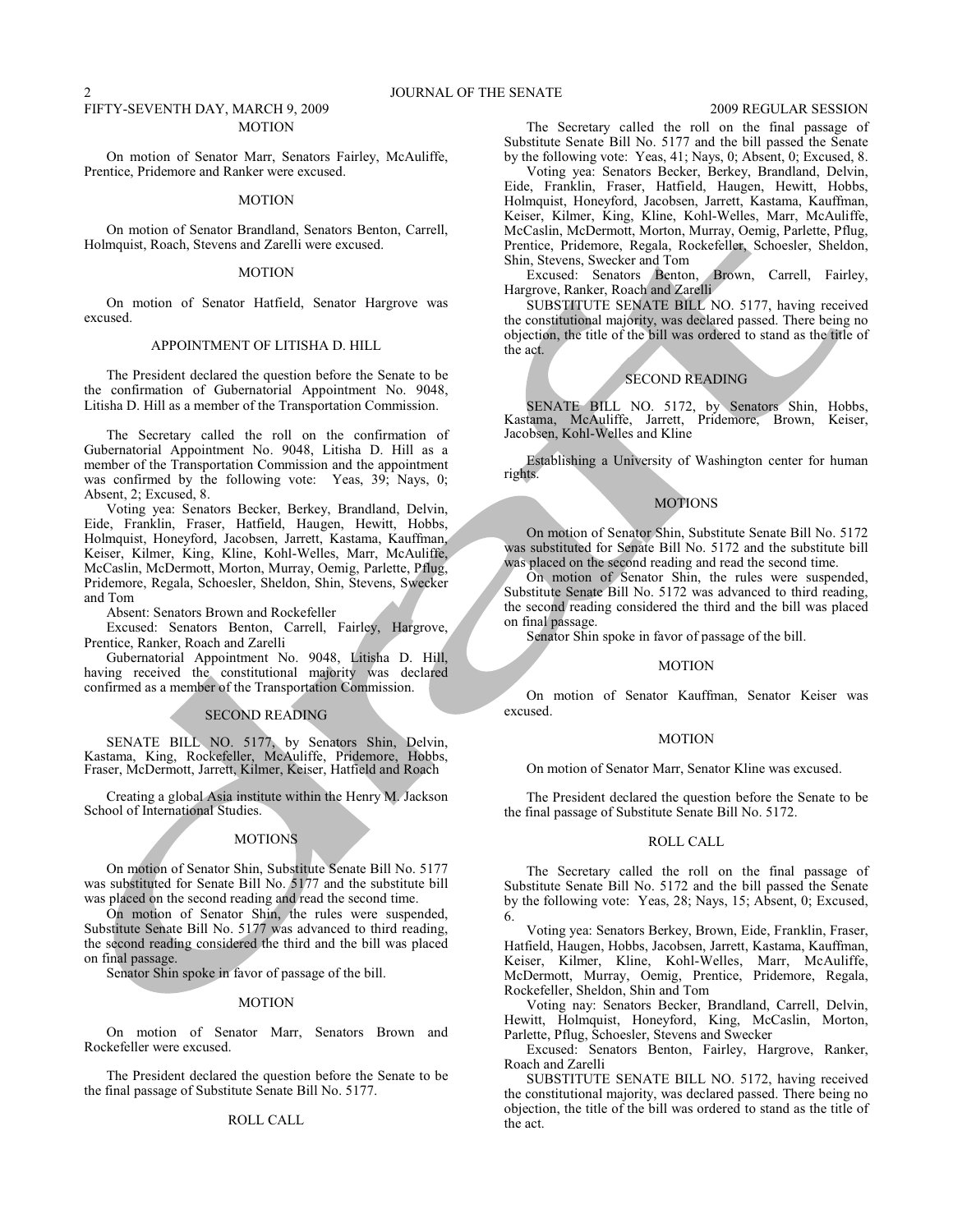On motion of Senator Marr, Senators Fairley, McAuliffe, Prentice, Pridemore and Ranker were excused.

## MOTION

On motion of Senator Brandland, Senators Benton, Carrell, Holmquist, Roach, Stevens and Zarelli were excused.

## MOTION

On motion of Senator Hatfield, Senator Hargrove was excused.

# APPOINTMENT OF LITISHA D. HILL

The President declared the question before the Senate to be the confirmation of Gubernatorial Appointment No. 9048, Litisha D. Hill as a member of the Transportation Commission.

The Secretary called the roll on the confirmation of Gubernatorial Appointment No. 9048, Litisha D. Hill as a member of the Transportation Commission and the appointment was confirmed by the following vote: Yeas, 39; Nays, 0; Absent, 2; Excused, 8.

Voting yea: Senators Becker, Berkey, Brandland, Delvin, Eide, Franklin, Fraser, Hatfield, Haugen, Hewitt, Hobbs, Holmquist, Honeyford, Jacobsen, Jarrett, Kastama, Kauffman, Keiser, Kilmer, King, Kline, Kohl-Welles, Marr, McAuliffe, McCaslin, McDermott, Morton, Murray, Oemig, Parlette, Pflug, Pridemore, Regala, Schoesler, Sheldon, Shin, Stevens, Swecker and Tom

Absent: Senators Brown and Rockefeller

Excused: Senators Benton, Carrell, Fairley, Hargrove, Prentice, Ranker, Roach and Zarelli

Gubernatorial Appointment No. 9048, Litisha D. Hill, having received the constitutional majority was declared confirmed as a member of the Transportation Commission.

# SECOND READING

SENATE BILL NO. 5177, by Senators Shin, Delvin, Kastama, King, Rockefeller, McAuliffe, Pridemore, Hobbs, Fraser, McDermott, Jarrett, Kilmer, Keiser, Hatfield and Roach

Creating a global Asia institute within the Henry M. Jackson School of International Studies.

# MOTIONS

On motion of Senator Shin, Substitute Senate Bill No. 5177 was substituted for Senate Bill No. 5177 and the substitute bill was placed on the second reading and read the second time.

On motion of Senator Shin, the rules were suspended, Substitute Senate Bill No. 5177 was advanced to third reading, the second reading considered the third and the bill was placed on final passage.

Senator Shin spoke in favor of passage of the bill.

## MOTION

On motion of Senator Marr, Senators Brown and Rockefeller were excused.

The President declared the question before the Senate to be the final passage of Substitute Senate Bill No. 5177.

## ROLL CALL

The Secretary called the roll on the final passage of Substitute Senate Bill No. 5177 and the bill passed the Senate by the following vote: Yeas, 41; Nays, 0; Absent, 0; Excused, 8.

Voting yea: Senators Becker, Berkey, Brandland, Delvin, Eide, Franklin, Fraser, Hatfield, Haugen, Hewitt, Hobbs, Holmquist, Honeyford, Jacobsen, Jarrett, Kastama, Kauffman, Keiser, Kilmer, King, Kline, Kohl-Welles, Marr, McAuliffe, McCaslin, McDermott, Morton, Murray, Oemig, Parlette, Pflug, Prentice, Pridemore, Regala, Rockefeller, Schoesler, Sheldon, Shin, Stevens, Swecker and Tom

Excused: Senators Benton, Brown, Carrell, Fairley, Hargrove, Ranker, Roach and Zarelli

SUBSTITUTE SENATE BILL NO. 5177, having received the constitutional majority, was declared passed. There being no objection, the title of the bill was ordered to stand as the title of the act.

# SECOND READING

SENATE BILL NO. 5172, by Senators Shin, Hobbs, Kastama, McAuliffe, Jarrett, Pridemore, Brown, Keiser, Jacobsen, Kohl-Welles and Kline

Establishing a University of Washington center for human rights.

# MOTIONS

On motion of Senator Shin, Substitute Senate Bill No. 5172 was substituted for Senate Bill No. 5172 and the substitute bill was placed on the second reading and read the second time.

On motion of Senator Shin, the rules were suspended, Substitute Senate Bill No. 5172 was advanced to third reading, the second reading considered the third and the bill was placed on final passage.

Senator Shin spoke in favor of passage of the bill.

# MOTION

On motion of Senator Kauffman, Senator Keiser was excused.

#### MOTION

On motion of Senator Marr, Senator Kline was excused.

The President declared the question before the Senate to be the final passage of Substitute Senate Bill No. 5172.

#### ROLL CALL

The Secretary called the roll on the final passage of Substitute Senate Bill No. 5172 and the bill passed the Senate by the following vote: Yeas, 28; Nays, 15; Absent, 0; Excused, 6.

Voting yea: Senators Berkey, Brown, Eide, Franklin, Fraser, Hatfield, Haugen, Hobbs, Jacobsen, Jarrett, Kastama, Kauffman, Keiser, Kilmer, Kline, Kohl-Welles, Marr, McAuliffe, McDermott, Murray, Oemig, Prentice, Pridemore, Regala, Rockefeller, Sheldon, Shin and Tom

Voting nay: Senators Becker, Brandland, Carrell, Delvin, Hewitt, Holmquist, Honeyford, King, McCaslin, Morton, Parlette, Pflug, Schoesler, Stevens and Swecker

Excused: Senators Benton, Fairley, Hargrove, Ranker, Roach and Zarelli

SUBSTITUTE SENATE BILL NO. 5172, having received the constitutional majority, was declared passed. There being no objection, the title of the bill was ordered to stand as the title of the act.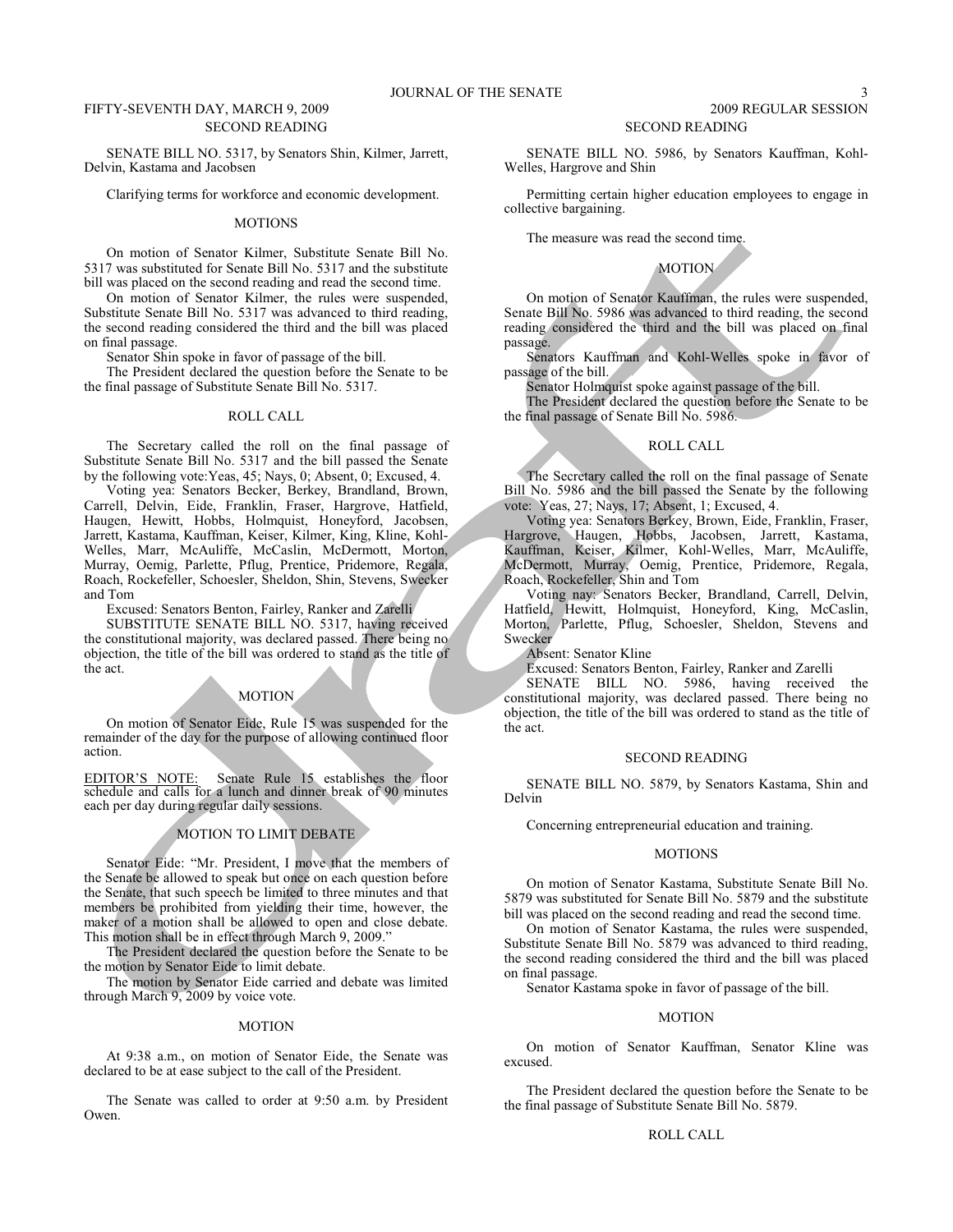# FIFTY-SEVENTH DAY, MARCH 9, 2009 2009 REGULAR SESSION SECOND READING

SENATE BILL NO. 5317, by Senators Shin, Kilmer, Jarrett, Delvin, Kastama and Jacobsen

Clarifying terms for workforce and economic development.

## MOTIONS

On motion of Senator Kilmer, Substitute Senate Bill No. 5317 was substituted for Senate Bill No. 5317 and the substitute bill was placed on the second reading and read the second time.

On motion of Senator Kilmer, the rules were suspended, Substitute Senate Bill No. 5317 was advanced to third reading, the second reading considered the third and the bill was placed on final passage.

Senator Shin spoke in favor of passage of the bill.

The President declared the question before the Senate to be the final passage of Substitute Senate Bill No. 5317.

# ROLL CALL

The Secretary called the roll on the final passage of Substitute Senate Bill No. 5317 and the bill passed the Senate by the following vote:Yeas, 45; Nays, 0; Absent, 0; Excused, 4.

Voting yea: Senators Becker, Berkey, Brandland, Brown, Carrell, Delvin, Eide, Franklin, Fraser, Hargrove, Hatfield, Haugen, Hewitt, Hobbs, Holmquist, Honeyford, Jacobsen, Jarrett, Kastama, Kauffman, Keiser, Kilmer, King, Kline, Kohl-Welles, Marr, McAuliffe, McCaslin, McDermott, Morton, Murray, Oemig, Parlette, Pflug, Prentice, Pridemore, Regala, Roach, Rockefeller, Schoesler, Sheldon, Shin, Stevens, Swecker and Tom

Excused: Senators Benton, Fairley, Ranker and Zarelli

SUBSTITUTE SENATE BILL NO. 5317, having received the constitutional majority, was declared passed. There being no objection, the title of the bill was ordered to stand as the title of the act.

## MOTION

On motion of Senator Eide, Rule 15 was suspended for the remainder of the day for the purpose of allowing continued floor action.

EDITOR'S NOTE: Senate Rule 15 establishes the floor schedule and calls for a lunch and dinner break of 90 minutes each per day during regular daily sessions.

# MOTION TO LIMIT DEBATE

Senator Eide: "Mr. President, I move that the members of the Senate be allowed to speak but once on each question before the Senate, that such speech be limited to three minutes and that members be prohibited from yielding their time, however, the maker of a motion shall be allowed to open and close debate. This motion shall be in effect through March 9, 2009."

The President declared the question before the Senate to be the motion by Senator Eide to limit debate.

The motion by Senator Eide carried and debate was limited through March 9, 2009 by voice vote.

## MOTION

At 9:38 a.m., on motion of Senator Eide, the Senate was declared to be at ease subject to the call of the President.

The Senate was called to order at 9:50 a.m. by President Owen.

# SECOND READING

SENATE BILL NO. 5986, by Senators Kauffman, Kohl-Welles, Hargrove and Shin

Permitting certain higher education employees to engage in collective bargaining.

The measure was read the second time.

# MOTION

On motion of Senator Kauffman, the rules were suspended, Senate Bill No. 5986 was advanced to third reading, the second reading considered the third and the bill was placed on final passage.

Senators Kauffman and Kohl-Welles spoke in favor of passage of the bill.

Senator Holmquist spoke against passage of the bill.

The President declared the question before the Senate to be the final passage of Senate Bill No. 5986.

# ROLL CALL

The Secretary called the roll on the final passage of Senate Bill No. 5986 and the bill passed the Senate by the following vote: Yeas, 27; Nays, 17; Absent, 1; Excused, 4.

Voting yea: Senators Berkey, Brown, Eide, Franklin, Fraser, Hargrove, Haugen, Hobbs, Jacobsen, Jarrett, Kastama, Kauffman, Keiser, Kilmer, Kohl-Welles, Marr, McAuliffe, McDermott, Murray, Oemig, Prentice, Pridemore, Regala, Roach, Rockefeller, Shin and Tom

Voting nay: Senators Becker, Brandland, Carrell, Delvin, Hatfield, Hewitt, Holmquist, Honeyford, King, McCaslin, Morton, Parlette, Pflug, Schoesler, Sheldon, Stevens and Swecker

Absent: Senator Kline

Excused: Senators Benton, Fairley, Ranker and Zarelli

SENATE BILL NO. 5986, having received the constitutional majority, was declared passed. There being no objection, the title of the bill was ordered to stand as the title of the act.

## SECOND READING

SENATE BILL NO. 5879, by Senators Kastama, Shin and Delvin

Concerning entrepreneurial education and training.

# MOTIONS

On motion of Senator Kastama, Substitute Senate Bill No. 5879 was substituted for Senate Bill No. 5879 and the substitute bill was placed on the second reading and read the second time.

On motion of Senator Kastama, the rules were suspended, Substitute Senate Bill No. 5879 was advanced to third reading, the second reading considered the third and the bill was placed on final passage.

Senator Kastama spoke in favor of passage of the bill.

### MOTION

On motion of Senator Kauffman, Senator Kline was excused.

The President declared the question before the Senate to be the final passage of Substitute Senate Bill No. 5879.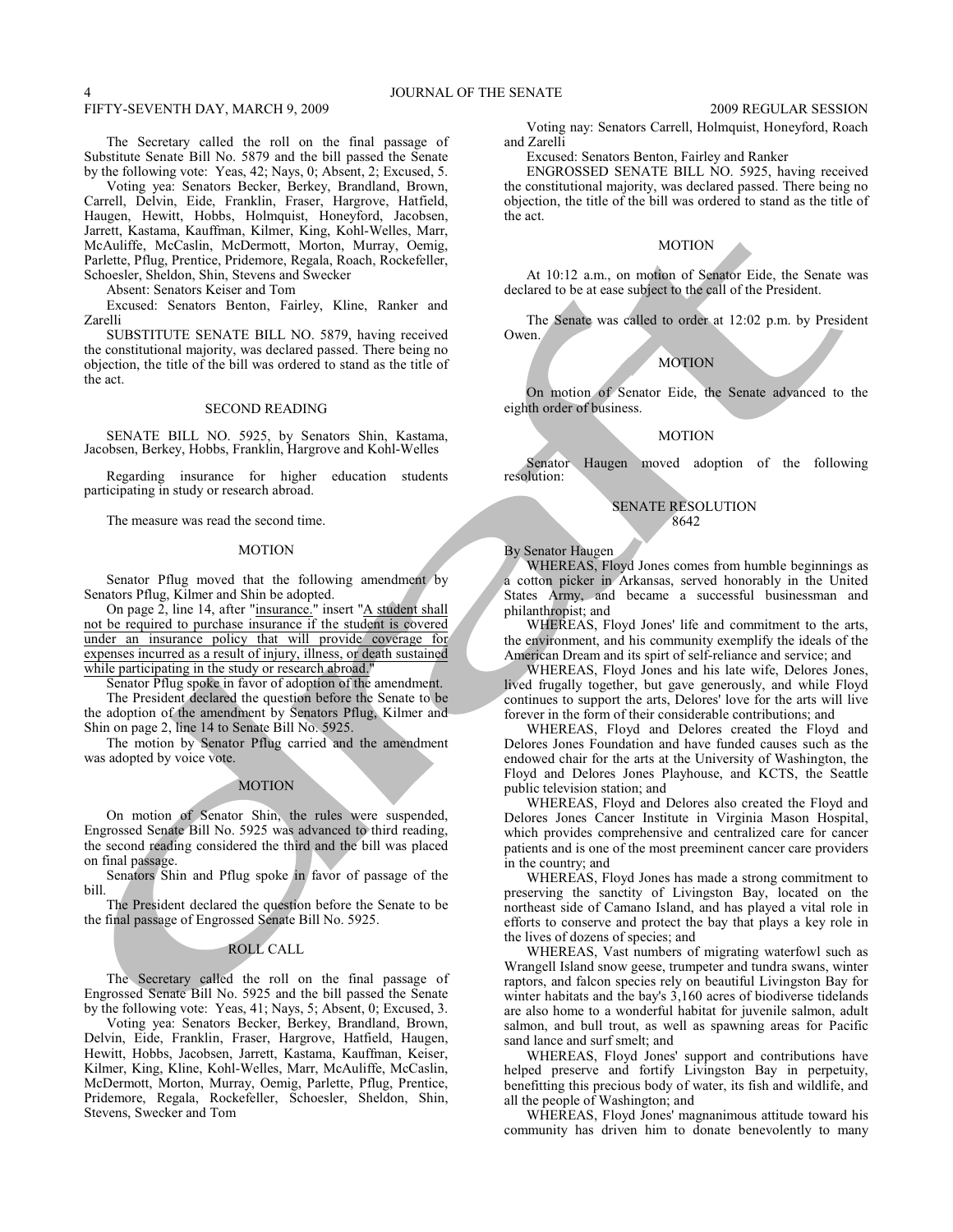The Secretary called the roll on the final passage of Substitute Senate Bill No. 5879 and the bill passed the Senate by the following vote: Yeas, 42; Nays, 0; Absent, 2; Excused, 5.

Voting yea: Senators Becker, Berkey, Brandland, Brown, Carrell, Delvin, Eide, Franklin, Fraser, Hargrove, Hatfield, Haugen, Hewitt, Hobbs, Holmquist, Honeyford, Jacobsen, Jarrett, Kastama, Kauffman, Kilmer, King, Kohl-Welles, Marr, McAuliffe, McCaslin, McDermott, Morton, Murray, Oemig, Parlette, Pflug, Prentice, Pridemore, Regala, Roach, Rockefeller, Schoesler, Sheldon, Shin, Stevens and Swecker

Absent: Senators Keiser and Tom

Excused: Senators Benton, Fairley, Kline, Ranker and Zarelli

SUBSTITUTE SENATE BILL NO. 5879, having received the constitutional majority, was declared passed. There being no objection, the title of the bill was ordered to stand as the title of the act.

# SECOND READING

SENATE BILL NO. 5925, by Senators Shin, Kastama, Jacobsen, Berkey, Hobbs, Franklin, Hargrove and Kohl-Welles

Regarding insurance for higher education students participating in study or research abroad.

The measure was read the second time.

#### MOTION

Senator Pflug moved that the following amendment by Senators Pflug, Kilmer and Shin be adopted.

On page 2, line 14, after "insurance." insert "A student shall not be required to purchase insurance if the student is covered under an insurance policy that will provide coverage for expenses incurred as a result of injury, illness, or death sustained while participating in the study or research abroad."

Senator Pflug spoke in favor of adoption of the amendment. The President declared the question before the Senate to be the adoption of the amendment by Senators Pflug, Kilmer and Shin on page 2, line 14 to Senate Bill No. 5925.

The motion by Senator Pflug carried and the amendment was adopted by voice vote.

# MOTION

On motion of Senator Shin, the rules were suspended, Engrossed Senate Bill No. 5925 was advanced to third reading, the second reading considered the third and the bill was placed on final passage.

Senators Shin and Pflug spoke in favor of passage of the bill.

The President declared the question before the Senate to be the final passage of Engrossed Senate Bill No. 5925.

# ROLL CALL

The Secretary called the roll on the final passage of Engrossed Senate Bill No. 5925 and the bill passed the Senate by the following vote: Yeas, 41; Nays, 5; Absent, 0; Excused, 3.

Voting yea: Senators Becker, Berkey, Brandland, Brown, Delvin, Eide, Franklin, Fraser, Hargrove, Hatfield, Haugen, Hewitt, Hobbs, Jacobsen, Jarrett, Kastama, Kauffman, Keiser, Kilmer, King, Kline, Kohl-Welles, Marr, McAuliffe, McCaslin, McDermott, Morton, Murray, Oemig, Parlette, Pflug, Prentice, Pridemore, Regala, Rockefeller, Schoesler, Sheldon, Shin, Stevens, Swecker and Tom

Voting nay: Senators Carrell, Holmquist, Honeyford, Roach and Zarelli

Excused: Senators Benton, Fairley and Ranker

ENGROSSED SENATE BILL NO. 5925, having received the constitutional majority, was declared passed. There being no objection, the title of the bill was ordered to stand as the title of the act.

# MOTION

At 10:12 a.m., on motion of Senator Eide, the Senate was declared to be at ease subject to the call of the President.

The Senate was called to order at 12:02 p.m. by President Owen.

# MOTION

On motion of Senator Eide, the Senate advanced to the eighth order of business.

# MOTION

Senator Haugen moved adoption of the following resolution:

# SENATE RESOLUTION 8642

By Senator Haugen

WHEREAS, Floyd Jones comes from humble beginnings as a cotton picker in Arkansas, served honorably in the United States Army, and became a successful businessman and philanthropist; and

WHEREAS, Floyd Jones' life and commitment to the arts, the environment, and his community exemplify the ideals of the American Dream and its spirt of self-reliance and service; and

WHEREAS, Floyd Jones and his late wife, Delores Jones, lived frugally together, but gave generously, and while Floyd continues to support the arts, Delores' love for the arts will live forever in the form of their considerable contributions; and

WHEREAS, Floyd and Delores created the Floyd and Delores Jones Foundation and have funded causes such as the endowed chair for the arts at the University of Washington, the Floyd and Delores Jones Playhouse, and KCTS, the Seattle public television station; and

WHEREAS, Floyd and Delores also created the Floyd and Delores Jones Cancer Institute in Virginia Mason Hospital, which provides comprehensive and centralized care for cancer patients and is one of the most preeminent cancer care providers in the country; and

WHEREAS, Floyd Jones has made a strong commitment to preserving the sanctity of Livingston Bay, located on the northeast side of Camano Island, and has played a vital role in efforts to conserve and protect the bay that plays a key role in the lives of dozens of species; and

WHEREAS, Vast numbers of migrating waterfowl such as Wrangell Island snow geese, trumpeter and tundra swans, winter raptors, and falcon species rely on beautiful Livingston Bay for winter habitats and the bay's 3,160 acres of biodiverse tidelands are also home to a wonderful habitat for juvenile salmon, adult salmon, and bull trout, as well as spawning areas for Pacific sand lance and surf smelt; and

WHEREAS, Floyd Jones' support and contributions have helped preserve and fortify Livingston Bay in perpetuity, benefitting this precious body of water, its fish and wildlife, and all the people of Washington; and

WHEREAS, Floyd Jones' magnanimous attitude toward his community has driven him to donate benevolently to many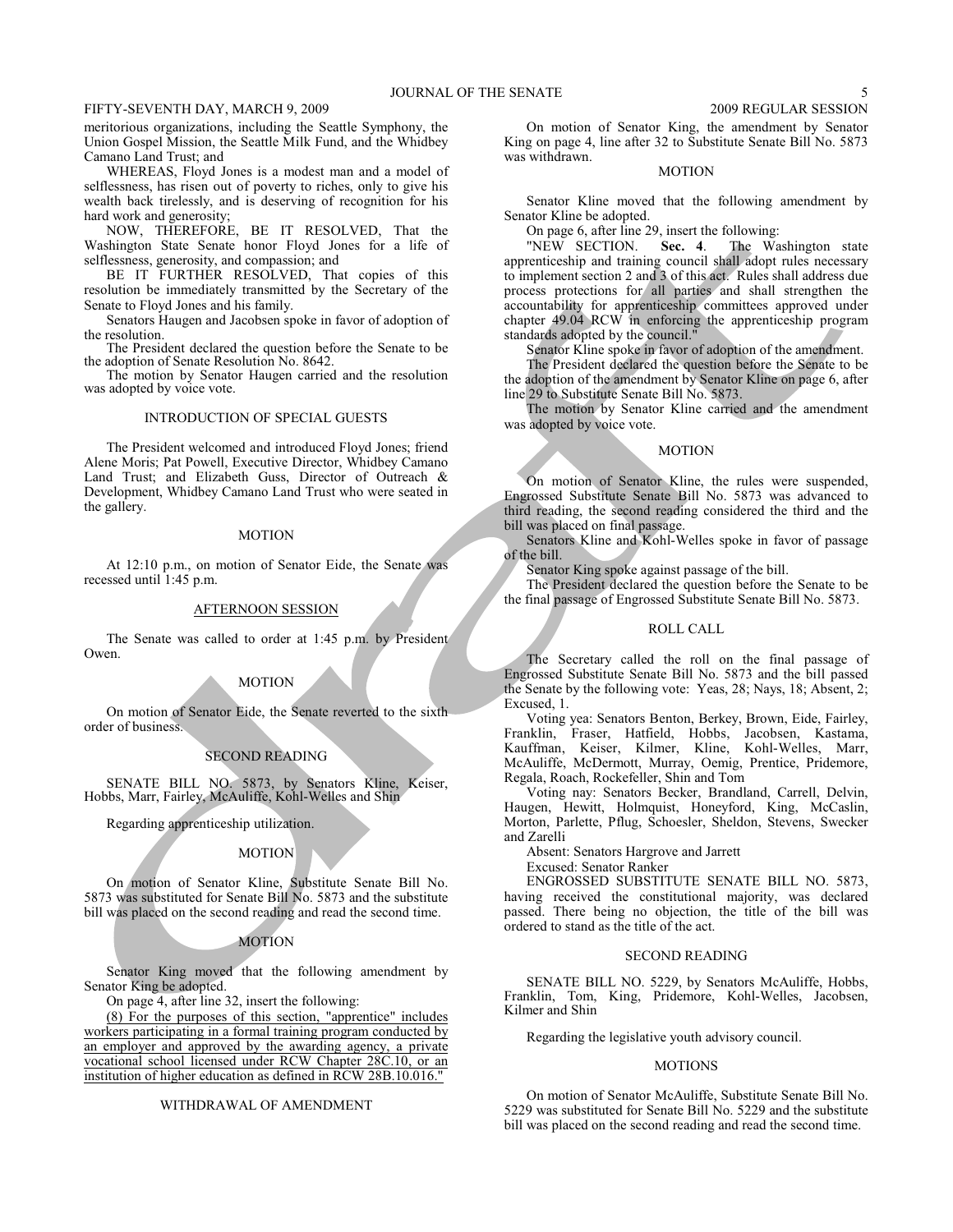meritorious organizations, including the Seattle Symphony, the Union Gospel Mission, the Seattle Milk Fund, and the Whidbey Camano Land Trust; and

WHEREAS, Floyd Jones is a modest man and a model of selflessness, has risen out of poverty to riches, only to give his wealth back tirelessly, and is deserving of recognition for his hard work and generosity;

NOW, THEREFORE, BE IT RESOLVED, That the Washington State Senate honor Floyd Jones for a life of selflessness, generosity, and compassion; and

BE IT FURTHER RESOLVED, That copies of this resolution be immediately transmitted by the Secretary of the Senate to Floyd Jones and his family.

Senators Haugen and Jacobsen spoke in favor of adoption of the resolution.

The President declared the question before the Senate to be the adoption of Senate Resolution No. 8642.

The motion by Senator Haugen carried and the resolution was adopted by voice vote.

# INTRODUCTION OF SPECIAL GUESTS

The President welcomed and introduced Floyd Jones; friend Alene Moris; Pat Powell, Executive Director, Whidbey Camano Land Trust; and Elizabeth Guss, Director of Outreach & Development, Whidbey Camano Land Trust who were seated in the gallery.

### MOTION

At 12:10 p.m., on motion of Senator Eide, the Senate was recessed until 1:45 p.m.

# AFTERNOON SESSION

The Senate was called to order at 1:45 p.m. by President Owen.

# MOTION

On motion of Senator Eide, the Senate reverted to the sixth order of business.

# SECOND READING

SENATE BILL NO. 5873, by Senators Kline, Keiser, Hobbs, Marr, Fairley, McAuliffe, Kohl-Welles and Shin

Regarding apprenticeship utilization.

# MOTION

On motion of Senator Kline, Substitute Senate Bill No. 5873 was substituted for Senate Bill No. 5873 and the substitute bill was placed on the second reading and read the second time.

# **MOTION**

Senator King moved that the following amendment by Senator King be adopted.

On page 4, after line 32, insert the following:

(8) For the purposes of this section, "apprentice" includes workers participating in a formal training program conducted by an employer and approved by the awarding agency, a private vocational school licensed under RCW Chapter 28C.10, or an institution of higher education as defined in RCW 28B.10.016."

# WITHDRAWAL OF AMENDMENT

On motion of Senator King, the amendment by Senator King on page 4, line after 32 to Substitute Senate Bill No. 5873 was withdrawn.

# MOTION

Senator Kline moved that the following amendment by Senator Kline be adopted.

On page 6, after line 29, insert the following:<br>"NEW SECTION. Sec. 4. The Wa

The Washington state apprenticeship and training council shall adopt rules necessary to implement section 2 and 3 of this act. Rules shall address due process protections for all parties and shall strengthen the accountability for apprenticeship committees approved under chapter 49.04 RCW in enforcing the apprenticeship program standards adopted by the council."

Senator Kline spoke in favor of adoption of the amendment.

The President declared the question before the Senate to be the adoption of the amendment by Senator Kline on page 6, after line 29 to Substitute Senate Bill No. 5873.

The motion by Senator Kline carried and the amendment was adopted by voice vote.

# MOTION

On motion of Senator Kline, the rules were suspended, Engrossed Substitute Senate Bill No. 5873 was advanced to third reading, the second reading considered the third and the bill was placed on final passage.

Senators Kline and Kohl-Welles spoke in favor of passage of the bill.

Senator King spoke against passage of the bill.

The President declared the question before the Senate to be the final passage of Engrossed Substitute Senate Bill No. 5873.

## ROLL CALL

The Secretary called the roll on the final passage of Engrossed Substitute Senate Bill No. 5873 and the bill passed the Senate by the following vote: Yeas, 28; Nays, 18; Absent, 2; Excused, 1.

Voting yea: Senators Benton, Berkey, Brown, Eide, Fairley, Franklin, Fraser, Hatfield, Hobbs, Jacobsen, Kastama, Kauffman, Keiser, Kilmer, Kline, Kohl-Welles, Marr, McAuliffe, McDermott, Murray, Oemig, Prentice, Pridemore, Regala, Roach, Rockefeller, Shin and Tom

Voting nay: Senators Becker, Brandland, Carrell, Delvin, Haugen, Hewitt, Holmquist, Honeyford, King, McCaslin, Morton, Parlette, Pflug, Schoesler, Sheldon, Stevens, Swecker and Zarelli

Absent: Senators Hargrove and Jarrett

Excused: Senator Ranker

ENGROSSED SUBSTITUTE SENATE BILL NO. 5873, having received the constitutional majority, was declared passed. There being no objection, the title of the bill was ordered to stand as the title of the act.

## SECOND READING

SENATE BILL NO. 5229, by Senators McAuliffe, Hobbs, Franklin, Tom, King, Pridemore, Kohl-Welles, Jacobsen, Kilmer and Shin

Regarding the legislative youth advisory council.

# MOTIONS

On motion of Senator McAuliffe, Substitute Senate Bill No. 5229 was substituted for Senate Bill No. 5229 and the substitute bill was placed on the second reading and read the second time.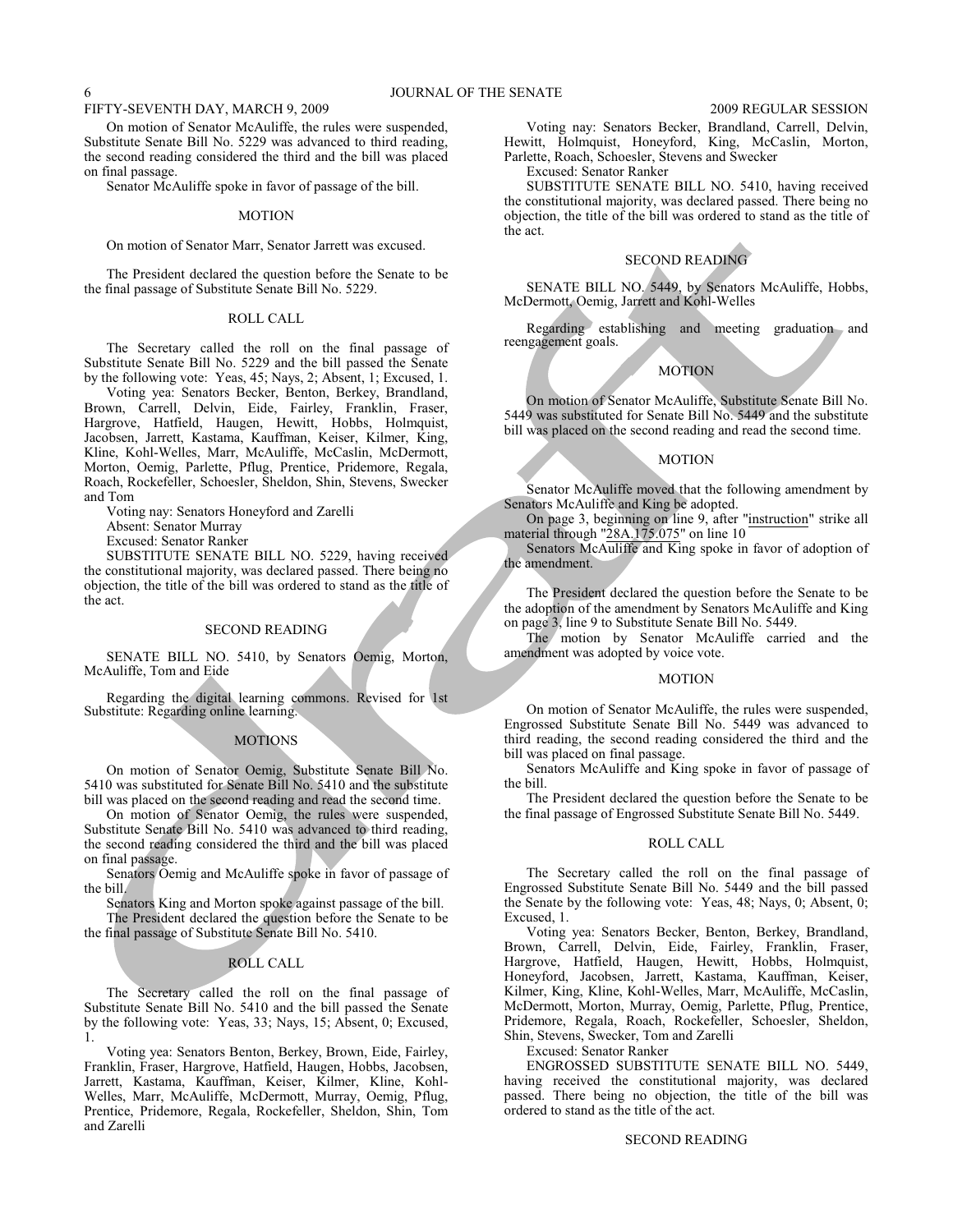On motion of Senator McAuliffe, the rules were suspended, Substitute Senate Bill No. 5229 was advanced to third reading, the second reading considered the third and the bill was placed on final passage.

Senator McAuliffe spoke in favor of passage of the bill.

#### MOTION

On motion of Senator Marr, Senator Jarrett was excused.

The President declared the question before the Senate to be the final passage of Substitute Senate Bill No. 5229.

## ROLL CALL

The Secretary called the roll on the final passage of Substitute Senate Bill No. 5229 and the bill passed the Senate by the following vote: Yeas, 45; Nays, 2; Absent, 1; Excused, 1.

Voting yea: Senators Becker, Benton, Berkey, Brandland, Brown, Carrell, Delvin, Eide, Fairley, Franklin, Fraser, Hargrove, Hatfield, Haugen, Hewitt, Hobbs, Holmquist, Jacobsen, Jarrett, Kastama, Kauffman, Keiser, Kilmer, King, Kline, Kohl-Welles, Marr, McAuliffe, McCaslin, McDermott, Morton, Oemig, Parlette, Pflug, Prentice, Pridemore, Regala, Roach, Rockefeller, Schoesler, Sheldon, Shin, Stevens, Swecker and Tom

Voting nay: Senators Honeyford and Zarelli

Absent: Senator Murray

Excused: Senator Ranker

SUBSTITUTE SENATE BILL NO. 5229, having received the constitutional majority, was declared passed. There being no objection, the title of the bill was ordered to stand as the title of the act.

## SECOND READING

SENATE BILL NO. 5410, by Senators Oemig, Morton, McAuliffe, Tom and Eide

Regarding the digital learning commons. Revised for 1st Substitute: Regarding online learning.

## MOTIONS

On motion of Senator Oemig, Substitute Senate Bill No. 5410 was substituted for Senate Bill No. 5410 and the substitute bill was placed on the second reading and read the second time.

On motion of Senator Oemig, the rules were suspended, Substitute Senate Bill No. 5410 was advanced to third reading, the second reading considered the third and the bill was placed on final passage.

Senators Oemig and McAuliffe spoke in favor of passage of the bill.

Senators King and Morton spoke against passage of the bill. The President declared the question before the Senate to be

the final passage of Substitute Senate Bill No. 5410.

# ROLL CALL

The Secretary called the roll on the final passage of Substitute Senate Bill No. 5410 and the bill passed the Senate by the following vote: Yeas, 33; Nays, 15; Absent, 0; Excused, 1.

Voting yea: Senators Benton, Berkey, Brown, Eide, Fairley, Franklin, Fraser, Hargrove, Hatfield, Haugen, Hobbs, Jacobsen, Jarrett, Kastama, Kauffman, Keiser, Kilmer, Kline, Kohl-Welles, Marr, McAuliffe, McDermott, Murray, Oemig, Pflug, Prentice, Pridemore, Regala, Rockefeller, Sheldon, Shin, Tom and Zarelli

Voting nay: Senators Becker, Brandland, Carrell, Delvin, Hewitt, Holmquist, Honeyford, King, McCaslin, Morton, Parlette, Roach, Schoesler, Stevens and Swecker

Excused: Senator Ranker

SUBSTITUTE SENATE BILL NO. 5410, having received the constitutional majority, was declared passed. There being no objection, the title of the bill was ordered to stand as the title of the act.

# SECOND READING

SENATE BILL NO. 5449, by Senators McAuliffe, Hobbs, McDermott, Oemig, Jarrett and Kohl-Welles

Regarding establishing and meeting graduation and reengagement goals.

# **MOTION**

On motion of Senator McAuliffe, Substitute Senate Bill No. 5449 was substituted for Senate Bill No. 5449 and the substitute bill was placed on the second reading and read the second time.

# MOTION

Senator McAuliffe moved that the following amendment by Senators McAuliffe and King be adopted.

On page 3, beginning on line 9, after "instruction" strike all material through "28A.175.075" on line 10

Senators McAuliffe and King spoke in favor of adoption of the amendment.

The President declared the question before the Senate to be the adoption of the amendment by Senators McAuliffe and King on page 3, line 9 to Substitute Senate Bill No. 5449.

The motion by Senator McAuliffe carried and the amendment was adopted by voice vote.

## MOTION

On motion of Senator McAuliffe, the rules were suspended, Engrossed Substitute Senate Bill No. 5449 was advanced to third reading, the second reading considered the third and the bill was placed on final passage.

Senators McAuliffe and King spoke in favor of passage of the bill.

The President declared the question before the Senate to be the final passage of Engrossed Substitute Senate Bill No. 5449.

## ROLL CALL

The Secretary called the roll on the final passage of Engrossed Substitute Senate Bill No. 5449 and the bill passed the Senate by the following vote: Yeas, 48; Nays, 0; Absent, 0; Excused, 1.

Voting yea: Senators Becker, Benton, Berkey, Brandland, Brown, Carrell, Delvin, Eide, Fairley, Franklin, Fraser, Hargrove, Hatfield, Haugen, Hewitt, Hobbs, Holmquist, Honeyford, Jacobsen, Jarrett, Kastama, Kauffman, Keiser, Kilmer, King, Kline, Kohl-Welles, Marr, McAuliffe, McCaslin, McDermott, Morton, Murray, Oemig, Parlette, Pflug, Prentice, Pridemore, Regala, Roach, Rockefeller, Schoesler, Sheldon, Shin, Stevens, Swecker, Tom and Zarelli

Excused: Senator Ranker

ENGROSSED SUBSTITUTE SENATE BILL NO. 5449, having received the constitutional majority, was declared passed. There being no objection, the title of the bill was ordered to stand as the title of the act.

## SECOND READING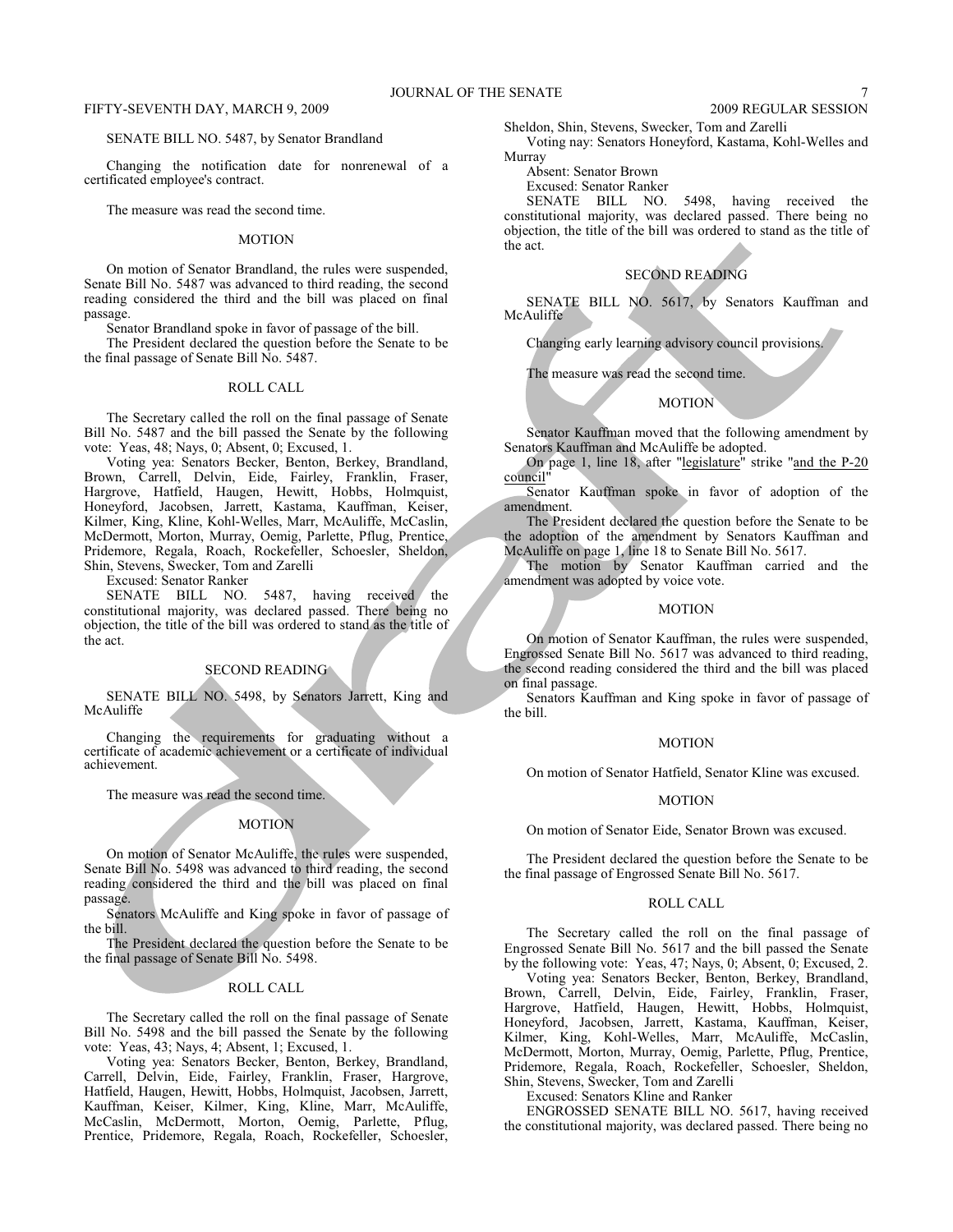## SENATE BILL NO. 5487, by Senator Brandland

Changing the notification date for nonrenewal of a certificated employee's contract.

The measure was read the second time.

## MOTION

On motion of Senator Brandland, the rules were suspended, Senate Bill No. 5487 was advanced to third reading, the second reading considered the third and the bill was placed on final passage.

Senator Brandland spoke in favor of passage of the bill.

The President declared the question before the Senate to be the final passage of Senate Bill No. 5487.

## ROLL CALL

The Secretary called the roll on the final passage of Senate Bill No. 5487 and the bill passed the Senate by the following vote: Yeas, 48; Nays, 0; Absent, 0; Excused, 1.

Voting yea: Senators Becker, Benton, Berkey, Brandland, Brown, Carrell, Delvin, Eide, Fairley, Franklin, Fraser, Hargrove, Hatfield, Haugen, Hewitt, Hobbs, Holmquist, Honeyford, Jacobsen, Jarrett, Kastama, Kauffman, Keiser, Kilmer, King, Kline, Kohl-Welles, Marr, McAuliffe, McCaslin, McDermott, Morton, Murray, Oemig, Parlette, Pflug, Prentice, Pridemore, Regala, Roach, Rockefeller, Schoesler, Sheldon, Shin, Stevens, Swecker, Tom and Zarelli

Excused: Senator Ranker

SENATE BILL NO. 5487, having received the constitutional majority, was declared passed. There being no objection, the title of the bill was ordered to stand as the title of the act.

# SECOND READING

SENATE BILL NO. 5498, by Senators Jarrett, King and McAuliffe

Changing the requirements for graduating without a certificate of academic achievement or a certificate of individual achievement.

The measure was read the second time.

### MOTION

On motion of Senator McAuliffe, the rules were suspended, Senate Bill No. 5498 was advanced to third reading, the second reading considered the third and the bill was placed on final passage.

Senators McAuliffe and King spoke in favor of passage of the bill.

The President declared the question before the Senate to be the final passage of Senate Bill No. 5498.

## ROLL CALL

The Secretary called the roll on the final passage of Senate Bill No. 5498 and the bill passed the Senate by the following vote: Yeas, 43; Nays, 4; Absent, 1; Excused, 1.

Voting yea: Senators Becker, Benton, Berkey, Brandland, Carrell, Delvin, Eide, Fairley, Franklin, Fraser, Hargrove, Hatfield, Haugen, Hewitt, Hobbs, Holmquist, Jacobsen, Jarrett, Kauffman, Keiser, Kilmer, King, Kline, Marr, McAuliffe, McCaslin, McDermott, Morton, Oemig, Parlette, Pflug, Prentice, Pridemore, Regala, Roach, Rockefeller, Schoesler,

Sheldon, Shin, Stevens, Swecker, Tom and Zarelli Voting nay: Senators Honeyford, Kastama, Kohl-Welles and Murray

Absent: Senator Brown

Excused: Senator Ranker

SENATE BILL NO. 5498, having received the constitutional majority, was declared passed. There being no objection, the title of the bill was ordered to stand as the title of the act.

# SECOND READING

SENATE BILL NO. 5617, by Senators Kauffman and McAuliffe

Changing early learning advisory council provisions.

The measure was read the second time.

## MOTION

Senator Kauffman moved that the following amendment by Senators Kauffman and McAuliffe be adopted.

On page 1, line 18, after "legislature" strike "and the P-20 council"

Senator Kauffman spoke in favor of adoption of the amendment.

The President declared the question before the Senate to be the adoption of the amendment by Senators Kauffman and McAuliffe on page 1, line 18 to Senate Bill No. 5617.

The motion by Senator Kauffman carried and the amendment was adopted by voice vote.

## MOTION

On motion of Senator Kauffman, the rules were suspended, Engrossed Senate Bill No. 5617 was advanced to third reading, the second reading considered the third and the bill was placed on final passage.

Senators Kauffman and King spoke in favor of passage of the bill.

# MOTION

On motion of Senator Hatfield, Senator Kline was excused.

## **MOTION**

On motion of Senator Eide, Senator Brown was excused.

The President declared the question before the Senate to be the final passage of Engrossed Senate Bill No. 5617.

## ROLL CALL

The Secretary called the roll on the final passage of Engrossed Senate Bill No. 5617 and the bill passed the Senate by the following vote: Yeas, 47; Nays, 0; Absent, 0; Excused, 2.

Voting yea: Senators Becker, Benton, Berkey, Brandland, Brown, Carrell, Delvin, Eide, Fairley, Franklin, Fraser, Hargrove, Hatfield, Haugen, Hewitt, Hobbs, Holmquist, Honeyford, Jacobsen, Jarrett, Kastama, Kauffman, Keiser, Kilmer, King, Kohl-Welles, Marr, McAuliffe, McCaslin, McDermott, Morton, Murray, Oemig, Parlette, Pflug, Prentice, Pridemore, Regala, Roach, Rockefeller, Schoesler, Sheldon, Shin, Stevens, Swecker, Tom and Zarelli

Excused: Senators Kline and Ranker

ENGROSSED SENATE BILL NO. 5617, having received the constitutional majority, was declared passed. There being no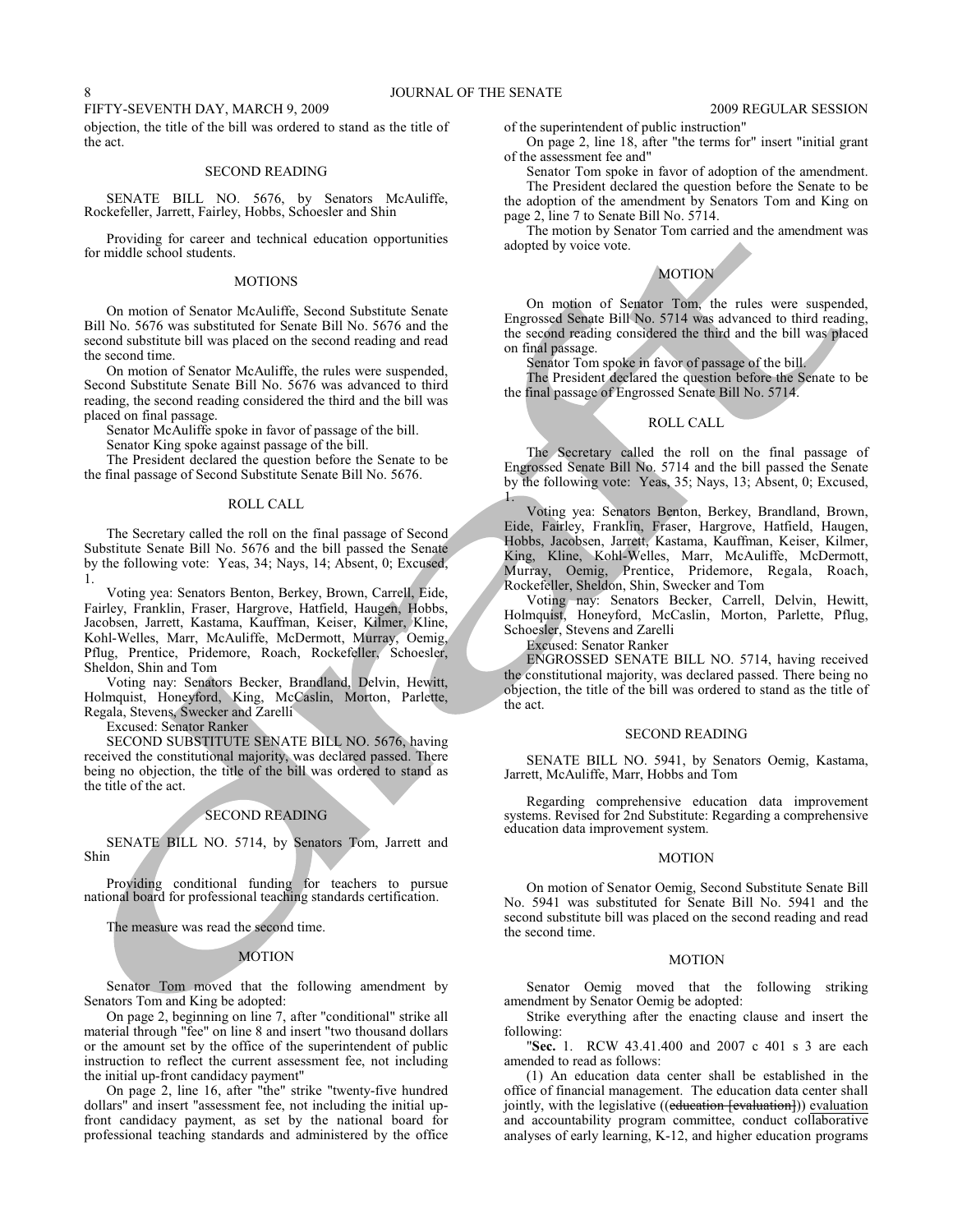objection, the title of the bill was ordered to stand as the title of the act.

## SECOND READING

SENATE BILL NO. 5676, by Senators McAuliffe, Rockefeller, Jarrett, Fairley, Hobbs, Schoesler and Shin

Providing for career and technical education opportunities for middle school students.

## **MOTIONS**

On motion of Senator McAuliffe, Second Substitute Senate Bill No. 5676 was substituted for Senate Bill No. 5676 and the second substitute bill was placed on the second reading and read the second time.

On motion of Senator McAuliffe, the rules were suspended, Second Substitute Senate Bill No. 5676 was advanced to third reading, the second reading considered the third and the bill was placed on final passage.

Senator McAuliffe spoke in favor of passage of the bill.

Senator King spoke against passage of the bill.

The President declared the question before the Senate to be the final passage of Second Substitute Senate Bill No. 5676.

## ROLL CALL

The Secretary called the roll on the final passage of Second Substitute Senate Bill No. 5676 and the bill passed the Senate by the following vote: Yeas, 34; Nays, 14; Absent, 0; Excused, 1.

Voting yea: Senators Benton, Berkey, Brown, Carrell, Eide, Fairley, Franklin, Fraser, Hargrove, Hatfield, Haugen, Hobbs, Jacobsen, Jarrett, Kastama, Kauffman, Keiser, Kilmer, Kline, Kohl-Welles, Marr, McAuliffe, McDermott, Murray, Oemig, Pflug, Prentice, Pridemore, Roach, Rockefeller, Schoesler, Sheldon, Shin and Tom

Voting nay: Senators Becker, Brandland, Delvin, Hewitt, Holmquist, Honeyford, King, McCaslin, Morton, Parlette, Regala, Stevens, Swecker and Zarelli

Excused: Senator Ranker

SECOND SUBSTITUTE SENATE BILL NO. 5676, having received the constitutional majority, was declared passed. There being no objection, the title of the bill was ordered to stand as the title of the act.

## SECOND READING

SENATE BILL NO. 5714, by Senators Tom, Jarrett and Shin

Providing conditional funding for teachers to pursue national board for professional teaching standards certification.

The measure was read the second time.

## MOTION

Senator Tom moved that the following amendment by Senators Tom and King be adopted:

On page 2, beginning on line 7, after "conditional" strike all material through "fee" on line 8 and insert "two thousand dollars or the amount set by the office of the superintendent of public instruction to reflect the current assessment fee, not including the initial up-front candidacy payment"

On page 2, line 16, after "the" strike "twenty-five hundred dollars" and insert "assessment fee, not including the initial upfront candidacy payment, as set by the national board for professional teaching standards and administered by the office

of the superintendent of public instruction" On page 2, line 18, after "the terms for" insert "initial grant

of the assessment fee and"

Senator Tom spoke in favor of adoption of the amendment. The President declared the question before the Senate to be the adoption of the amendment by Senators Tom and King on page 2, line 7 to Senate Bill No. 5714.

The motion by Senator Tom carried and the amendment was adopted by voice vote.

# MOTION

On motion of Senator Tom, the rules were suspended, Engrossed Senate Bill No. 5714 was advanced to third reading, the second reading considered the third and the bill was placed on final passage.

Senator Tom spoke in favor of passage of the bill.

The President declared the question before the Senate to be the final passage of Engrossed Senate Bill No. 5714.

## ROLL CALL

The Secretary called the roll on the final passage of Engrossed Senate Bill No. 5714 and the bill passed the Senate by the following vote: Yeas, 35; Nays, 13; Absent, 0; Excused, 1.

Voting yea: Senators Benton, Berkey, Brandland, Brown, Eide, Fairley, Franklin, Fraser, Hargrove, Hatfield, Haugen, Hobbs, Jacobsen, Jarrett, Kastama, Kauffman, Keiser, Kilmer, King, Kline, Kohl-Welles, Marr, McAuliffe, McDermott, Murray, Oemig, Prentice, Pridemore, Regala, Roach, Rockefeller, Sheldon, Shin, Swecker and Tom

Voting nay: Senators Becker, Carrell, Delvin, Hewitt, Holmquist, Honeyford, McCaslin, Morton, Parlette, Pflug, Schoesler, Stevens and Zarelli

Excused: Senator Ranker

ENGROSSED SENATE BILL NO. 5714, having received the constitutional majority, was declared passed. There being no objection, the title of the bill was ordered to stand as the title of the act.

#### SECOND READING

SENATE BILL NO. 5941, by Senators Oemig, Kastama, Jarrett, McAuliffe, Marr, Hobbs and Tom

Regarding comprehensive education data improvement systems. Revised for 2nd Substitute: Regarding a comprehensive education data improvement system.

## MOTION

On motion of Senator Oemig, Second Substitute Senate Bill No. 5941 was substituted for Senate Bill No. 5941 and the second substitute bill was placed on the second reading and read the second time.

### MOTION

Senator Oemig moved that the following striking amendment by Senator Oemig be adopted:

Strike everything after the enacting clause and insert the following:

"**Sec.** 1.RCW 43.41.400 and 2007 c 401 s 3 are each amended to read as follows:

(1) An education data center shall be established in the office of financial management. The education data center shall jointly, with the legislative ((education [evaluation])) evaluation and accountability program committee, conduct collaborative analyses of early learning, K-12, and higher education programs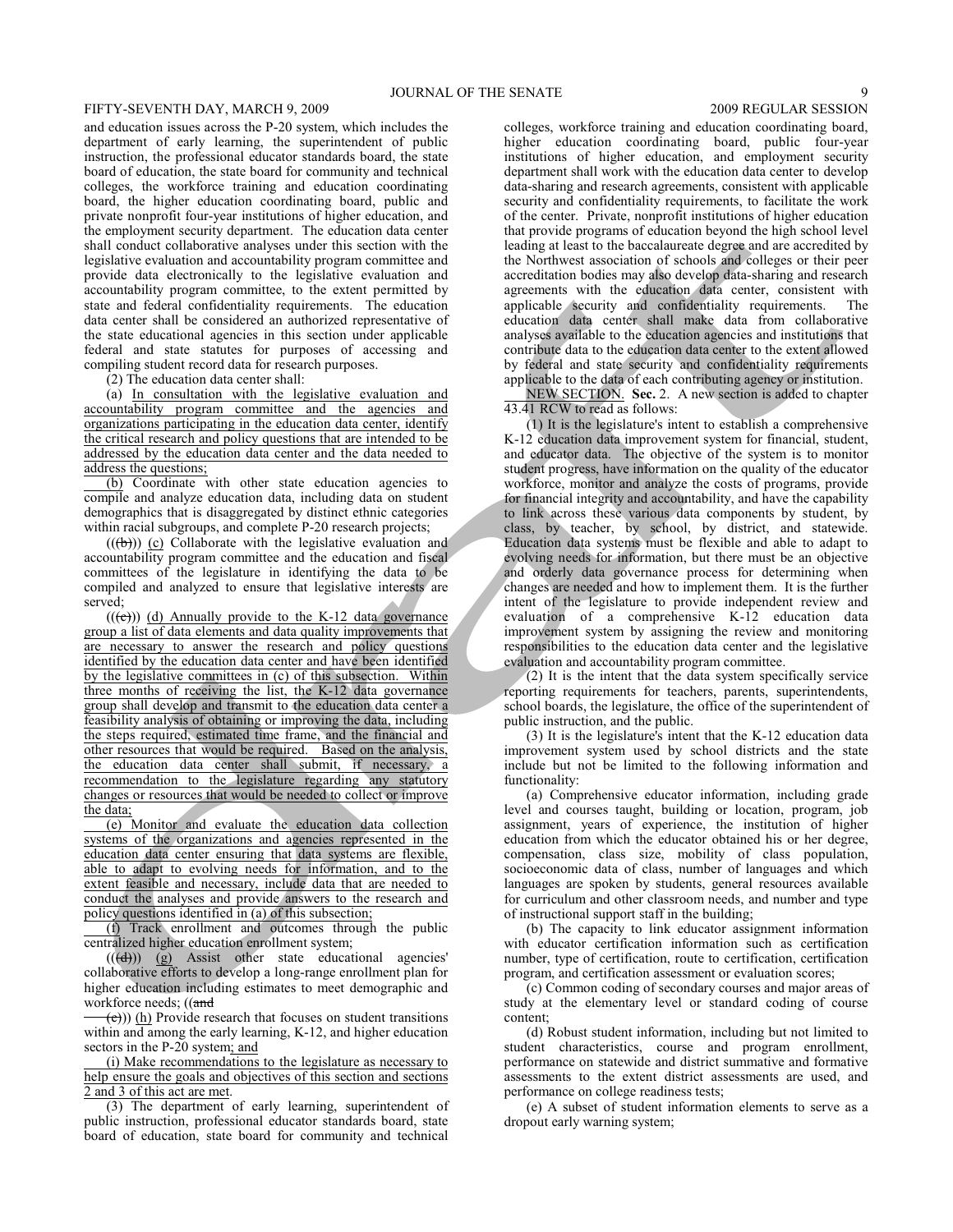and education issues across the P-20 system, which includes the department of early learning, the superintendent of public instruction, the professional educator standards board, the state board of education, the state board for community and technical colleges, the workforce training and education coordinating board, the higher education coordinating board, public and private nonprofit four-year institutions of higher education, and the employment security department. The education data center shall conduct collaborative analyses under this section with the legislative evaluation and accountability program committee and provide data electronically to the legislative evaluation and accountability program committee, to the extent permitted by state and federal confidentiality requirements. The education data center shall be considered an authorized representative of the state educational agencies in this section under applicable federal and state statutes for purposes of accessing and compiling student record data for research purposes.

(2) The education data center shall:

(a) In consultation with the legislative evaluation and accountability program committee and the agencies and organizations participating in the education data center, identify the critical research and policy questions that are intended to be addressed by the education data center and the data needed to address the questions;

(b) Coordinate with other state education agencies to compile and analyze education data, including data on student demographics that is disaggregated by distinct ethnic categories within racial subgroups, and complete P-20 research projects;

 $((\theta))$  (c) Collaborate with the legislative evaluation and accountability program committee and the education and fiscal committees of the legislature in identifying the data to be compiled and analyzed to ensure that legislative interests are served;

 $((\text{(e})$ ) (d) Annually provide to the K-12 data governance group a list of data elements and data quality improvements that are necessary to answer the research and policy questions identified by the education data center and have been identified by the legislative committees in (c) of this subsection. Within three months of receiving the list, the K-12 data governance group shall develop and transmit to the education data center a feasibility analysis of obtaining or improving the data, including the steps required, estimated time frame, and the financial and other resources that would be required. Based on the analysis, the education data center shall submit, if necessary, a recommendation to the legislature regarding any statutory changes or resources that would be needed to collect or improve the data;

(e) Monitor and evaluate the education data collection systems of the organizations and agencies represented in the education data center ensuring that data systems are flexible, able to adapt to evolving needs for information, and to the extent feasible and necessary, include data that are needed to conduct the analyses and provide answers to the research and policy questions identified in (a) of this subsection;

(f) Track enrollment and outcomes through the public centralized higher education enrollment system;

 $((\overline{(d)}))$  (g) Assist other state educational agencies' collaborative efforts to develop a long-range enrollment plan for higher education including estimates to meet demographic and workforce needs; ((and

 $(e)$ )) (h) Provide research that focuses on student transitions within and among the early learning, K-12, and higher education sectors in the P-20 system; and

(i) Make recommendations to the legislature as necessary to help ensure the goals and objectives of this section and sections 2 and 3 of this act are met.

(3) The department of early learning, superintendent of public instruction, professional educator standards board, state board of education, state board for community and technical colleges, workforce training and education coordinating board, higher education coordinating board, public four-year institutions of higher education, and employment security department shall work with the education data center to develop data-sharing and research agreements, consistent with applicable security and confidentiality requirements, to facilitate the work of the center. Private, nonprofit institutions of higher education that provide programs of education beyond the high school level leading at least to the baccalaureate degree and are accredited by the Northwest association of schools and colleges or their peer accreditation bodies may also develop data-sharing and research agreements with the education data center, consistent with applicable security and confidentiality requirements. The education data center shall make data from collaborative analyses available to the education agencies and institutions that contribute data to the education data center to the extent allowed by federal and state security and confidentiality requirements applicable to the data of each contributing agency or institution.

NEW SECTION. **Sec.** 2.A new section is added to chapter 43.41 RCW to read as follows:

(1) It is the legislature's intent to establish a comprehensive K-12 education data improvement system for financial, student, and educator data. The objective of the system is to monitor student progress, have information on the quality of the educator workforce, monitor and analyze the costs of programs, provide for financial integrity and accountability, and have the capability to link across these various data components by student, by class, by teacher, by school, by district, and statewide. Education data systems must be flexible and able to adapt to evolving needs for information, but there must be an objective and orderly data governance process for determining when changes are needed and how to implement them. It is the further intent of the legislature to provide independent review and evaluation of a comprehensive K-12 education data improvement system by assigning the review and monitoring responsibilities to the education data center and the legislative evaluation and accountability program committee.

(2) It is the intent that the data system specifically service reporting requirements for teachers, parents, superintendents, school boards, the legislature, the office of the superintendent of public instruction, and the public.

(3) It is the legislature's intent that the K-12 education data improvement system used by school districts and the state include but not be limited to the following information and functionality:

(a) Comprehensive educator information, including grade level and courses taught, building or location, program, job assignment, years of experience, the institution of higher education from which the educator obtained his or her degree, compensation, class size, mobility of class population, socioeconomic data of class, number of languages and which languages are spoken by students, general resources available for curriculum and other classroom needs, and number and type of instructional support staff in the building;

(b) The capacity to link educator assignment information with educator certification information such as certification number, type of certification, route to certification, certification program, and certification assessment or evaluation scores;

(c) Common coding of secondary courses and major areas of study at the elementary level or standard coding of course content;

(d) Robust student information, including but not limited to student characteristics, course and program enrollment, performance on statewide and district summative and formative assessments to the extent district assessments are used, and performance on college readiness tests;

(e) A subset of student information elements to serve as a dropout early warning system;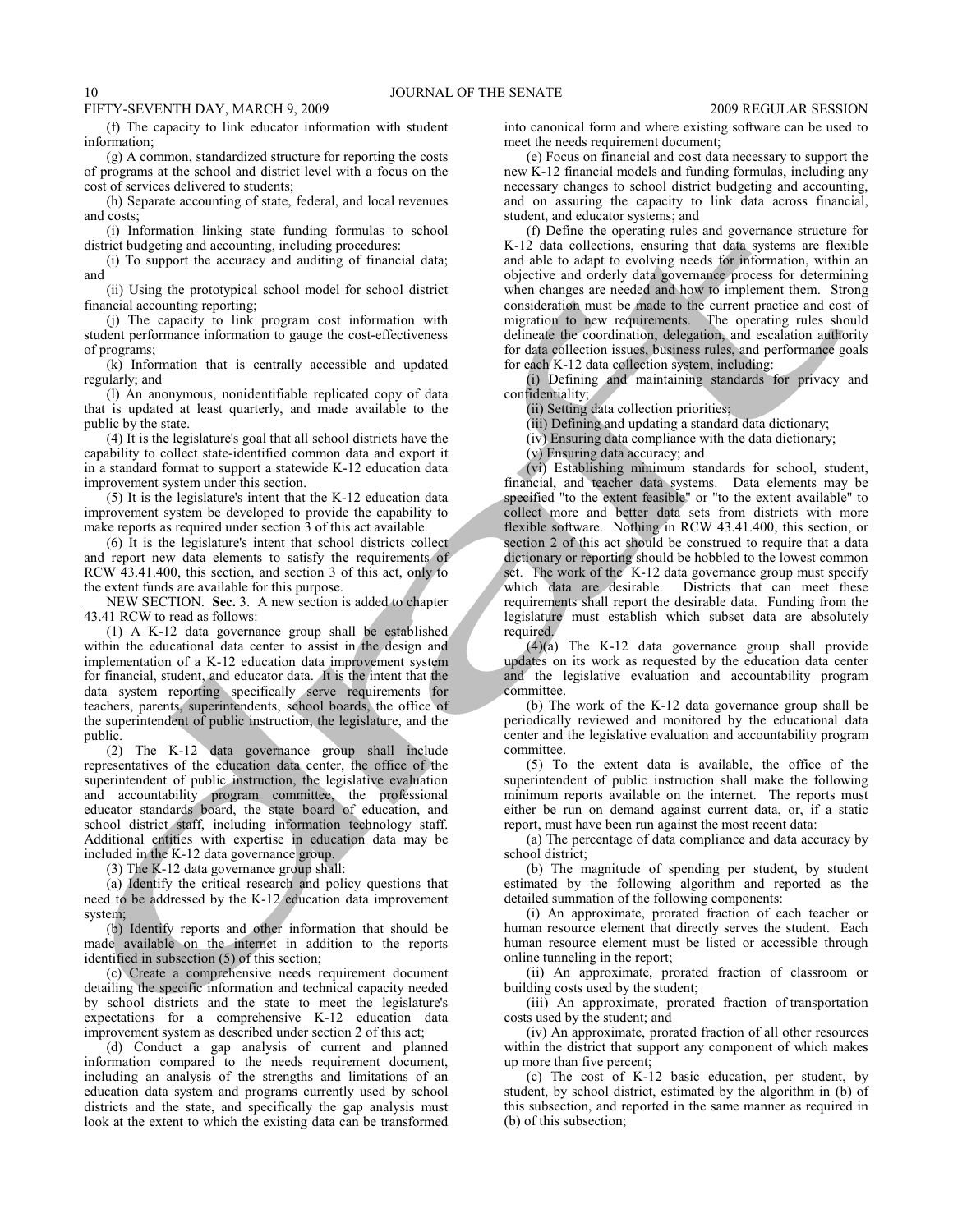(f) The capacity to link educator information with student information;

(g) A common, standardized structure for reporting the costs of programs at the school and district level with a focus on the cost of services delivered to students;

(h) Separate accounting of state, federal, and local revenues and costs;

(i) Information linking state funding formulas to school district budgeting and accounting, including procedures:

(i) To support the accuracy and auditing of financial data; and

(ii) Using the prototypical school model for school district financial accounting reporting;

(j) The capacity to link program cost information with student performance information to gauge the cost-effectiveness of programs;

(k) Information that is centrally accessible and updated regularly; and

(l) An anonymous, nonidentifiable replicated copy of data that is updated at least quarterly, and made available to the public by the state.

(4) It is the legislature's goal that all school districts have the capability to collect state-identified common data and export it in a standard format to support a statewide K-12 education data improvement system under this section.

(5) It is the legislature's intent that the K-12 education data improvement system be developed to provide the capability to make reports as required under section 3 of this act available.

(6) It is the legislature's intent that school districts collect and report new data elements to satisfy the requirements of RCW 43.41.400, this section, and section 3 of this act, only to the extent funds are available for this purpose.

NEW SECTION. **Sec.** 3.A new section is added to chapter 43.41 RCW to read as follows:

(1) A K-12 data governance group shall be established within the educational data center to assist in the design and implementation of a K-12 education data improvement system for financial, student, and educator data. It is the intent that the data system reporting specifically serve requirements for teachers, parents, superintendents, school boards, the office of the superintendent of public instruction, the legislature, and the public.

(2) The K-12 data governance group shall include representatives of the education data center, the office of the superintendent of public instruction, the legislative evaluation and accountability program committee, the professional educator standards board, the state board of education, and school district staff, including information technology staff. Additional entities with expertise in education data may be included in the K-12 data governance group.

(3) The K-12 data governance group shall:

(a) Identify the critical research and policy questions that need to be addressed by the K-12 education data improvement system;

(b) Identify reports and other information that should be made available on the internet in addition to the reports identified in subsection (5) of this section;

(c) Create a comprehensive needs requirement document detailing the specific information and technical capacity needed by school districts and the state to meet the legislature's expectations for a comprehensive K-12 education data improvement system as described under section 2 of this act;

(d) Conduct a gap analysis of current and planned information compared to the needs requirement document, including an analysis of the strengths and limitations of an education data system and programs currently used by school districts and the state, and specifically the gap analysis must look at the extent to which the existing data can be transformed into canonical form and where existing software can be used to meet the needs requirement document;

(e) Focus on financial and cost data necessary to support the new K-12 financial models and funding formulas, including any necessary changes to school district budgeting and accounting, and on assuring the capacity to link data across financial, student, and educator systems; and

(f) Define the operating rules and governance structure for K-12 data collections, ensuring that data systems are flexible and able to adapt to evolving needs for information, within an objective and orderly data governance process for determining when changes are needed and how to implement them. Strong consideration must be made to the current practice and cost of migration to new requirements. The operating rules should delineate the coordination, delegation, and escalation authority for data collection issues, business rules, and performance goals for each K-12 data collection system, including:

(i) Defining and maintaining standards for privacy and confidentiality;

(ii) Setting data collection priorities;

(iii) Defining and updating a standard data dictionary;

(iv) Ensuring data compliance with the data dictionary;

(v) Ensuring data accuracy; and

(vi) Establishing minimum standards for school, student, financial, and teacher data systems. Data elements may be specified "to the extent feasible" or "to the extent available" to collect more and better data sets from districts with more flexible software. Nothing in RCW 43.41.400, this section, or section 2 of this act should be construed to require that a data dictionary or reporting should be hobbled to the lowest common set. The work of the K-12 data governance group must specify which data are desirable. Districts that can meet these requirements shall report the desirable data. Funding from the legislature must establish which subset data are absolutely required.

(4)(a) The K-12 data governance group shall provide updates on its work as requested by the education data center and the legislative evaluation and accountability program committee.

(b) The work of the K-12 data governance group shall be periodically reviewed and monitored by the educational data center and the legislative evaluation and accountability program committee.

(5) To the extent data is available, the office of the superintendent of public instruction shall make the following minimum reports available on the internet. The reports must either be run on demand against current data, or, if a static report, must have been run against the most recent data:

(a) The percentage of data compliance and data accuracy by school district;

(b) The magnitude of spending per student, by student estimated by the following algorithm and reported as the detailed summation of the following components:

(i) An approximate, prorated fraction of each teacher or human resource element that directly serves the student. Each human resource element must be listed or accessible through online tunneling in the report;

(ii) An approximate, prorated fraction of classroom or building costs used by the student;

(iii) An approximate, prorated fraction of transportation costs used by the student; and

(iv) An approximate, prorated fraction of all other resources within the district that support any component of which makes up more than five percent;

(c) The cost of K-12 basic education, per student, by student, by school district, estimated by the algorithm in (b) of this subsection, and reported in the same manner as required in (b) of this subsection;

10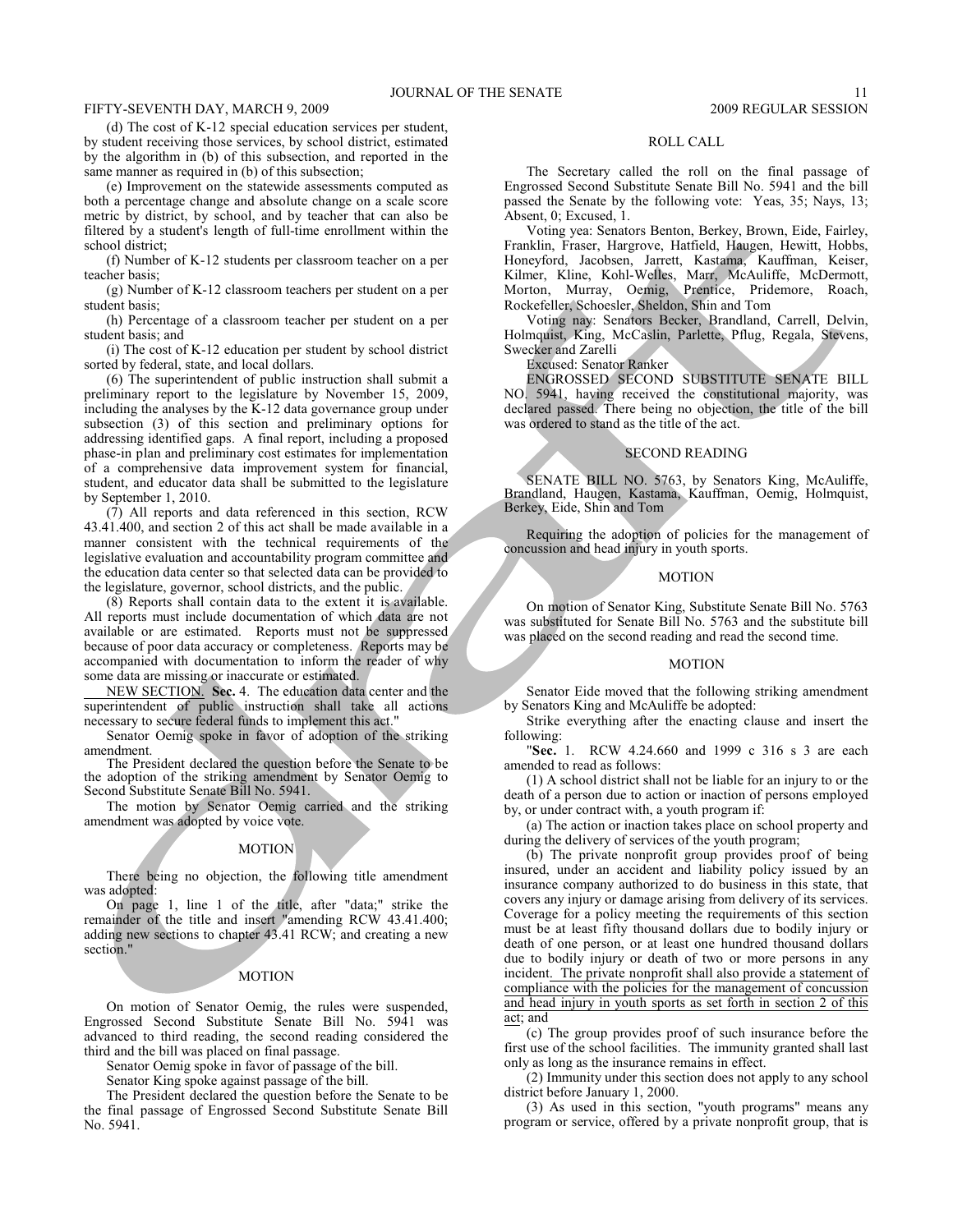(d) The cost of K-12 special education services per student, by student receiving those services, by school district, estimated by the algorithm in (b) of this subsection, and reported in the same manner as required in (b) of this subsection;

(e) Improvement on the statewide assessments computed as both a percentage change and absolute change on a scale score metric by district, by school, and by teacher that can also be filtered by a student's length of full-time enrollment within the school district;

(f) Number of K-12 students per classroom teacher on a per teacher basis;

(g) Number of K-12 classroom teachers per student on a per student basis;

(h) Percentage of a classroom teacher per student on a per student basis; and

(i) The cost of K-12 education per student by school district sorted by federal, state, and local dollars.

(6) The superintendent of public instruction shall submit a preliminary report to the legislature by November 15, 2009, including the analyses by the K-12 data governance group under subsection (3) of this section and preliminary options for addressing identified gaps. A final report, including a proposed phase-in plan and preliminary cost estimates for implementation of a comprehensive data improvement system for financial, student, and educator data shall be submitted to the legislature by September 1, 2010.

(7) All reports and data referenced in this section, RCW 43.41.400, and section 2 of this act shall be made available in a manner consistent with the technical requirements of the legislative evaluation and accountability program committee and the education data center so that selected data can be provided to the legislature, governor, school districts, and the public.

(8) Reports shall contain data to the extent it is available. All reports must include documentation of which data are not available or are estimated. Reports must not be suppressed because of poor data accuracy or completeness. Reports may be accompanied with documentation to inform the reader of why some data are missing or inaccurate or estimated.

NEW SECTION. **Sec.** 4.The education data center and the superintendent of public instruction shall take all actions necessary to secure federal funds to implement this act."

Senator Oemig spoke in favor of adoption of the striking amendment.

The President declared the question before the Senate to be the adoption of the striking amendment by Senator Oemig to Second Substitute Senate Bill No. 5941.

The motion by Senator Oemig carried and the striking amendment was adopted by voice vote.

# MOTION

There being no objection, the following title amendment was adopted:

On page 1, line 1 of the title, after "data;" strike the remainder of the title and insert "amending RCW 43.41.400; adding new sections to chapter 43.41 RCW; and creating a new section."

# MOTION

On motion of Senator Oemig, the rules were suspended, Engrossed Second Substitute Senate Bill No. 5941 was advanced to third reading, the second reading considered the third and the bill was placed on final passage.

Senator Oemig spoke in favor of passage of the bill.

Senator King spoke against passage of the bill.

The President declared the question before the Senate to be the final passage of Engrossed Second Substitute Senate Bill No. 5941.

# ROLL CALL

The Secretary called the roll on the final passage of Engrossed Second Substitute Senate Bill No. 5941 and the bill passed the Senate by the following vote: Yeas, 35; Nays, 13; Absent, 0; Excused, 1.

Voting yea: Senators Benton, Berkey, Brown, Eide, Fairley, Franklin, Fraser, Hargrove, Hatfield, Haugen, Hewitt, Hobbs, Honeyford, Jacobsen, Jarrett, Kastama, Kauffman, Keiser, Kilmer, Kline, Kohl-Welles, Marr, McAuliffe, McDermott, Morton, Murray, Oemig, Prentice, Pridemore, Roach, Rockefeller, Schoesler, Sheldon, Shin and Tom

Voting nay: Senators Becker, Brandland, Carrell, Delvin, Holmquist, King, McCaslin, Parlette, Pflug, Regala, Stevens, Swecker and Zarelli

Excused: Senator Ranker

ENGROSSED SECOND SUBSTITUTE SENATE BILL NO. 5941, having received the constitutional majority, was declared passed. There being no objection, the title of the bill was ordered to stand as the title of the act.

# SECOND READING

SENATE BILL NO. 5763, by Senators King, McAuliffe, Brandland, Haugen, Kastama, Kauffman, Oemig, Holmquist, Berkey, Eide, Shin and Tom

Requiring the adoption of policies for the management of concussion and head injury in youth sports.

## MOTION

On motion of Senator King, Substitute Senate Bill No. 5763 was substituted for Senate Bill No. 5763 and the substitute bill was placed on the second reading and read the second time.

# MOTION

Senator Eide moved that the following striking amendment by Senators King and McAuliffe be adopted:

Strike everything after the enacting clause and insert the following:

"**Sec.** 1.RCW 4.24.660 and 1999 c 316 s 3 are each amended to read as follows:

(1) A school district shall not be liable for an injury to or the death of a person due to action or inaction of persons employed by, or under contract with, a youth program if:

(a) The action or inaction takes place on school property and during the delivery of services of the youth program;

(b) The private nonprofit group provides proof of being insured, under an accident and liability policy issued by an insurance company authorized to do business in this state, that covers any injury or damage arising from delivery of its services. Coverage for a policy meeting the requirements of this section must be at least fifty thousand dollars due to bodily injury or death of one person, or at least one hundred thousand dollars due to bodily injury or death of two or more persons in any incident. The private nonprofit shall also provide a statement of compliance with the policies for the management of concussion and head injury in youth sports as set forth in section 2 of this act; and

(c) The group provides proof of such insurance before the first use of the school facilities. The immunity granted shall last only as long as the insurance remains in effect.

(2) Immunity under this section does not apply to any school district before January 1, 2000.

(3) As used in this section, "youth programs" means any program or service, offered by a private nonprofit group, that is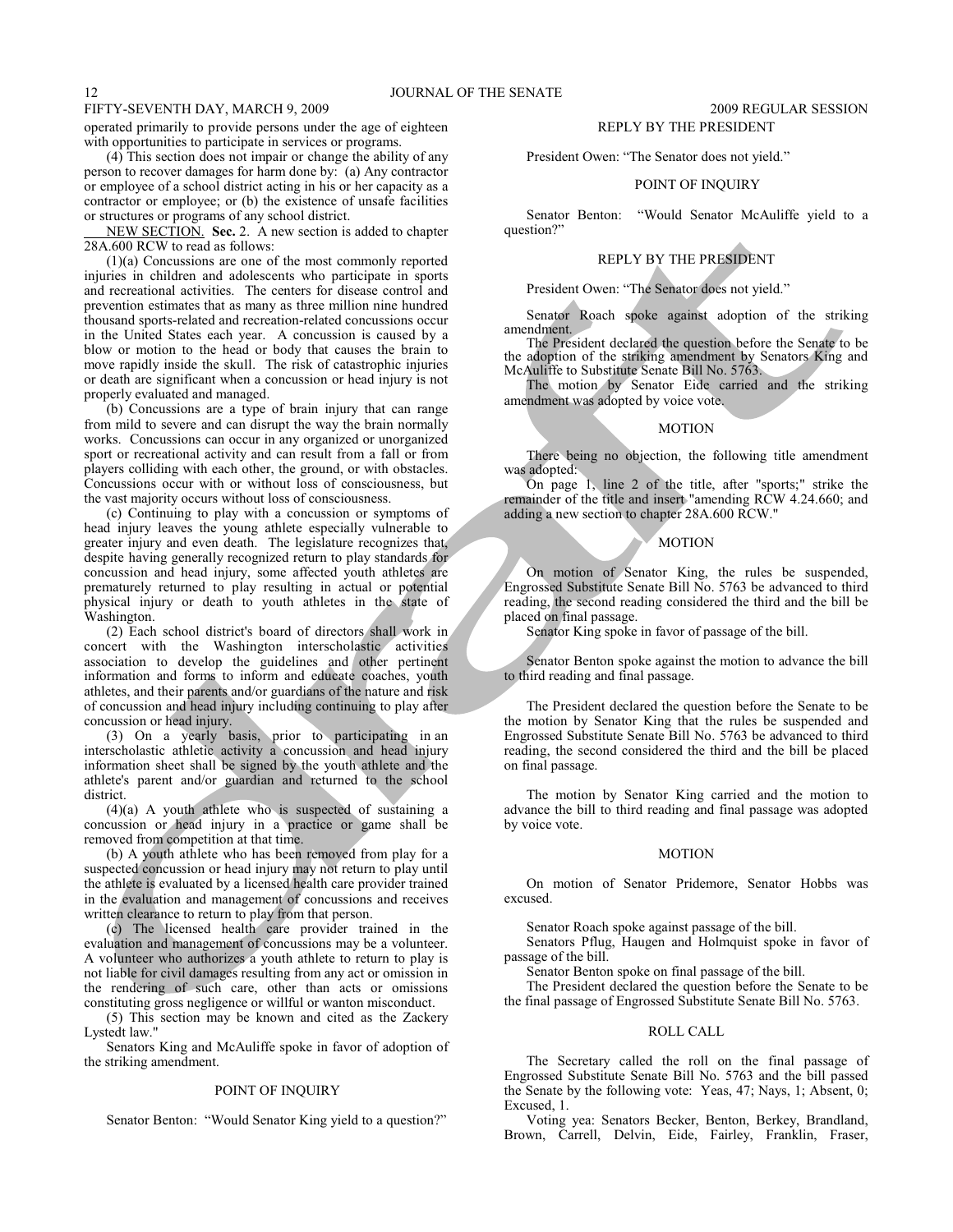operated primarily to provide persons under the age of eighteen with opportunities to participate in services or programs.

(4) This section does not impair or change the ability of any person to recover damages for harm done by: (a) Any contractor or employee of a school district acting in his or her capacity as a contractor or employee; or (b) the existence of unsafe facilities or structures or programs of any school district.

NEW SECTION. **Sec.** 2.A new section is added to chapter 28A.600 RCW to read as follows:

(1)(a) Concussions are one of the most commonly reported injuries in children and adolescents who participate in sports and recreational activities. The centers for disease control and prevention estimates that as many as three million nine hundred thousand sports-related and recreation-related concussions occur in the United States each year. A concussion is caused by a blow or motion to the head or body that causes the brain to move rapidly inside the skull. The risk of catastrophic injuries or death are significant when a concussion or head injury is not properly evaluated and managed.

(b) Concussions are a type of brain injury that can range from mild to severe and can disrupt the way the brain normally works. Concussions can occur in any organized or unorganized sport or recreational activity and can result from a fall or from players colliding with each other, the ground, or with obstacles. Concussions occur with or without loss of consciousness, but the vast majority occurs without loss of consciousness.

(c) Continuing to play with a concussion or symptoms of head injury leaves the young athlete especially vulnerable to greater injury and even death. The legislature recognizes that, despite having generally recognized return to play standards for concussion and head injury, some affected youth athletes are prematurely returned to play resulting in actual or potential physical injury or death to youth athletes in the state of Washington.

(2) Each school district's board of directors shall work in concert with the Washington interscholastic activities association to develop the guidelines and other pertinent information and forms to inform and educate coaches, youth athletes, and their parents and/or guardians of the nature and risk of concussion and head injury including continuing to play after concussion or head injury.

(3) On a yearly basis, prior to participating in an interscholastic athletic activity a concussion and head injury information sheet shall be signed by the youth athlete and the athlete's parent and/or guardian and returned to the school district.

(4)(a) A youth athlete who is suspected of sustaining a concussion or head injury in a practice or game shall be removed from competition at that time.

(b) A youth athlete who has been removed from play for a suspected concussion or head injury may not return to play until the athlete is evaluated by a licensed health care provider trained in the evaluation and management of concussions and receives written clearance to return to play from that person.

(c) The licensed health care provider trained in the evaluation and management of concussions may be a volunteer. A volunteer who authorizes a youth athlete to return to play is not liable for civil damages resulting from any act or omission in the rendering of such care, other than acts or omissions constituting gross negligence or willful or wanton misconduct.

(5) This section may be known and cited as the Zackery Lystedt law."

Senators King and McAuliffe spoke in favor of adoption of the striking amendment.

## POINT OF INQUIRY

Senator Benton: "Would Senator King yield to a question?"

# REPLY BY THE PRESIDENT

President Owen: "The Senator does not yield."

# POINT OF INQUIRY

Senator Benton: "Would Senator McAuliffe yield to a question?"

# REPLY BY THE PRESIDENT

President Owen: "The Senator does not yield."

Senator Roach spoke against adoption of the striking amendment.

The President declared the question before the Senate to be the adoption of the striking amendment by Senators King and McAuliffe to Substitute Senate Bill No. 5763.

The motion by Senator Eide carried and the striking amendment was adopted by voice vote.

## **MOTION**

There being no objection, the following title amendment was adopted:

On page 1, line 2 of the title, after "sports;" strike the remainder of the title and insert "amending RCW 4.24.660; and adding a new section to chapter 28A.600 RCW."

## MOTION

On motion of Senator King, the rules be suspended, Engrossed Substitute Senate Bill No. 5763 be advanced to third reading, the second reading considered the third and the bill be placed on final passage.

Senator King spoke in favor of passage of the bill.

Senator Benton spoke against the motion to advance the bill to third reading and final passage.

The President declared the question before the Senate to be the motion by Senator King that the rules be suspended and Engrossed Substitute Senate Bill No. 5763 be advanced to third reading, the second considered the third and the bill be placed on final passage.

The motion by Senator King carried and the motion to advance the bill to third reading and final passage was adopted by voice vote.

## MOTION

On motion of Senator Pridemore, Senator Hobbs was excused.

Senator Roach spoke against passage of the bill.

Senators Pflug, Haugen and Holmquist spoke in favor of passage of the bill.

Senator Benton spoke on final passage of the bill.

The President declared the question before the Senate to be the final passage of Engrossed Substitute Senate Bill No. 5763.

## ROLL CALL

The Secretary called the roll on the final passage of Engrossed Substitute Senate Bill No. 5763 and the bill passed the Senate by the following vote: Yeas, 47; Nays, 1; Absent, 0; Excused, 1.

Voting yea: Senators Becker, Benton, Berkey, Brandland, Brown, Carrell, Delvin, Eide, Fairley, Franklin, Fraser,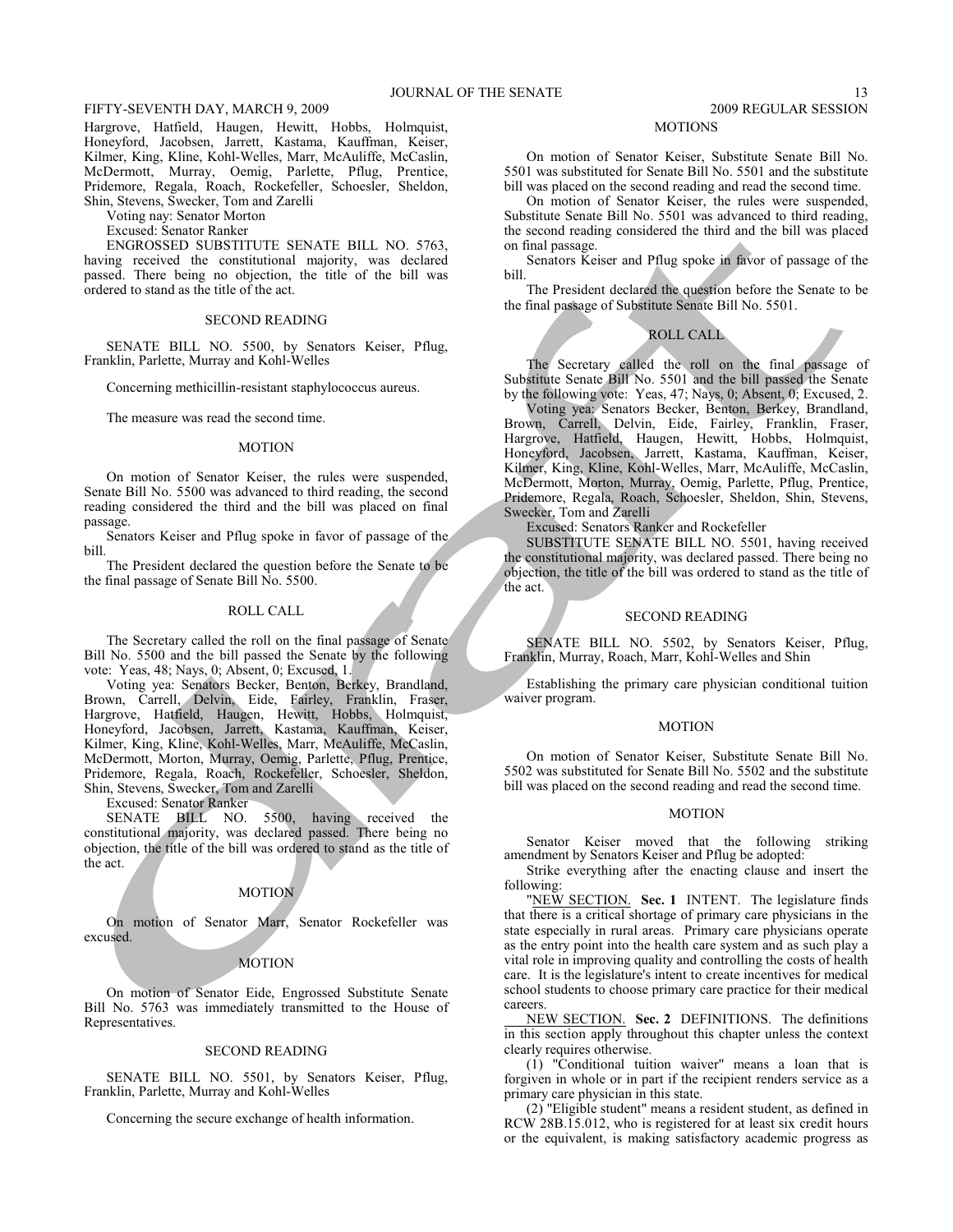Hargrove, Hatfield, Haugen, Hewitt, Hobbs, Holmquist, Honeyford, Jacobsen, Jarrett, Kastama, Kauffman, Keiser, Kilmer, King, Kline, Kohl-Welles, Marr, McAuliffe, McCaslin, McDermott, Murray, Oemig, Parlette, Pflug, Prentice, Pridemore, Regala, Roach, Rockefeller, Schoesler, Sheldon, Shin, Stevens, Swecker, Tom and Zarelli

Voting nay: Senator Morton

Excused: Senator Ranker

ENGROSSED SUBSTITUTE SENATE BILL NO. 5763, having received the constitutional majority, was declared passed. There being no objection, the title of the bill was ordered to stand as the title of the act.

## SECOND READING

SENATE BILL NO. 5500, by Senators Keiser, Pflug, Franklin, Parlette, Murray and Kohl-Welles

Concerning methicillin-resistant staphylococcus aureus.

The measure was read the second time.

## **MOTION**

On motion of Senator Keiser, the rules were suspended, Senate Bill No. 5500 was advanced to third reading, the second reading considered the third and the bill was placed on final passage.

Senators Keiser and Pflug spoke in favor of passage of the bill.

The President declared the question before the Senate to be the final passage of Senate Bill No. 5500.

### ROLL CALL

The Secretary called the roll on the final passage of Senate Bill No. 5500 and the bill passed the Senate by the following vote: Yeas, 48; Nays, 0; Absent, 0; Excused, 1.

Voting yea: Senators Becker, Benton, Berkey, Brandland, Brown, Carrell, Delvin, Eide, Fairley, Franklin, Fraser, Hargrove, Hatfield, Haugen, Hewitt, Hobbs, Holmquist, Honeyford, Jacobsen, Jarrett, Kastama, Kauffman, Keiser, Kilmer, King, Kline, Kohl-Welles, Marr, McAuliffe, McCaslin, McDermott, Morton, Murray, Oemig, Parlette, Pflug, Prentice, Pridemore, Regala, Roach, Rockefeller, Schoesler, Sheldon, Shin, Stevens, Swecker, Tom and Zarelli

Excused: Senator Ranker

SENATE BILL NO. 5500, having received the constitutional majority, was declared passed. There being no objection, the title of the bill was ordered to stand as the title of the act.

## MOTION

On motion of Senator Marr, Senator Rockefeller was excused.

## MOTION

On motion of Senator Eide, Engrossed Substitute Senate Bill No. 5763 was immediately transmitted to the House of Representatives.

#### SECOND READING

SENATE BILL NO. 5501, by Senators Keiser, Pflug, Franklin, Parlette, Murray and Kohl-Welles

Concerning the secure exchange of health information.

13

# MOTIONS

On motion of Senator Keiser, Substitute Senate Bill No. 5501 was substituted for Senate Bill No. 5501 and the substitute bill was placed on the second reading and read the second time.

On motion of Senator Keiser, the rules were suspended, Substitute Senate Bill No. 5501 was advanced to third reading, the second reading considered the third and the bill was placed on final passage.

Senators Keiser and Pflug spoke in favor of passage of the bill.

The President declared the question before the Senate to be the final passage of Substitute Senate Bill No. 5501.

## ROLL CALL

The Secretary called the roll on the final passage of Substitute Senate Bill No. 5501 and the bill passed the Senate by the following vote: Yeas, 47; Nays, 0; Absent, 0; Excused, 2.

Voting yea: Senators Becker, Benton, Berkey, Brandland, Brown, Carrell, Delvin, Eide, Fairley, Franklin, Fraser, Hargrove, Hatfield, Haugen, Hewitt, Hobbs, Holmquist, Honeyford, Jacobsen, Jarrett, Kastama, Kauffman, Keiser, Kilmer, King, Kline, Kohl-Welles, Marr, McAuliffe, McCaslin, McDermott, Morton, Murray, Oemig, Parlette, Pflug, Prentice, Pridemore, Regala, Roach, Schoesler, Sheldon, Shin, Stevens, Swecker, Tom and Zarelli

Excused: Senators Ranker and Rockefeller

SUBSTITUTE SENATE BILL NO. 5501, having received the constitutional majority, was declared passed. There being no objection, the title of the bill was ordered to stand as the title of the act.

# SECOND READING

SENATE BILL NO. 5502, by Senators Keiser, Pflug, Franklin, Murray, Roach, Marr, Kohl-Welles and Shin

Establishing the primary care physician conditional tuition waiver program.

## MOTION

On motion of Senator Keiser, Substitute Senate Bill No. 5502 was substituted for Senate Bill No. 5502 and the substitute bill was placed on the second reading and read the second time.

# MOTION

Senator Keiser moved that the following striking amendment by Senators Keiser and Pflug be adopted:

Strike everything after the enacting clause and insert the following:

"NEW SECTION. **Sec. 1** INTENT. The legislature finds that there is a critical shortage of primary care physicians in the state especially in rural areas. Primary care physicians operate as the entry point into the health care system and as such play a vital role in improving quality and controlling the costs of health care. It is the legislature's intent to create incentives for medical school students to choose primary care practice for their medical careers.

NEW SECTION. **Sec. 2** DEFINITIONS. The definitions in this section apply throughout this chapter unless the context clearly requires otherwise.

(1) "Conditional tuition waiver" means a loan that is forgiven in whole or in part if the recipient renders service as a primary care physician in this state.

(2) "Eligible student" means a resident student, as defined in RCW 28B.15.012, who is registered for at least six credit hours or the equivalent, is making satisfactory academic progress as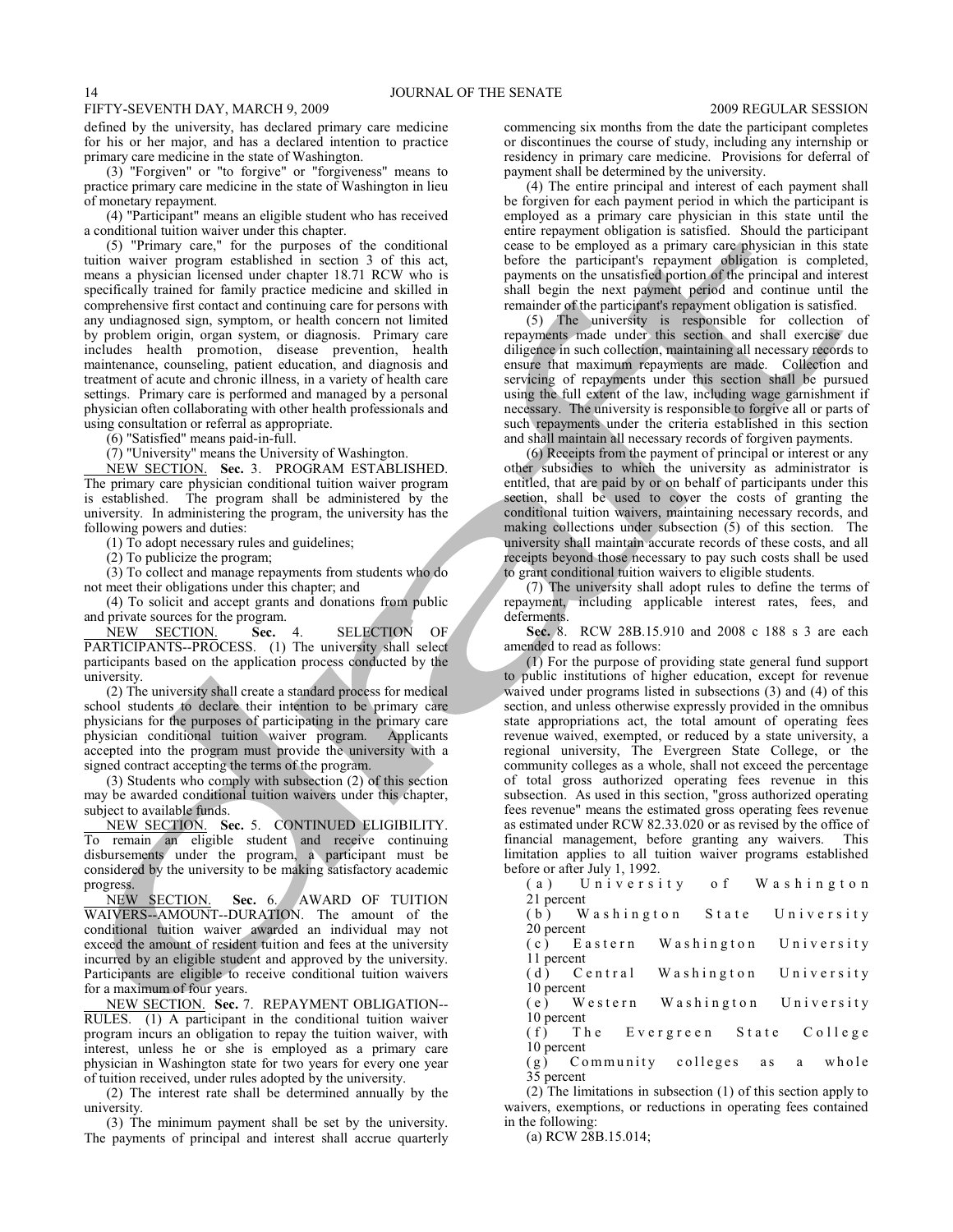defined by the university, has declared primary care medicine for his or her major, and has a declared intention to practice primary care medicine in the state of Washington.

(3) "Forgiven" or "to forgive" or "forgiveness" means to practice primary care medicine in the state of Washington in lieu of monetary repayment.

(4) "Participant" means an eligible student who has received a conditional tuition waiver under this chapter.

(5) "Primary care," for the purposes of the conditional tuition waiver program established in section 3 of this act, means a physician licensed under chapter 18.71 RCW who is specifically trained for family practice medicine and skilled in comprehensive first contact and continuing care for persons with any undiagnosed sign, symptom, or health concern not limited by problem origin, organ system, or diagnosis. Primary care includes health promotion, disease prevention, health maintenance, counseling, patient education, and diagnosis and treatment of acute and chronic illness, in a variety of health care settings. Primary care is performed and managed by a personal physician often collaborating with other health professionals and using consultation or referral as appropriate.

(6) "Satisfied" means paid-in-full.

(7) "University" means the University of Washington.

NEW SECTION. **Sec.** 3.PROGRAM ESTABLISHED. The primary care physician conditional tuition waiver program is established. The program shall be administered by the university. In administering the program, the university has the following powers and duties:

(1) To adopt necessary rules and guidelines;

(2) To publicize the program;

(3) To collect and manage repayments from students who do not meet their obligations under this chapter; and

(4) To solicit and accept grants and donations from public and private sources for the program.

NEW SECTION. **Sec.** 4.SELECTION OF PARTICIPANTS--PROCESS. (1) The university shall select participants based on the application process conducted by the university.

(2) The university shall create a standard process for medical school students to declare their intention to be primary care physicians for the purposes of participating in the primary care physician conditional tuition waiver program. Applicants accepted into the program must provide the university with a signed contract accepting the terms of the program.

(3) Students who comply with subsection (2) of this section may be awarded conditional tuition waivers under this chapter, subject to available funds.

NEW SECTION. **Sec.** 5.CONTINUED ELIGIBILITY. To remain an eligible student and receive continuing disbursements under the program, a participant must be considered by the university to be making satisfactory academic progress.

NEW SECTION. **Sec.** 6.AWARD OF TUITION WAIVERS--AMOUNT--DURATION. The amount of the conditional tuition waiver awarded an individual may not exceed the amount of resident tuition and fees at the university incurred by an eligible student and approved by the university. Participants are eligible to receive conditional tuition waivers for a maximum of four years.

NEW SECTION. **Sec.** 7.REPAYMENT OBLIGATION-- RULES. (1) A participant in the conditional tuition waiver program incurs an obligation to repay the tuition waiver, with interest, unless he or she is employed as a primary care physician in Washington state for two years for every one year of tuition received, under rules adopted by the university.

(2) The interest rate shall be determined annually by the university.

(3) The minimum payment shall be set by the university. The payments of principal and interest shall accrue quarterly commencing six months from the date the participant completes or discontinues the course of study, including any internship or residency in primary care medicine. Provisions for deferral of payment shall be determined by the university.

(4) The entire principal and interest of each payment shall be forgiven for each payment period in which the participant is employed as a primary care physician in this state until the entire repayment obligation is satisfied. Should the participant cease to be employed as a primary care physician in this state before the participant's repayment obligation is completed, payments on the unsatisfied portion of the principal and interest shall begin the next payment period and continue until the remainder of the participant's repayment obligation is satisfied.

(5) The university is responsible for collection of repayments made under this section and shall exercise due diligence in such collection, maintaining all necessary records to ensure that maximum repayments are made. Collection and servicing of repayments under this section shall be pursued using the full extent of the law, including wage garnishment if necessary. The university is responsible to forgive all or parts of such repayments under the criteria established in this section and shall maintain all necessary records of forgiven payments.

(6) Receipts from the payment of principal or interest or any other subsidies to which the university as administrator is entitled, that are paid by or on behalf of participants under this section, shall be used to cover the costs of granting the conditional tuition waivers, maintaining necessary records, and making collections under subsection (5) of this section. The university shall maintain accurate records of these costs, and all receipts beyond those necessary to pay such costs shall be used to grant conditional tuition waivers to eligible students.

(7) The university shall adopt rules to define the terms of repayment, including applicable interest rates, fees, and deferments.

**Sec.** 8.RCW 28B.15.910 and 2008 c 188 s 3 are each amended to read as follows:

(1) For the purpose of providing state general fund support to public institutions of higher education, except for revenue waived under programs listed in subsections (3) and (4) of this section, and unless otherwise expressly provided in the omnibus state appropriations act, the total amount of operating fees revenue waived, exempted, or reduced by a state university, a regional university, The Evergreen State College, or the community colleges as a whole, shall not exceed the percentage of total gross authorized operating fees revenue in this subsection. As used in this section, "gross authorized operating fees revenue" means the estimated gross operating fees revenue as estimated under RCW 82.33.020 or as revised by the office of financial management, before granting any waivers. This limitation applies to all tuition waiver programs established before or after July 1, 1992.

| (a) University of Washington                                       |
|--------------------------------------------------------------------|
| 21 percent                                                         |
| (b) Washington State University                                    |
| 20 percent                                                         |
| (c) Eastern Washington University                                  |
| 11 percent                                                         |
| Washington University<br>(d) Central                               |
| 10 percent                                                         |
| Washington University<br>(e) Western                               |
| 10 percent                                                         |
| (f) The Evergreen State College                                    |
| 10 percent                                                         |
| (g) Community colleges as a whole                                  |
| 35 percent                                                         |
| $(2)$ The limitations in subsection $(1)$ of this section apply to |
| waivers, exemptions, or reductions in operating fees contained     |

in the following: (a) RCW 28B.15.014;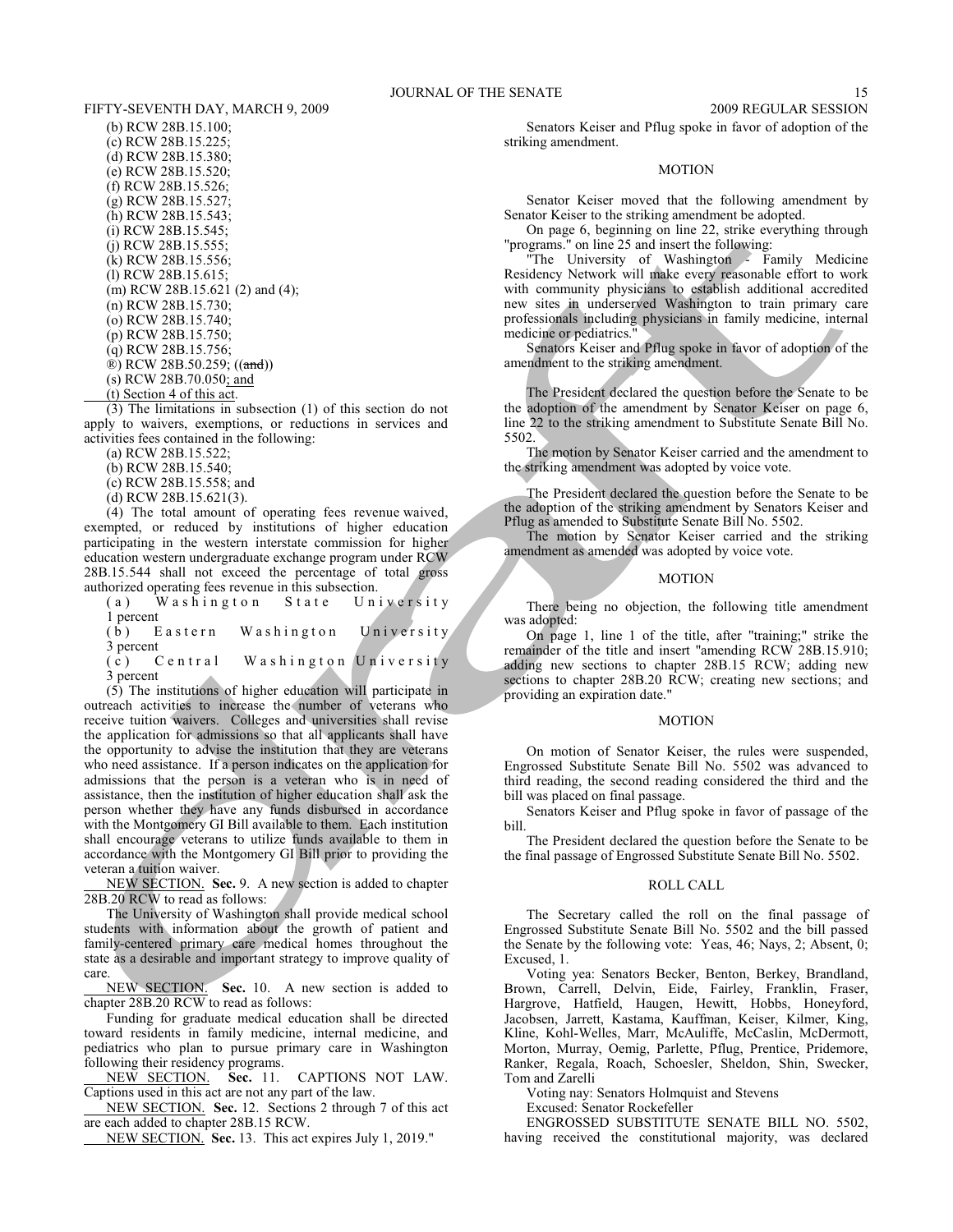FIFTY-SEVENTH DAY, MARCH 9, 2009 2009 REGULAR SESSION (b) RCW 28B.15.100; (c) RCW 28B.15.225;

(d) RCW 28B.15.380; (e) RCW 28B.15.520; (f) RCW 28B.15.526; (g) RCW 28B.15.527; (h) RCW 28B.15.543; (i) RCW 28B.15.545; (j) RCW 28B.15.555; (k) RCW 28B.15.556; (l) RCW 28B.15.615; (m) RCW 28B.15.621 (2) and (4); (n) RCW 28B.15.730; (o) RCW 28B.15.740; (p) RCW 28B.15.750; (q) RCW 28B.15.756; ®) RCW 28B.50.259; ((and)) (s) RCW 28B.70.050; and (t) Section 4 of this act.

(3) The limitations in subsection (1) of this section do not apply to waivers, exemptions, or reductions in services and activities fees contained in the following:

(a) RCW 28B.15.522;

(b) RCW 28B.15.540;

(c) RCW 28B.15.558; and

(d) RCW 28B.15.621(3).

(4) The total amount of operating fees revenue waived, exempted, or reduced by institutions of higher education participating in the western interstate commission for higher education western undergraduate exchange program under RCW 28B.15.544 shall not exceed the percentage of total gross authorized operating fees revenue in this subsection.

|              |  | (a) Washington State University   |
|--------------|--|-----------------------------------|
| 1 percent    |  |                                   |
|              |  | (b) Eastern Washington University |
| 3 percent    |  |                                   |
|              |  | (c) Central Washington University |
| $2$ monocast |  |                                   |

3 percent

(5) The institutions of higher education will participate in outreach activities to increase the number of veterans who receive tuition waivers. Colleges and universities shall revise the application for admissions so that all applicants shall have the opportunity to advise the institution that they are veterans who need assistance. If a person indicates on the application for admissions that the person is a veteran who is in need of assistance, then the institution of higher education shall ask the person whether they have any funds disbursed in accordance with the Montgomery GI Bill available to them. Each institution shall encourage veterans to utilize funds available to them in accordance with the Montgomery GI Bill prior to providing the veteran a tuition waiver.

NEW SECTION. **Sec.** 9.A new section is added to chapter 28B.20 RCW to read as follows:

The University of Washington shall provide medical school students with information about the growth of patient and family-centered primary care medical homes throughout the state as a desirable and important strategy to improve quality of care.

NEW SECTION. **Sec.** 10.A new section is added to chapter 28B.20 RCW to read as follows:

Funding for graduate medical education shall be directed toward residents in family medicine, internal medicine, and pediatrics who plan to pursue primary care in Washington following their residency programs.

NEW SECTION. **Sec.** 11.CAPTIONS NOT LAW. Captions used in this act are not any part of the law.

NEW SECTION. **Sec.** 12.Sections 2 through 7 of this act are each added to chapter 28B.15 RCW.

NEW SECTION. **Sec.** 13.This act expires July 1, 2019."

Senators Keiser and Pflug spoke in favor of adoption of the striking amendment.

## MOTION

Senator Keiser moved that the following amendment by Senator Keiser to the striking amendment be adopted.

On page 6, beginning on line 22, strike everything through "programs." on line 25 and insert the following:

"The University of Washington - Family Medicine Residency Network will make every reasonable effort to work with community physicians to establish additional accredited new sites in underserved Washington to train primary care professionals including physicians in family medicine, internal medicine or pediatrics."

Senators Keiser and Pflug spoke in favor of adoption of the amendment to the striking amendment.

The President declared the question before the Senate to be the adoption of the amendment by Senator Keiser on page 6, line 22 to the striking amendment to Substitute Senate Bill No. 5502.

The motion by Senator Keiser carried and the amendment to the striking amendment was adopted by voice vote.

The President declared the question before the Senate to be the adoption of the striking amendment by Senators Keiser and Pflug as amended to Substitute Senate Bill No. 5502.

The motion by Senator Keiser carried and the striking amendment as amended was adopted by voice vote.

## MOTION

There being no objection, the following title amendment was adopted:

On page 1, line 1 of the title, after "training;" strike the remainder of the title and insert "amending RCW 28B.15.910; adding new sections to chapter 28B.15 RCW; adding new sections to chapter 28B.20 RCW; creating new sections; and providing an expiration date."

## MOTION

On motion of Senator Keiser, the rules were suspended, Engrossed Substitute Senate Bill No. 5502 was advanced to third reading, the second reading considered the third and the bill was placed on final passage.

Senators Keiser and Pflug spoke in favor of passage of the bill.

The President declared the question before the Senate to be the final passage of Engrossed Substitute Senate Bill No. 5502.

## ROLL CALL

The Secretary called the roll on the final passage of Engrossed Substitute Senate Bill No. 5502 and the bill passed the Senate by the following vote: Yeas, 46; Nays, 2; Absent, 0; Excused, 1.

Voting yea: Senators Becker, Benton, Berkey, Brandland, Brown, Carrell, Delvin, Eide, Fairley, Franklin, Fraser, Hargrove, Hatfield, Haugen, Hewitt, Hobbs, Honeyford, Jacobsen, Jarrett, Kastama, Kauffman, Keiser, Kilmer, King, Kline, Kohl-Welles, Marr, McAuliffe, McCaslin, McDermott, Morton, Murray, Oemig, Parlette, Pflug, Prentice, Pridemore, Ranker, Regala, Roach, Schoesler, Sheldon, Shin, Swecker, Tom and Zarelli

Voting nay: Senators Holmquist and Stevens

Excused: Senator Rockefeller

ENGROSSED SUBSTITUTE SENATE BILL NO. 5502, having received the constitutional majority, was declared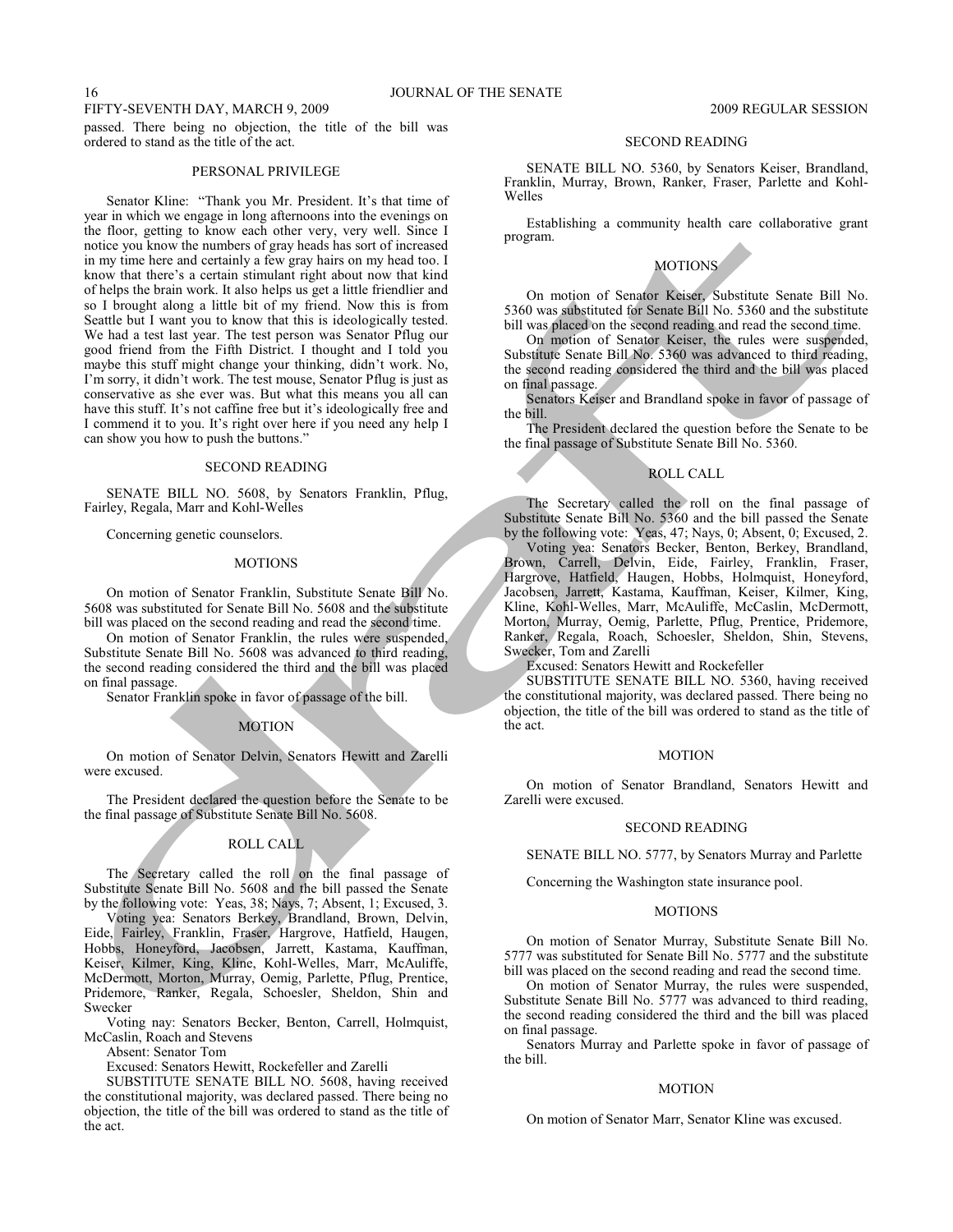passed. There being no objection, the title of the bill was ordered to stand as the title of the act.

## PERSONAL PRIVILEGE

Senator Kline: "Thank you Mr. President. It's that time of year in which we engage in long afternoons into the evenings on the floor, getting to know each other very, very well. Since I notice you know the numbers of gray heads has sort of increased in my time here and certainly a few gray hairs on my head too. I know that there's a certain stimulant right about now that kind of helps the brain work. It also helps us get a little friendlier and so I brought along a little bit of my friend. Now this is from Seattle but I want you to know that this is ideologically tested. We had a test last year. The test person was Senator Pflug our good friend from the Fifth District. I thought and I told you maybe this stuff might change your thinking, didn't work. No, I'm sorry, it didn't work. The test mouse, Senator Pflug is just as conservative as she ever was. But what this means you all can have this stuff. It's not caffine free but it's ideologically free and I commend it to you. It's right over here if you need any help I can show you how to push the buttons."

### SECOND READING

SENATE BILL NO. 5608, by Senators Franklin, Pflug, Fairley, Regala, Marr and Kohl-Welles

Concerning genetic counselors.

## **MOTIONS**

On motion of Senator Franklin, Substitute Senate Bill No. 5608 was substituted for Senate Bill No. 5608 and the substitute bill was placed on the second reading and read the second time.

On motion of Senator Franklin, the rules were suspended, Substitute Senate Bill No. 5608 was advanced to third reading, the second reading considered the third and the bill was placed on final passage.

Senator Franklin spoke in favor of passage of the bill.

## MOTION

On motion of Senator Delvin, Senators Hewitt and Zarelli were excused.

The President declared the question before the Senate to be the final passage of Substitute Senate Bill No. 5608.

# ROLL CALL

The Secretary called the roll on the final passage of Substitute Senate Bill No. 5608 and the bill passed the Senate by the following vote: Yeas, 38; Nays, 7; Absent, 1; Excused, 3.

Voting yea: Senators Berkey, Brandland, Brown, Delvin, Eide, Fairley, Franklin, Fraser, Hargrove, Hatfield, Haugen, Hobbs, Honeyford, Jacobsen, Jarrett, Kastama, Kauffman, Keiser, Kilmer, King, Kline, Kohl-Welles, Marr, McAuliffe, McDermott, Morton, Murray, Oemig, Parlette, Pflug, Prentice, Pridemore, Ranker, Regala, Schoesler, Sheldon, Shin and Swecker

Voting nay: Senators Becker, Benton, Carrell, Holmquist, McCaslin, Roach and Stevens

Absent: Senator Tom

Excused: Senators Hewitt, Rockefeller and Zarelli

SUBSTITUTE SENATE BILL NO. 5608, having received the constitutional majority, was declared passed. There being no objection, the title of the bill was ordered to stand as the title of the act.

# SECOND READING

SENATE BILL NO. 5360, by Senators Keiser, Brandland, Franklin, Murray, Brown, Ranker, Fraser, Parlette and Kohl-Welles

Establishing a community health care collaborative grant program.

# MOTIONS

On motion of Senator Keiser, Substitute Senate Bill No. 5360 was substituted for Senate Bill No. 5360 and the substitute bill was placed on the second reading and read the second time.

On motion of Senator Keiser, the rules were suspended, Substitute Senate Bill No. 5360 was advanced to third reading, the second reading considered the third and the bill was placed on final passage.

Senators Keiser and Brandland spoke in favor of passage of the bill.

The President declared the question before the Senate to be the final passage of Substitute Senate Bill No. 5360.

## ROLL CALL

The Secretary called the roll on the final passage of Substitute Senate Bill No. 5360 and the bill passed the Senate by the following vote: Yeas, 47; Nays, 0; Absent, 0; Excused, 2. Voting yea: Senators Becker, Benton, Berkey, Brandland,

Brown, Carrell, Delvin, Eide, Fairley, Franklin, Fraser, Hargrove, Hatfield, Haugen, Hobbs, Holmquist, Honeyford, Jacobsen, Jarrett, Kastama, Kauffman, Keiser, Kilmer, King, Kline, Kohl-Welles, Marr, McAuliffe, McCaslin, McDermott, Morton, Murray, Oemig, Parlette, Pflug, Prentice, Pridemore, Ranker, Regala, Roach, Schoesler, Sheldon, Shin, Stevens, Swecker, Tom and Zarelli

Excused: Senators Hewitt and Rockefeller

SUBSTITUTE SENATE BILL NO. 5360, having received the constitutional majority, was declared passed. There being no objection, the title of the bill was ordered to stand as the title of the act.

## MOTION

On motion of Senator Brandland, Senators Hewitt and Zarelli were excused.

### SECOND READING

SENATE BILL NO. 5777, by Senators Murray and Parlette

Concerning the Washington state insurance pool.

## MOTIONS

On motion of Senator Murray, Substitute Senate Bill No. 5777 was substituted for Senate Bill No. 5777 and the substitute bill was placed on the second reading and read the second time.

On motion of Senator Murray, the rules were suspended, Substitute Senate Bill No. 5777 was advanced to third reading, the second reading considered the third and the bill was placed on final passage.

Senators Murray and Parlette spoke in favor of passage of the bill.

## MOTION

On motion of Senator Marr, Senator Kline was excused.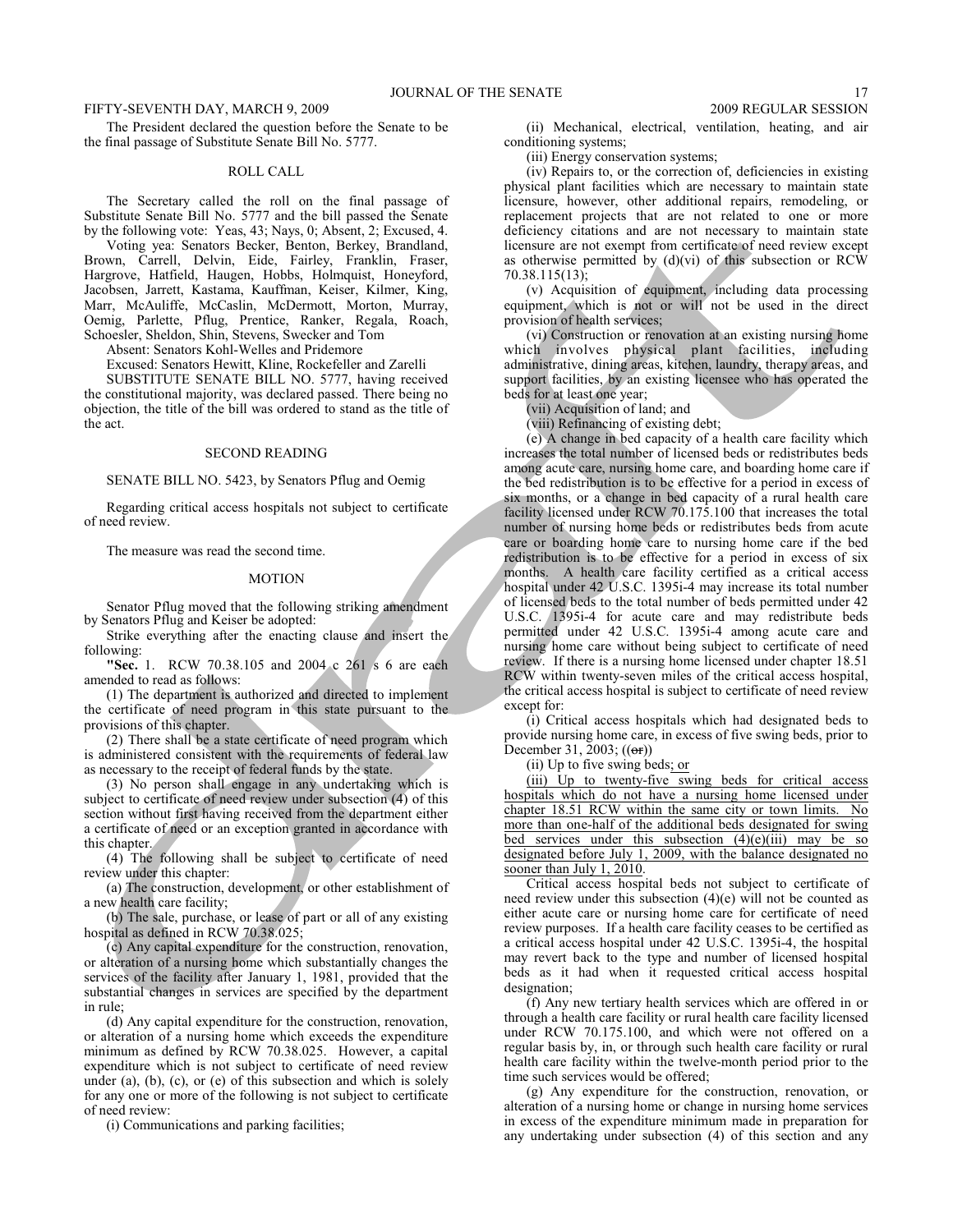The President declared the question before the Senate to be the final passage of Substitute Senate Bill No. 5777.

# ROLL CALL

The Secretary called the roll on the final passage of Substitute Senate Bill No. 5777 and the bill passed the Senate by the following vote: Yeas, 43; Nays, 0; Absent, 2; Excused, 4.

Voting yea: Senators Becker, Benton, Berkey, Brandland, Brown, Carrell, Delvin, Eide, Fairley, Franklin, Fraser, Hargrove, Hatfield, Haugen, Hobbs, Holmquist, Honeyford, Jacobsen, Jarrett, Kastama, Kauffman, Keiser, Kilmer, King, Marr, McAuliffe, McCaslin, McDermott, Morton, Murray, Oemig, Parlette, Pflug, Prentice, Ranker, Regala, Roach, Schoesler, Sheldon, Shin, Stevens, Swecker and Tom

Absent: Senators Kohl-Welles and Pridemore

Excused: Senators Hewitt, Kline, Rockefeller and Zarelli

SUBSTITUTE SENATE BILL NO. 5777, having received the constitutional majority, was declared passed. There being no objection, the title of the bill was ordered to stand as the title of the act.

## SECOND READING

# SENATE BILL NO. 5423, by Senators Pflug and Oemig

Regarding critical access hospitals not subject to certificate of need review.

The measure was read the second time.

## **MOTION**

Senator Pflug moved that the following striking amendment by Senators Pflug and Keiser be adopted:

Strike everything after the enacting clause and insert the following:

**"Sec.** 1.RCW 70.38.105 and 2004 c 261 s 6 are each amended to read as follows:

(1) The department is authorized and directed to implement the certificate of need program in this state pursuant to the provisions of this chapter.

(2) There shall be a state certificate of need program which is administered consistent with the requirements of federal law as necessary to the receipt of federal funds by the state.

(3) No person shall engage in any undertaking which is subject to certificate of need review under subsection (4) of this section without first having received from the department either a certificate of need or an exception granted in accordance with this chapter.

(4) The following shall be subject to certificate of need review under this chapter:

(a) The construction, development, or other establishment of a new health care facility;

(b) The sale, purchase, or lease of part or all of any existing hospital as defined in RCW 70.38.025;

(c) Any capital expenditure for the construction, renovation, or alteration of a nursing home which substantially changes the services of the facility after January 1, 1981, provided that the substantial changes in services are specified by the department in rule;

(d) Any capital expenditure for the construction, renovation, or alteration of a nursing home which exceeds the expenditure minimum as defined by RCW 70.38.025. However, a capital expenditure which is not subject to certificate of need review under (a), (b), (c), or (e) of this subsection and which is solely for any one or more of the following is not subject to certificate of need review:

(i) Communications and parking facilities;

17

(ii) Mechanical, electrical, ventilation, heating, and air conditioning systems;

(iii) Energy conservation systems;

(iv) Repairs to, or the correction of, deficiencies in existing physical plant facilities which are necessary to maintain state licensure, however, other additional repairs, remodeling, or replacement projects that are not related to one or more deficiency citations and are not necessary to maintain state licensure are not exempt from certificate of need review except as otherwise permitted by  $(d)(vi)$  of this subsection or RCW 70.38.115(13);

(v) Acquisition of equipment, including data processing equipment, which is not or will not be used in the direct provision of health services;

(vi) Construction or renovation at an existing nursing home which involves physical plant facilities, including administrative, dining areas, kitchen, laundry, therapy areas, and support facilities, by an existing licensee who has operated the beds for at least one year;

(vii) Acquisition of land; and

(viii) Refinancing of existing debt;

(e) A change in bed capacity of a health care facility which increases the total number of licensed beds or redistributes beds among acute care, nursing home care, and boarding home care if the bed redistribution is to be effective for a period in excess of six months, or a change in bed capacity of a rural health care facility licensed under RCW 70.175.100 that increases the total number of nursing home beds or redistributes beds from acute care or boarding home care to nursing home care if the bed redistribution is to be effective for a period in excess of six months. A health care facility certified as a critical access hospital under 42 U.S.C. 1395i-4 may increase its total number of licensed beds to the total number of beds permitted under 42 U.S.C. 1395i-4 for acute care and may redistribute beds permitted under 42 U.S.C. 1395i-4 among acute care and nursing home care without being subject to certificate of need review. If there is a nursing home licensed under chapter 18.51 RCW within twenty-seven miles of the critical access hospital, the critical access hospital is subject to certificate of need review except for:

(i) Critical access hospitals which had designated beds to provide nursing home care, in excess of five swing beds, prior to December 31, 2003;  $((\sigma r))$ 

(ii) Up to five swing beds; or

(iii) Up to twenty-five swing beds for critical access hospitals which do not have a nursing home licensed under chapter 18.51 RCW within the same city or town limits. No more than one-half of the additional beds designated for swing bed services under this subsection  $(4)(e)(iii)$  may be so designated before July 1, 2009, with the balance designated no sooner than July 1, 2010.

Critical access hospital beds not subject to certificate of need review under this subsection (4)(e) will not be counted as either acute care or nursing home care for certificate of need review purposes. If a health care facility ceases to be certified as a critical access hospital under 42 U.S.C. 1395i-4, the hospital may revert back to the type and number of licensed hospital beds as it had when it requested critical access hospital designation;

(f) Any new tertiary health services which are offered in or through a health care facility or rural health care facility licensed under RCW 70.175.100, and which were not offered on a regular basis by, in, or through such health care facility or rural health care facility within the twelve-month period prior to the time such services would be offered;

(g) Any expenditure for the construction, renovation, or alteration of a nursing home or change in nursing home services in excess of the expenditure minimum made in preparation for any undertaking under subsection (4) of this section and any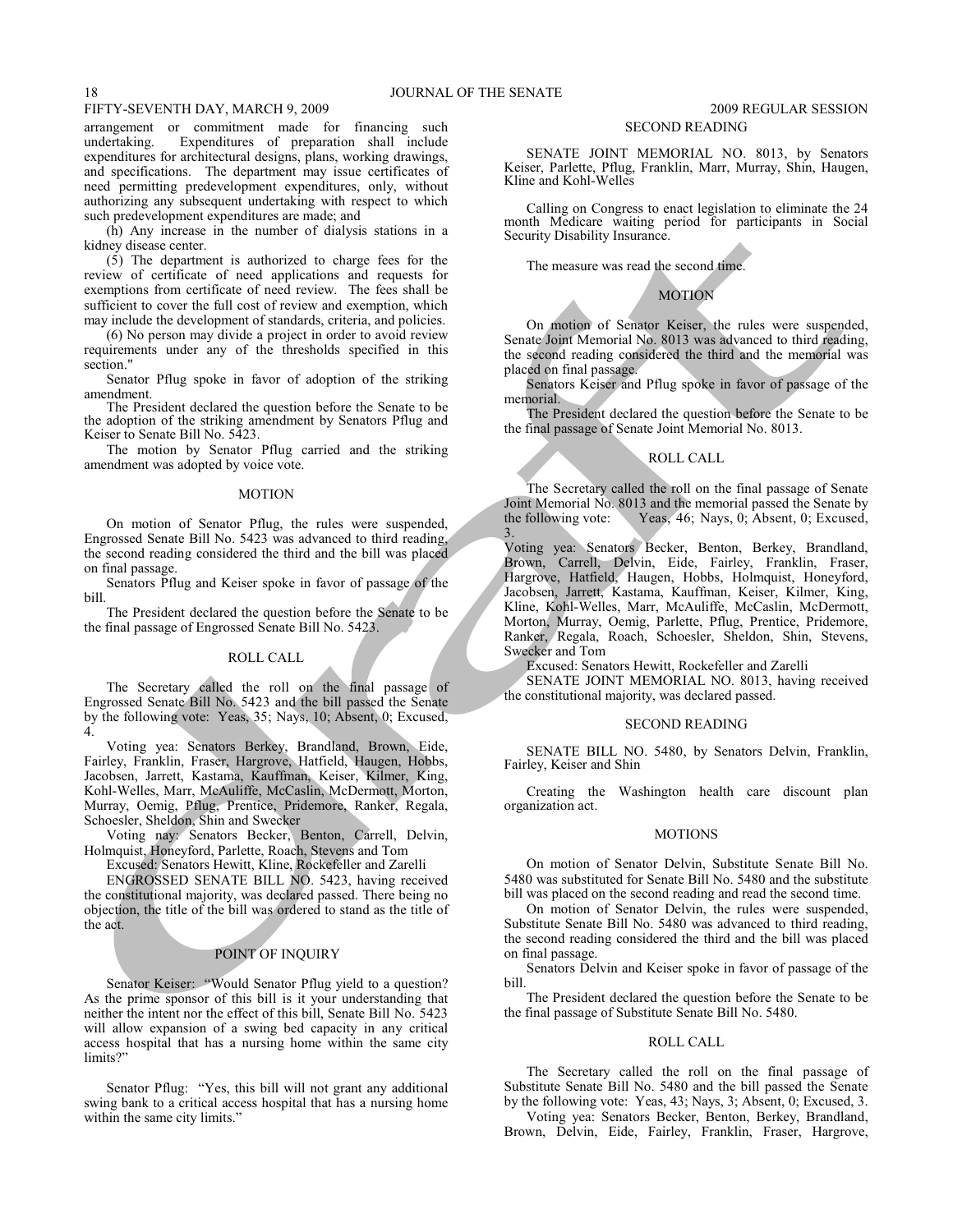arrangement or commitment made for financing such undertaking. Expenditures of preparation shall include expenditures for architectural designs, plans, working drawings, and specifications. The department may issue certificates of need permitting predevelopment expenditures, only, without authorizing any subsequent undertaking with respect to which such predevelopment expenditures are made; and

(h) Any increase in the number of dialysis stations in a kidney disease center.

(5) The department is authorized to charge fees for the review of certificate of need applications and requests for exemptions from certificate of need review. The fees shall be sufficient to cover the full cost of review and exemption, which may include the development of standards, criteria, and policies.

(6) No person may divide a project in order to avoid review requirements under any of the thresholds specified in this section."

Senator Pflug spoke in favor of adoption of the striking amendment.

The President declared the question before the Senate to be the adoption of the striking amendment by Senators Pflug and Keiser to Senate Bill No. 5423.

The motion by Senator Pflug carried and the striking amendment was adopted by voice vote.

#### MOTION

On motion of Senator Pflug, the rules were suspended, Engrossed Senate Bill No. 5423 was advanced to third reading, the second reading considered the third and the bill was placed on final passage.

Senators Pflug and Keiser spoke in favor of passage of the bill.

The President declared the question before the Senate to be the final passage of Engrossed Senate Bill No. 5423.

## ROLL CALL

The Secretary called the roll on the final passage of Engrossed Senate Bill No. 5423 and the bill passed the Senate by the following vote: Yeas, 35; Nays, 10; Absent, 0; Excused, 4.

Voting yea: Senators Berkey, Brandland, Brown, Eide, Fairley, Franklin, Fraser, Hargrove, Hatfield, Haugen, Hobbs, Jacobsen, Jarrett, Kastama, Kauffman, Keiser, Kilmer, King, Kohl-Welles, Marr, McAuliffe, McCaslin, McDermott, Morton, Murray, Oemig, Pflug, Prentice, Pridemore, Ranker, Regala, Schoesler, Sheldon, Shin and Swecker

Voting nay: Senators Becker, Benton, Carrell, Delvin, Holmquist, Honeyford, Parlette, Roach, Stevens and Tom

Excused: Senators Hewitt, Kline, Rockefeller and Zarelli

ENGROSSED SENATE BILL NO. 5423, having received the constitutional majority, was declared passed. There being no objection, the title of the bill was ordered to stand as the title of the act.

# POINT OF INQUIRY

Senator Keiser: "Would Senator Pflug yield to a question? As the prime sponsor of this bill is it your understanding that neither the intent nor the effect of this bill, Senate Bill No. 5423 will allow expansion of a swing bed capacity in any critical access hospital that has a nursing home within the same city limits?"

Senator Pflug: "Yes, this bill will not grant any additional swing bank to a critical access hospital that has a nursing home within the same city limits."

# SECOND READING

SENATE JOINT MEMORIAL NO. 8013, by Senators Keiser, Parlette, Pflug, Franklin, Marr, Murray, Shin, Haugen, Kline and Kohl-Welles

Calling on Congress to enact legislation to eliminate the 24 month Medicare waiting period for participants in Social Security Disability Insurance.

The measure was read the second time.

## MOTION

On motion of Senator Keiser, the rules were suspended, Senate Joint Memorial No. 8013 was advanced to third reading, the second reading considered the third and the memorial was placed on final passage.

Senators Keiser and Pflug spoke in favor of passage of the memorial.

The President declared the question before the Senate to be the final passage of Senate Joint Memorial No. 8013.

# ROLL CALL

The Secretary called the roll on the final passage of Senate Joint Memorial No. 8013 and the memorial passed the Senate by the following vote: Yeas, 46; Nays, 0; Absent, 0; Excused, Yeas, 46; Nays, 0; Absent, 0; Excused, 3.

Voting yea: Senators Becker, Benton, Berkey, Brandland, Brown, Carrell, Delvin, Eide, Fairley, Franklin, Fraser, Hargrove, Hatfield, Haugen, Hobbs, Holmquist, Honeyford, Jacobsen, Jarrett, Kastama, Kauffman, Keiser, Kilmer, King, Kline, Kohl-Welles, Marr, McAuliffe, McCaslin, McDermott, Morton, Murray, Oemig, Parlette, Pflug, Prentice, Pridemore, Ranker, Regala, Roach, Schoesler, Sheldon, Shin, Stevens, Swecker and Tom

Excused: Senators Hewitt, Rockefeller and Zarelli

SENATE JOINT MEMORIAL NO. 8013, having received the constitutional majority, was declared passed.

## SECOND READING

SENATE BILL NO. 5480, by Senators Delvin, Franklin, Fairley, Keiser and Shin

Creating the Washington health care discount plan organization act.

## MOTIONS

On motion of Senator Delvin, Substitute Senate Bill No. 5480 was substituted for Senate Bill No. 5480 and the substitute bill was placed on the second reading and read the second time.

On motion of Senator Delvin, the rules were suspended, Substitute Senate Bill No. 5480 was advanced to third reading, the second reading considered the third and the bill was placed on final passage.

Senators Delvin and Keiser spoke in favor of passage of the bill.

The President declared the question before the Senate to be the final passage of Substitute Senate Bill No. 5480.

## ROLL CALL

The Secretary called the roll on the final passage of Substitute Senate Bill No. 5480 and the bill passed the Senate by the following vote: Yeas, 43; Nays, 3; Absent, 0; Excused, 3.

Voting yea: Senators Becker, Benton, Berkey, Brandland, Brown, Delvin, Eide, Fairley, Franklin, Fraser, Hargrove,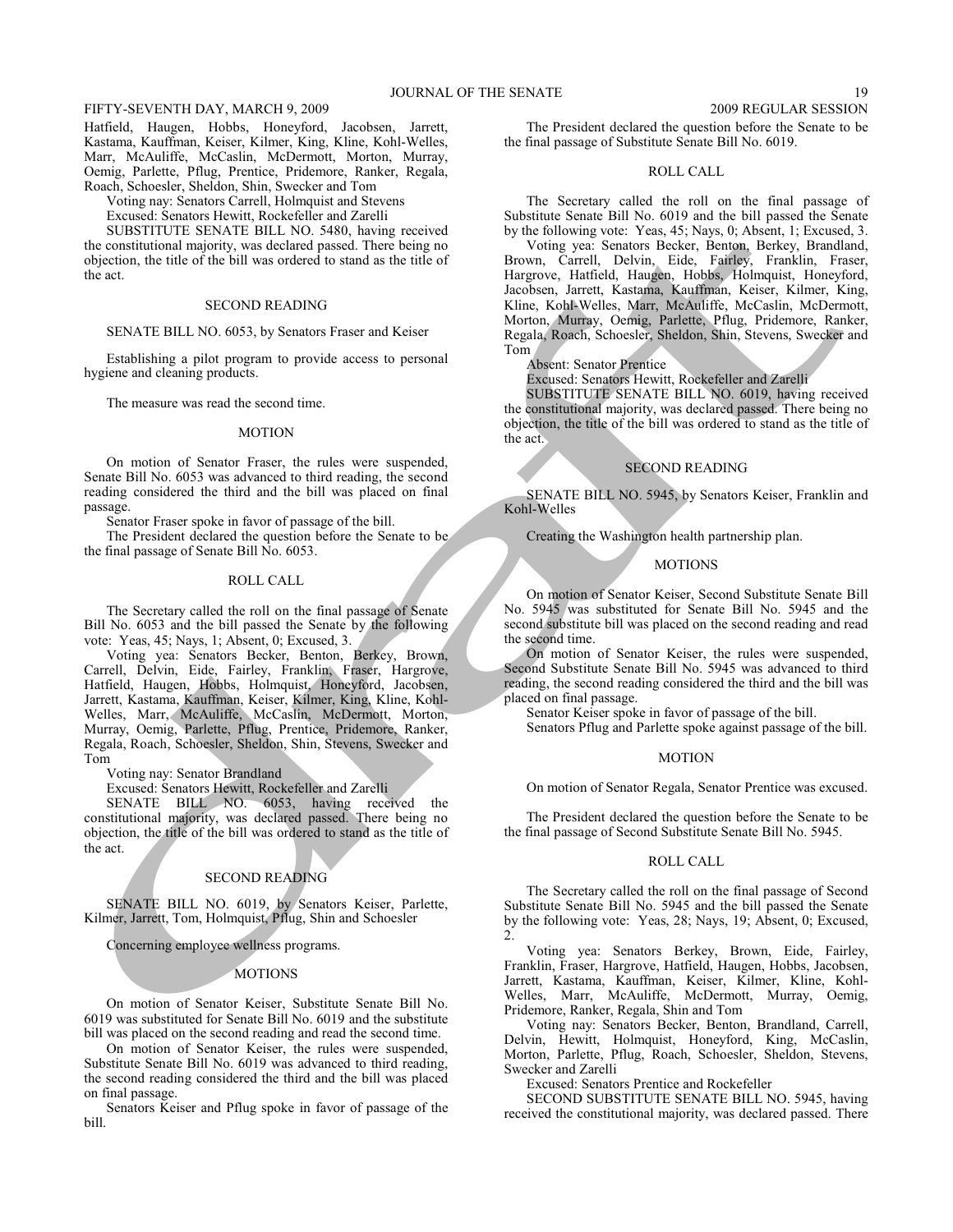Hatfield, Haugen, Hobbs, Honeyford, Jacobsen, Jarrett, Kastama, Kauffman, Keiser, Kilmer, King, Kline, Kohl-Welles, Marr, McAuliffe, McCaslin, McDermott, Morton, Murray, Oemig, Parlette, Pflug, Prentice, Pridemore, Ranker, Regala, Roach, Schoesler, Sheldon, Shin, Swecker and Tom

Voting nay: Senators Carrell, Holmquist and Stevens

Excused: Senators Hewitt, Rockefeller and Zarelli

SUBSTITUTE SENATE BILL NO. 5480, having received the constitutional majority, was declared passed. There being no objection, the title of the bill was ordered to stand as the title of the act.

## SECOND READING

## SENATE BILL NO. 6053, by Senators Fraser and Keiser

Establishing a pilot program to provide access to personal hygiene and cleaning products.

The measure was read the second time.

## MOTION

On motion of Senator Fraser, the rules were suspended, Senate Bill No. 6053 was advanced to third reading, the second reading considered the third and the bill was placed on final passage.

Senator Fraser spoke in favor of passage of the bill.

The President declared the question before the Senate to be the final passage of Senate Bill No. 6053.

# ROLL CALL

The Secretary called the roll on the final passage of Senate Bill No. 6053 and the bill passed the Senate by the following vote: Yeas, 45; Nays, 1; Absent, 0; Excused, 3.

Voting yea: Senators Becker, Benton, Berkey, Brown, Carrell, Delvin, Eide, Fairley, Franklin, Fraser, Hargrove, Hatfield, Haugen, Hobbs, Holmquist, Honeyford, Jacobsen, Jarrett, Kastama, Kauffman, Keiser, Kilmer, King, Kline, Kohl-Welles, Marr, McAuliffe, McCaslin, McDermott, Morton, Murray, Oemig, Parlette, Pflug, Prentice, Pridemore, Ranker, Regala, Roach, Schoesler, Sheldon, Shin, Stevens, Swecker and Tom

Voting nay: Senator Brandland

Excused: Senators Hewitt, Rockefeller and Zarelli

SENATE BILL NO. 6053, having received the constitutional majority, was declared passed. There being no objection, the title of the bill was ordered to stand as the title of the act.

# SECOND READING

SENATE BILL NO. 6019, by Senators Keiser, Parlette, Kilmer, Jarrett, Tom, Holmquist, Pflug, Shin and Schoesler

Concerning employee wellness programs.

# MOTIONS

On motion of Senator Keiser, Substitute Senate Bill No. 6019 was substituted for Senate Bill No. 6019 and the substitute bill was placed on the second reading and read the second time.

On motion of Senator Keiser, the rules were suspended, Substitute Senate Bill No. 6019 was advanced to third reading, the second reading considered the third and the bill was placed on final passage.

Senators Keiser and Pflug spoke in favor of passage of the bill.

The President declared the question before the Senate to be the final passage of Substitute Senate Bill No. 6019.

## ROLL CALL

The Secretary called the roll on the final passage of Substitute Senate Bill No. 6019 and the bill passed the Senate by the following vote: Yeas, 45; Nays, 0; Absent, 1; Excused, 3.

Voting yea: Senators Becker, Benton, Berkey, Brandland, Brown, Carrell, Delvin, Eide, Fairley, Franklin, Fraser, Hargrove, Hatfield, Haugen, Hobbs, Holmquist, Honeyford, Jacobsen, Jarrett, Kastama, Kauffman, Keiser, Kilmer, King, Kline, Kohl-Welles, Marr, McAuliffe, McCaslin, McDermott, Morton, Murray, Oemig, Parlette, Pflug, Pridemore, Ranker, Regala, Roach, Schoesler, Sheldon, Shin, Stevens, Swecker and Tom

Absent: Senator Prentice

Excused: Senators Hewitt, Rockefeller and Zarelli

SUBSTITUTE SENATE BILL NO. 6019, having received the constitutional majority, was declared passed. There being no objection, the title of the bill was ordered to stand as the title of the act.

## SECOND READING

SENATE BILL NO. 5945, by Senators Keiser, Franklin and Kohl-Welles

Creating the Washington health partnership plan.

# MOTIONS

On motion of Senator Keiser, Second Substitute Senate Bill No. 5945 was substituted for Senate Bill No. 5945 and the second substitute bill was placed on the second reading and read the second time.

On motion of Senator Keiser, the rules were suspended, Second Substitute Senate Bill No. 5945 was advanced to third reading, the second reading considered the third and the bill was placed on final passage.

Senator Keiser spoke in favor of passage of the bill.

Senators Pflug and Parlette spoke against passage of the bill.

## **MOTION**

On motion of Senator Regala, Senator Prentice was excused.

The President declared the question before the Senate to be the final passage of Second Substitute Senate Bill No. 5945.

## ROLL CALL

The Secretary called the roll on the final passage of Second Substitute Senate Bill No. 5945 and the bill passed the Senate by the following vote: Yeas, 28; Nays, 19; Absent, 0; Excused, 2.

Voting yea: Senators Berkey, Brown, Eide, Fairley, Franklin, Fraser, Hargrove, Hatfield, Haugen, Hobbs, Jacobsen, Jarrett, Kastama, Kauffman, Keiser, Kilmer, Kline, Kohl-Welles, Marr, McAuliffe, McDermott, Murray, Oemig, Pridemore, Ranker, Regala, Shin and Tom

Voting nay: Senators Becker, Benton, Brandland, Carrell, Delvin, Hewitt, Holmquist, Honeyford, King, McCaslin, Morton, Parlette, Pflug, Roach, Schoesler, Sheldon, Stevens, Swecker and Zarelli

Excused: Senators Prentice and Rockefeller

SECOND SUBSTITUTE SENATE BILL NO. 5945, having received the constitutional majority, was declared passed. There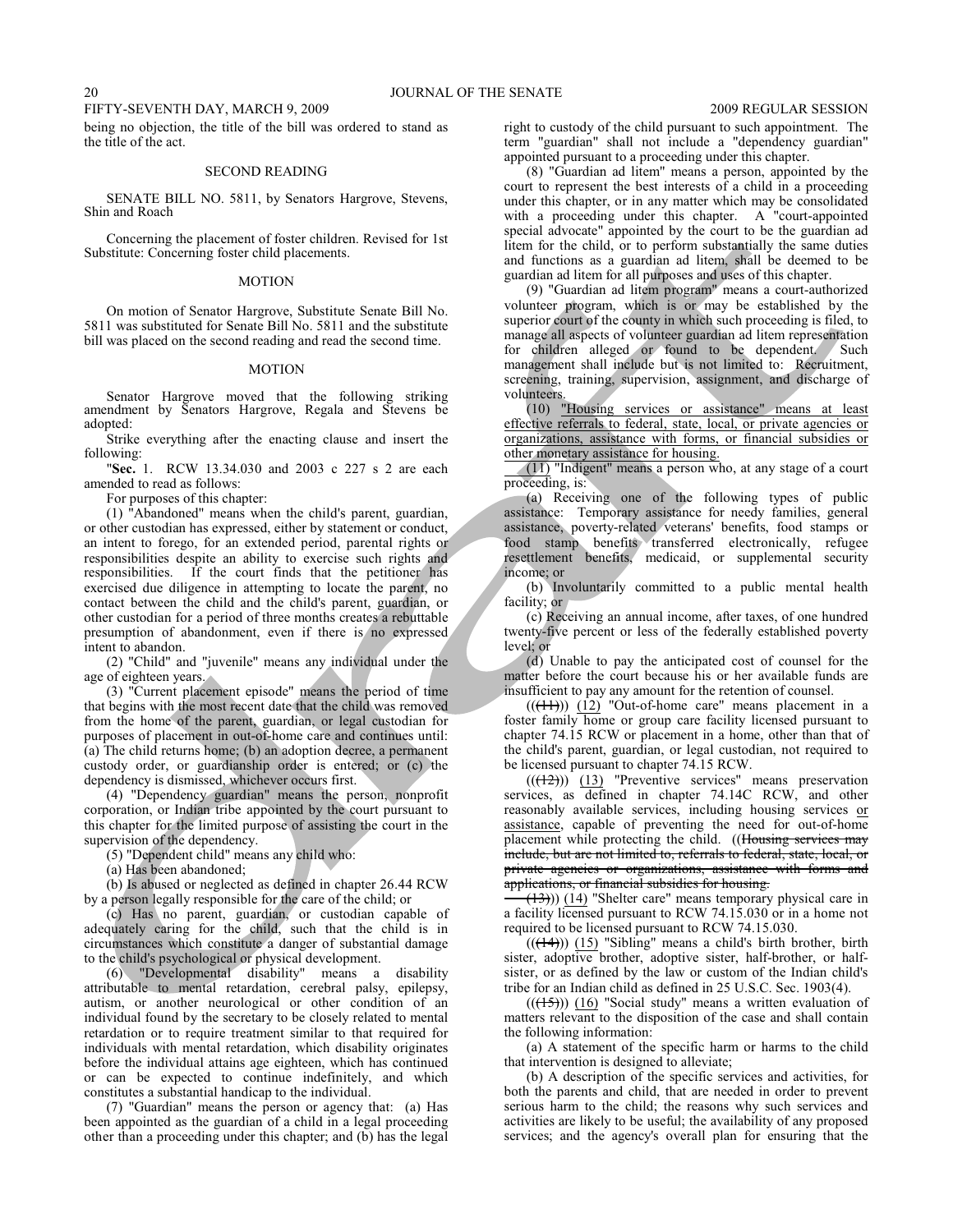being no objection, the title of the bill was ordered to stand as the title of the act.

## SECOND READING

SENATE BILL NO. 5811, by Senators Hargrove, Stevens, Shin and Roach

Concerning the placement of foster children. Revised for 1st Substitute: Concerning foster child placements.

## MOTION

On motion of Senator Hargrove, Substitute Senate Bill No. 5811 was substituted for Senate Bill No. 5811 and the substitute bill was placed on the second reading and read the second time.

## MOTION

Senator Hargrove moved that the following striking amendment by Senators Hargrove, Regala and Stevens be adopted:

Strike everything after the enacting clause and insert the following:

"**Sec.** 1.RCW 13.34.030 and 2003 c 227 s 2 are each amended to read as follows:

For purposes of this chapter:

(1) "Abandoned" means when the child's parent, guardian, or other custodian has expressed, either by statement or conduct, an intent to forego, for an extended period, parental rights or responsibilities despite an ability to exercise such rights and responsibilities. If the court finds that the petitioner has exercised due diligence in attempting to locate the parent, no contact between the child and the child's parent, guardian, or other custodian for a period of three months creates a rebuttable presumption of abandonment, even if there is no expressed intent to abandon.

(2) "Child" and "juvenile" means any individual under the age of eighteen years.

(3) "Current placement episode" means the period of time that begins with the most recent date that the child was removed from the home of the parent, guardian, or legal custodian for purposes of placement in out-of-home care and continues until: (a) The child returns home; (b) an adoption decree, a permanent custody order, or guardianship order is entered; or (c) the dependency is dismissed, whichever occurs first.

(4) "Dependency guardian" means the person, nonprofit corporation, or Indian tribe appointed by the court pursuant to this chapter for the limited purpose of assisting the court in the supervision of the dependency.

(5) "Dependent child" means any child who:

(a) Has been abandoned;

(b) Is abused or neglected as defined in chapter 26.44 RCW by a person legally responsible for the care of the child; or

(c) Has no parent, guardian, or custodian capable of adequately caring for the child, such that the child is in circumstances which constitute a danger of substantial damage to the child's psychological or physical development.

(6) "Developmental disability" means a disability attributable to mental retardation, cerebral palsy, epilepsy, autism, or another neurological or other condition of an individual found by the secretary to be closely related to mental retardation or to require treatment similar to that required for individuals with mental retardation, which disability originates before the individual attains age eighteen, which has continued or can be expected to continue indefinitely, and which constitutes a substantial handicap to the individual.

(7) "Guardian" means the person or agency that: (a) Has been appointed as the guardian of a child in a legal proceeding other than a proceeding under this chapter; and (b) has the legal right to custody of the child pursuant to such appointment. The term "guardian" shall not include a "dependency guardian" appointed pursuant to a proceeding under this chapter.

(8) "Guardian ad litem" means a person, appointed by the court to represent the best interests of a child in a proceeding under this chapter, or in any matter which may be consolidated with a proceeding under this chapter. A "court-appointed special advocate" appointed by the court to be the guardian ad litem for the child, or to perform substantially the same duties and functions as a guardian ad litem, shall be deemed to be guardian ad litem for all purposes and uses of this chapter.

(9) "Guardian ad litem program" means a court-authorized volunteer program, which is or may be established by the superior court of the county in which such proceeding is filed, to manage all aspects of volunteer guardian ad litem representation for children alleged or found to be dependent. Such management shall include but is not limited to: Recruitment, screening, training, supervision, assignment, and discharge of volunteers.

(10) "Housing services or assistance" means at least effective referrals to federal, state, local, or private agencies or organizations, assistance with forms, or financial subsidies or other monetary assistance for housing.

(11) "Indigent" means a person who, at any stage of a court proceeding, is:

(a) Receiving one of the following types of public assistance: Temporary assistance for needy families, general assistance, poverty-related veterans' benefits, food stamps or food stamp benefits transferred electronically, refugee resettlement benefits, medicaid, or supplemental security income; or

(b) Involuntarily committed to a public mental health facility; or

(c) Receiving an annual income, after taxes, of one hundred twenty-five percent or less of the federally established poverty level; or

(d) Unable to pay the anticipated cost of counsel for the matter before the court because his or her available funds are insufficient to pay any amount for the retention of counsel.

 $((\text{(+1)}))$   $(12)$  "Out-of-home care" means placement in a foster family home or group care facility licensed pursuant to chapter 74.15 RCW or placement in a home, other than that of the child's parent, guardian, or legal custodian, not required to be licensed pursuant to chapter 74.15 RCW.

 $((\overline{(12)}))$  (13) "Preventive services" means preservation services, as defined in chapter 74.14C RCW, and other reasonably available services, including housing services or assistance, capable of preventing the need for out-of-home placement while protecting the child. ((Housing services may include, but are not limited to, referrals to federal, state, local, or private agencies or organizations, assistance with forms and applications, or financial subsidies for housing.

 $(13)$ )) (14) "Shelter care" means temporary physical care in a facility licensed pursuant to RCW 74.15.030 or in a home not required to be licensed pursuant to RCW 74.15.030.

 $((\text{(+4)}))$  (15) "Sibling" means a child's birth brother, birth sister, adoptive brother, adoptive sister, half-brother, or halfsister, or as defined by the law or custom of the Indian child's tribe for an Indian child as defined in 25 U.S.C. Sec. 1903(4).

 $((\overline{(15)}))$  (16) "Social study" means a written evaluation of matters relevant to the disposition of the case and shall contain the following information:

(a) A statement of the specific harm or harms to the child that intervention is designed to alleviate;

(b) A description of the specific services and activities, for both the parents and child, that are needed in order to prevent serious harm to the child; the reasons why such services and activities are likely to be useful; the availability of any proposed services; and the agency's overall plan for ensuring that the

20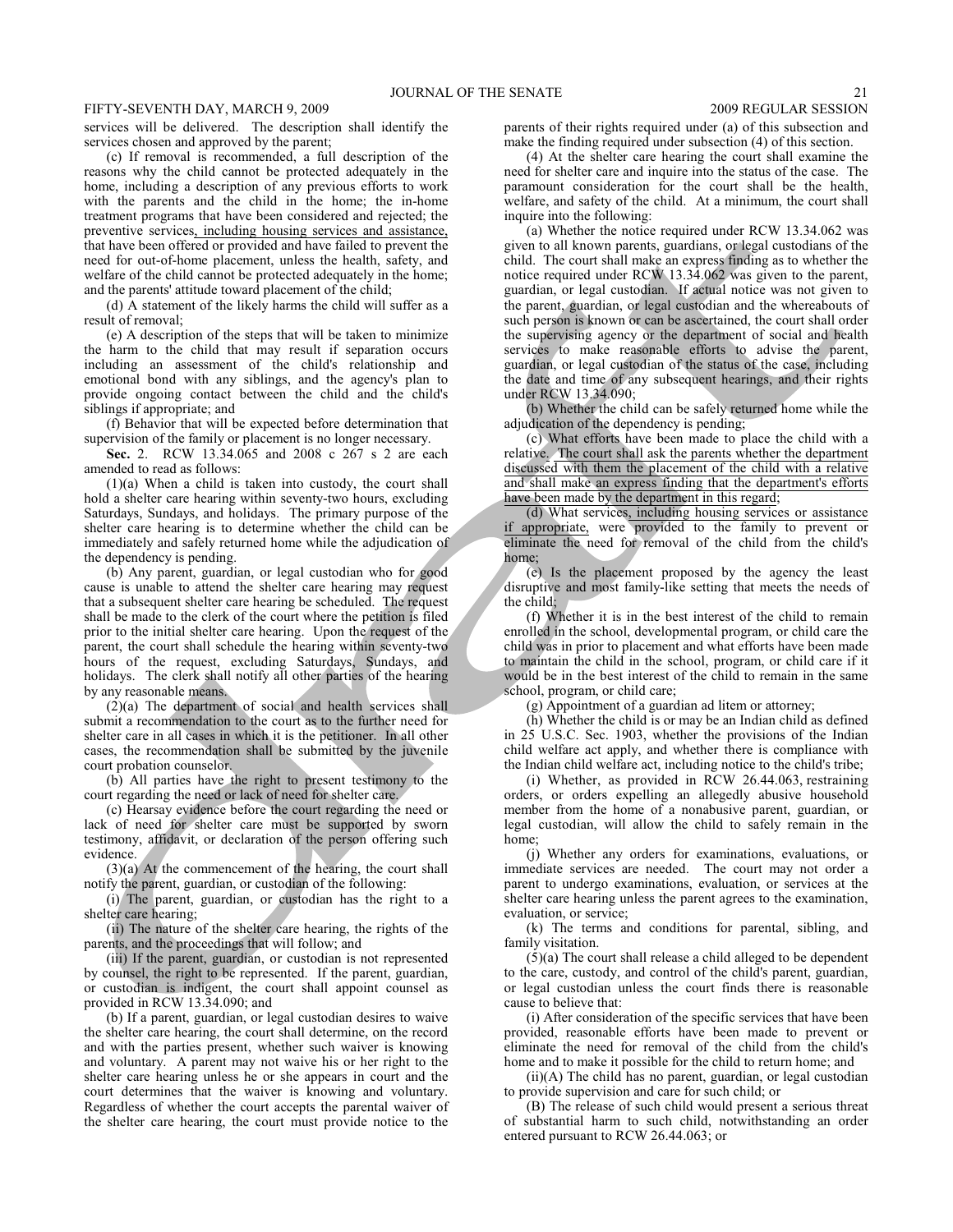services will be delivered. The description shall identify the services chosen and approved by the parent;

(c) If removal is recommended, a full description of the reasons why the child cannot be protected adequately in the home, including a description of any previous efforts to work with the parents and the child in the home; the in-home treatment programs that have been considered and rejected; the preventive services, including housing services and assistance, that have been offered or provided and have failed to prevent the need for out-of-home placement, unless the health, safety, and welfare of the child cannot be protected adequately in the home; and the parents' attitude toward placement of the child;

(d) A statement of the likely harms the child will suffer as a result of removal;

(e) A description of the steps that will be taken to minimize the harm to the child that may result if separation occurs including an assessment of the child's relationship and emotional bond with any siblings, and the agency's plan to provide ongoing contact between the child and the child's siblings if appropriate; and

(f) Behavior that will be expected before determination that supervision of the family or placement is no longer necessary.

**Sec.** 2.RCW 13.34.065 and 2008 c 267 s 2 are each amended to read as follows:

 $(1)(a)$  When a child is taken into custody, the court shall hold a shelter care hearing within seventy-two hours, excluding Saturdays, Sundays, and holidays. The primary purpose of the shelter care hearing is to determine whether the child can be immediately and safely returned home while the adjudication of the dependency is pending.

(b) Any parent, guardian, or legal custodian who for good cause is unable to attend the shelter care hearing may request that a subsequent shelter care hearing be scheduled. The request shall be made to the clerk of the court where the petition is filed prior to the initial shelter care hearing. Upon the request of the parent, the court shall schedule the hearing within seventy-two hours of the request, excluding Saturdays, Sundays, and holidays. The clerk shall notify all other parties of the hearing by any reasonable means.

(2)(a) The department of social and health services shall submit a recommendation to the court as to the further need for shelter care in all cases in which it is the petitioner. In all other cases, the recommendation shall be submitted by the juvenile court probation counselor.

(b) All parties have the right to present testimony to the court regarding the need or lack of need for shelter care.

(c) Hearsay evidence before the court regarding the need or lack of need for shelter care must be supported by sworn testimony, affidavit, or declaration of the person offering such evidence.

 $(3)(a)$  At the commencement of the hearing, the court shall notify the parent, guardian, or custodian of the following:

(i) The parent, guardian, or custodian has the right to a shelter care hearing;

(ii) The nature of the shelter care hearing, the rights of the parents, and the proceedings that will follow; and

(iii) If the parent, guardian, or custodian is not represented by counsel, the right to be represented. If the parent, guardian, or custodian is indigent, the court shall appoint counsel as provided in RCW 13.34.090; and

(b) If a parent, guardian, or legal custodian desires to waive the shelter care hearing, the court shall determine, on the record and with the parties present, whether such waiver is knowing and voluntary. A parent may not waive his or her right to the shelter care hearing unless he or she appears in court and the court determines that the waiver is knowing and voluntary. Regardless of whether the court accepts the parental waiver of the shelter care hearing, the court must provide notice to the

(4) At the shelter care hearing the court shall examine the need for shelter care and inquire into the status of the case. The paramount consideration for the court shall be the health, welfare, and safety of the child. At a minimum, the court shall inquire into the following:

(a) Whether the notice required under RCW 13.34.062 was given to all known parents, guardians, or legal custodians of the child. The court shall make an express finding as to whether the notice required under RCW 13.34.062 was given to the parent, guardian, or legal custodian. If actual notice was not given to the parent, guardian, or legal custodian and the whereabouts of such person is known or can be ascertained, the court shall order the supervising agency or the department of social and health services to make reasonable efforts to advise the parent, guardian, or legal custodian of the status of the case, including the date and time of any subsequent hearings, and their rights under RCW 13.34.090;

(b) Whether the child can be safely returned home while the adjudication of the dependency is pending;

(c) What efforts have been made to place the child with a relative. The court shall ask the parents whether the department discussed with them the placement of the child with a relative and shall make an express finding that the department's efforts have been made by the department in this regard;

(d) What services, including housing services or assistance if appropriate, were provided to the family to prevent or eliminate the need for removal of the child from the child's home;

(e) Is the placement proposed by the agency the least disruptive and most family-like setting that meets the needs of the child;

(f) Whether it is in the best interest of the child to remain enrolled in the school, developmental program, or child care the child was in prior to placement and what efforts have been made to maintain the child in the school, program, or child care if it would be in the best interest of the child to remain in the same school, program, or child care;

(g) Appointment of a guardian ad litem or attorney;

(h) Whether the child is or may be an Indian child as defined in 25 U.S.C. Sec. 1903, whether the provisions of the Indian child welfare act apply, and whether there is compliance with the Indian child welfare act, including notice to the child's tribe;

(i) Whether, as provided in RCW 26.44.063, restraining orders, or orders expelling an allegedly abusive household member from the home of a nonabusive parent, guardian, or legal custodian, will allow the child to safely remain in the home;

(j) Whether any orders for examinations, evaluations, or immediate services are needed. The court may not order a parent to undergo examinations, evaluation, or services at the shelter care hearing unless the parent agrees to the examination, evaluation, or service;

(k) The terms and conditions for parental, sibling, and family visitation.

(5)(a) The court shall release a child alleged to be dependent to the care, custody, and control of the child's parent, guardian, or legal custodian unless the court finds there is reasonable cause to believe that:

(i) After consideration of the specific services that have been provided, reasonable efforts have been made to prevent or eliminate the need for removal of the child from the child's home and to make it possible for the child to return home; and

(ii)(A) The child has no parent, guardian, or legal custodian to provide supervision and care for such child; or

(B) The release of such child would present a serious threat of substantial harm to such child, notwithstanding an order entered pursuant to RCW 26.44.063; or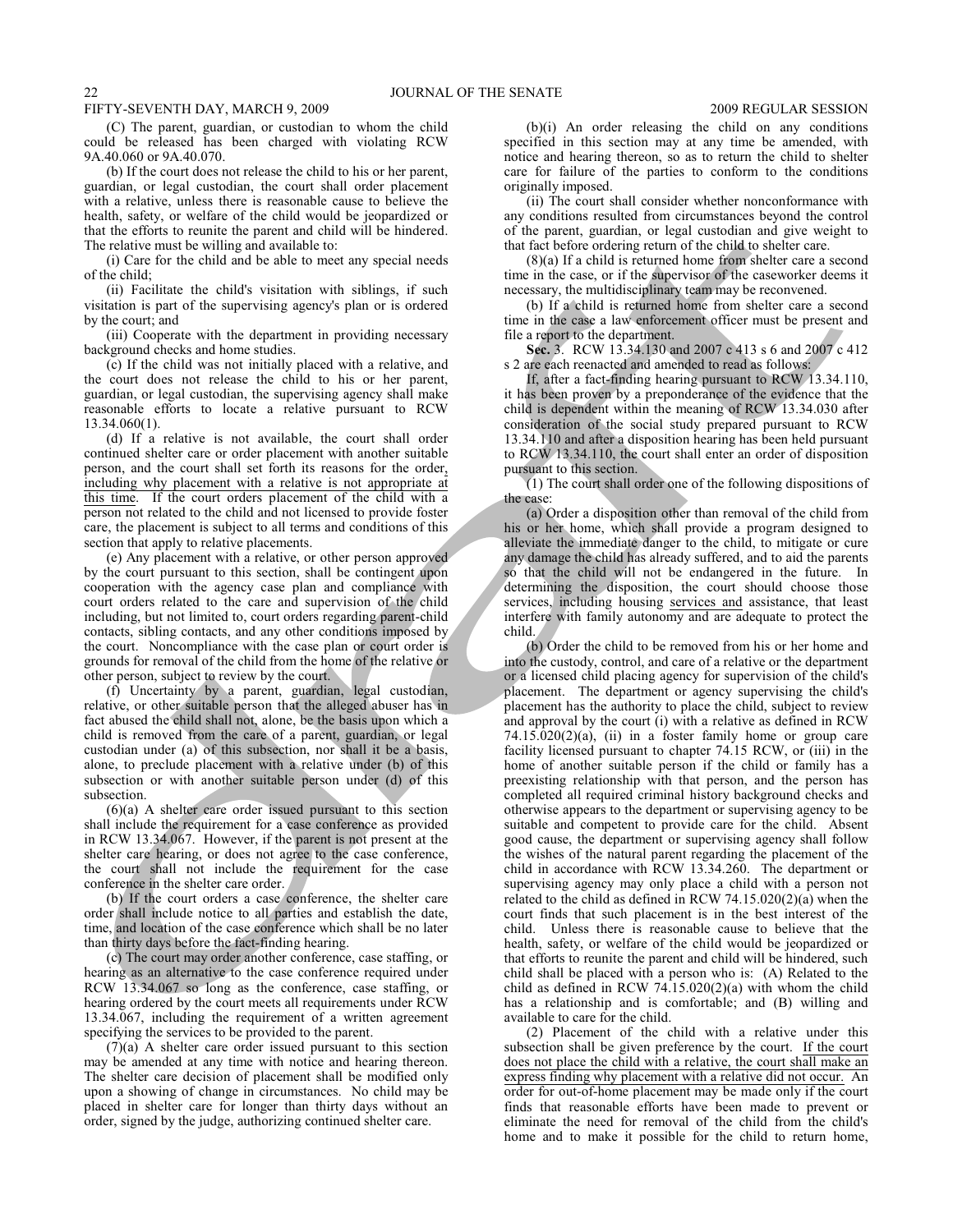(C) The parent, guardian, or custodian to whom the child could be released has been charged with violating RCW 9A.40.060 or 9A.40.070.

(b) If the court does not release the child to his or her parent, guardian, or legal custodian, the court shall order placement with a relative, unless there is reasonable cause to believe the health, safety, or welfare of the child would be jeopardized or that the efforts to reunite the parent and child will be hindered. The relative must be willing and available to:

(i) Care for the child and be able to meet any special needs of the child;

(ii) Facilitate the child's visitation with siblings, if such visitation is part of the supervising agency's plan or is ordered by the court; and

(iii) Cooperate with the department in providing necessary background checks and home studies.

(c) If the child was not initially placed with a relative, and the court does not release the child to his or her parent, guardian, or legal custodian, the supervising agency shall make reasonable efforts to locate a relative pursuant to RCW 13.34.060(1).

(d) If a relative is not available, the court shall order continued shelter care or order placement with another suitable person, and the court shall set forth its reasons for the order, including why placement with a relative is not appropriate at this time. If the court orders placement of the child with a person not related to the child and not licensed to provide foster care, the placement is subject to all terms and conditions of this section that apply to relative placements.

(e) Any placement with a relative, or other person approved by the court pursuant to this section, shall be contingent upon cooperation with the agency case plan and compliance with court orders related to the care and supervision of the child including, but not limited to, court orders regarding parent-child contacts, sibling contacts, and any other conditions imposed by the court. Noncompliance with the case plan or court order is grounds for removal of the child from the home of the relative or other person, subject to review by the court.

(f) Uncertainty by a parent, guardian, legal custodian, relative, or other suitable person that the alleged abuser has in fact abused the child shall not, alone, be the basis upon which a child is removed from the care of a parent, guardian, or legal custodian under (a) of this subsection, nor shall it be a basis, alone, to preclude placement with a relative under (b) of this subsection or with another suitable person under (d) of this subsection.

(6)(a) A shelter care order issued pursuant to this section shall include the requirement for a case conference as provided in RCW 13.34.067. However, if the parent is not present at the shelter care hearing, or does not agree to the case conference, the court shall not include the requirement for the case conference in the shelter care order.

(b) If the court orders a case conference, the shelter care order shall include notice to all parties and establish the date, time, and location of the case conference which shall be no later than thirty days before the fact-finding hearing.

(c) The court may order another conference, case staffing, or hearing as an alternative to the case conference required under RCW 13.34.067 so long as the conference, case staffing, or hearing ordered by the court meets all requirements under RCW 13.34.067, including the requirement of a written agreement specifying the services to be provided to the parent.

 $(7)(a)$  A shelter care order issued pursuant to this section may be amended at any time with notice and hearing thereon. The shelter care decision of placement shall be modified only upon a showing of change in circumstances. No child may be placed in shelter care for longer than thirty days without an order, signed by the judge, authorizing continued shelter care.

(b)(i) An order releasing the child on any conditions specified in this section may at any time be amended, with notice and hearing thereon, so as to return the child to shelter care for failure of the parties to conform to the conditions originally imposed.

(ii) The court shall consider whether nonconformance with any conditions resulted from circumstances beyond the control of the parent, guardian, or legal custodian and give weight to that fact before ordering return of the child to shelter care.

(8)(a) If a child is returned home from shelter care a second time in the case, or if the supervisor of the caseworker deems it necessary, the multidisciplinary team may be reconvened.

(b) If a child is returned home from shelter care a second time in the case a law enforcement officer must be present and file a report to the department.

**Sec.** 3.RCW 13.34.130 and 2007 c 413 s 6 and 2007 c 412 s 2 are each reenacted and amended to read as follows:

If, after a fact-finding hearing pursuant to RCW 13.34.110, it has been proven by a preponderance of the evidence that the child is dependent within the meaning of RCW 13.34.030 after consideration of the social study prepared pursuant to RCW 13.34.110 and after a disposition hearing has been held pursuant to RCW 13.34.110, the court shall enter an order of disposition pursuant to this section.

(1) The court shall order one of the following dispositions of the case:

(a) Order a disposition other than removal of the child from his or her home, which shall provide a program designed to alleviate the immediate danger to the child, to mitigate or cure any damage the child has already suffered, and to aid the parents so that the child will not be endangered in the future. In determining the disposition, the court should choose those services, including housing services and assistance, that least interfere with family autonomy and are adequate to protect the child.

(b) Order the child to be removed from his or her home and into the custody, control, and care of a relative or the department or a licensed child placing agency for supervision of the child's placement. The department or agency supervising the child's placement has the authority to place the child, subject to review and approval by the court (i) with a relative as defined in RCW  $74.15.020(2)(a)$ , (ii) in a foster family home or group care facility licensed pursuant to chapter 74.15 RCW, or (iii) in the home of another suitable person if the child or family has a preexisting relationship with that person, and the person has completed all required criminal history background checks and otherwise appears to the department or supervising agency to be suitable and competent to provide care for the child. Absent good cause, the department or supervising agency shall follow the wishes of the natural parent regarding the placement of the child in accordance with RCW 13.34.260. The department or supervising agency may only place a child with a person not related to the child as defined in RCW 74.15.020(2)(a) when the court finds that such placement is in the best interest of the child. Unless there is reasonable cause to believe that the health, safety, or welfare of the child would be jeopardized or that efforts to reunite the parent and child will be hindered, such child shall be placed with a person who is: (A) Related to the child as defined in RCW 74.15.020(2)(a) with whom the child has a relationship and is comfortable; and (B) willing and available to care for the child.

(2) Placement of the child with a relative under this subsection shall be given preference by the court. If the court does not place the child with a relative, the court shall make an express finding why placement with a relative did not occur. An order for out-of-home placement may be made only if the court finds that reasonable efforts have been made to prevent or eliminate the need for removal of the child from the child's home and to make it possible for the child to return home,

 $22$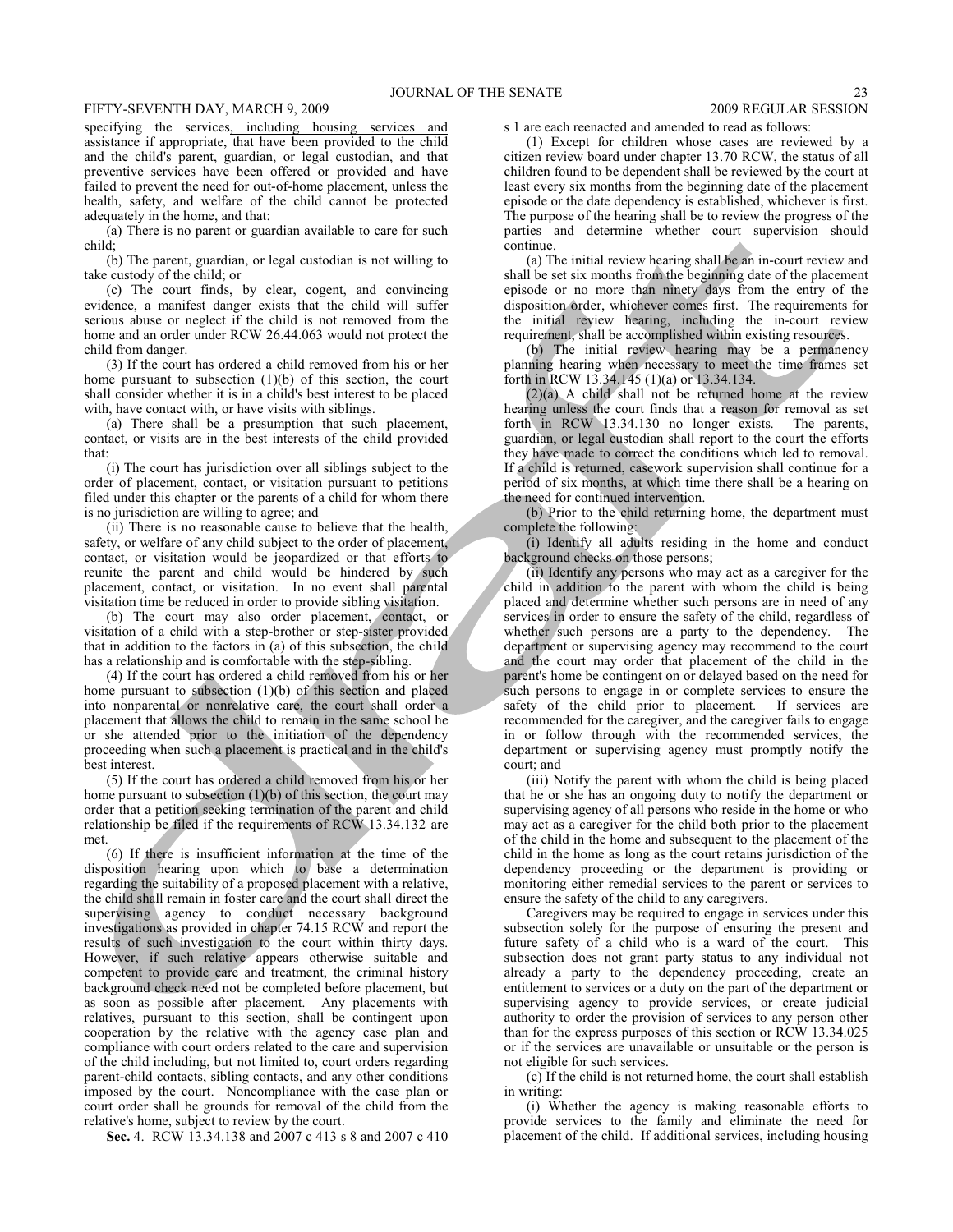specifying the services, including housing services and assistance if appropriate, that have been provided to the child and the child's parent, guardian, or legal custodian, and that preventive services have been offered or provided and have failed to prevent the need for out-of-home placement, unless the health, safety, and welfare of the child cannot be protected adequately in the home, and that:

(a) There is no parent or guardian available to care for such child;

(b) The parent, guardian, or legal custodian is not willing to take custody of the child; or

(c) The court finds, by clear, cogent, and convincing evidence, a manifest danger exists that the child will suffer serious abuse or neglect if the child is not removed from the home and an order under RCW 26.44.063 would not protect the child from danger.

(3) If the court has ordered a child removed from his or her home pursuant to subsection (1)(b) of this section, the court shall consider whether it is in a child's best interest to be placed with, have contact with, or have visits with siblings.

(a) There shall be a presumption that such placement, contact, or visits are in the best interests of the child provided that:

(i) The court has jurisdiction over all siblings subject to the order of placement, contact, or visitation pursuant to petitions filed under this chapter or the parents of a child for whom there is no jurisdiction are willing to agree; and

(ii) There is no reasonable cause to believe that the health, safety, or welfare of any child subject to the order of placement, contact, or visitation would be jeopardized or that efforts to reunite the parent and child would be hindered by such placement, contact, or visitation. In no event shall parental visitation time be reduced in order to provide sibling visitation.

(b) The court may also order placement, contact, or visitation of a child with a step-brother or step-sister provided that in addition to the factors in (a) of this subsection, the child has a relationship and is comfortable with the step-sibling.

(4) If the court has ordered a child removed from his or her home pursuant to subsection (1)(b) of this section and placed into nonparental or nonrelative care, the court shall order a placement that allows the child to remain in the same school he or she attended prior to the initiation of the dependency proceeding when such a placement is practical and in the child's best interest.

(5) If the court has ordered a child removed from his or her home pursuant to subsection  $(1)(b)$  of this section, the court may order that a petition seeking termination of the parent and child relationship be filed if the requirements of RCW 13.34.132 are met.

(6) If there is insufficient information at the time of the disposition hearing upon which to base a determination regarding the suitability of a proposed placement with a relative, the child shall remain in foster care and the court shall direct the supervising agency to conduct necessary background investigations as provided in chapter 74.15 RCW and report the results of such investigation to the court within thirty days. However, if such relative appears otherwise suitable and competent to provide care and treatment, the criminal history background check need not be completed before placement, but as soon as possible after placement. Any placements with relatives, pursuant to this section, shall be contingent upon cooperation by the relative with the agency case plan and compliance with court orders related to the care and supervision of the child including, but not limited to, court orders regarding parent-child contacts, sibling contacts, and any other conditions imposed by the court. Noncompliance with the case plan or court order shall be grounds for removal of the child from the relative's home, subject to review by the court.

**Sec.** 4.RCW 13.34.138 and 2007 c 413 s 8 and 2007 c 410

# s 1 are each reenacted and amended to read as follows:

(1) Except for children whose cases are reviewed by a citizen review board under chapter 13.70 RCW, the status of all children found to be dependent shall be reviewed by the court at least every six months from the beginning date of the placement episode or the date dependency is established, whichever is first. The purpose of the hearing shall be to review the progress of the parties and determine whether court supervision should continue.

(a) The initial review hearing shall be an in-court review and shall be set six months from the beginning date of the placement episode or no more than ninety days from the entry of the disposition order, whichever comes first. The requirements for the initial review hearing, including the in-court review requirement, shall be accomplished within existing resources.

(b) The initial review hearing may be a permanency planning hearing when necessary to meet the time frames set forth in RCW 13.34.145 (1)(a) or 13.34.134.

 $(2)(a)$  A child shall not be returned home at the review hearing unless the court finds that a reason for removal as set forth in RCW 13.34.130 no longer exists. The parents, guardian, or legal custodian shall report to the court the efforts they have made to correct the conditions which led to removal. If a child is returned, casework supervision shall continue for a period of six months, at which time there shall be a hearing on the need for continued intervention.

(b) Prior to the child returning home, the department must complete the following:

(i) Identify all adults residing in the home and conduct background checks on those persons;

(ii) Identify any persons who may act as a caregiver for the child in addition to the parent with whom the child is being placed and determine whether such persons are in need of any services in order to ensure the safety of the child, regardless of whether such persons are a party to the dependency. The department or supervising agency may recommend to the court and the court may order that placement of the child in the parent's home be contingent on or delayed based on the need for such persons to engage in or complete services to ensure the safety of the child prior to placement. If services are recommended for the caregiver, and the caregiver fails to engage in or follow through with the recommended services, the department or supervising agency must promptly notify the court; and

(iii) Notify the parent with whom the child is being placed that he or she has an ongoing duty to notify the department or supervising agency of all persons who reside in the home or who may act as a caregiver for the child both prior to the placement of the child in the home and subsequent to the placement of the child in the home as long as the court retains jurisdiction of the dependency proceeding or the department is providing or monitoring either remedial services to the parent or services to ensure the safety of the child to any caregivers.

Caregivers may be required to engage in services under this subsection solely for the purpose of ensuring the present and future safety of a child who is a ward of the court. This subsection does not grant party status to any individual not already a party to the dependency proceeding, create an entitlement to services or a duty on the part of the department or supervising agency to provide services, or create judicial authority to order the provision of services to any person other than for the express purposes of this section or RCW 13.34.025 or if the services are unavailable or unsuitable or the person is not eligible for such services.

(c) If the child is not returned home, the court shall establish in writing:

(i) Whether the agency is making reasonable efforts to provide services to the family and eliminate the need for placement of the child. If additional services, including housing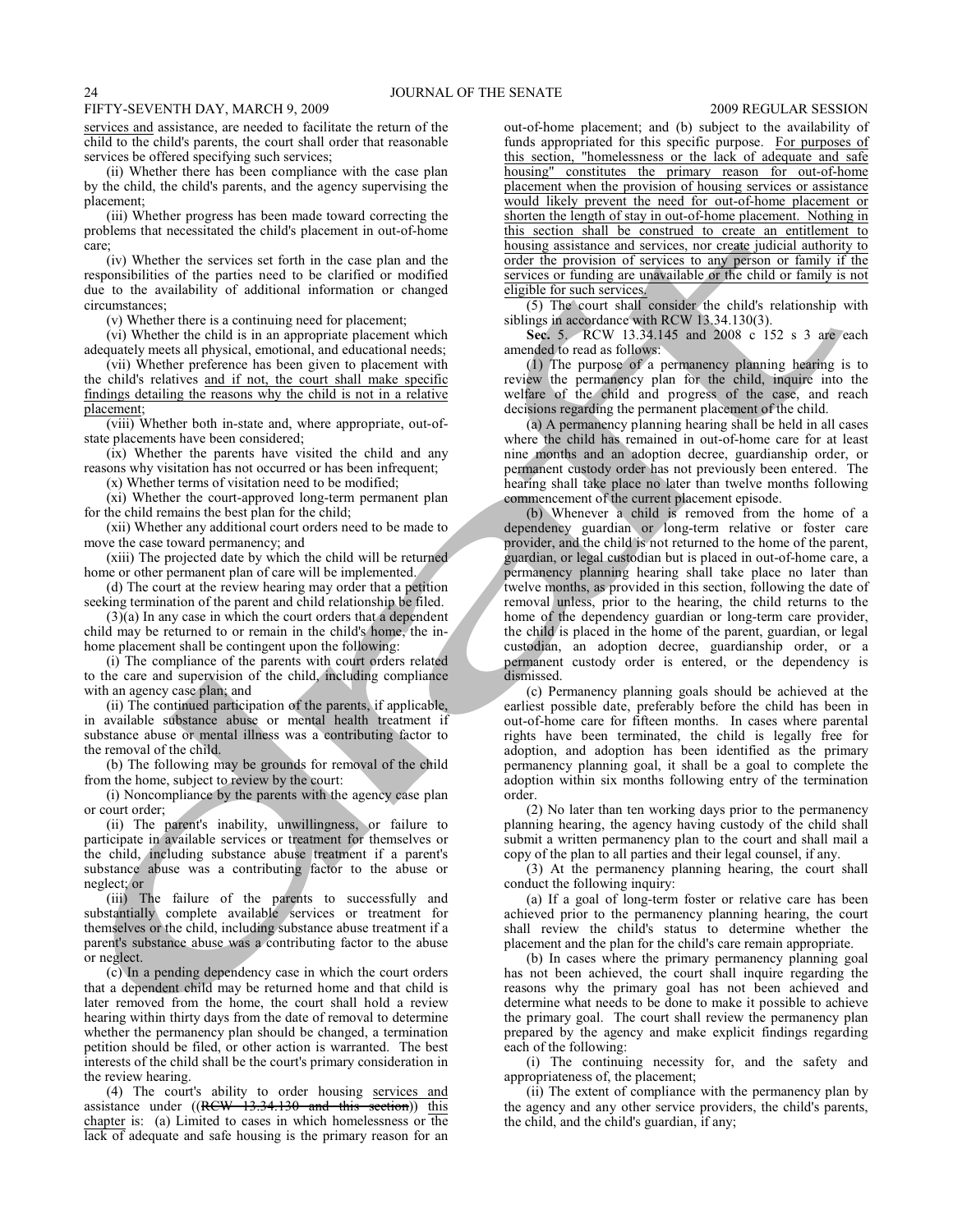services and assistance, are needed to facilitate the return of the child to the child's parents, the court shall order that reasonable services be offered specifying such services;

(ii) Whether there has been compliance with the case plan by the child, the child's parents, and the agency supervising the placement;

(iii) Whether progress has been made toward correcting the problems that necessitated the child's placement in out-of-home care;

(iv) Whether the services set forth in the case plan and the responsibilities of the parties need to be clarified or modified due to the availability of additional information or changed circumstances;

(v) Whether there is a continuing need for placement;

(vi) Whether the child is in an appropriate placement which adequately meets all physical, emotional, and educational needs;

(vii) Whether preference has been given to placement with the child's relatives and if not, the court shall make specific findings detailing the reasons why the child is not in a relative placement;

(viii) Whether both in-state and, where appropriate, out-ofstate placements have been considered;

(ix) Whether the parents have visited the child and any reasons why visitation has not occurred or has been infrequent;

(x) Whether terms of visitation need to be modified;

(xi) Whether the court-approved long-term permanent plan for the child remains the best plan for the child;

(xii) Whether any additional court orders need to be made to move the case toward permanency; and

(xiii) The projected date by which the child will be returned home or other permanent plan of care will be implemented.

(d) The court at the review hearing may order that a petition seeking termination of the parent and child relationship be filed.

 $(3)(a)$  In any case in which the court orders that a dependent child may be returned to or remain in the child's home, the inhome placement shall be contingent upon the following:

(i) The compliance of the parents with court orders related to the care and supervision of the child, including compliance with an agency case plan; and

(ii) The continued participation of the parents, if applicable, in available substance abuse or mental health treatment if substance abuse or mental illness was a contributing factor to the removal of the child.

(b) The following may be grounds for removal of the child from the home, subject to review by the court:

(i) Noncompliance by the parents with the agency case plan or court order;

(ii) The parent's inability, unwillingness, or failure to participate in available services or treatment for themselves or the child, including substance abuse treatment if a parent's substance abuse was a contributing factor to the abuse or neglect; or

(iii) The failure of the parents to successfully and substantially complete available services or treatment for themselves or the child, including substance abuse treatment if a parent's substance abuse was a contributing factor to the abuse or neglect.

(c) In a pending dependency case in which the court orders that a dependent child may be returned home and that child is later removed from the home, the court shall hold a review hearing within thirty days from the date of removal to determine whether the permanency plan should be changed, a termination petition should be filed, or other action is warranted. The best interests of the child shall be the court's primary consideration in the review hearing.

(4) The court's ability to order housing services and assistance under  $((RCW - 13.34.130$  and this section)) this chapter is: (a) Limited to cases in which homelessness or the lack of adequate and safe housing is the primary reason for an

out-of-home placement; and (b) subject to the availability of funds appropriated for this specific purpose. For purposes of this section, "homelessness or the lack of adequate and safe housing" constitutes the primary reason for out-of-home placement when the provision of housing services or assistance would likely prevent the need for out-of-home placement or shorten the length of stay in out-of-home placement. Nothing in this section shall be construed to create an entitlement to housing assistance and services, nor create judicial authority to order the provision of services to any person or family if the services or funding are unavailable or the child or family is not eligible for such services.

(5) The court shall consider the child's relationship with siblings in accordance with RCW 13.34.130(3).

**Sec.** 5.RCW 13.34.145 and 2008 c 152 s 3 are each amended to read as follows:

(1) The purpose of a permanency planning hearing is to review the permanency plan for the child, inquire into the welfare of the child and progress of the case, and reach decisions regarding the permanent placement of the child.

(a) A permanency planning hearing shall be held in all cases where the child has remained in out-of-home care for at least nine months and an adoption decree, guardianship order, or permanent custody order has not previously been entered. The hearing shall take place no later than twelve months following commencement of the current placement episode.

(b) Whenever a child is removed from the home of a dependency guardian or long-term relative or foster care provider, and the child is not returned to the home of the parent, guardian, or legal custodian but is placed in out-of-home care, a permanency planning hearing shall take place no later than twelve months, as provided in this section, following the date of removal unless, prior to the hearing, the child returns to the home of the dependency guardian or long-term care provider, the child is placed in the home of the parent, guardian, or legal custodian, an adoption decree, guardianship order, or a permanent custody order is entered, or the dependency is dismissed.

(c) Permanency planning goals should be achieved at the earliest possible date, preferably before the child has been in out-of-home care for fifteen months. In cases where parental rights have been terminated, the child is legally free for adoption, and adoption has been identified as the primary permanency planning goal, it shall be a goal to complete the adoption within six months following entry of the termination order.

(2) No later than ten working days prior to the permanency planning hearing, the agency having custody of the child shall submit a written permanency plan to the court and shall mail a copy of the plan to all parties and their legal counsel, if any.

(3) At the permanency planning hearing, the court shall conduct the following inquiry:

(a) If a goal of long-term foster or relative care has been achieved prior to the permanency planning hearing, the court shall review the child's status to determine whether the placement and the plan for the child's care remain appropriate.

(b) In cases where the primary permanency planning goal has not been achieved, the court shall inquire regarding the reasons why the primary goal has not been achieved and determine what needs to be done to make it possible to achieve the primary goal. The court shall review the permanency plan prepared by the agency and make explicit findings regarding each of the following:

(i) The continuing necessity for, and the safety and appropriateness of, the placement;

(ii) The extent of compliance with the permanency plan by the agency and any other service providers, the child's parents, the child, and the child's guardian, if any;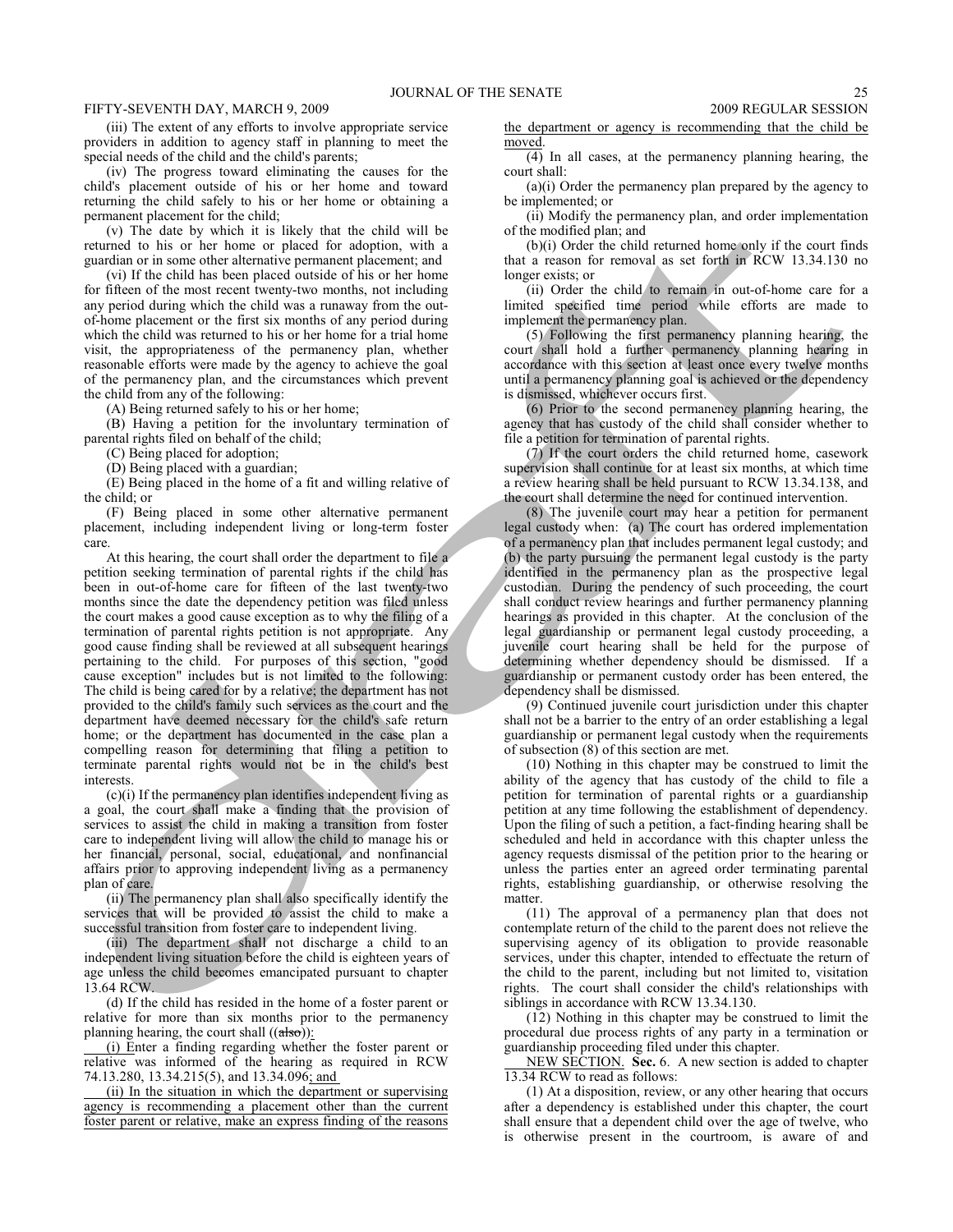(iii) The extent of any efforts to involve appropriate service providers in addition to agency staff in planning to meet the special needs of the child and the child's parents;

(iv) The progress toward eliminating the causes for the child's placement outside of his or her home and toward returning the child safely to his or her home or obtaining a permanent placement for the child;

(v) The date by which it is likely that the child will be returned to his or her home or placed for adoption, with a guardian or in some other alternative permanent placement; and

(vi) If the child has been placed outside of his or her home for fifteen of the most recent twenty-two months, not including any period during which the child was a runaway from the outof-home placement or the first six months of any period during which the child was returned to his or her home for a trial home visit, the appropriateness of the permanency plan, whether reasonable efforts were made by the agency to achieve the goal of the permanency plan, and the circumstances which prevent the child from any of the following:

(A) Being returned safely to his or her home;

(B) Having a petition for the involuntary termination of parental rights filed on behalf of the child;

(C) Being placed for adoption;

(D) Being placed with a guardian;

(E) Being placed in the home of a fit and willing relative of the child; or

(F) Being placed in some other alternative permanent placement, including independent living or long-term foster care.

At this hearing, the court shall order the department to file a petition seeking termination of parental rights if the child has been in out-of-home care for fifteen of the last twenty-two months since the date the dependency petition was filed unless the court makes a good cause exception as to why the filing of a termination of parental rights petition is not appropriate. Any good cause finding shall be reviewed at all subsequent hearings pertaining to the child. For purposes of this section, "good cause exception" includes but is not limited to the following: The child is being cared for by a relative; the department has not provided to the child's family such services as the court and the department have deemed necessary for the child's safe return home; or the department has documented in the case plan a compelling reason for determining that filing a petition to terminate parental rights would not be in the child's best interests.

(c)(i) If the permanency plan identifies independent living as a goal, the court shall make a finding that the provision of services to assist the child in making a transition from foster care to independent living will allow the child to manage his or her financial, personal, social, educational, and nonfinancial affairs prior to approving independent living as a permanency plan of care.

(ii) The permanency plan shall also specifically identify the services that will be provided to assist the child to make a successful transition from foster care to independent living.

(iii) The department shall not discharge a child to an independent living situation before the child is eighteen years of age unless the child becomes emancipated pursuant to chapter 13.64 RCW.

(d) If the child has resided in the home of a foster parent or relative for more than six months prior to the permanency planning hearing, the court shall  $((a \cdot ts \cdot c))$ :

(i) Enter a finding regarding whether the foster parent or relative was informed of the hearing as required in RCW 74.13.280, 13.34.215(5), and 13.34.096; and

(ii) In the situation in which the department or supervising agency is recommending a placement other than the current foster parent or relative, make an express finding of the reasons

the department or agency is recommending that the child be moved.

 $\overline{(4)}$  In all cases, at the permanency planning hearing, the court shall:

(a)(i) Order the permanency plan prepared by the agency to be implemented; or

(ii) Modify the permanency plan, and order implementation of the modified plan; and

(b)(i) Order the child returned home only if the court finds that a reason for removal as set forth in RCW 13.34.130 no longer exists; or

(ii) Order the child to remain in out-of-home care for a limited specified time period while efforts are made to implement the permanency plan.

(5) Following the first permanency planning hearing, the court shall hold a further permanency planning hearing in accordance with this section at least once every twelve months until a permanency planning goal is achieved or the dependency is dismissed, whichever occurs first.

(6) Prior to the second permanency planning hearing, the agency that has custody of the child shall consider whether to file a petition for termination of parental rights.

(7) If the court orders the child returned home, casework supervision shall continue for at least six months, at which time a review hearing shall be held pursuant to RCW 13.34.138, and the court shall determine the need for continued intervention.

(8) The juvenile court may hear a petition for permanent legal custody when: (a) The court has ordered implementation of a permanency plan that includes permanent legal custody; and (b) the party pursuing the permanent legal custody is the party identified in the permanency plan as the prospective legal custodian. During the pendency of such proceeding, the court shall conduct review hearings and further permanency planning hearings as provided in this chapter. At the conclusion of the legal guardianship or permanent legal custody proceeding, a juvenile court hearing shall be held for the purpose of determining whether dependency should be dismissed. If a guardianship or permanent custody order has been entered, the dependency shall be dismissed.

(9) Continued juvenile court jurisdiction under this chapter shall not be a barrier to the entry of an order establishing a legal guardianship or permanent legal custody when the requirements of subsection (8) of this section are met.

(10) Nothing in this chapter may be construed to limit the ability of the agency that has custody of the child to file a petition for termination of parental rights or a guardianship petition at any time following the establishment of dependency. Upon the filing of such a petition, a fact-finding hearing shall be scheduled and held in accordance with this chapter unless the agency requests dismissal of the petition prior to the hearing or unless the parties enter an agreed order terminating parental rights, establishing guardianship, or otherwise resolving the matter.

(11) The approval of a permanency plan that does not contemplate return of the child to the parent does not relieve the supervising agency of its obligation to provide reasonable services, under this chapter, intended to effectuate the return of the child to the parent, including but not limited to, visitation rights. The court shall consider the child's relationships with siblings in accordance with RCW 13.34.130.

(12) Nothing in this chapter may be construed to limit the procedural due process rights of any party in a termination or guardianship proceeding filed under this chapter.

NEW SECTION. **Sec.** 6.A new section is added to chapter 13.34 RCW to read as follows:

(1) At a disposition, review, or any other hearing that occurs after a dependency is established under this chapter, the court shall ensure that a dependent child over the age of twelve, who is otherwise present in the courtroom, is aware of and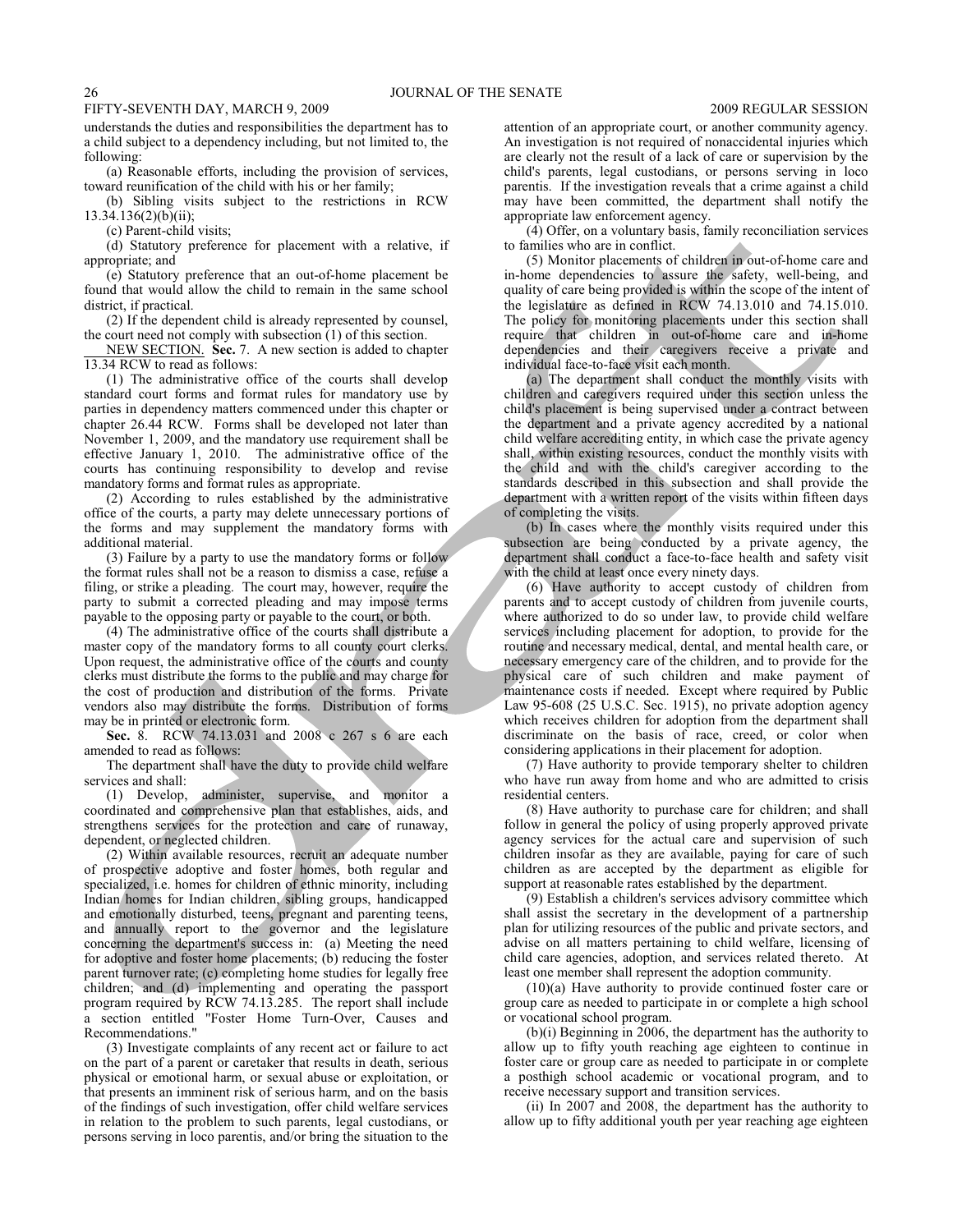understands the duties and responsibilities the department has to a child subject to a dependency including, but not limited to, the following:

(a) Reasonable efforts, including the provision of services, toward reunification of the child with his or her family;

(b) Sibling visits subject to the restrictions in RCW  $13.34.136(2)(b)(ii);$ 

(c) Parent-child visits;

(d) Statutory preference for placement with a relative, if appropriate; and

(e) Statutory preference that an out-of-home placement be found that would allow the child to remain in the same school district, if practical.

(2) If the dependent child is already represented by counsel, the court need not comply with subsection (1) of this section.

NEW SECTION. **Sec.** 7.A new section is added to chapter 13.34 RCW to read as follows:

(1) The administrative office of the courts shall develop standard court forms and format rules for mandatory use by parties in dependency matters commenced under this chapter or chapter 26.44 RCW. Forms shall be developed not later than November 1, 2009, and the mandatory use requirement shall be effective January 1, 2010. The administrative office of the courts has continuing responsibility to develop and revise mandatory forms and format rules as appropriate.

(2) According to rules established by the administrative office of the courts, a party may delete unnecessary portions of the forms and may supplement the mandatory forms with additional material.

(3) Failure by a party to use the mandatory forms or follow the format rules shall not be a reason to dismiss a case, refuse a filing, or strike a pleading. The court may, however, require the party to submit a corrected pleading and may impose terms payable to the opposing party or payable to the court, or both.

(4) The administrative office of the courts shall distribute a master copy of the mandatory forms to all county court clerks. Upon request, the administrative office of the courts and county clerks must distribute the forms to the public and may charge for the cost of production and distribution of the forms. Private vendors also may distribute the forms. Distribution of forms may be in printed or electronic form.

**Sec.** 8.RCW 74.13.031 and 2008 c 267 s 6 are each amended to read as follows:

The department shall have the duty to provide child welfare services and shall:

(1) Develop, administer, supervise, and monitor a coordinated and comprehensive plan that establishes, aids, and strengthens services for the protection and care of runaway, dependent, or neglected children.

(2) Within available resources, recruit an adequate number of prospective adoptive and foster homes, both regular and specialized, i.e. homes for children of ethnic minority, including Indian homes for Indian children, sibling groups, handicapped and emotionally disturbed, teens, pregnant and parenting teens, and annually report to the governor and the legislature concerning the department's success in: (a) Meeting the need for adoptive and foster home placements; (b) reducing the foster parent turnover rate; (c) completing home studies for legally free children; and (d) implementing and operating the passport program required by RCW 74.13.285. The report shall include a section entitled "Foster Home Turn-Over, Causes and Recommendations."

(3) Investigate complaints of any recent act or failure to act on the part of a parent or caretaker that results in death, serious physical or emotional harm, or sexual abuse or exploitation, or that presents an imminent risk of serious harm, and on the basis of the findings of such investigation, offer child welfare services in relation to the problem to such parents, legal custodians, or persons serving in loco parentis, and/or bring the situation to the attention of an appropriate court, or another community agency. An investigation is not required of nonaccidental injuries which are clearly not the result of a lack of care or supervision by the child's parents, legal custodians, or persons serving in loco parentis. If the investigation reveals that a crime against a child may have been committed, the department shall notify the appropriate law enforcement agency.

(4) Offer, on a voluntary basis, family reconciliation services to families who are in conflict.

(5) Monitor placements of children in out-of-home care and in-home dependencies to assure the safety, well-being, and quality of care being provided is within the scope of the intent of the legislature as defined in RCW 74.13.010 and 74.15.010. The policy for monitoring placements under this section shall require that children in out-of-home care and in-home dependencies and their caregivers receive a private and individual face-to-face visit each month.

(a) The department shall conduct the monthly visits with children and caregivers required under this section unless the child's placement is being supervised under a contract between the department and a private agency accredited by a national child welfare accrediting entity, in which case the private agency shall, within existing resources, conduct the monthly visits with the child and with the child's caregiver according to the standards described in this subsection and shall provide the department with a written report of the visits within fifteen days of completing the visits.

(b) In cases where the monthly visits required under this subsection are being conducted by a private agency, the department shall conduct a face-to-face health and safety visit with the child at least once every ninety days.

(6) Have authority to accept custody of children from parents and to accept custody of children from juvenile courts, where authorized to do so under law, to provide child welfare services including placement for adoption, to provide for the routine and necessary medical, dental, and mental health care, or necessary emergency care of the children, and to provide for the physical care of such children and make payment of maintenance costs if needed. Except where required by Public Law 95-608 (25 U.S.C. Sec. 1915), no private adoption agency which receives children for adoption from the department shall discriminate on the basis of race, creed, or color when considering applications in their placement for adoption.

(7) Have authority to provide temporary shelter to children who have run away from home and who are admitted to crisis residential centers.

(8) Have authority to purchase care for children; and shall follow in general the policy of using properly approved private agency services for the actual care and supervision of such children insofar as they are available, paying for care of such children as are accepted by the department as eligible for support at reasonable rates established by the department.

(9) Establish a children's services advisory committee which shall assist the secretary in the development of a partnership plan for utilizing resources of the public and private sectors, and advise on all matters pertaining to child welfare, licensing of child care agencies, adoption, and services related thereto. At least one member shall represent the adoption community.

(10)(a) Have authority to provide continued foster care or group care as needed to participate in or complete a high school or vocational school program.

(b)(i) Beginning in 2006, the department has the authority to allow up to fifty youth reaching age eighteen to continue in foster care or group care as needed to participate in or complete a posthigh school academic or vocational program, and to receive necessary support and transition services.

(ii) In 2007 and 2008, the department has the authority to allow up to fifty additional youth per year reaching age eighteen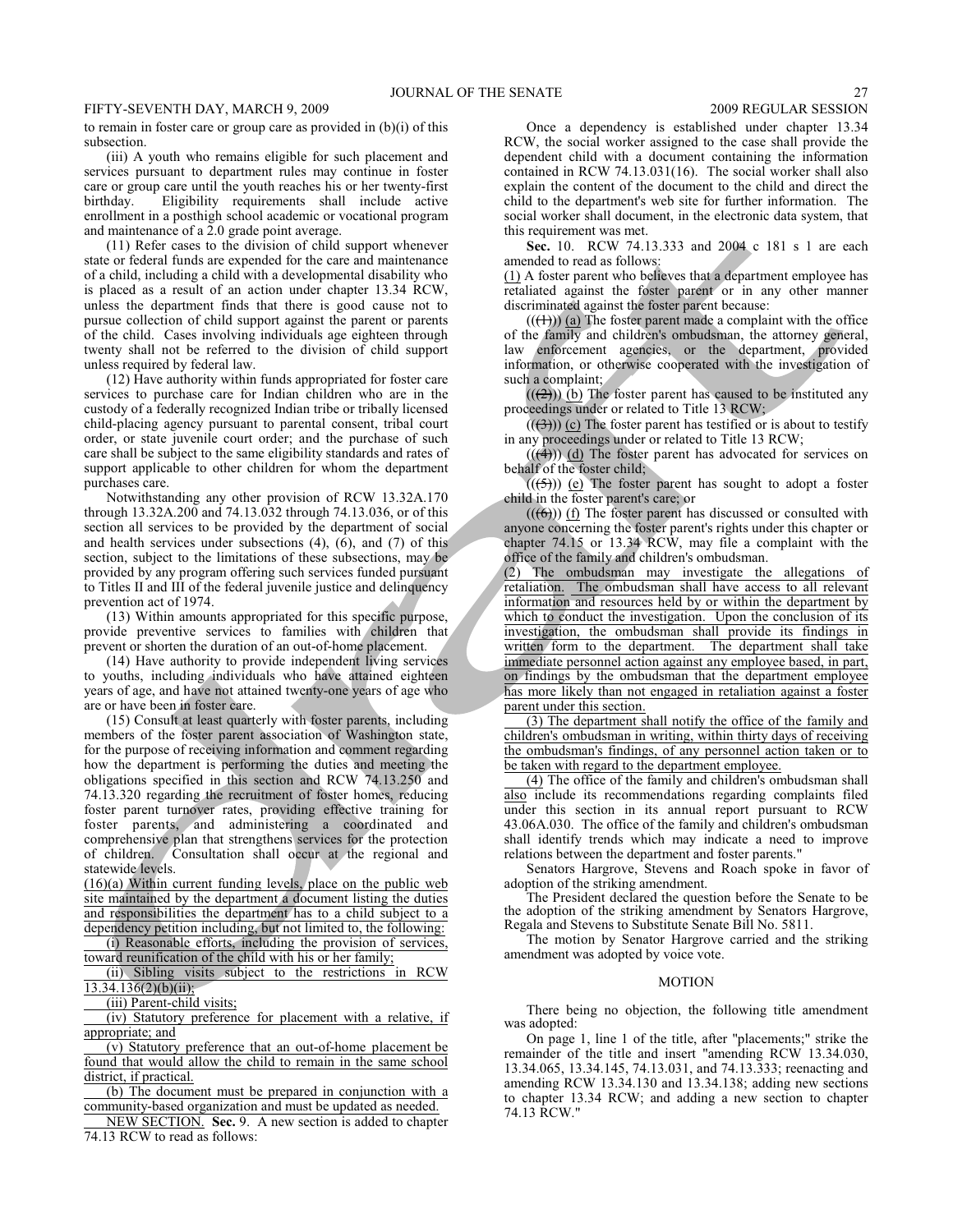to remain in foster care or group care as provided in (b)(i) of this subsection.

(iii) A youth who remains eligible for such placement and services pursuant to department rules may continue in foster care or group care until the youth reaches his or her twenty-first birthday. Eligibility requirements shall include active enrollment in a posthigh school academic or vocational program and maintenance of a 2.0 grade point average.

(11) Refer cases to the division of child support whenever state or federal funds are expended for the care and maintenance of a child, including a child with a developmental disability who is placed as a result of an action under chapter 13.34 RCW, unless the department finds that there is good cause not to pursue collection of child support against the parent or parents of the child. Cases involving individuals age eighteen through twenty shall not be referred to the division of child support unless required by federal law.

(12) Have authority within funds appropriated for foster care services to purchase care for Indian children who are in the custody of a federally recognized Indian tribe or tribally licensed child-placing agency pursuant to parental consent, tribal court order, or state juvenile court order; and the purchase of such care shall be subject to the same eligibility standards and rates of support applicable to other children for whom the department purchases care.

Notwithstanding any other provision of RCW 13.32A.170 through 13.32A.200 and 74.13.032 through 74.13.036, or of this section all services to be provided by the department of social and health services under subsections (4), (6), and (7) of this section, subject to the limitations of these subsections, may be provided by any program offering such services funded pursuant to Titles II and III of the federal juvenile justice and delinquency prevention act of 1974.

(13) Within amounts appropriated for this specific purpose, provide preventive services to families with children that prevent or shorten the duration of an out-of-home placement.

(14) Have authority to provide independent living services to youths, including individuals who have attained eighteen years of age, and have not attained twenty-one years of age who are or have been in foster care.

(15) Consult at least quarterly with foster parents, including members of the foster parent association of Washington state, for the purpose of receiving information and comment regarding how the department is performing the duties and meeting the obligations specified in this section and RCW 74.13.250 and 74.13.320 regarding the recruitment of foster homes, reducing foster parent turnover rates, providing effective training for foster parents, and administering a coordinated and comprehensive plan that strengthens services for the protection of children. Consultation shall occur at the regional and statewide levels.

(16)(a) Within current funding levels, place on the public web site maintained by the department a document listing the duties and responsibilities the department has to a child subject to a dependency petition including, but not limited to, the following:

(i) Reasonable efforts, including the provision of services, toward reunification of the child with his or her family;

(ii) Sibling visits subject to the restrictions in RCW  $13.34.136(2)(b)(ii);$ 

(iii) Parent-child visits;

(iv) Statutory preference for placement with a relative, if appropriate; and

(v) Statutory preference that an out-of-home placement be found that would allow the child to remain in the same school district, if practical.

(b) The document must be prepared in conjunction with a community-based organization and must be updated as needed.

NEW SECTION. **Sec.** 9.A new section is added to chapter 74.13 RCW to read as follows:

Once a dependency is established under chapter 13.34 RCW, the social worker assigned to the case shall provide the dependent child with a document containing the information contained in RCW 74.13.031(16). The social worker shall also explain the content of the document to the child and direct the child to the department's web site for further information. The social worker shall document, in the electronic data system, that this requirement was met.

**Sec.** 10.RCW 74.13.333 and 2004 c 181 s 1 are each amended to read as follows:

(1) A foster parent who believes that a department employee has retaliated against the foster parent or in any other manner discriminated against the foster parent because:

 $((\text{ }(\text{+}))$  $( \text{ }a)$ ) The foster parent made a complaint with the office of the family and children's ombudsman, the attorney general, law enforcement agencies, or the department, provided information, or otherwise cooperated with the investigation of such a complaint;

 $((2))$  (b) The foster parent has caused to be instituted any proceedings under or related to Title 13 RCW;

 $((\rightarrow{(\rightarrow)})$  (c) The foster parent has testified or is about to testify in any proceedings under or related to Title 13 RCW;

 $((\left(4\right)))$  (d) The foster parent has advocated for services on behalf of the foster child;

 $((\left(5\right)))$  (e) The foster parent has sought to adopt a foster child in the foster parent's care; or

 $((\textbf{(6)}))$  (f) The foster parent has discussed or consulted with anyone concerning the foster parent's rights under this chapter or chapter 74.15 or 13.34 RCW, may file a complaint with the office of the family and children's ombudsman.

(2) The ombudsman may investigate the allegations of retaliation. The ombudsman shall have access to all relevant information and resources held by or within the department by which to conduct the investigation. Upon the conclusion of its investigation, the ombudsman shall provide its findings in written form to the department. The department shall take immediate personnel action against any employee based, in part, on findings by the ombudsman that the department employee has more likely than not engaged in retaliation against a foster parent under this section.

(3) The department shall notify the office of the family and children's ombudsman in writing, within thirty days of receiving the ombudsman's findings, of any personnel action taken or to be taken with regard to the department employee.

(4) The office of the family and children's ombudsman shall also include its recommendations regarding complaints filed under this section in its annual report pursuant to RCW 43.06A.030. The office of the family and children's ombudsman shall identify trends which may indicate a need to improve relations between the department and foster parents."

Senators Hargrove, Stevens and Roach spoke in favor of adoption of the striking amendment.

The President declared the question before the Senate to be the adoption of the striking amendment by Senators Hargrove, Regala and Stevens to Substitute Senate Bill No. 5811.

The motion by Senator Hargrove carried and the striking amendment was adopted by voice vote.

# MOTION

There being no objection, the following title amendment was adopted:

On page 1, line 1 of the title, after "placements;" strike the remainder of the title and insert "amending RCW 13.34.030, 13.34.065, 13.34.145, 74.13.031, and 74.13.333; reenacting and amending RCW 13.34.130 and 13.34.138; adding new sections to chapter 13.34 RCW; and adding a new section to chapter 74.13 RCW."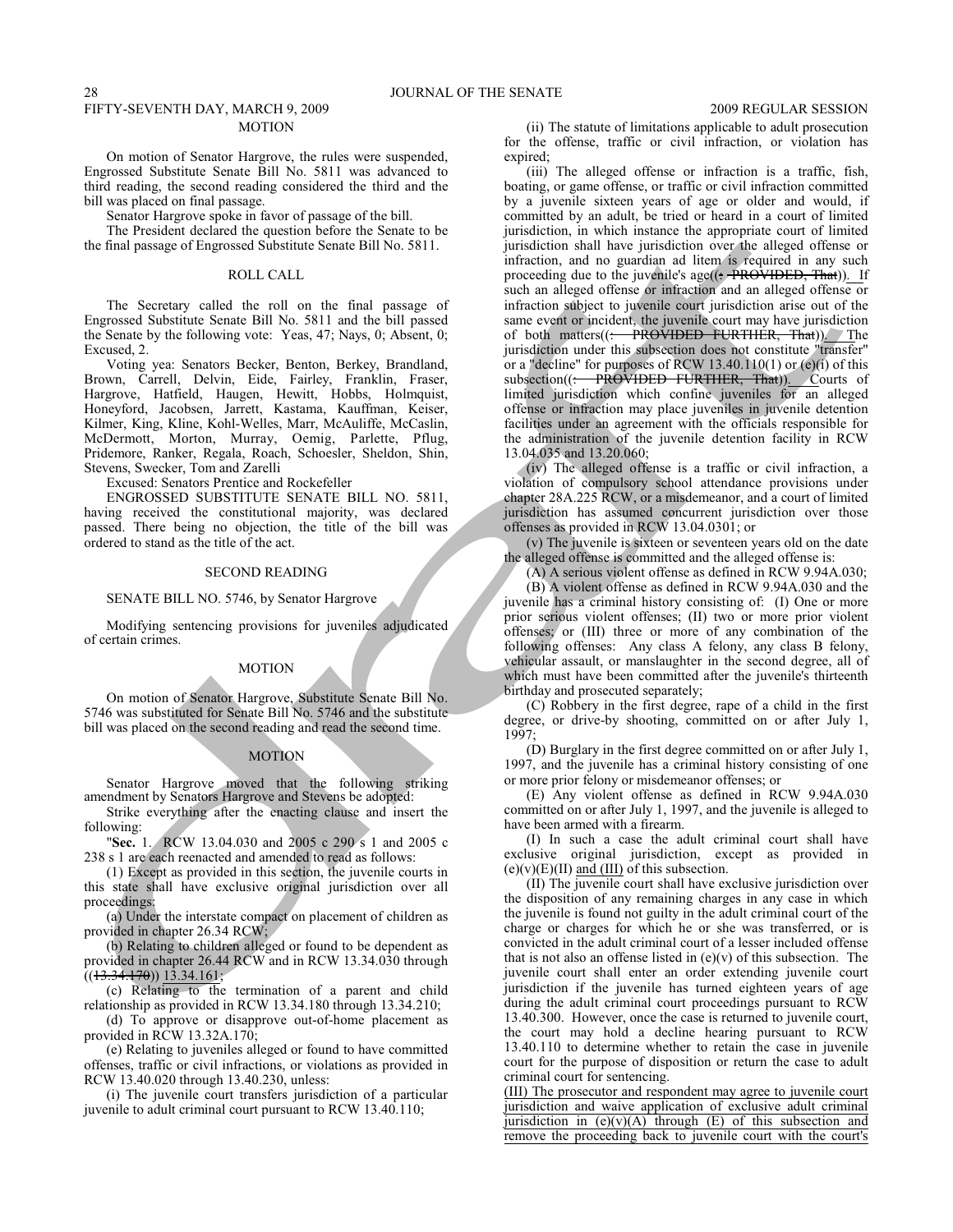On motion of Senator Hargrove, the rules were suspended, Engrossed Substitute Senate Bill No. 5811 was advanced to third reading, the second reading considered the third and the bill was placed on final passage.

Senator Hargrove spoke in favor of passage of the bill.

The President declared the question before the Senate to be the final passage of Engrossed Substitute Senate Bill No. 5811.

# ROLL CALL

The Secretary called the roll on the final passage of Engrossed Substitute Senate Bill No. 5811 and the bill passed the Senate by the following vote: Yeas, 47; Nays, 0; Absent, 0; Excused, 2.

Voting yea: Senators Becker, Benton, Berkey, Brandland, Brown, Carrell, Delvin, Eide, Fairley, Franklin, Fraser, Hargrove, Hatfield, Haugen, Hewitt, Hobbs, Holmquist, Honeyford, Jacobsen, Jarrett, Kastama, Kauffman, Keiser, Kilmer, King, Kline, Kohl-Welles, Marr, McAuliffe, McCaslin, McDermott, Morton, Murray, Oemig, Parlette, Pflug, Pridemore, Ranker, Regala, Roach, Schoesler, Sheldon, Shin, Stevens, Swecker, Tom and Zarelli

Excused: Senators Prentice and Rockefeller

ENGROSSED SUBSTITUTE SENATE BILL NO. 5811, having received the constitutional majority, was declared passed. There being no objection, the title of the bill was ordered to stand as the title of the act.

# SECOND READING

## SENATE BILL NO. 5746, by Senator Hargrove

Modifying sentencing provisions for juveniles adjudicated of certain crimes.

# MOTION

On motion of Senator Hargrove, Substitute Senate Bill No. 5746 was substituted for Senate Bill No. 5746 and the substitute bill was placed on the second reading and read the second time.

# MOTION

Senator Hargrove moved that the following striking amendment by Senators Hargrove and Stevens be adopted:

Strike everything after the enacting clause and insert the following:

"**Sec.** 1.RCW 13.04.030 and 2005 c 290 s 1 and 2005 c 238 s 1 are each reenacted and amended to read as follows:

(1) Except as provided in this section, the juvenile courts in this state shall have exclusive original jurisdiction over all proceedings:

(a) Under the interstate compact on placement of children as provided in chapter 26.34 RCW;

(b) Relating to children alleged or found to be dependent as provided in chapter 26.44 RCW and in RCW 13.34.030 through  $((13.34.170))$  13.34.161;

(c) Relating to the termination of a parent and child relationship as provided in RCW 13.34.180 through 13.34.210;

(d) To approve or disapprove out-of-home placement as provided in RCW 13.32A.170;

(e) Relating to juveniles alleged or found to have committed offenses, traffic or civil infractions, or violations as provided in RCW 13.40.020 through 13.40.230, unless:

(i) The juvenile court transfers jurisdiction of a particular juvenile to adult criminal court pursuant to RCW 13.40.110;

(ii) The statute of limitations applicable to adult prosecution for the offense, traffic or civil infraction, or violation has expired;

(iii) The alleged offense or infraction is a traffic, fish, boating, or game offense, or traffic or civil infraction committed by a juvenile sixteen years of age or older and would, if committed by an adult, be tried or heard in a court of limited jurisdiction, in which instance the appropriate court of limited jurisdiction shall have jurisdiction over the alleged offense or infraction, and no guardian ad litem is required in any such proceeding due to the juvenile's age((: PROVIDED, That)). If such an alleged offense or infraction and an alleged offense or infraction subject to juvenile court jurisdiction arise out of the same event or incident, the juvenile court may have jurisdiction of both matters((: PROVIDED FURTHER, That)). The jurisdiction under this subsection does not constitute "transfer" or a "decline" for purposes of RCW 13.40.110(1) or (e)(i) of this subsection((: PROVIDED FURTHER, That)). Courts of limited jurisdiction which confine juveniles for an alleged offense or infraction may place juveniles in juvenile detention facilities under an agreement with the officials responsible for the administration of the juvenile detention facility in RCW 13.04.035 and 13.20.060;

(iv) The alleged offense is a traffic or civil infraction, a violation of compulsory school attendance provisions under chapter 28A.225 RCW, or a misdemeanor, and a court of limited jurisdiction has assumed concurrent jurisdiction over those offenses as provided in RCW 13.04.0301; or

(v) The juvenile is sixteen or seventeen years old on the date the alleged offense is committed and the alleged offense is:

(A) A serious violent offense as defined in RCW 9.94A.030;

(B) A violent offense as defined in RCW 9.94A.030 and the juvenile has a criminal history consisting of: (I) One or more prior serious violent offenses; (II) two or more prior violent offenses; or (III) three or more of any combination of the following offenses: Any class A felony, any class B felony, vehicular assault, or manslaughter in the second degree, all of which must have been committed after the juvenile's thirteenth birthday and prosecuted separately;

(C) Robbery in the first degree, rape of a child in the first degree, or drive-by shooting, committed on or after July 1, 1997;

(D) Burglary in the first degree committed on or after July 1, 1997, and the juvenile has a criminal history consisting of one or more prior felony or misdemeanor offenses; or

(E) Any violent offense as defined in RCW 9.94A.030 committed on or after July 1, 1997, and the juvenile is alleged to have been armed with a firearm.

(I) In such a case the adult criminal court shall have exclusive original jurisdiction, except as provided in  $(e)(v)(E)(II)$  and  $(III)$  of this subsection.

(II) The juvenile court shall have exclusive jurisdiction over the disposition of any remaining charges in any case in which the juvenile is found not guilty in the adult criminal court of the charge or charges for which he or she was transferred, or is convicted in the adult criminal court of a lesser included offense that is not also an offense listed in  $(e)(v)$  of this subsection. The juvenile court shall enter an order extending juvenile court jurisdiction if the juvenile has turned eighteen years of age during the adult criminal court proceedings pursuant to RCW 13.40.300. However, once the case is returned to juvenile court, the court may hold a decline hearing pursuant to RCW 13.40.110 to determine whether to retain the case in juvenile court for the purpose of disposition or return the case to adult criminal court for sentencing.

(III) The prosecutor and respondent may agree to juvenile court jurisdiction and waive application of exclusive adult criminal jurisdiction in  $(e)(v)(A)$  through  $(E)$  of this subsection and remove the proceeding back to juvenile court with the court's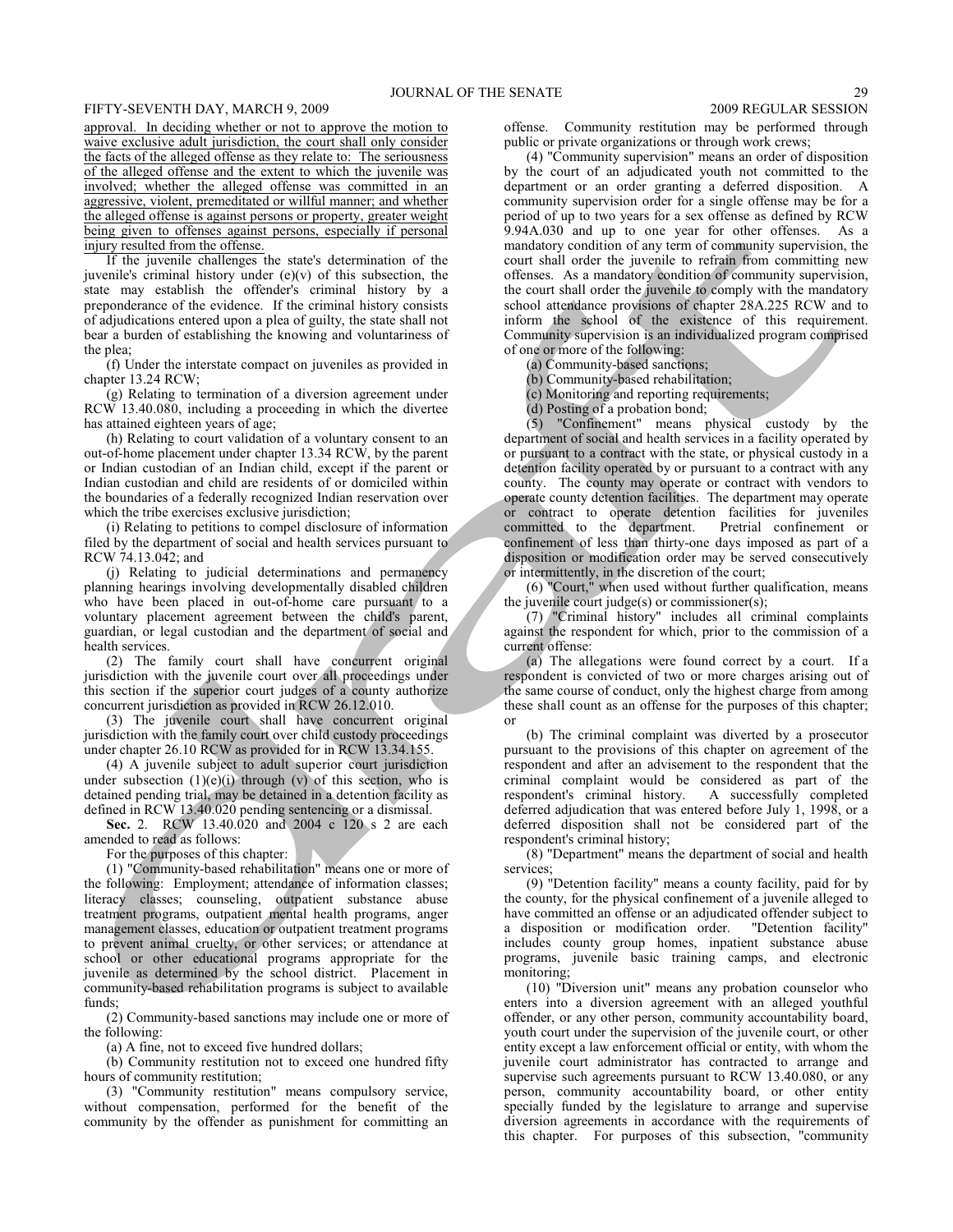approval. In deciding whether or not to approve the motion to waive exclusive adult jurisdiction, the court shall only consider the facts of the alleged offense as they relate to: The seriousness of the alleged offense and the extent to which the juvenile was involved; whether the alleged offense was committed in an aggressive, violent, premeditated or willful manner; and whether the alleged offense is against persons or property, greater weight being given to offenses against persons, especially if personal injury resulted from the offense.

If the juvenile challenges the state's determination of the juvenile's criminal history under  $(e)(v)$  of this subsection, the state may establish the offender's criminal history by a preponderance of the evidence. If the criminal history consists of adjudications entered upon a plea of guilty, the state shall not bear a burden of establishing the knowing and voluntariness of the plea;

(f) Under the interstate compact on juveniles as provided in chapter 13.24 RCW;

(g) Relating to termination of a diversion agreement under RCW 13.40.080, including a proceeding in which the divertee has attained eighteen years of age;

(h) Relating to court validation of a voluntary consent to an out-of-home placement under chapter 13.34 RCW, by the parent or Indian custodian of an Indian child, except if the parent or Indian custodian and child are residents of or domiciled within the boundaries of a federally recognized Indian reservation over which the tribe exercises exclusive jurisdiction;

(i) Relating to petitions to compel disclosure of information filed by the department of social and health services pursuant to RCW 74.13.042; and

(j) Relating to judicial determinations and permanency planning hearings involving developmentally disabled children who have been placed in out-of-home care pursuant to a voluntary placement agreement between the child's parent, guardian, or legal custodian and the department of social and health services.

(2) The family court shall have concurrent original jurisdiction with the juvenile court over all proceedings under this section if the superior court judges of a county authorize concurrent jurisdiction as provided in RCW 26.12.010.

(3) The juvenile court shall have concurrent original jurisdiction with the family court over child custody proceedings under chapter 26.10 RCW as provided for in RCW 13.34.155.

(4) A juvenile subject to adult superior court jurisdiction under subsection  $(1)(e)(i)$  through  $(v)$  of this section, who is detained pending trial, may be detained in a detention facility as defined in RCW 13.40.020 pending sentencing or a dismissal.

**Sec.** 2.RCW 13.40.020 and 2004 c 120 s 2 are each amended to read as follows:

For the purposes of this chapter:

(1) "Community-based rehabilitation" means one or more of the following: Employment; attendance of information classes; literacy classes; counseling, outpatient substance abuse treatment programs, outpatient mental health programs, anger management classes, education or outpatient treatment programs to prevent animal cruelty, or other services; or attendance at school or other educational programs appropriate for the juvenile as determined by the school district. Placement in community-based rehabilitation programs is subject to available funds;

(2) Community-based sanctions may include one or more of the following:

(a) A fine, not to exceed five hundred dollars;

(b) Community restitution not to exceed one hundred fifty hours of community restitution;

(3) "Community restitution" means compulsory service, without compensation, performed for the benefit of the community by the offender as punishment for committing an

offense. Community restitution may be performed through public or private organizations or through work crews;

(4) "Community supervision" means an order of disposition by the court of an adjudicated youth not committed to the department or an order granting a deferred disposition. A community supervision order for a single offense may be for a period of up to two years for a sex offense as defined by RCW 9.94A.030 and up to one year for other offenses. As a mandatory condition of any term of community supervision, the court shall order the juvenile to refrain from committing new offenses. As a mandatory condition of community supervision, the court shall order the juvenile to comply with the mandatory school attendance provisions of chapter 28A.225 RCW and to inform the school of the existence of this requirement. Community supervision is an individualized program comprised of one or more of the following:

(a) Community-based sanctions;

(b) Community-based rehabilitation;

(c) Monitoring and reporting requirements;

(d) Posting of a probation bond;

(5) "Confinement" means physical custody by the department of social and health services in a facility operated by or pursuant to a contract with the state, or physical custody in a detention facility operated by or pursuant to a contract with any county. The county may operate or contract with vendors to operate county detention facilities. The department may operate or contract to operate detention facilities for juveniles committed to the department. confinement of less than thirty-one days imposed as part of a disposition or modification order may be served consecutively or intermittently, in the discretion of the court;

(6) "Court," when used without further qualification, means the juvenile court judge(s) or commissioner(s);

(7) "Criminal history" includes all criminal complaints against the respondent for which, prior to the commission of a current offense:

(a) The allegations were found correct by a court. If a respondent is convicted of two or more charges arising out of the same course of conduct, only the highest charge from among these shall count as an offense for the purposes of this chapter; or

(b) The criminal complaint was diverted by a prosecutor pursuant to the provisions of this chapter on agreement of the respondent and after an advisement to the respondent that the criminal complaint would be considered as part of the respondent's criminal history. deferred adjudication that was entered before July 1, 1998, or a deferred disposition shall not be considered part of the respondent's criminal history;

(8) "Department" means the department of social and health services;

(9) "Detention facility" means a county facility, paid for by the county, for the physical confinement of a juvenile alleged to have committed an offense or an adjudicated offender subject to a disposition or modification order. "Detention facility" includes county group homes, inpatient substance abuse programs, juvenile basic training camps, and electronic monitoring;

(10) "Diversion unit" means any probation counselor who enters into a diversion agreement with an alleged youthful offender, or any other person, community accountability board, youth court under the supervision of the juvenile court, or other entity except a law enforcement official or entity, with whom the juvenile court administrator has contracted to arrange and supervise such agreements pursuant to RCW 13.40.080, or any person, community accountability board, or other entity specially funded by the legislature to arrange and supervise diversion agreements in accordance with the requirements of this chapter. For purposes of this subsection, "community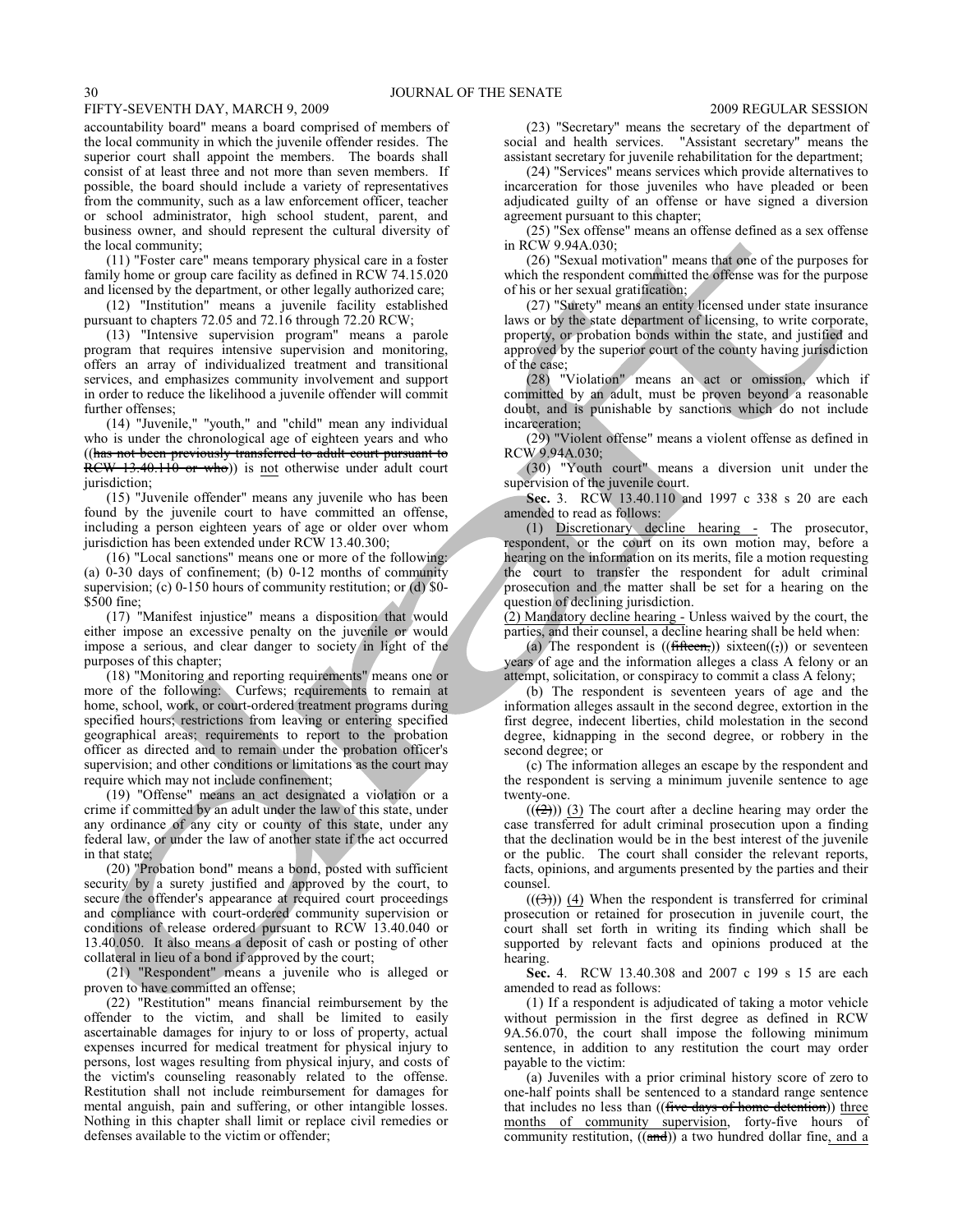accountability board" means a board comprised of members of the local community in which the juvenile offender resides. The superior court shall appoint the members. The boards shall consist of at least three and not more than seven members. If possible, the board should include a variety of representatives from the community, such as a law enforcement officer, teacher or school administrator, high school student, parent, and business owner, and should represent the cultural diversity of the local community;

(11) "Foster care" means temporary physical care in a foster family home or group care facility as defined in RCW 74.15.020 and licensed by the department, or other legally authorized care;

(12) "Institution" means a juvenile facility established pursuant to chapters 72.05 and 72.16 through 72.20 RCW;

(13) "Intensive supervision program" means a parole program that requires intensive supervision and monitoring, offers an array of individualized treatment and transitional services, and emphasizes community involvement and support in order to reduce the likelihood a juvenile offender will commit further offenses;

(14) "Juvenile," "youth," and "child" mean any individual who is under the chronological age of eighteen years and who ((has not been previously transferred to adult court pursuant to RCW 13.40.110 or who)) is not otherwise under adult court jurisdiction;

(15) "Juvenile offender" means any juvenile who has been found by the juvenile court to have committed an offense, including a person eighteen years of age or older over whom jurisdiction has been extended under RCW 13.40.300;

(16) "Local sanctions" means one or more of the following: (a) 0-30 days of confinement; (b) 0-12 months of community supervision; (c) 0-150 hours of community restitution; or (d) \$0-\$500 fine;

(17) "Manifest injustice" means a disposition that would either impose an excessive penalty on the juvenile or would impose a serious, and clear danger to society in light of the purposes of this chapter;

(18) "Monitoring and reporting requirements" means one or more of the following: Curfews; requirements to remain at home, school, work, or court-ordered treatment programs during specified hours; restrictions from leaving or entering specified geographical areas; requirements to report to the probation officer as directed and to remain under the probation officer's supervision; and other conditions or limitations as the court may require which may not include confinement;

(19) "Offense" means an act designated a violation or a crime if committed by an adult under the law of this state, under any ordinance of any city or county of this state, under any federal law, or under the law of another state if the act occurred in that state;

(20) "Probation bond" means a bond, posted with sufficient security by a surety justified and approved by the court, to secure the offender's appearance at required court proceedings and compliance with court-ordered community supervision or conditions of release ordered pursuant to RCW 13.40.040 or 13.40.050. It also means a deposit of cash or posting of other collateral in lieu of a bond if approved by the court;

(21) "Respondent" means a juvenile who is alleged or proven to have committed an offense;

(22) "Restitution" means financial reimbursement by the offender to the victim, and shall be limited to easily ascertainable damages for injury to or loss of property, actual expenses incurred for medical treatment for physical injury to persons, lost wages resulting from physical injury, and costs of the victim's counseling reasonably related to the offense. Restitution shall not include reimbursement for damages for mental anguish, pain and suffering, or other intangible losses. Nothing in this chapter shall limit or replace civil remedies or defenses available to the victim or offender;

(23) "Secretary" means the secretary of the department of social and health services. "Assistant secretary" means the assistant secretary for juvenile rehabilitation for the department;

(24) "Services" means services which provide alternatives to incarceration for those juveniles who have pleaded or been adjudicated guilty of an offense or have signed a diversion agreement pursuant to this chapter;

(25) "Sex offense" means an offense defined as a sex offense in RCW 9.94A.030;

(26) "Sexual motivation" means that one of the purposes for which the respondent committed the offense was for the purpose of his or her sexual gratification;

(27) "Surety" means an entity licensed under state insurance laws or by the state department of licensing, to write corporate, property, or probation bonds within the state, and justified and approved by the superior court of the county having jurisdiction of the case;

(28) "Violation" means an act or omission, which if committed by an adult, must be proven beyond a reasonable doubt, and is punishable by sanctions which do not include incarceration;

(29) "Violent offense" means a violent offense as defined in RCW 9.94A.030;

(30) "Youth court" means a diversion unit under the supervision of the juvenile court.

**Sec.** 3.RCW 13.40.110 and 1997 c 338 s 20 are each amended to read as follows:

(1) Discretionary decline hearing - The prosecutor, respondent, or the court on its own motion may, before a hearing on the information on its merits, file a motion requesting the court to transfer the respondent for adult criminal prosecution and the matter shall be set for a hearing on the question of declining jurisdiction.

 $(2)$  Mandatory decline hearing - Unless waived by the court, the parties, and their counsel, a decline hearing shall be held when:

(a) The respondent is  $((\text{fifteen}))$  sixteen $((,))$  or seventeen years of age and the information alleges a class A felony or an attempt, solicitation, or conspiracy to commit a class A felony;

(b) The respondent is seventeen years of age and the information alleges assault in the second degree, extortion in the first degree, indecent liberties, child molestation in the second degree, kidnapping in the second degree, or robbery in the second degree; or

(c) The information alleges an escape by the respondent and the respondent is serving a minimum juvenile sentence to age twenty-one.

 $((2))$  (3) The court after a decline hearing may order the case transferred for adult criminal prosecution upon a finding that the declination would be in the best interest of the juvenile or the public. The court shall consider the relevant reports, facts, opinions, and arguments presented by the parties and their counsel.

 $((\rightarrow{(\rightarrow)})$  (4) When the respondent is transferred for criminal prosecution or retained for prosecution in juvenile court, the court shall set forth in writing its finding which shall be supported by relevant facts and opinions produced at the hearing.

**Sec.** 4.RCW 13.40.308 and 2007 c 199 s 15 are each amended to read as follows:

(1) If a respondent is adjudicated of taking a motor vehicle without permission in the first degree as defined in RCW 9A.56.070, the court shall impose the following minimum sentence, in addition to any restitution the court may order payable to the victim:

(a) Juveniles with a prior criminal history score of zero to one-half points shall be sentenced to a standard range sentence that includes no less than ((five days of home detention)) three months of community supervision, forty-five hours of community restitution,  $((and))$  a two hundred dollar fine, and a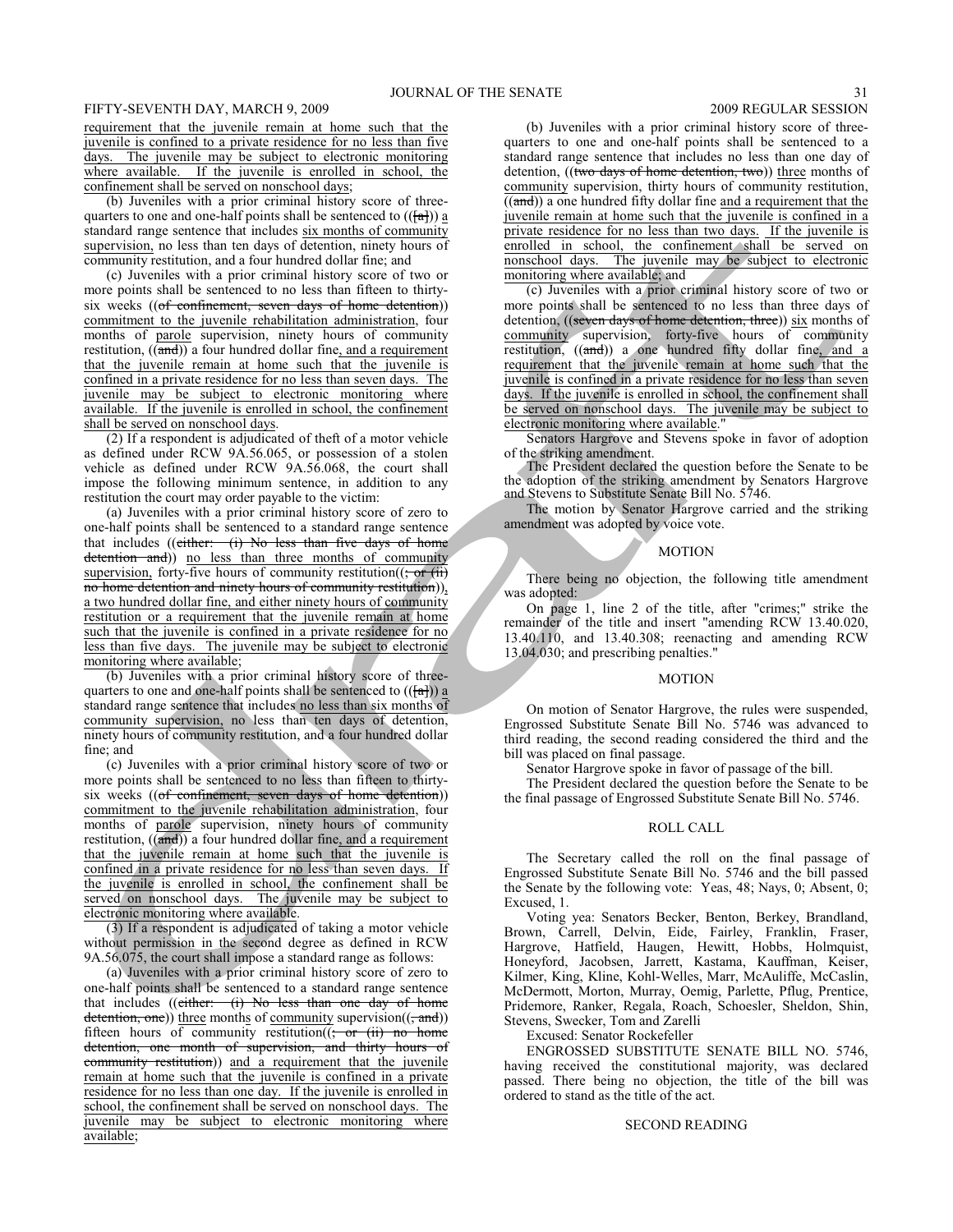requirement that the juvenile remain at home such that the juvenile is confined to a private residence for no less than five days. The juvenile may be subject to electronic monitoring where available. If the juvenile is enrolled in school, the confinement shall be served on nonschool days;

(b) Juveniles with a prior criminal history score of threequarters to one and one-half points shall be sentenced to  $(\frac{1}{2})$  a standard range sentence that includes six months of community supervision, no less than ten days of detention, ninety hours of community restitution, and a four hundred dollar fine; and

(c) Juveniles with a prior criminal history score of two or more points shall be sentenced to no less than fifteen to thirtysix weeks ((of confinement, seven days of home detention)) commitment to the juvenile rehabilitation administration, four months of parole supervision, ninety hours of community restitution,  $(\overline{(and)})$  a four hundred dollar fine, and a requirement that the juvenile remain at home such that the juvenile is confined in a private residence for no less than seven days. The juvenile may be subject to electronic monitoring where available. If the juvenile is enrolled in school, the confinement shall be served on nonschool days.

(2) If a respondent is adjudicated of theft of a motor vehicle as defined under RCW 9A.56.065, or possession of a stolen vehicle as defined under RCW 9A.56.068, the court shall impose the following minimum sentence, in addition to any restitution the court may order payable to the victim:

(a) Juveniles with a prior criminal history score of zero to one-half points shall be sentenced to a standard range sentence that includes  $((either: (i)$  No less than five days of home detention and)) no less than three months of community supervision, forty-five hours of community restitution( $(\frac{\cdot}{\cdot}$  or  $(\frac{\cdot}{\cdot})$ ) no home detention and ninety hours of community restitution)), a two hundred dollar fine, and either ninety hours of community restitution or a requirement that the juvenile remain at home such that the juvenile is confined in a private residence for no less than five days. The juvenile may be subject to electronic monitoring where available;

(b) Juveniles with a prior criminal history score of threequarters to one and one-half points shall be sentenced to  $((\lceil a \rceil))$  a standard range sentence that includes no less than six months of community supervision, no less than ten days of detention, ninety hours of community restitution, and a four hundred dollar fine; and

(c) Juveniles with a prior criminal history score of two or more points shall be sentenced to no less than fifteen to thirtysix weeks ((of confinement, seven days of home detention)) commitment to the juvenile rehabilitation administration, four months of parole supervision, ninety hours of community restitution, ((and)) a four hundred dollar fine, and a requirement that the juvenile remain at home such that the juvenile is confined in a private residence for no less than seven days. If the juvenile is enrolled in school, the confinement shall be served on nonschool days. The juvenile may be subject to electronic monitoring where available.

(3) If a respondent is adjudicated of taking a motor vehicle without permission in the second degree as defined in RCW 9A.56.075, the court shall impose a standard range as follows:

(a) Juveniles with a prior criminal history score of zero to one-half points shall be sentenced to a standard range sentence that includes  $((either: (i)$  No less than one day of home detention, one)) three months of community supervision( $(\frac{1}{2}$ and)) fifteen hours of community restitution( $\overline{(\cdot, \text{ or } (\text{ii}) \text{ no home}}$ detention, one month of supervision, and thirty hours of community restitution)) and a requirement that the juvenile remain at home such that the juvenile is confined in a private residence for no less than one day. If the juvenile is enrolled in school, the confinement shall be served on nonschool days. The juvenile may be subject to electronic monitoring where available;

(b) Juveniles with a prior criminal history score of threequarters to one and one-half points shall be sentenced to a standard range sentence that includes no less than one day of detention, ((two days of home detention, two)) three months of community supervision, thirty hours of community restitution,  $\overline{((and))}$  a one hundred fifty dollar fine and a requirement that the juvenile remain at home such that the juvenile is confined in a private residence for no less than two days. If the juvenile is enrolled in school, the confinement shall be served on nonschool days. The juvenile may be subject to electronic monitoring where available; and

(c) Juveniles with a prior criminal history score of two or more points shall be sentenced to no less than three days of detention, ((seven days of home detention, three)) six months of community supervision, forty-five hours of community restitution, ((and)) a one hundred fifty dollar fine, and a requirement that the juvenile remain at home such that the juvenile is confined in a private residence for no less than seven days. If the juvenile is enrolled in school, the confinement shall be served on nonschool days. The juvenile may be subject to electronic monitoring where available."

Senators Hargrove and Stevens spoke in favor of adoption of the striking amendment.

The President declared the question before the Senate to be the adoption of the striking amendment by Senators Hargrove and Stevens to Substitute Senate Bill No. 5746.

The motion by Senator Hargrove carried and the striking amendment was adopted by voice vote.

## MOTION

There being no objection, the following title amendment was adopted:

On page 1, line 2 of the title, after "crimes;" strike the remainder of the title and insert "amending RCW 13.40.020, 13.40.110, and 13.40.308; reenacting and amending RCW 13.04.030; and prescribing penalties."

## MOTION

On motion of Senator Hargrove, the rules were suspended, Engrossed Substitute Senate Bill No. 5746 was advanced to third reading, the second reading considered the third and the bill was placed on final passage.

Senator Hargrove spoke in favor of passage of the bill.

The President declared the question before the Senate to be the final passage of Engrossed Substitute Senate Bill No. 5746.

## ROLL CALL

The Secretary called the roll on the final passage of Engrossed Substitute Senate Bill No. 5746 and the bill passed the Senate by the following vote: Yeas, 48; Nays, 0; Absent, 0; Excused, 1.

Voting yea: Senators Becker, Benton, Berkey, Brandland, Brown, Carrell, Delvin, Eide, Fairley, Franklin, Fraser, Hargrove, Hatfield, Haugen, Hewitt, Hobbs, Holmquist, Honeyford, Jacobsen, Jarrett, Kastama, Kauffman, Keiser, Kilmer, King, Kline, Kohl-Welles, Marr, McAuliffe, McCaslin, McDermott, Morton, Murray, Oemig, Parlette, Pflug, Prentice, Pridemore, Ranker, Regala, Roach, Schoesler, Sheldon, Shin, Stevens, Swecker, Tom and Zarelli

Excused: Senator Rockefeller

ENGROSSED SUBSTITUTE SENATE BILL NO. 5746, having received the constitutional majority, was declared passed. There being no objection, the title of the bill was ordered to stand as the title of the act.

# SECOND READING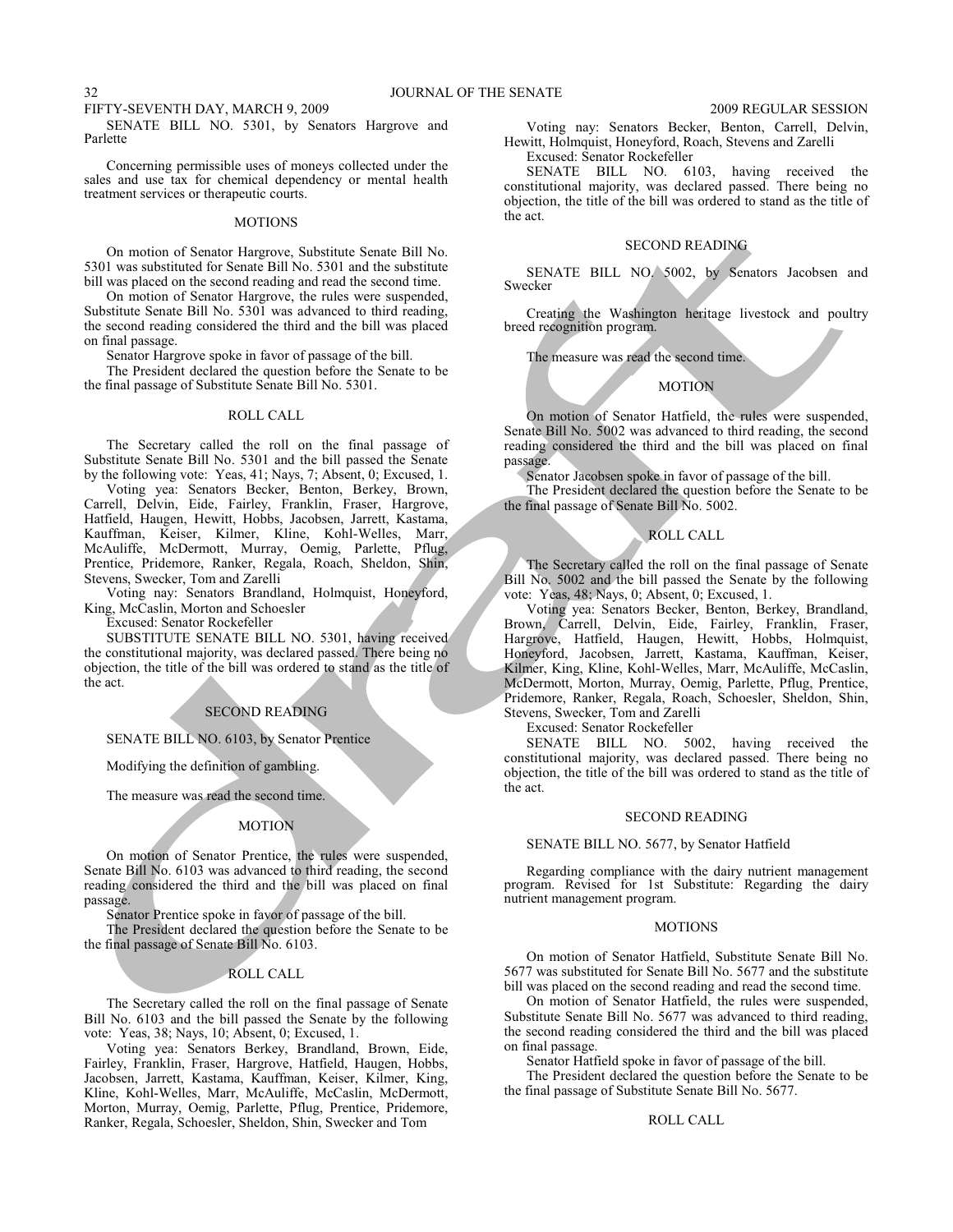SENATE BILL NO. 5301, by Senators Hargrove and Parlette

Concerning permissible uses of moneys collected under the sales and use tax for chemical dependency or mental health treatment services or therapeutic courts.

## MOTIONS

On motion of Senator Hargrove, Substitute Senate Bill No. 5301 was substituted for Senate Bill No. 5301 and the substitute bill was placed on the second reading and read the second time.

On motion of Senator Hargrove, the rules were suspended, Substitute Senate Bill No. 5301 was advanced to third reading, the second reading considered the third and the bill was placed on final passage.

Senator Hargrove spoke in favor of passage of the bill.

The President declared the question before the Senate to be the final passage of Substitute Senate Bill No. 5301.

## ROLL CALL

The Secretary called the roll on the final passage of Substitute Senate Bill No. 5301 and the bill passed the Senate by the following vote: Yeas, 41; Nays, 7; Absent, 0; Excused, 1.

Voting yea: Senators Becker, Benton, Berkey, Brown, Carrell, Delvin, Eide, Fairley, Franklin, Fraser, Hargrove, Hatfield, Haugen, Hewitt, Hobbs, Jacobsen, Jarrett, Kastama, Kauffman, Keiser, Kilmer, Kline, Kohl-Welles, Marr, McAuliffe, McDermott, Murray, Oemig, Parlette, Pflug, Prentice, Pridemore, Ranker, Regala, Roach, Sheldon, Shin, Stevens, Swecker, Tom and Zarelli

Voting nay: Senators Brandland, Holmquist, Honeyford, King, McCaslin, Morton and Schoesler

Excused: Senator Rockefeller

SUBSTITUTE SENATE BILL NO. 5301, having received the constitutional majority, was declared passed. There being no objection, the title of the bill was ordered to stand as the title of the act.

## SECOND READING

## SENATE BILL NO. 6103, by Senator Prentice

Modifying the definition of gambling.

The measure was read the second time.

## MOTION

On motion of Senator Prentice, the rules were suspended, Senate Bill No. 6103 was advanced to third reading, the second reading considered the third and the bill was placed on final passage.

Senator Prentice spoke in favor of passage of the bill.

The President declared the question before the Senate to be the final passage of Senate Bill No. 6103.

# ROLL CALL

The Secretary called the roll on the final passage of Senate Bill No. 6103 and the bill passed the Senate by the following vote: Yeas, 38; Nays, 10; Absent, 0; Excused, 1.

Voting yea: Senators Berkey, Brandland, Brown, Eide, Fairley, Franklin, Fraser, Hargrove, Hatfield, Haugen, Hobbs, Jacobsen, Jarrett, Kastama, Kauffman, Keiser, Kilmer, King, Kline, Kohl-Welles, Marr, McAuliffe, McCaslin, McDermott, Morton, Murray, Oemig, Parlette, Pflug, Prentice, Pridemore, Ranker, Regala, Schoesler, Sheldon, Shin, Swecker and Tom

Voting nay: Senators Becker, Benton, Carrell, Delvin, Hewitt, Holmquist, Honeyford, Roach, Stevens and Zarelli

Excused: Senator Rockefeller

SENATE BILL NO. 6103, having received the constitutional majority, was declared passed. There being no objection, the title of the bill was ordered to stand as the title of the act.

# SECOND READING

SENATE BILL NO. 5002, by Senators Jacobsen and Swecker

Creating the Washington heritage livestock and poultry breed recognition program.

The measure was read the second time.

# MOTION

On motion of Senator Hatfield, the rules were suspended, Senate Bill No. 5002 was advanced to third reading, the second reading considered the third and the bill was placed on final passage.

Senator Jacobsen spoke in favor of passage of the bill.

The President declared the question before the Senate to be the final passage of Senate Bill No. 5002.

# ROLL CALL

The Secretary called the roll on the final passage of Senate Bill No. 5002 and the bill passed the Senate by the following vote: Yeas, 48; Nays, 0; Absent, 0; Excused, 1.

Voting yea: Senators Becker, Benton, Berkey, Brandland, Brown, Carrell, Delvin, Eide, Fairley, Franklin, Fraser, Hargrove, Hatfield, Haugen, Hewitt, Hobbs, Holmquist, Honeyford, Jacobsen, Jarrett, Kastama, Kauffman, Keiser, Kilmer, King, Kline, Kohl-Welles, Marr, McAuliffe, McCaslin, McDermott, Morton, Murray, Oemig, Parlette, Pflug, Prentice, Pridemore, Ranker, Regala, Roach, Schoesler, Sheldon, Shin, Stevens, Swecker, Tom and Zarelli

Excused: Senator Rockefeller

SENATE BILL NO. 5002, having received the constitutional majority, was declared passed. There being no objection, the title of the bill was ordered to stand as the title of the act.

## SECOND READING

## SENATE BILL NO. 5677, by Senator Hatfield

Regarding compliance with the dairy nutrient management program. Revised for 1st Substitute: Regarding the dairy nutrient management program.

## MOTIONS

On motion of Senator Hatfield, Substitute Senate Bill No. 5677 was substituted for Senate Bill No. 5677 and the substitute bill was placed on the second reading and read the second time.

On motion of Senator Hatfield, the rules were suspended, Substitute Senate Bill No. 5677 was advanced to third reading, the second reading considered the third and the bill was placed on final passage.

Senator Hatfield spoke in favor of passage of the bill.

The President declared the question before the Senate to be the final passage of Substitute Senate Bill No. 5677.

## ROLL CALL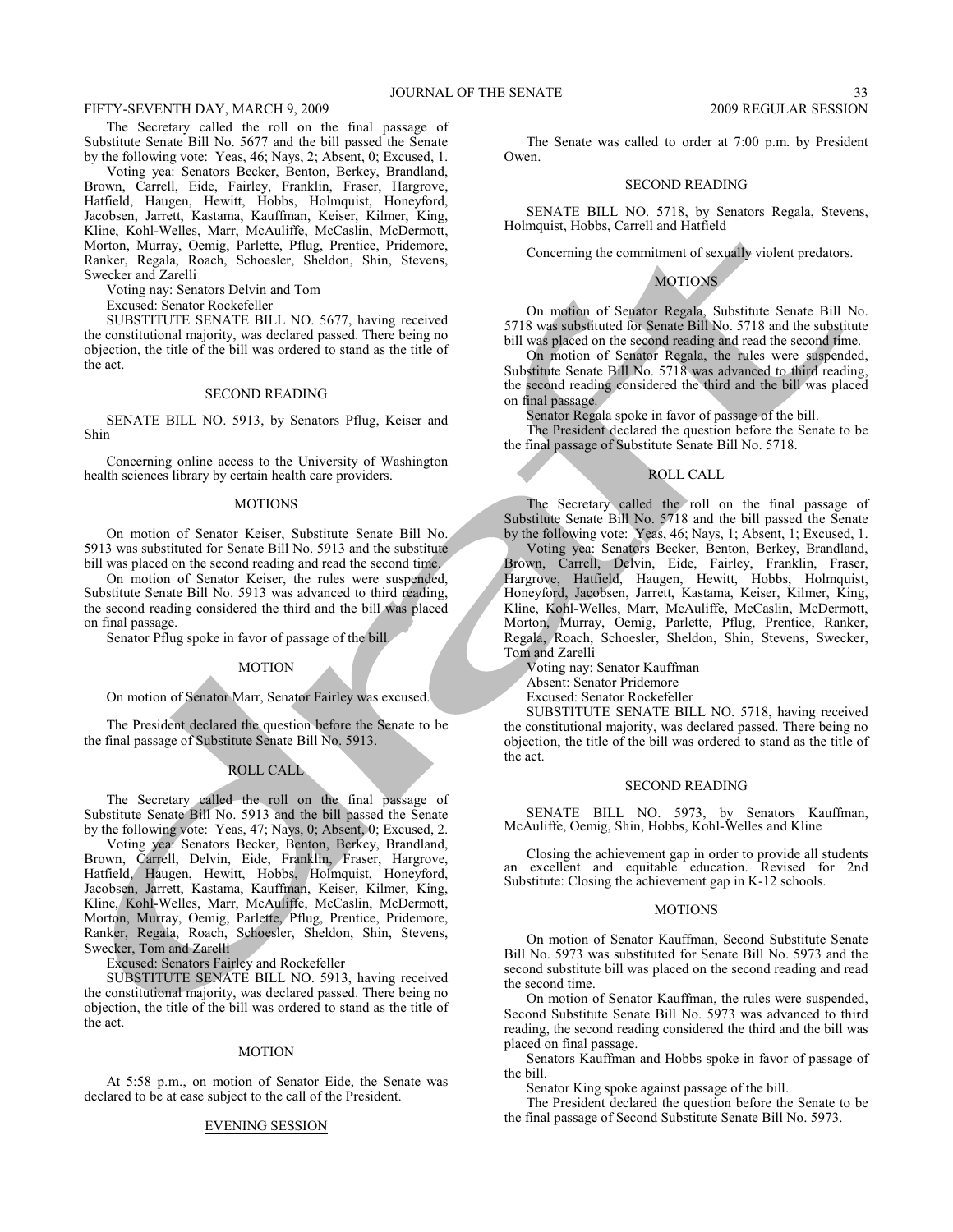The Secretary called the roll on the final passage of Substitute Senate Bill No. 5677 and the bill passed the Senate by the following vote: Yeas, 46; Nays, 2; Absent, 0; Excused, 1.

Voting yea: Senators Becker, Benton, Berkey, Brandland, Brown, Carrell, Eide, Fairley, Franklin, Fraser, Hargrove, Hatfield, Haugen, Hewitt, Hobbs, Holmquist, Honeyford, Jacobsen, Jarrett, Kastama, Kauffman, Keiser, Kilmer, King, Kline, Kohl-Welles, Marr, McAuliffe, McCaslin, McDermott, Morton, Murray, Oemig, Parlette, Pflug, Prentice, Pridemore, Ranker, Regala, Roach, Schoesler, Sheldon, Shin, Stevens, Swecker and Zarelli

Voting nay: Senators Delvin and Tom

Excused: Senator Rockefeller

SUBSTITUTE SENATE BILL NO. 5677, having received the constitutional majority, was declared passed. There being no objection, the title of the bill was ordered to stand as the title of the act.

## SECOND READING

SENATE BILL NO. 5913, by Senators Pflug, Keiser and Shin

Concerning online access to the University of Washington health sciences library by certain health care providers.

#### MOTIONS

On motion of Senator Keiser, Substitute Senate Bill No. 5913 was substituted for Senate Bill No. 5913 and the substitute bill was placed on the second reading and read the second time.

On motion of Senator Keiser, the rules were suspended, Substitute Senate Bill No. 5913 was advanced to third reading, the second reading considered the third and the bill was placed on final passage.

Senator Pflug spoke in favor of passage of the bill.

MOTION

On motion of Senator Marr, Senator Fairley was excused.

The President declared the question before the Senate to be the final passage of Substitute Senate Bill No. 5913.

# ROLL CALL

The Secretary called the roll on the final passage of Substitute Senate Bill No. 5913 and the bill passed the Senate by the following vote: Yeas, 47; Nays, 0; Absent, 0; Excused, 2.

Voting yea: Senators Becker, Benton, Berkey, Brandland, Brown, Carrell, Delvin, Eide, Franklin, Fraser, Hargrove, Hatfield, Haugen, Hewitt, Hobbs, Holmquist, Honeyford, Jacobsen, Jarrett, Kastama, Kauffman, Keiser, Kilmer, King, Kline, Kohl-Welles, Marr, McAuliffe, McCaslin, McDermott, Morton, Murray, Oemig, Parlette, Pflug, Prentice, Pridemore, Ranker, Regala, Roach, Schoesler, Sheldon, Shin, Stevens, Swecker, Tom and Zarelli

Excused: Senators Fairley and Rockefeller

SUBSTITUTE SENATE BILL NO. 5913, having received the constitutional majority, was declared passed. There being no objection, the title of the bill was ordered to stand as the title of the act.

# MOTION

At 5:58 p.m., on motion of Senator Eide, the Senate was declared to be at ease subject to the call of the President.

## EVENING SESSION

33

The Senate was called to order at 7:00 p.m. by President Owen.

# SECOND READING

SENATE BILL NO. 5718, by Senators Regala, Stevens, Holmquist, Hobbs, Carrell and Hatfield

Concerning the commitment of sexually violent predators.

# MOTIONS

On motion of Senator Regala, Substitute Senate Bill No. 5718 was substituted for Senate Bill No. 5718 and the substitute bill was placed on the second reading and read the second time.

On motion of Senator Regala, the rules were suspended, Substitute Senate Bill No. 5718 was advanced to third reading, the second reading considered the third and the bill was placed on final passage.

Senator Regala spoke in favor of passage of the bill.

The President declared the question before the Senate to be the final passage of Substitute Senate Bill No. 5718.

## ROLL CALL

The Secretary called the roll on the final passage of Substitute Senate Bill No. 5718 and the bill passed the Senate by the following vote: Yeas, 46; Nays, 1; Absent, 1; Excused, 1.

Voting yea: Senators Becker, Benton, Berkey, Brandland, Brown, Carrell, Delvin, Eide, Fairley, Franklin, Fraser, Hargrove, Hatfield, Haugen, Hewitt, Hobbs, Holmquist, Honeyford, Jacobsen, Jarrett, Kastama, Keiser, Kilmer, King, Kline, Kohl-Welles, Marr, McAuliffe, McCaslin, McDermott, Morton, Murray, Oemig, Parlette, Pflug, Prentice, Ranker, Regala, Roach, Schoesler, Sheldon, Shin, Stevens, Swecker, Tom and Zarelli

Voting nay: Senator Kauffman

Absent: Senator Pridemore

Excused: Senator Rockefeller

SUBSTITUTE SENATE BILL NO. 5718, having received the constitutional majority, was declared passed. There being no objection, the title of the bill was ordered to stand as the title of the act.

### SECOND READING

SENATE BILL NO. 5973, by Senators Kauffman, McAuliffe, Oemig, Shin, Hobbs, Kohl-Welles and Kline

Closing the achievement gap in order to provide all students an excellent and equitable education. Revised for 2nd Substitute: Closing the achievement gap in K-12 schools.

#### MOTIONS

On motion of Senator Kauffman, Second Substitute Senate Bill No. 5973 was substituted for Senate Bill No. 5973 and the second substitute bill was placed on the second reading and read the second time.

On motion of Senator Kauffman, the rules were suspended, Second Substitute Senate Bill No. 5973 was advanced to third reading, the second reading considered the third and the bill was placed on final passage.

Senators Kauffman and Hobbs spoke in favor of passage of the bill.

Senator King spoke against passage of the bill.

The President declared the question before the Senate to be the final passage of Second Substitute Senate Bill No. 5973.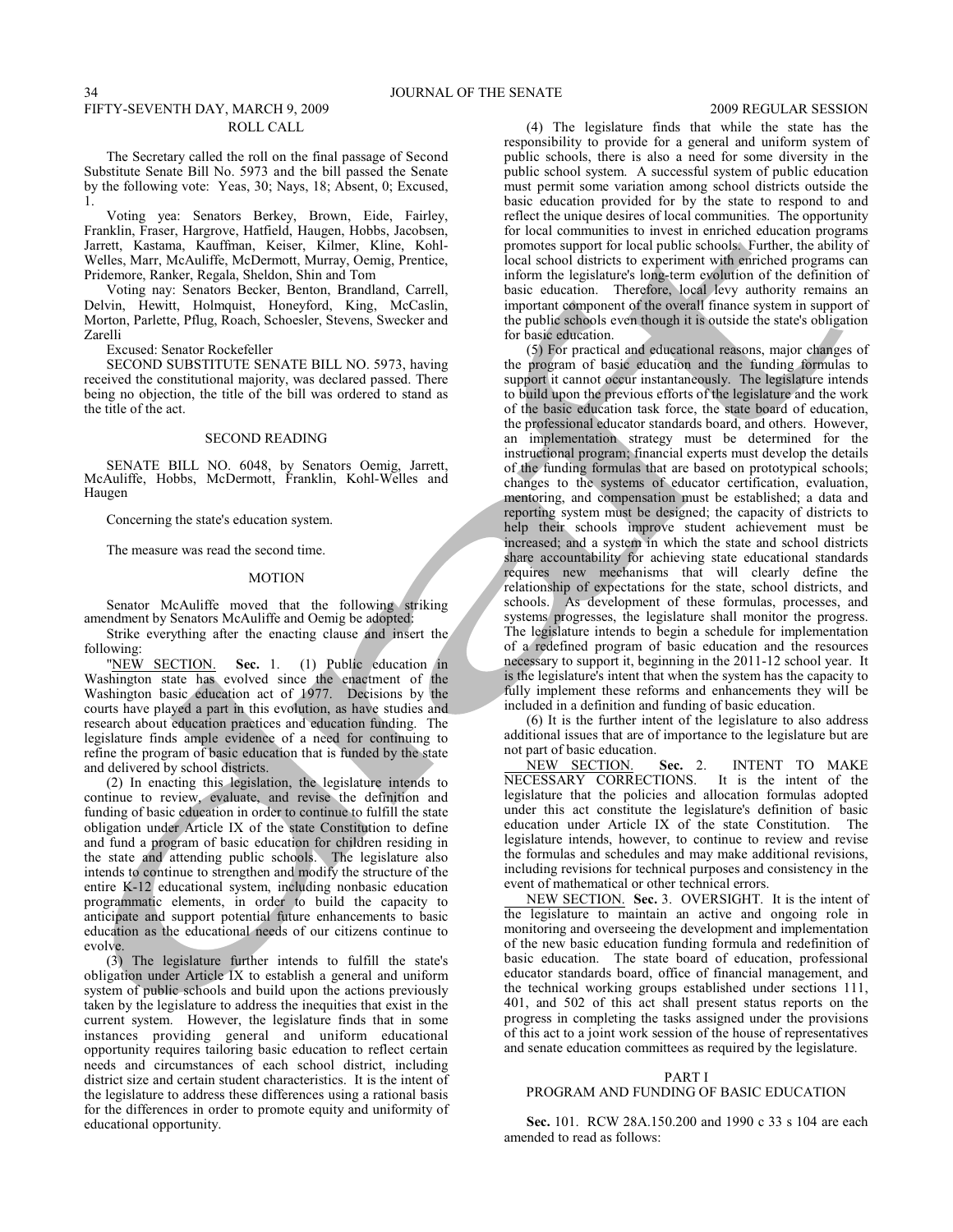The Secretary called the roll on the final passage of Second Substitute Senate Bill No. 5973 and the bill passed the Senate by the following vote: Yeas, 30; Nays, 18; Absent, 0; Excused, 1.

Voting yea: Senators Berkey, Brown, Eide, Fairley, Franklin, Fraser, Hargrove, Hatfield, Haugen, Hobbs, Jacobsen, Jarrett, Kastama, Kauffman, Keiser, Kilmer, Kline, Kohl-Welles, Marr, McAuliffe, McDermott, Murray, Oemig, Prentice, Pridemore, Ranker, Regala, Sheldon, Shin and Tom

Voting nay: Senators Becker, Benton, Brandland, Carrell, Delvin, Hewitt, Holmquist, Honeyford, King, McCaslin, Morton, Parlette, Pflug, Roach, Schoesler, Stevens, Swecker and Zarelli

Excused: Senator Rockefeller

SECOND SUBSTITUTE SENATE BILL NO. 5973, having received the constitutional majority, was declared passed. There being no objection, the title of the bill was ordered to stand as the title of the act.

## SECOND READING

SENATE BILL NO. 6048, by Senators Oemig, Jarrett, McAuliffe, Hobbs, McDermott, Franklin, Kohl-Welles and Haugen

Concerning the state's education system.

The measure was read the second time.

## **MOTION**

Senator McAuliffe moved that the following striking amendment by Senators McAuliffe and Oemig be adopted:

Strike everything after the enacting clause and insert the following:<br>"NEW SECTION.

Sec. 1. (1) Public education in Washington state has evolved since the enactment of the Washington basic education act of 1977. Decisions by the courts have played a part in this evolution, as have studies and research about education practices and education funding. The legislature finds ample evidence of a need for continuing to refine the program of basic education that is funded by the state and delivered by school districts.

(2) In enacting this legislation, the legislature intends to continue to review, evaluate, and revise the definition and funding of basic education in order to continue to fulfill the state obligation under Article IX of the state Constitution to define and fund a program of basic education for children residing in the state and attending public schools. The legislature also intends to continue to strengthen and modify the structure of the entire K-12 educational system, including nonbasic education programmatic elements, in order to build the capacity to anticipate and support potential future enhancements to basic education as the educational needs of our citizens continue to evolve.

(3) The legislature further intends to fulfill the state's obligation under Article IX to establish a general and uniform system of public schools and build upon the actions previously taken by the legislature to address the inequities that exist in the current system. However, the legislature finds that in some instances providing general and uniform educational opportunity requires tailoring basic education to reflect certain needs and circumstances of each school district, including district size and certain student characteristics. It is the intent of the legislature to address these differences using a rational basis for the differences in order to promote equity and uniformity of educational opportunity.

(4) The legislature finds that while the state has the responsibility to provide for a general and uniform system of public schools, there is also a need for some diversity in the public school system. A successful system of public education must permit some variation among school districts outside the basic education provided for by the state to respond to and reflect the unique desires of local communities. The opportunity for local communities to invest in enriched education programs promotes support for local public schools. Further, the ability of local school districts to experiment with enriched programs can inform the legislature's long-term evolution of the definition of basic education. Therefore, local levy authority remains an important component of the overall finance system in support of the public schools even though it is outside the state's obligation for basic education.

(5) For practical and educational reasons, major changes of the program of basic education and the funding formulas to support it cannot occur instantaneously. The legislature intends to build upon the previous efforts of the legislature and the work of the basic education task force, the state board of education, the professional educator standards board, and others. However, an implementation strategy must be determined for the instructional program; financial experts must develop the details of the funding formulas that are based on prototypical schools; changes to the systems of educator certification, evaluation, mentoring, and compensation must be established; a data and reporting system must be designed; the capacity of districts to help their schools improve student achievement must be increased; and a system in which the state and school districts share accountability for achieving state educational standards requires new mechanisms that will clearly define the relationship of expectations for the state, school districts, and schools. As development of these formulas, processes, and systems progresses, the legislature shall monitor the progress. The legislature intends to begin a schedule for implementation of a redefined program of basic education and the resources necessary to support it, beginning in the 2011-12 school year. It is the legislature's intent that when the system has the capacity to fully implement these reforms and enhancements they will be included in a definition and funding of basic education.

(6) It is the further intent of the legislature to also address additional issues that are of importance to the legislature but are

not part of basic education.<br>NEW SECTION. Sec. 2. INTENT TO MAKE NECESSARY CORRECTIONS. It is the intent of the legislature that the policies and allocation formulas adopted under this act constitute the legislature's definition of basic education under Article IX of the state Constitution. The legislature intends, however, to continue to review and revise the formulas and schedules and may make additional revisions, including revisions for technical purposes and consistency in the event of mathematical or other technical errors.

NEW SECTION. **Sec.** 3. OVERSIGHT. It is the intent of the legislature to maintain an active and ongoing role in monitoring and overseeing the development and implementation of the new basic education funding formula and redefinition of basic education. The state board of education, professional educator standards board, office of financial management, and the technical working groups established under sections 111, 401, and 502 of this act shall present status reports on the progress in completing the tasks assigned under the provisions of this act to a joint work session of the house of representatives and senate education committees as required by the legislature.

#### PART I

# PROGRAM AND FUNDING OF BASIC EDUCATION

**Sec.** 101. RCW 28A.150.200 and 1990 c 33 s 104 are each amended to read as follows:

34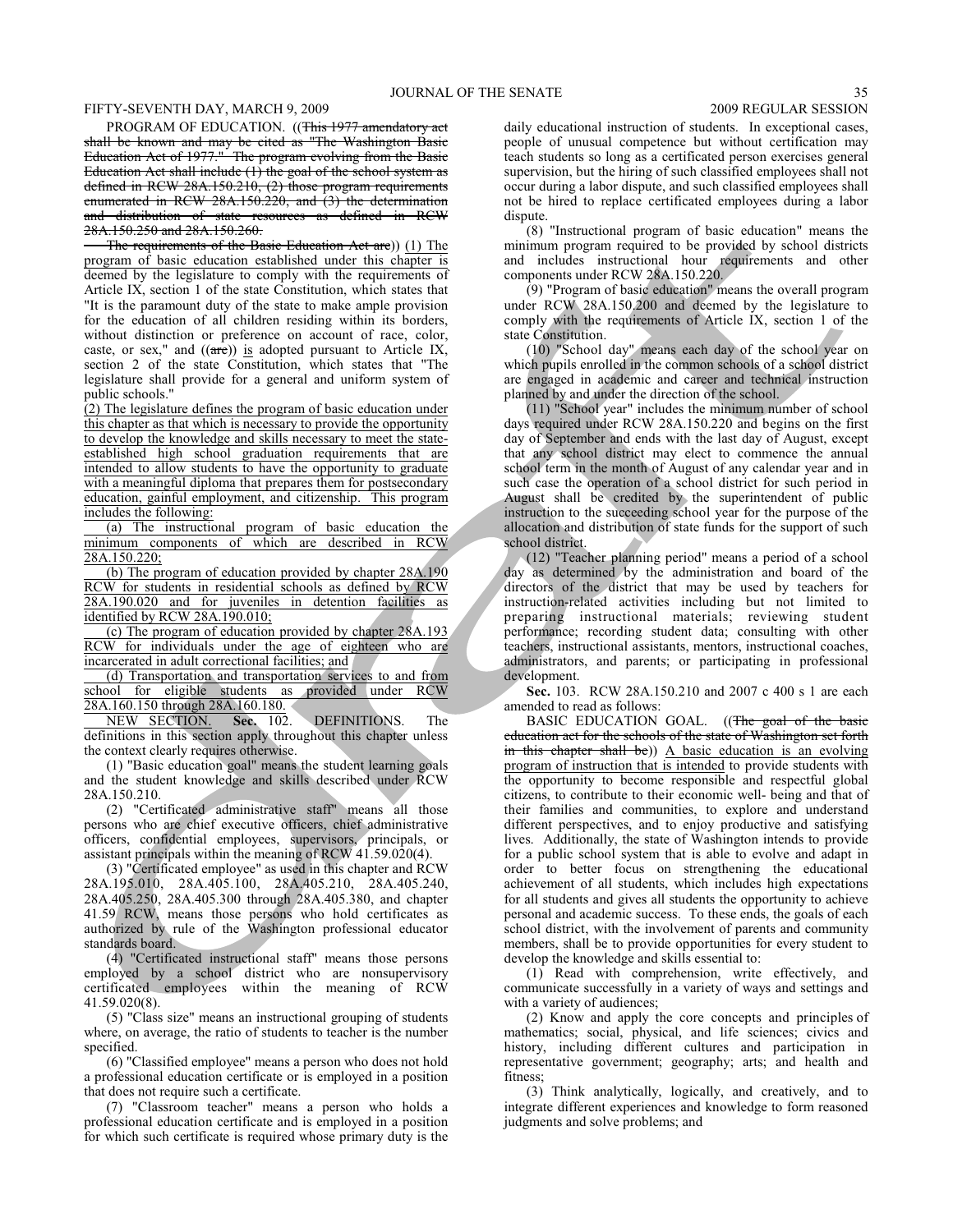PROGRAM OF EDUCATION. ((This 1977 amendatory act shall be known and may be cited as "The Washington Basic Education Act of 1977." The program evolving from the Basic Education Act shall include (1) the goal of the school system as defined in RCW 28A.150.210, (2) those program requirements enumerated in RCW 28A.150.220, and (3) the determination and distribution of state resources as defined in RCW 28A.150.250 and 28A.150.260.

The requirements of the Basic Education Act are)) (1) The program of basic education established under this chapter is deemed by the legislature to comply with the requirements of Article IX, section 1 of the state Constitution, which states that "It is the paramount duty of the state to make ample provision for the education of all children residing within its borders, without distinction or preference on account of race, color, caste, or sex," and  $((\text{are}))$  is adopted pursuant to Article IX, section 2 of the state Constitution, which states that "The legislature shall provide for a general and uniform system of public schools."

(2) The legislature defines the program of basic education under this chapter as that which is necessary to provide the opportunity to develop the knowledge and skills necessary to meet the stateestablished high school graduation requirements that are intended to allow students to have the opportunity to graduate with a meaningful diploma that prepares them for postsecondary education, gainful employment, and citizenship. This program includes the following:

(a) The instructional program of basic education the minimum components of which are described in RCW 28A.150.220;

(b) The program of education provided by chapter 28A.190 RCW for students in residential schools as defined by RCW 28A.190.020 and for juveniles in detention facilities as identified by RCW 28A.190.010;

(c) The program of education provided by chapter 28A.193 RCW for individuals under the age of eighteen who are incarcerated in adult correctional facilities; and

(d) Transportation and transportation services to and from school for eligible students as provided under RCW 28A.160.150 through 28A.160.180.

NEW SECTION. **Sec.** 102. DEFINITIONS. The definitions in this section apply throughout this chapter unless the context clearly requires otherwise.

(1) "Basic education goal" means the student learning goals and the student knowledge and skills described under RCW 28A.150.210.

(2) "Certificated administrative staff" means all those persons who are chief executive officers, chief administrative officers, confidential employees, supervisors, principals, or assistant principals within the meaning of RCW 41.59.020(4).

(3) "Certificated employee" as used in this chapter and RCW 28A.195.010, 28A.405.100, 28A.405.210, 28A.405.240, 28A.405.250, 28A.405.300 through 28A.405.380, and chapter 41.59 RCW, means those persons who hold certificates as authorized by rule of the Washington professional educator standards board.

(4) "Certificated instructional staff" means those persons employed by a school district who are nonsupervisory certificated employees within the meaning of RCW 41.59.020(8).

(5) "Class size" means an instructional grouping of students where, on average, the ratio of students to teacher is the number specified.

(6) "Classified employee" means a person who does not hold a professional education certificate or is employed in a position that does not require such a certificate.

(7) "Classroom teacher" means a person who holds a professional education certificate and is employed in a position for which such certificate is required whose primary duty is the daily educational instruction of students. In exceptional cases, people of unusual competence but without certification may teach students so long as a certificated person exercises general supervision, but the hiring of such classified employees shall not occur during a labor dispute, and such classified employees shall not be hired to replace certificated employees during a labor dispute.

(8) "Instructional program of basic education" means the minimum program required to be provided by school districts and includes instructional hour requirements and other components under RCW 28A.150.220.

(9) "Program of basic education" means the overall program under RCW 28A.150.200 and deemed by the legislature to comply with the requirements of Article IX, section 1 of the state Constitution.

(10) "School day" means each day of the school year on which pupils enrolled in the common schools of a school district are engaged in academic and career and technical instruction planned by and under the direction of the school.

(11) "School year" includes the minimum number of school days required under RCW 28A.150.220 and begins on the first day of September and ends with the last day of August, except that any school district may elect to commence the annual school term in the month of August of any calendar year and in such case the operation of a school district for such period in August shall be credited by the superintendent of public instruction to the succeeding school year for the purpose of the allocation and distribution of state funds for the support of such school district.

(12) "Teacher planning period" means a period of a school day as determined by the administration and board of the directors of the district that may be used by teachers for instruction-related activities including but not limited to preparing instructional materials; reviewing student performance; recording student data; consulting with other teachers, instructional assistants, mentors, instructional coaches, administrators, and parents; or participating in professional development.

**Sec.** 103. RCW 28A.150.210 and 2007 c 400 s 1 are each amended to read as follows:

BASIC EDUCATION GOAL. ((The goal of the basic education act for the schools of the state of Washington set forth in this chapter shall be)) A basic education is an evolving program of instruction that is intended to provide students with the opportunity to become responsible and respectful global citizens, to contribute to their economic well- being and that of their families and communities, to explore and understand different perspectives, and to enjoy productive and satisfying lives. Additionally, the state of Washington intends to provide for a public school system that is able to evolve and adapt in order to better focus on strengthening the educational achievement of all students, which includes high expectations for all students and gives all students the opportunity to achieve personal and academic success. To these ends, the goals of each school district, with the involvement of parents and community members, shall be to provide opportunities for every student to develop the knowledge and skills essential to:

(1) Read with comprehension, write effectively, and communicate successfully in a variety of ways and settings and with a variety of audiences;

(2) Know and apply the core concepts and principles of mathematics; social, physical, and life sciences; civics and history, including different cultures and participation in representative government; geography; arts; and health and fitness;

(3) Think analytically, logically, and creatively, and to integrate different experiences and knowledge to form reasoned judgments and solve problems; and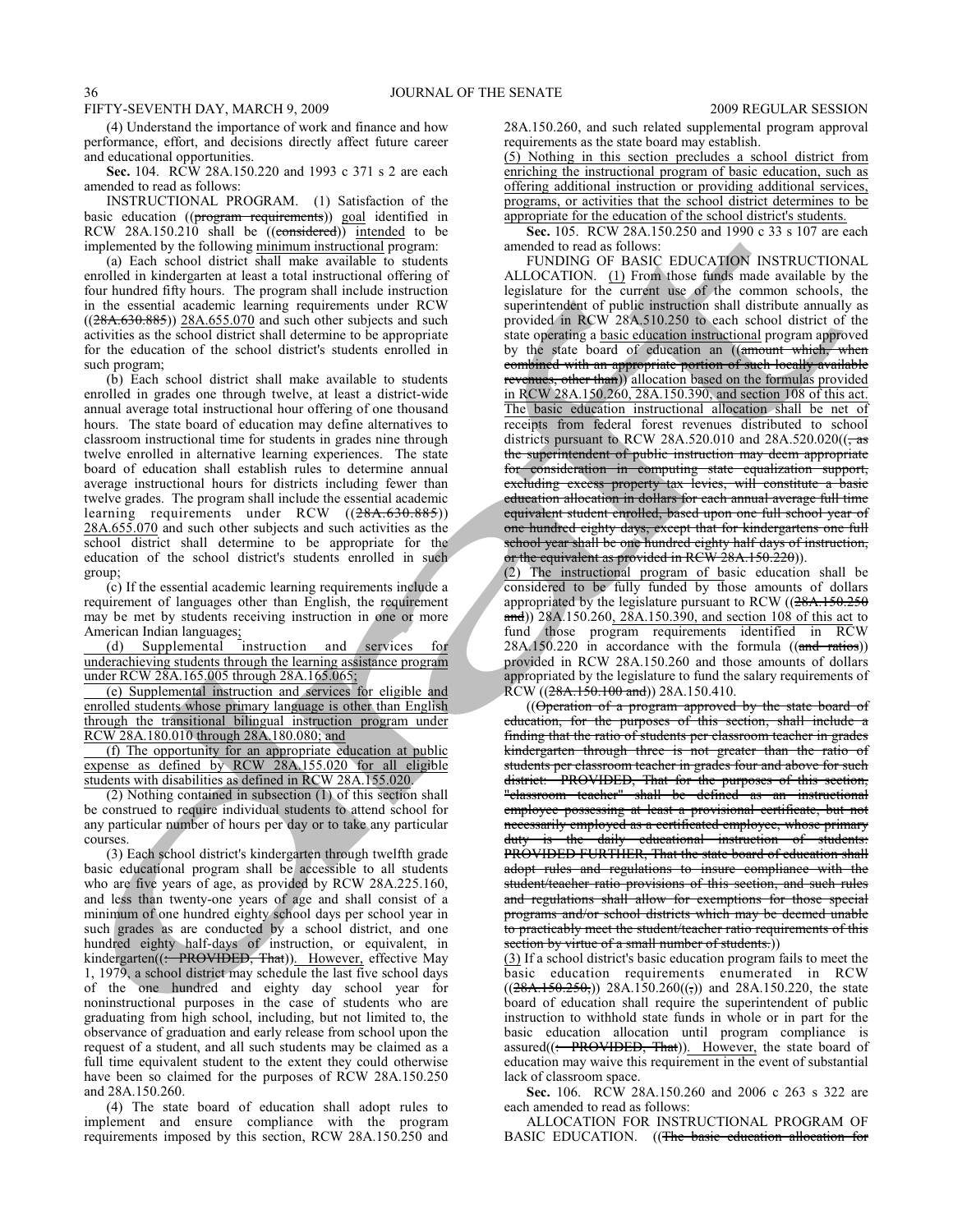(4) Understand the importance of work and finance and how performance, effort, and decisions directly affect future career and educational opportunities.

**Sec.** 104. RCW 28A.150.220 and 1993 c 371 s 2 are each amended to read as follows:

INSTRUCTIONAL PROGRAM. (1) Satisfaction of the basic education ((program requirements)) goal identified in RCW 28A.150.210 shall be  $((\text{considered}))$  intended to be implemented by the following minimum instructional program:

(a) Each school district shall make available to students enrolled in kindergarten at least a total instructional offering of four hundred fifty hours. The program shall include instruction in the essential academic learning requirements under RCW  $((28A.630.885))$  28A.655.070 and such other subjects and such activities as the school district shall determine to be appropriate for the education of the school district's students enrolled in such program;

(b) Each school district shall make available to students enrolled in grades one through twelve, at least a district-wide annual average total instructional hour offering of one thousand hours. The state board of education may define alternatives to classroom instructional time for students in grades nine through twelve enrolled in alternative learning experiences. The state board of education shall establish rules to determine annual average instructional hours for districts including fewer than twelve grades. The program shall include the essential academic learning requirements under RCW ((28A.630.885)) 28A.655.070 and such other subjects and such activities as the school district shall determine to be appropriate for the education of the school district's students enrolled in such group;

(c) If the essential academic learning requirements include a requirement of languages other than English, the requirement may be met by students receiving instruction in one or more American Indian languages;

(d) Supplemental instruction and services for underachieving students through the learning assistance program under RCW 28A.165.005 through 28A.165.065;

(e) Supplemental instruction and services for eligible and enrolled students whose primary language is other than English through the transitional bilingual instruction program under RCW 28A.180.010 through 28A.180.080; and

(f) The opportunity for an appropriate education at public expense as defined by RCW 28A.155.020 for all eligible students with disabilities as defined in RCW 28A.155.020.

(2) Nothing contained in subsection (1) of this section shall be construed to require individual students to attend school for any particular number of hours per day or to take any particular courses.

(3) Each school district's kindergarten through twelfth grade basic educational program shall be accessible to all students who are five years of age, as provided by RCW 28A.225.160, and less than twenty-one years of age and shall consist of a minimum of one hundred eighty school days per school year in such grades as are conducted by a school district, and one hundred eighty half-days of instruction, or equivalent, in kindergarten((<del>: PROVIDED, That</del>)). However, effective May 1, 1979, a school district may schedule the last five school days of the one hundred and eighty day school year for noninstructional purposes in the case of students who are graduating from high school, including, but not limited to, the observance of graduation and early release from school upon the request of a student, and all such students may be claimed as a full time equivalent student to the extent they could otherwise have been so claimed for the purposes of RCW 28A.150.250 and 28A.150.260.

(4) The state board of education shall adopt rules to implement and ensure compliance with the program requirements imposed by this section, RCW 28A.150.250 and 28A.150.260, and such related supplemental program approval requirements as the state board may establish.

(5) Nothing in this section precludes a school district from enriching the instructional program of basic education, such as offering additional instruction or providing additional services, programs, or activities that the school district determines to be appropriate for the education of the school district's students.

**Sec.** 105. RCW 28A.150.250 and 1990 c 33 s 107 are each amended to read as follows:

FUNDING OF BASIC EDUCATION INSTRUCTIONAL ALLOCATION. (1) From those funds made available by the legislature for the current use of the common schools, the superintendent of public instruction shall distribute annually as provided in RCW 28A.510.250 to each school district of the state operating a basic education instructional program approved by the state board of education an ((amount which, when combined with an appropriate portion of such locally available revenues, other than)) allocation based on the formulas provided in RCW 28A.150.260, 28A.150.390, and section 108 of this act. The basic education instructional allocation shall be net of receipts from federal forest revenues distributed to school districts pursuant to RCW 28A.520.010 and  $28A.520.020($ , as the superintendent of public instruction may deem appropriate for consideration in computing state equalization support, excluding excess property tax levies, will constitute a basic education allocation in dollars for each annual average full time equivalent student enrolled, based upon one full school year of one hundred eighty days, except that for kindergartens one full school year shall be one hundred eighty half days of instruction. or the equivalent as provided in RCW 28A.150.220)).

(2) The instructional program of basic education shall be considered to be fully funded by those amounts of dollars appropriated by the legislature pursuant to RCW  $((28A.150.250$  $\frac{\text{and}}{\text{and}}$ )) 28A.150.260, 28A.150.390, and section 108 of this act to fund those program requirements identified in RCW 28A.150.220 in accordance with the formula ((and ratios)) provided in RCW 28A.150.260 and those amounts of dollars appropriated by the legislature to fund the salary requirements of  $\widetilde{RCW}$  ((28A.150.100 and)) 28A.150.410.

((Operation of a program approved by the state board of education, for the purposes of this section, shall include a finding that the ratio of students per classroom teacher in grades kindergarten through three is not greater than the ratio of students per classroom teacher in grades four and above for such district: PROVIDED, That for the purposes of this section, "classroom teacher" shall be defined as an instructional employee possessing at least a provisional certificate, but not necessarily employed as a certificated employee, whose primary duty is the daily educational instruction of students: PROVIDED FURTHER, That the state board of education shall adopt rules and regulations to insure compliance with the student/teacher ratio provisions of this section, and such rules and regulations shall allow for exemptions for those special programs and/or school districts which may be deemed unable to practicably meet the student/teacher ratio requirements of this section by virtue of a small number of students.)

(3) If a school district's basic education program fails to meet the basic education requirements enumerated in RCW  $((28A.150.250))$  28A.150.260 $((,))$  and 28A.150.220, the state board of education shall require the superintendent of public instruction to withhold state funds in whole or in part for the basic education allocation until program compliance is assured $((: -PROVIDED, That))$ . However, the state board of education may waive this requirement in the event of substantial lack of classroom space.

**Sec.** 106. RCW 28A.150.260 and 2006 c 263 s 322 are each amended to read as follows:

ALLOCATION FOR INSTRUCTIONAL PROGRAM OF BASIC EDUCATION. ((The basic education allocation for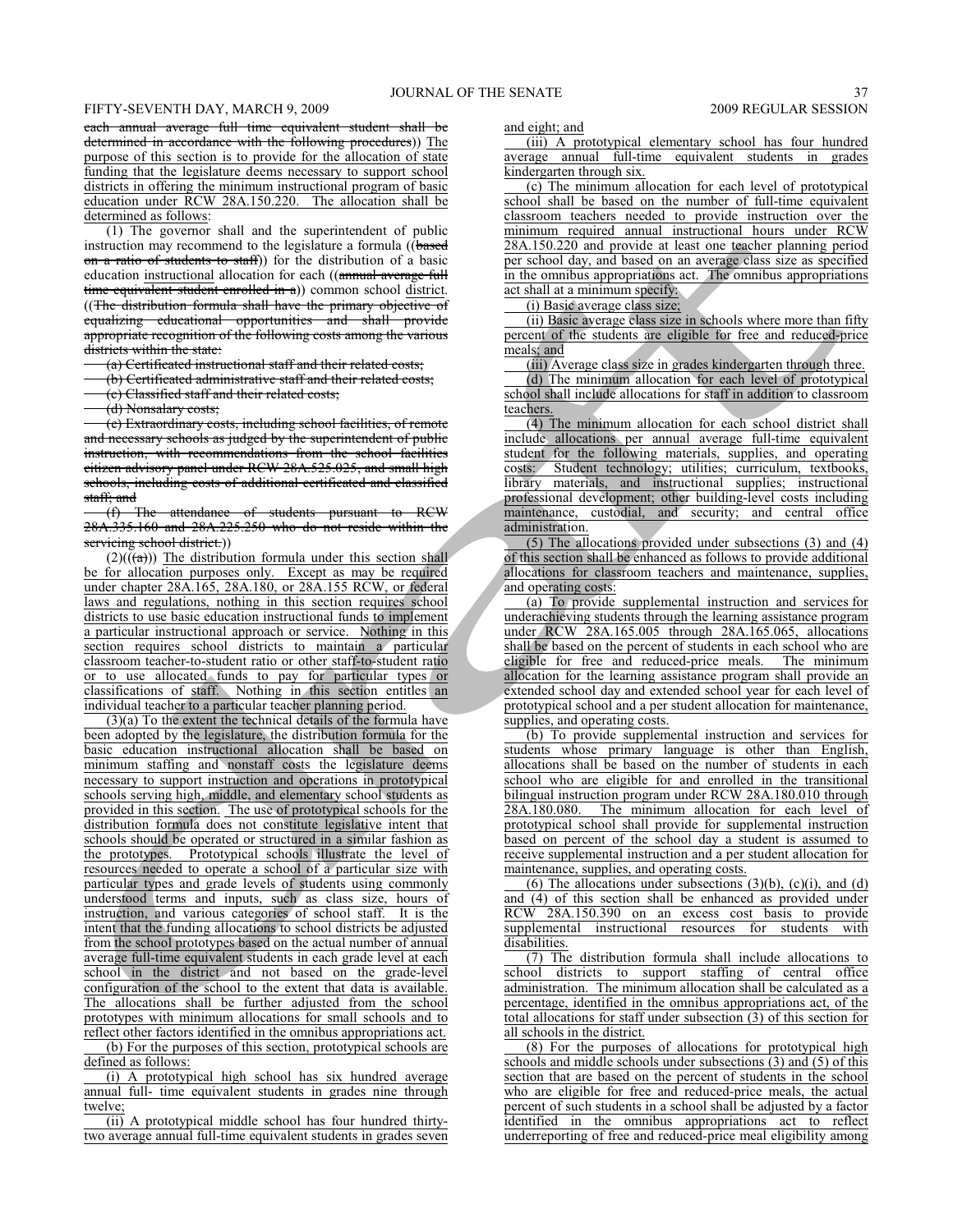each annual average full time equivalent student shall be determined in accordance with the following procedures)) The purpose of this section is to provide for the allocation of state funding that the legislature deems necessary to support school districts in offering the minimum instructional program of basic education under RCW 28A.150.220. The allocation shall be determined as follows:

(1) The governor shall and the superintendent of public instruction may recommend to the legislature a formula ((based on a ratio of students to staff)) for the distribution of a basic education instructional allocation for each ((annual average full time equivalent student enrolled in a)) common school district. ((The distribution formula shall have the primary objective of equalizing educational opportunities and shall provide appropriate recognition of the following costs among the various districts within the state:

(a) Certificated instructional staff and their related costs;

(b) Certificated administrative staff and their related costs;

(c) Classified staff and their related costs;

(d) Nonsalary costs;

(e) Extraordinary costs, including school facilities, of remote and necessary schools as judged by the superintendent of public instruction, with recommendations from the school facilities citizen advisory panel under RCW 28A.525.025, and small high schools, including costs of additional certificated and classified staff; and

(f) The attendance of students pursuant to RCW 28A.335.160 and 28A.225.250 who do not reside within the servicing school district.)

 $(2)((\alpha))$  The distribution formula under this section shall be for allocation purposes only. Except as may be required under chapter 28A.165, 28A.180, or 28A.155 RCW, or federal laws and regulations, nothing in this section requires school districts to use basic education instructional funds to implement a particular instructional approach or service. Nothing in this section requires school districts to maintain a particular classroom teacher-to-student ratio or other staff-to-student ratio or to use allocated funds to pay for particular types or classifications of staff. Nothing in this section entitles an individual teacher to a particular teacher planning period.

(3)(a) To the extent the technical details of the formula have been adopted by the legislature, the distribution formula for the basic education instructional allocation shall be based on minimum staffing and nonstaff costs the legislature deems necessary to support instruction and operations in prototypical schools serving high, middle, and elementary school students as provided in this section. The use of prototypical schools for the distribution formula does not constitute legislative intent that schools should be operated or structured in a similar fashion as<br>the prototypes. Prototypical schools illustrate the level of Prototypical schools illustrate the level of resources needed to operate a school of a particular size with particular types and grade levels of students using commonly understood terms and inputs, such as class size, hours of instruction, and various categories of school staff. It is the intent that the funding allocations to school districts be adjusted from the school prototypes based on the actual number of annual average full-time equivalent students in each grade level at each school in the district and not based on the grade-level configuration of the school to the extent that data is available. The allocations shall be further adjusted from the school prototypes with minimum allocations for small schools and to reflect other factors identified in the omnibus appropriations act.

(b) For the purposes of this section, prototypical schools are defined as follows:

(i) A prototypical high school has six hundred average annual full- time equivalent students in grades nine through twelve;

 $(iii)$  A prototypical middle school has four hundred thirtytwo average annual full-time equivalent students in grades seven and eight; and

(iii) A prototypical elementary school has four hundred average annual full-time equivalent students in grades kindergarten through six.

(c) The minimum allocation for each level of prototypical school shall be based on the number of full-time equivalent classroom teachers needed to provide instruction over the minimum required annual instructional hours under RCW 28A.150.220 and provide at least one teacher planning period per school day, and based on an average class size as specified in the omnibus appropriations act. The omnibus appropriations act shall at a minimum specify:

(i) Basic average class size;

(ii) Basic average class size in schools where more than fifty percent of the students are eligible for free and reduced-price meals; and

(iii) Average class size in grades kindergarten through three. (d) The minimum allocation for each level of prototypical school shall include allocations for staff in addition to classroom teachers.

(4) The minimum allocation for each school district shall include allocations per annual average full-time equivalent student for the following materials, supplies, and operating costs: Student technology; utilities; curriculum, textbooks, library materials, and instructional supplies; instructional professional development; other building-level costs including maintenance, custodial, and security; and central office administration.

(5) The allocations provided under subsections (3) and (4) of this section shall be enhanced as follows to provide additional allocations for classroom teachers and maintenance, supplies, and operating costs:

(a) To provide supplemental instruction and services for underachieving students through the learning assistance program under RCW 28A.165.005 through 28A.165.065, allocations shall be based on the percent of students in each school who are eligible for free and reduced-price meals. The minimum allocation for the learning assistance program shall provide an extended school day and extended school year for each level of prototypical school and a per student allocation for maintenance, supplies, and operating costs.

(b) To provide supplemental instruction and services for students whose primary language is other than English, allocations shall be based on the number of students in each school who are eligible for and enrolled in the transitional bilingual instruction program under RCW 28A.180.010 through 28A.180.080. The minimum allocation for each level of prototypical school shall provide for supplemental instruction based on percent of the school day a student is assumed to receive supplemental instruction and a per student allocation for maintenance, supplies, and operating costs.

(6) The allocations under subsections  $(3)(b)$ ,  $(c)(i)$ , and  $(d)$ and (4) of this section shall be enhanced as provided under RCW 28A.150.390 on an excess cost basis to provide supplemental instructional resources for students with disabilities.

(7) The distribution formula shall include allocations to school districts to support staffing of central office administration. The minimum allocation shall be calculated as a percentage, identified in the omnibus appropriations act, of the total allocations for staff under subsection (3) of this section for all schools in the district.

(8) For the purposes of allocations for prototypical high schools and middle schools under subsections (3) and (5) of this section that are based on the percent of students in the school who are eligible for free and reduced-price meals, the actual percent of such students in a school shall be adjusted by a factor identified in the omnibus appropriations act to reflect underreporting of free and reduced-price meal eligibility among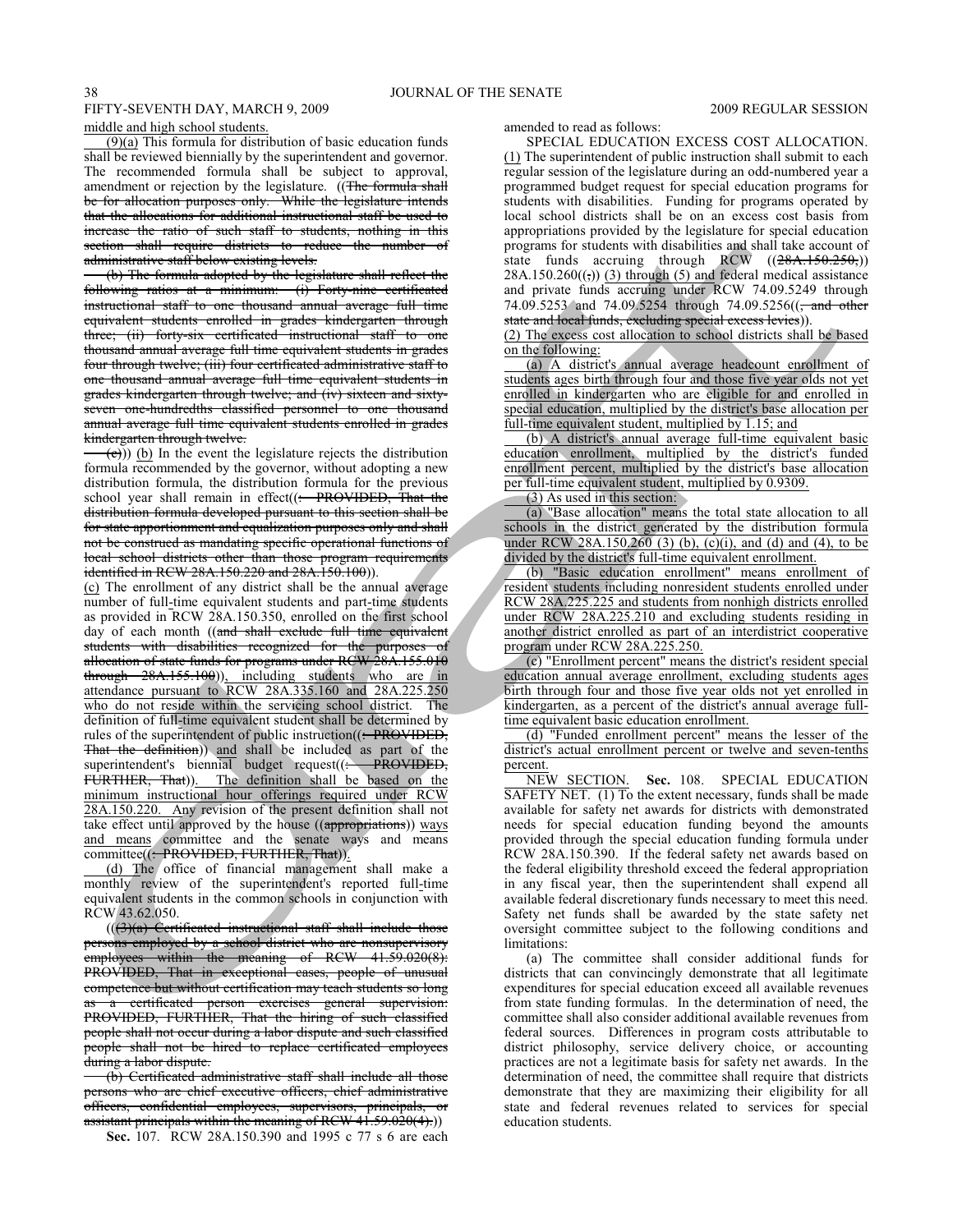# middle and high school students.

 $(9)(a)$  This formula for distribution of basic education funds shall be reviewed biennially by the superintendent and governor. The recommended formula shall be subject to approval, amendment or rejection by the legislature. ((The formula shall be for allocation purposes only. While the legislature intends that the allocations for additional instructional staff be used to increase the ratio of such staff to students, nothing in this section shall require districts to reduce the number of administrative staff below existing levels.

(b) The formula adopted by the legislature shall reflect the following ratios at a minimum: (i) Forty-nine certificated instructional staff to one thousand annual average full time equivalent students enrolled in grades kindergarten through three; (ii) forty-six certificated instructional staff to one thousand annual average full time equivalent students in grades four through twelve; (iii) four certificated administrative staff to one thousand annual average full time equivalent students in grades kindergarten through twelve; and (iv) sixteen and sixtyseven one-hundredths classified personnel to one thousand annual average full time equivalent students enrolled in grades kindergarten through twelve.

 $\overline{(e)}$ ) (b) In the event the legislature rejects the distribution formula recommended by the governor, without adopting a new distribution formula, the distribution formula for the previous school year shall remain in effect $((\div$  PROVIDED, That the distribution formula developed pursuant to this section shall be for state apportionment and equalization purposes only and shall not be construed as mandating specific operational functions of local school districts other than those program requirements identified in RCW 28A.150.220 and 28A.150.100)).

(c) The enrollment of any district shall be the annual average number of full-time equivalent students and part-time students as provided in RCW 28A.150.350, enrolled on the first school day of each month ((and shall exclude full time equivalent students with disabilities recognized for the purposes of allocation of state funds for programs under RCW 28A.155.010 through 28A.155.100)), including students who are in attendance pursuant to RCW 28A.335.160 and 28A.225.250 who do not reside within the servicing school district. The definition of full-time equivalent student shall be determined by rules of the superintendent of public instruction((: PROVIDED, That the definition)) and shall be included as part of the superintendent's biennial budget request((: PROVIDED, FURTHER, That)). The definition shall be based on the minimum instructional hour offerings required under RCW 28A.150.220. Any revision of the present definition shall not take effect until approved by the house ((appropriations)) ways and means committee and the senate ways and means committee((: PROVIDED, FURTHER, That)).

(d) The office of financial management shall make a monthly review of the superintendent's reported full-time equivalent students in the common schools in conjunction with RCW 43.62.050.

 $((3)(a)$  Certificated instructional staff shall include those persons employed by a school district who are nonsupervisory employees within the meaning of RCW 41.59.020(8): PROVIDED, That in exceptional cases, people of unusual competence but without certification may teach students so long as a certificated person exercises general supervision: PROVIDED, FURTHER, That the hiring of such classified people shall not occur during a labor dispute and such classified people shall not be hired to replace certificated employees during a labor dispute.

(b) Certificated administrative staff shall include all those persons who are chief executive officers, chief administrative officers, confidential employees, supervisors, principals, or assistant principals within the meaning of RCW  $41.59.020(4)$ .)

**Sec.** 107. RCW 28A.150.390 and 1995 c 77 s 6 are each

amended to read as follows:

SPECIAL EDUCATION EXCESS COST ALLOCATION. (1) The superintendent of public instruction shall submit to each regular session of the legislature during an odd-numbered year a programmed budget request for special education programs for students with disabilities. Funding for programs operated by local school districts shall be on an excess cost basis from appropriations provided by the legislature for special education programs for students with disabilities and shall take account of state funds accruing through  $RCW$   $((28A.150.250))$  $28A.150.260(())$  (3) through (5) and federal medical assistance and private funds accruing under RCW 74.09.5249 through 74.09.5253 and 74.09.5254 through 74.09.5256((<del>, and other</del> state and local funds, excluding special excess levies)).

(2) The excess cost allocation to school districts shall be based on the following:

(a) A district's annual average headcount enrollment of students ages birth through four and those five year olds not yet enrolled in kindergarten who are eligible for and enrolled in special education, multiplied by the district's base allocation per full-time equivalent student, multiplied by 1.15; and

(b) A district's annual average full-time equivalent basic education enrollment, multiplied by the district's funded enrollment percent, multiplied by the district's base allocation per full-time equivalent student, multiplied by 0.9309.

# (3) As used in this section:

(a) "Base allocation" means the total state allocation to all schools in the district generated by the distribution formula under RCW 28A.150.260 (3) (b), (c)(i), and (d) and (4), to be divided by the district's full-time equivalent enrollment.

(b) "Basic education enrollment" means enrollment of resident students including nonresident students enrolled under RCW 28A.225.225 and students from nonhigh districts enrolled under RCW 28A.225.210 and excluding students residing in another district enrolled as part of an interdistrict cooperative program under RCW 28A.225.250.

(c) "Enrollment percent" means the district's resident special education annual average enrollment, excluding students ages birth through four and those five year olds not yet enrolled in kindergarten, as a percent of the district's annual average fulltime equivalent basic education enrollment.

(d) "Funded enrollment percent" means the lesser of the district's actual enrollment percent or twelve and seven-tenths percent.

NEW SECTION. **Sec.** 108. SPECIAL EDUCATION SAFETY NET. (1) To the extent necessary, funds shall be made available for safety net awards for districts with demonstrated needs for special education funding beyond the amounts provided through the special education funding formula under RCW 28A.150.390. If the federal safety net awards based on the federal eligibility threshold exceed the federal appropriation in any fiscal year, then the superintendent shall expend all available federal discretionary funds necessary to meet this need. Safety net funds shall be awarded by the state safety net oversight committee subject to the following conditions and limitations:

(a) The committee shall consider additional funds for districts that can convincingly demonstrate that all legitimate expenditures for special education exceed all available revenues from state funding formulas. In the determination of need, the committee shall also consider additional available revenues from federal sources. Differences in program costs attributable to district philosophy, service delivery choice, or accounting practices are not a legitimate basis for safety net awards. In the determination of need, the committee shall require that districts demonstrate that they are maximizing their eligibility for all state and federal revenues related to services for special education students.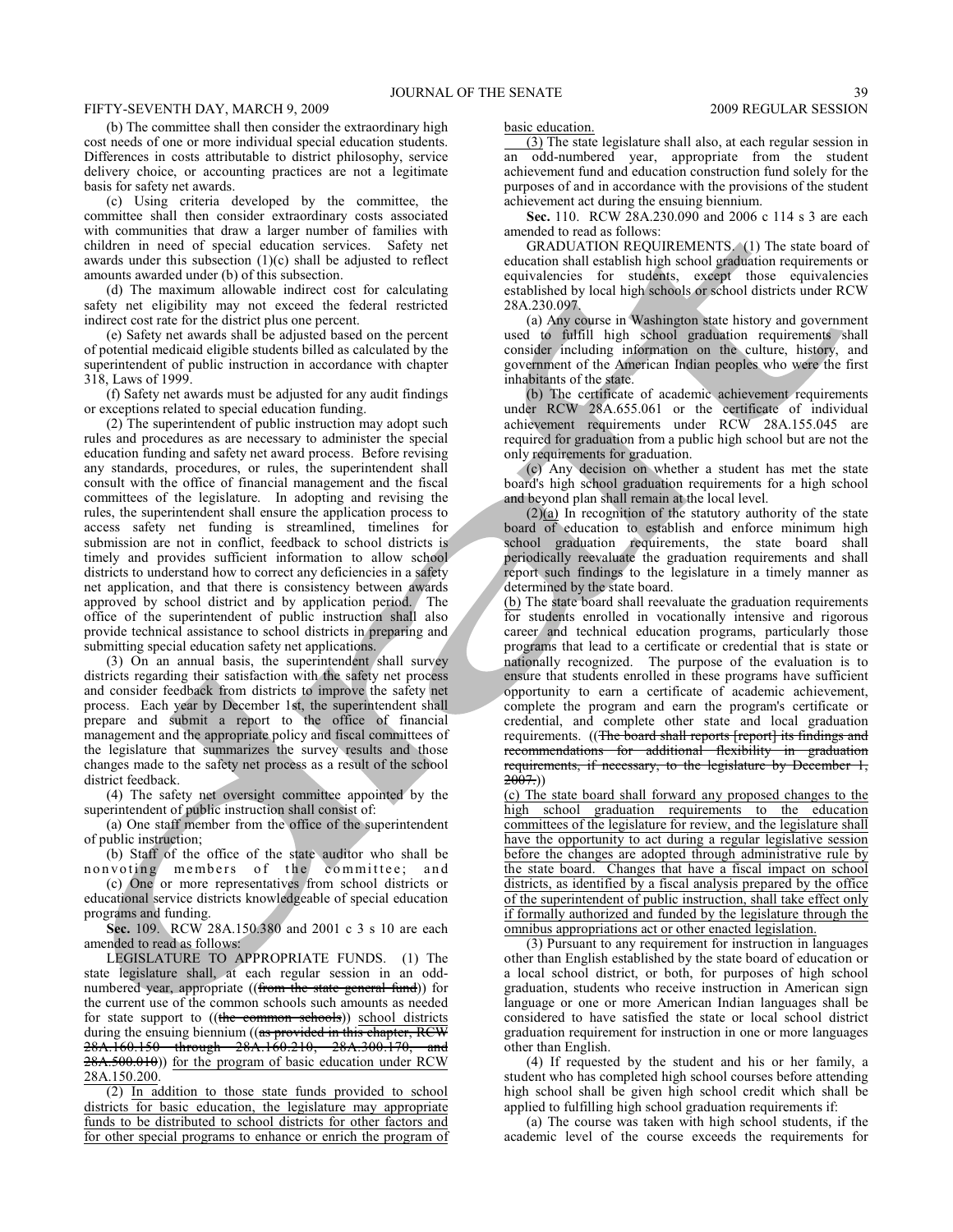(b) The committee shall then consider the extraordinary high cost needs of one or more individual special education students. Differences in costs attributable to district philosophy, service delivery choice, or accounting practices are not a legitimate basis for safety net awards.

(c) Using criteria developed by the committee, the committee shall then consider extraordinary costs associated with communities that draw a larger number of families with children in need of special education services. Safety net awards under this subsection (1)(c) shall be adjusted to reflect amounts awarded under (b) of this subsection.

(d) The maximum allowable indirect cost for calculating safety net eligibility may not exceed the federal restricted indirect cost rate for the district plus one percent.

(e) Safety net awards shall be adjusted based on the percent of potential medicaid eligible students billed as calculated by the superintendent of public instruction in accordance with chapter 318, Laws of 1999.

(f) Safety net awards must be adjusted for any audit findings or exceptions related to special education funding.

(2) The superintendent of public instruction may adopt such rules and procedures as are necessary to administer the special education funding and safety net award process. Before revising any standards, procedures, or rules, the superintendent shall consult with the office of financial management and the fiscal committees of the legislature. In adopting and revising the rules, the superintendent shall ensure the application process to access safety net funding is streamlined, timelines for submission are not in conflict, feedback to school districts is timely and provides sufficient information to allow school districts to understand how to correct any deficiencies in a safety net application, and that there is consistency between awards approved by school district and by application period. The office of the superintendent of public instruction shall also provide technical assistance to school districts in preparing and submitting special education safety net applications.

(3) On an annual basis, the superintendent shall survey districts regarding their satisfaction with the safety net process and consider feedback from districts to improve the safety net process. Each year by December 1st, the superintendent shall prepare and submit a report to the office of financial management and the appropriate policy and fiscal committees of the legislature that summarizes the survey results and those changes made to the safety net process as a result of the school district feedback.

(4) The safety net oversight committee appointed by the superintendent of public instruction shall consist of:

(a) One staff member from the office of the superintendent of public instruction;

(b) Staff of the office of the state auditor who shall be nonvoting members of the committee; and

(c) One or more representatives from school districts or educational service districts knowledgeable of special education programs and funding.

**Sec.** 109. RCW 28A.150.380 and 2001 c 3 s 10 are each amended to read as follows:

LEGISLATURE TO APPROPRIATE FUNDS. (1) The state legislature shall, at each regular session in an oddnumbered year, appropriate ((from the state general fund)) for the current use of the common schools such amounts as needed for state support to ((the common schools)) school districts during the ensuing biennium ((as provided in this chapter, RCW 28A.160.150 through 28A.160.210, 28A.300.170, and 28A.500.010)) for the program of basic education under RCW 28A.150.200.

(2) In addition to those state funds provided to school districts for basic education, the legislature may appropriate funds to be distributed to school districts for other factors and for other special programs to enhance or enrich the program of basic education.

(3) The state legislature shall also, at each regular session in an odd-numbered year, appropriate from the student achievement fund and education construction fund solely for the purposes of and in accordance with the provisions of the student achievement act during the ensuing biennium.

**Sec.** 110. RCW 28A.230.090 and 2006 c 114 s 3 are each amended to read as follows:

GRADUATION REQUIREMENTS. (1) The state board of education shall establish high school graduation requirements or equivalencies for students, except those equivalencies established by local high schools or school districts under RCW 28A.230.097.

(a) Any course in Washington state history and government used to fulfill high school graduation requirements shall consider including information on the culture, history, and government of the American Indian peoples who were the first inhabitants of the state.

(b) The certificate of academic achievement requirements under RCW 28A.655.061 or the certificate of individual achievement requirements under RCW 28A.155.045 are required for graduation from a public high school but are not the only requirements for graduation.

(c) Any decision on whether a student has met the state board's high school graduation requirements for a high school and beyond plan shall remain at the local level.

 $(2)(a)$  In recognition of the statutory authority of the state board of education to establish and enforce minimum high school graduation requirements, the state board shall periodically reevaluate the graduation requirements and shall report such findings to the legislature in a timely manner as determined by the state board.

(b) The state board shall reevaluate the graduation requirements for students enrolled in vocationally intensive and rigorous career and technical education programs, particularly those programs that lead to a certificate or credential that is state or nationally recognized. The purpose of the evaluation is to ensure that students enrolled in these programs have sufficient opportunity to earn a certificate of academic achievement, complete the program and earn the program's certificate or credential, and complete other state and local graduation requirements. ((The board shall reports [report] its findings and recommendations for additional flexibility in graduation requirements, if necessary, to the legislature by December 1,  $2007)$ 

(c) The state board shall forward any proposed changes to the high school graduation requirements to the education committees of the legislature for review, and the legislature shall have the opportunity to act during a regular legislative session before the changes are adopted through administrative rule by the state board. Changes that have a fiscal impact on school districts, as identified by a fiscal analysis prepared by the office of the superintendent of public instruction, shall take effect only if formally authorized and funded by the legislature through the omnibus appropriations act or other enacted legislation.

(3) Pursuant to any requirement for instruction in languages other than English established by the state board of education or a local school district, or both, for purposes of high school graduation, students who receive instruction in American sign language or one or more American Indian languages shall be considered to have satisfied the state or local school district graduation requirement for instruction in one or more languages other than English.

(4) If requested by the student and his or her family, a student who has completed high school courses before attending high school shall be given high school credit which shall be applied to fulfilling high school graduation requirements if:

(a) The course was taken with high school students, if the academic level of the course exceeds the requirements for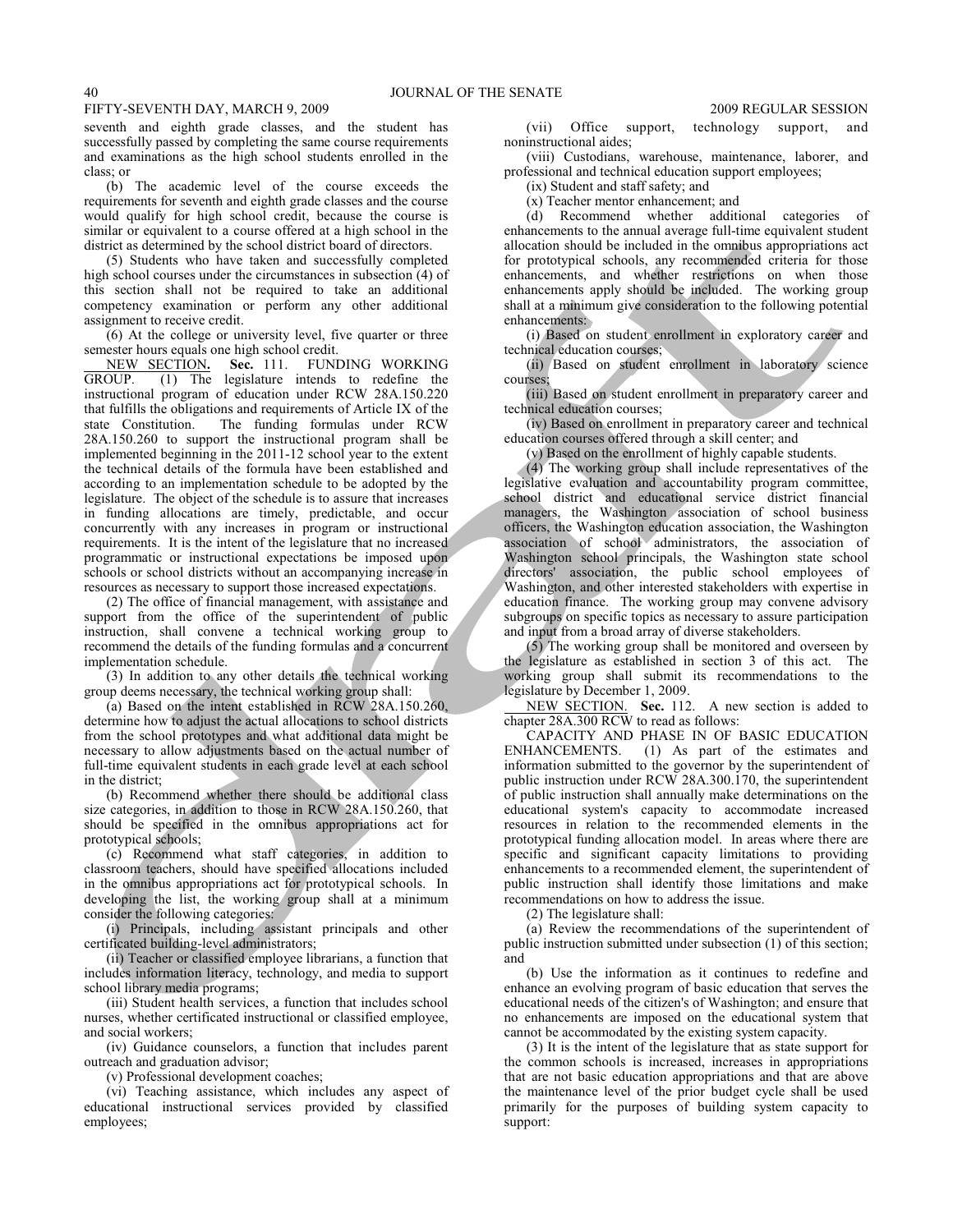seventh and eighth grade classes, and the student has successfully passed by completing the same course requirements and examinations as the high school students enrolled in the class; or

(b) The academic level of the course exceeds the requirements for seventh and eighth grade classes and the course would qualify for high school credit, because the course is similar or equivalent to a course offered at a high school in the district as determined by the school district board of directors.

(5) Students who have taken and successfully completed high school courses under the circumstances in subsection (4) of this section shall not be required to take an additional competency examination or perform any other additional assignment to receive credit.

(6) At the college or university level, five quarter or three semester hours equals one high school credit.

NEW SECTION**. Sec.** 111. FUNDING WORKING  $(1)$  The legislature intends to redefine the instructional program of education under RCW 28A.150.220 that fulfills the obligations and requirements of Article IX of the state Constitution. The funding formulas under RCW 28A.150.260 to support the instructional program shall be implemented beginning in the 2011-12 school year to the extent the technical details of the formula have been established and according to an implementation schedule to be adopted by the legislature. The object of the schedule is to assure that increases in funding allocations are timely, predictable, and occur concurrently with any increases in program or instructional requirements. It is the intent of the legislature that no increased programmatic or instructional expectations be imposed upon schools or school districts without an accompanying increase in resources as necessary to support those increased expectations.

(2) The office of financial management, with assistance and support from the office of the superintendent of public instruction, shall convene a technical working group to recommend the details of the funding formulas and a concurrent implementation schedule.

(3) In addition to any other details the technical working group deems necessary, the technical working group shall:

(a) Based on the intent established in RCW 28A.150.260, determine how to adjust the actual allocations to school districts from the school prototypes and what additional data might be necessary to allow adjustments based on the actual number of full-time equivalent students in each grade level at each school in the district;

(b) Recommend whether there should be additional class size categories, in addition to those in RCW 28A.150.260, that should be specified in the omnibus appropriations act for prototypical schools;

(c) Recommend what staff categories, in addition to classroom teachers, should have specified allocations included in the omnibus appropriations act for prototypical schools. In developing the list, the working group shall at a minimum consider the following categories:

(i) Principals, including assistant principals and other certificated building-level administrators;

(ii) Teacher or classified employee librarians, a function that includes information literacy, technology, and media to support school library media programs;

(iii) Student health services, a function that includes school nurses, whether certificated instructional or classified employee, and social workers;

(iv) Guidance counselors, a function that includes parent outreach and graduation advisor;

(v) Professional development coaches;

(vi) Teaching assistance, which includes any aspect of educational instructional services provided by classified employees;

(vii) Office support, technology support, and noninstructional aides;

(viii) Custodians, warehouse, maintenance, laborer, and professional and technical education support employees;

(ix) Student and staff safety; and

(x) Teacher mentor enhancement; and

(d) Recommend whether additional categories of enhancements to the annual average full-time equivalent student allocation should be included in the omnibus appropriations act for prototypical schools, any recommended criteria for those enhancements, and whether restrictions on when those enhancements apply should be included. The working group shall at a minimum give consideration to the following potential enhancements:

(i) Based on student enrollment in exploratory career and technical education courses;

(ii) Based on student enrollment in laboratory science courses;

(iii) Based on student enrollment in preparatory career and technical education courses;

(iv) Based on enrollment in preparatory career and technical education courses offered through a skill center; and

(v) Based on the enrollment of highly capable students.

(4) The working group shall include representatives of the legislative evaluation and accountability program committee, school district and educational service district financial managers, the Washington association of school business officers, the Washington education association, the Washington association of school administrators, the association of Washington school principals, the Washington state school directors' association, the public school employees of Washington, and other interested stakeholders with expertise in education finance. The working group may convene advisory subgroups on specific topics as necessary to assure participation and input from a broad array of diverse stakeholders.

(5) The working group shall be monitored and overseen by the legislature as established in section 3 of this act. The working group shall submit its recommendations to the legislature by December 1, 2009.

NEW SECTION. **Sec.** 112. A new section is added to chapter 28A.300 RCW to read as follows:

CAPACITY AND PHASE IN OF BASIC EDUCATION<br>ENHANCEMENTS. (1) As part of the estimates and (1) As part of the estimates and information submitted to the governor by the superintendent of public instruction under RCW 28A.300.170, the superintendent of public instruction shall annually make determinations on the educational system's capacity to accommodate increased resources in relation to the recommended elements in the prototypical funding allocation model. In areas where there are specific and significant capacity limitations to providing enhancements to a recommended element, the superintendent of public instruction shall identify those limitations and make recommendations on how to address the issue.

(2) The legislature shall:

(a) Review the recommendations of the superintendent of public instruction submitted under subsection (1) of this section; and

(b) Use the information as it continues to redefine and enhance an evolving program of basic education that serves the educational needs of the citizen's of Washington; and ensure that no enhancements are imposed on the educational system that cannot be accommodated by the existing system capacity.

(3) It is the intent of the legislature that as state support for the common schools is increased, increases in appropriations that are not basic education appropriations and that are above the maintenance level of the prior budget cycle shall be used primarily for the purposes of building system capacity to support:

40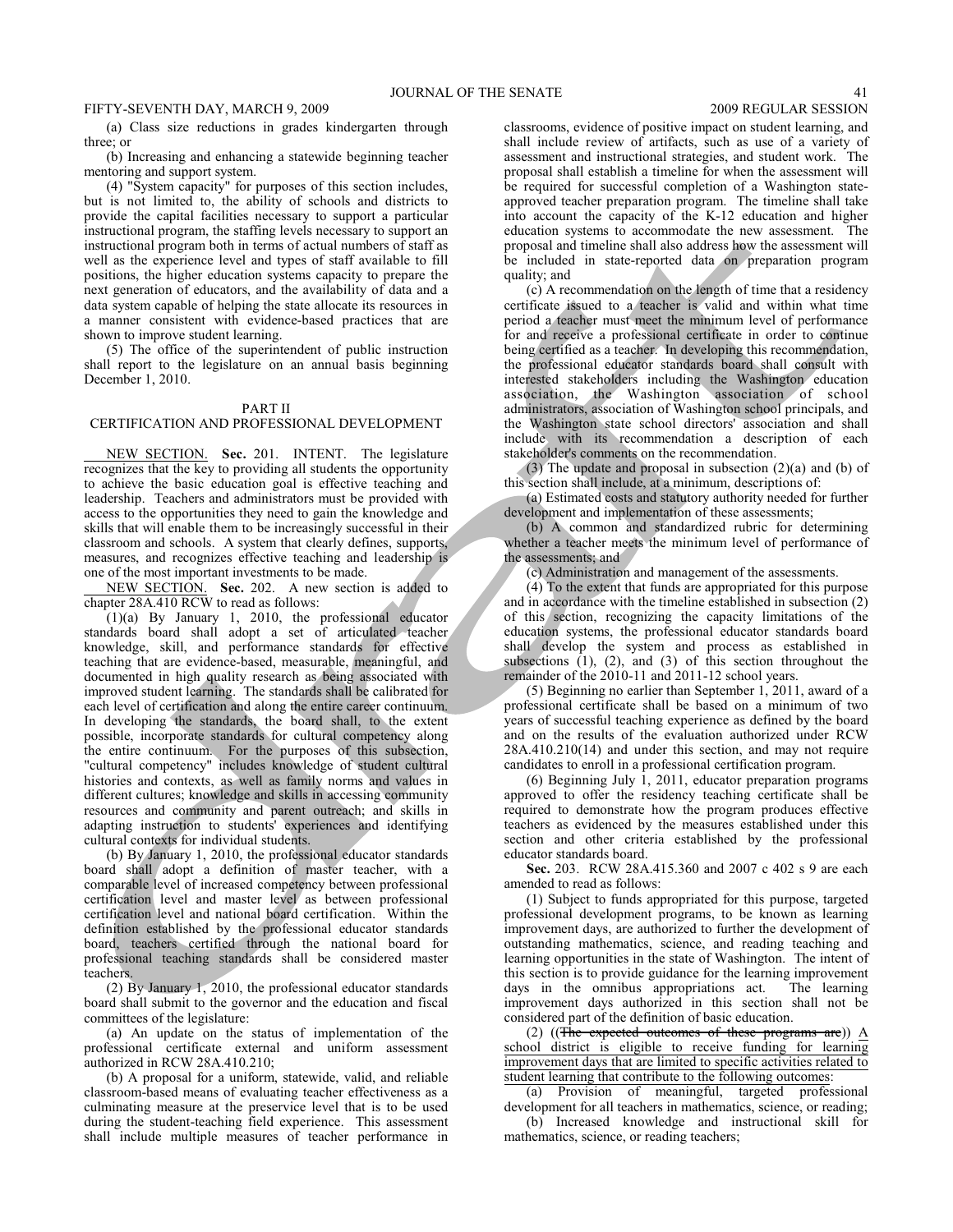(a) Class size reductions in grades kindergarten through three; or

(b) Increasing and enhancing a statewide beginning teacher mentoring and support system.

(4) "System capacity" for purposes of this section includes, but is not limited to, the ability of schools and districts to provide the capital facilities necessary to support a particular instructional program, the staffing levels necessary to support an instructional program both in terms of actual numbers of staff as well as the experience level and types of staff available to fill positions, the higher education systems capacity to prepare the next generation of educators, and the availability of data and a data system capable of helping the state allocate its resources in a manner consistent with evidence-based practices that are shown to improve student learning.

(5) The office of the superintendent of public instruction shall report to the legislature on an annual basis beginning December 1, 2010.

# PART II

# CERTIFICATION AND PROFESSIONAL DEVELOPMENT

NEW SECTION. **Sec.** 201. INTENT. The legislature recognizes that the key to providing all students the opportunity to achieve the basic education goal is effective teaching and leadership. Teachers and administrators must be provided with access to the opportunities they need to gain the knowledge and skills that will enable them to be increasingly successful in their classroom and schools. A system that clearly defines, supports, measures, and recognizes effective teaching and leadership is one of the most important investments to be made.

NEW SECTION. **Sec.** 202. A new section is added to chapter 28A.410 RCW to read as follows:

(1)(a) By January 1, 2010, the professional educator standards board shall adopt a set of articulated teacher knowledge, skill, and performance standards for effective teaching that are evidence-based, measurable, meaningful, and documented in high quality research as being associated with improved student learning. The standards shall be calibrated for each level of certification and along the entire career continuum. In developing the standards, the board shall, to the extent possible, incorporate standards for cultural competency along the entire continuum. For the purposes of this subsection, "cultural competency" includes knowledge of student cultural histories and contexts, as well as family norms and values in different cultures; knowledge and skills in accessing community resources and community and parent outreach; and skills in adapting instruction to students' experiences and identifying cultural contexts for individual students.

(b) By January 1, 2010, the professional educator standards board shall adopt a definition of master teacher, with a comparable level of increased competency between professional certification level and master level as between professional certification level and national board certification. Within the definition established by the professional educator standards board, teachers certified through the national board for professional teaching standards shall be considered master teachers.

(2) By January 1, 2010, the professional educator standards board shall submit to the governor and the education and fiscal committees of the legislature:

(a) An update on the status of implementation of the professional certificate external and uniform assessment authorized in RCW 28A.410.210;

(b) A proposal for a uniform, statewide, valid, and reliable classroom-based means of evaluating teacher effectiveness as a culminating measure at the preservice level that is to be used during the student-teaching field experience. This assessment shall include multiple measures of teacher performance in classrooms, evidence of positive impact on student learning, and shall include review of artifacts, such as use of a variety of assessment and instructional strategies, and student work. The proposal shall establish a timeline for when the assessment will be required for successful completion of a Washington stateapproved teacher preparation program. The timeline shall take into account the capacity of the K-12 education and higher education systems to accommodate the new assessment. The proposal and timeline shall also address how the assessment will be included in state-reported data on preparation program quality; and

(c) A recommendation on the length of time that a residency certificate issued to a teacher is valid and within what time period a teacher must meet the minimum level of performance for and receive a professional certificate in order to continue being certified as a teacher. In developing this recommendation, the professional educator standards board shall consult with interested stakeholders including the Washington education association, the Washington association of school administrators, association of Washington school principals, and the Washington state school directors' association and shall include with its recommendation a description of each stakeholder's comments on the recommendation.

(3) The update and proposal in subsection  $(2)(a)$  and  $(b)$  of this section shall include, at a minimum, descriptions of:

(a) Estimated costs and statutory authority needed for further development and implementation of these assessments;

(b) A common and standardized rubric for determining whether a teacher meets the minimum level of performance of the assessments; and

(c) Administration and management of the assessments.

(4) To the extent that funds are appropriated for this purpose and in accordance with the timeline established in subsection (2) of this section, recognizing the capacity limitations of the education systems, the professional educator standards board shall develop the system and process as established in subsections  $(1)$ ,  $(2)$ , and  $(3)$  of this section throughout the remainder of the 2010-11 and 2011-12 school years.

(5) Beginning no earlier than September 1, 2011, award of a professional certificate shall be based on a minimum of two years of successful teaching experience as defined by the board and on the results of the evaluation authorized under RCW 28A.410.210(14) and under this section, and may not require candidates to enroll in a professional certification program.

(6) Beginning July 1, 2011, educator preparation programs approved to offer the residency teaching certificate shall be required to demonstrate how the program produces effective teachers as evidenced by the measures established under this section and other criteria established by the professional educator standards board.

**Sec.** 203. RCW 28A.415.360 and 2007 c 402 s 9 are each amended to read as follows:

(1) Subject to funds appropriated for this purpose, targeted professional development programs, to be known as learning improvement days, are authorized to further the development of outstanding mathematics, science, and reading teaching and learning opportunities in the state of Washington. The intent of this section is to provide guidance for the learning improvement days in the omnibus appropriations act. The learning improvement days authorized in this section shall not be considered part of the definition of basic education.

(2) ((The expected outcomes of these programs are)) A school district is eligible to receive funding for learning improvement days that are limited to specific activities related to student learning that contribute to the following outcomes:

(a) Provision of meaningful, targeted professional development for all teachers in mathematics, science, or reading;

(b) Increased knowledge and instructional skill for mathematics, science, or reading teachers;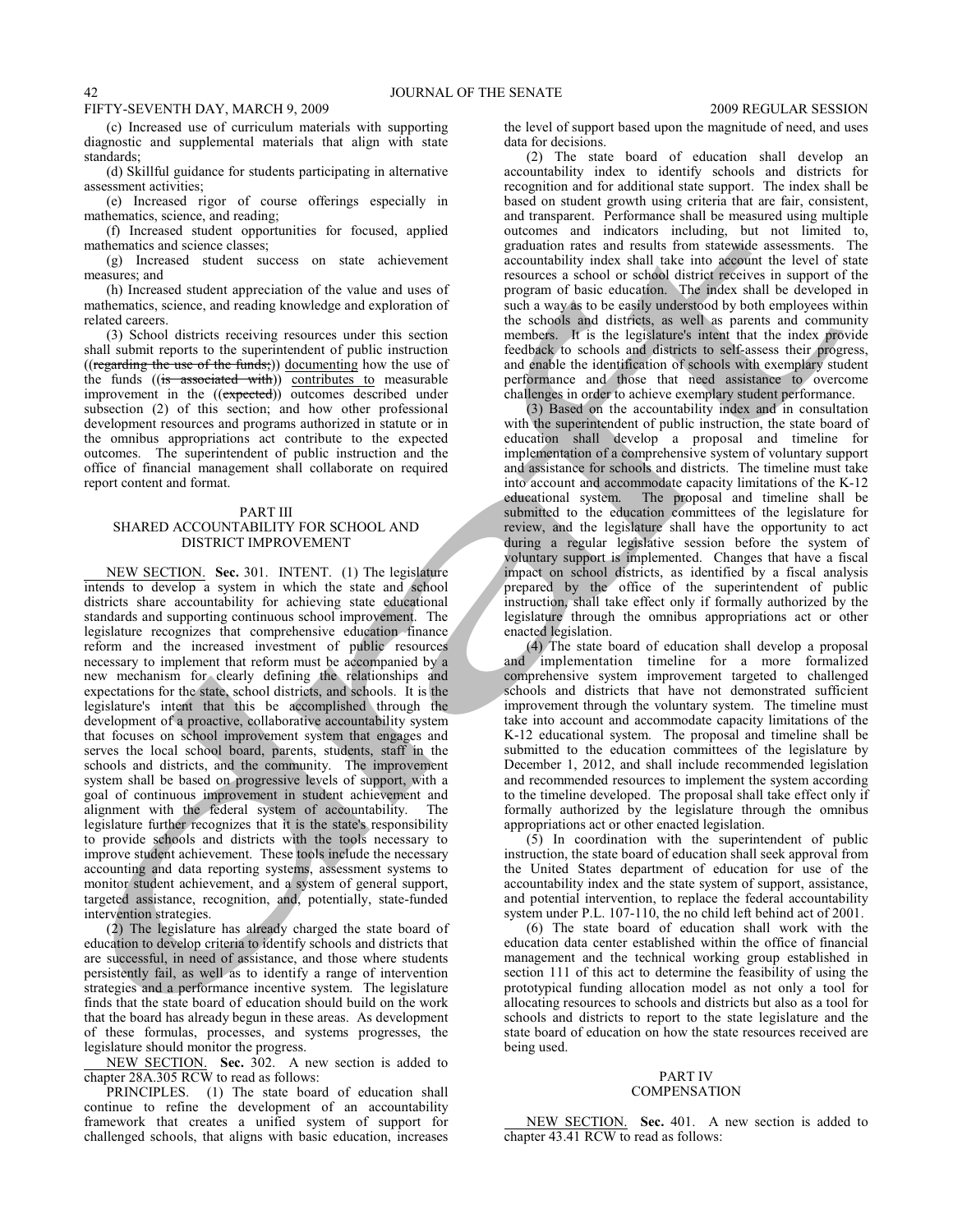(c) Increased use of curriculum materials with supporting diagnostic and supplemental materials that align with state standards;

(d) Skillful guidance for students participating in alternative assessment activities;

(e) Increased rigor of course offerings especially in mathematics, science, and reading;

(f) Increased student opportunities for focused, applied mathematics and science classes;

(g) Increased student success on state achievement measures; and

(h) Increased student appreciation of the value and uses of mathematics, science, and reading knowledge and exploration of related careers.

(3) School districts receiving resources under this section shall submit reports to the superintendent of public instruction  $((regarding the use of the funds))$  documenting how the use of the funds ((is associated with)) contributes to measurable improvement in the ((expected)) outcomes described under subsection (2) of this section; and how other professional development resources and programs authorized in statute or in the omnibus appropriations act contribute to the expected outcomes. The superintendent of public instruction and the office of financial management shall collaborate on required report content and format.

## PART III SHARED ACCOUNTABILITY FOR SCHOOL AND DISTRICT IMPROVEMENT

NEW SECTION. **Sec.** 301. INTENT. (1) The legislature intends to develop a system in which the state and school districts share accountability for achieving state educational standards and supporting continuous school improvement. The legislature recognizes that comprehensive education finance reform and the increased investment of public resources necessary to implement that reform must be accompanied by a new mechanism for clearly defining the relationships and expectations for the state, school districts, and schools. It is the legislature's intent that this be accomplished through the development of a proactive, collaborative accountability system that focuses on school improvement system that engages and serves the local school board, parents, students, staff in the schools and districts, and the community. The improvement system shall be based on progressive levels of support, with a goal of continuous improvement in student achievement and alignment with the federal system of accountability. The legislature further recognizes that it is the state's responsibility to provide schools and districts with the tools necessary to improve student achievement. These tools include the necessary accounting and data reporting systems, assessment systems to monitor student achievement, and a system of general support, targeted assistance, recognition, and, potentially, state-funded intervention strategies.

(2) The legislature has already charged the state board of education to develop criteria to identify schools and districts that are successful, in need of assistance, and those where students persistently fail, as well as to identify a range of intervention strategies and a performance incentive system. The legislature finds that the state board of education should build on the work that the board has already begun in these areas. As development of these formulas, processes, and systems progresses, the legislature should monitor the progress.

NEW SECTION. **Sec.** 302. A new section is added to chapter 28A.305 RCW to read as follows:

PRINCIPLES. (1) The state board of education shall continue to refine the development of an accountability framework that creates a unified system of support for challenged schools, that aligns with basic education, increases

# the level of support based upon the magnitude of need, and uses data for decisions.

(2) The state board of education shall develop an accountability index to identify schools and districts for recognition and for additional state support. The index shall be based on student growth using criteria that are fair, consistent, and transparent. Performance shall be measured using multiple outcomes and indicators including, but not limited to, graduation rates and results from statewide assessments. The accountability index shall take into account the level of state resources a school or school district receives in support of the program of basic education. The index shall be developed in such a way as to be easily understood by both employees within the schools and districts, as well as parents and community members. It is the legislature's intent that the index provide feedback to schools and districts to self-assess their progress, and enable the identification of schools with exemplary student performance and those that need assistance to overcome challenges in order to achieve exemplary student performance.

(3) Based on the accountability index and in consultation with the superintendent of public instruction, the state board of education shall develop a proposal and timeline for implementation of a comprehensive system of voluntary support and assistance for schools and districts. The timeline must take into account and accommodate capacity limitations of the K-12 educational system. The proposal and timeline shall be submitted to the education committees of the legislature for review, and the legislature shall have the opportunity to act during a regular legislative session before the system of voluntary support is implemented. Changes that have a fiscal impact on school districts, as identified by a fiscal analysis prepared by the office of the superintendent of public instruction, shall take effect only if formally authorized by the legislature through the omnibus appropriations act or other enacted legislation.

(4) The state board of education shall develop a proposal and implementation timeline for a more formalized comprehensive system improvement targeted to challenged schools and districts that have not demonstrated sufficient improvement through the voluntary system. The timeline must take into account and accommodate capacity limitations of the K-12 educational system. The proposal and timeline shall be submitted to the education committees of the legislature by December 1, 2012, and shall include recommended legislation and recommended resources to implement the system according to the timeline developed. The proposal shall take effect only if formally authorized by the legislature through the omnibus appropriations act or other enacted legislation.

 $(5)$  In coordination with the superintendent of public instruction, the state board of education shall seek approval from the United States department of education for use of the accountability index and the state system of support, assistance, and potential intervention, to replace the federal accountability system under P.L. 107-110, the no child left behind act of 2001.

(6) The state board of education shall work with the education data center established within the office of financial management and the technical working group established in section 111 of this act to determine the feasibility of using the prototypical funding allocation model as not only a tool for allocating resources to schools and districts but also as a tool for schools and districts to report to the state legislature and the state board of education on how the state resources received are being used.

## PART IV **COMPENSATION**

NEW SECTION. **Sec.** 401. A new section is added to chapter 43.41 RCW to read as follows: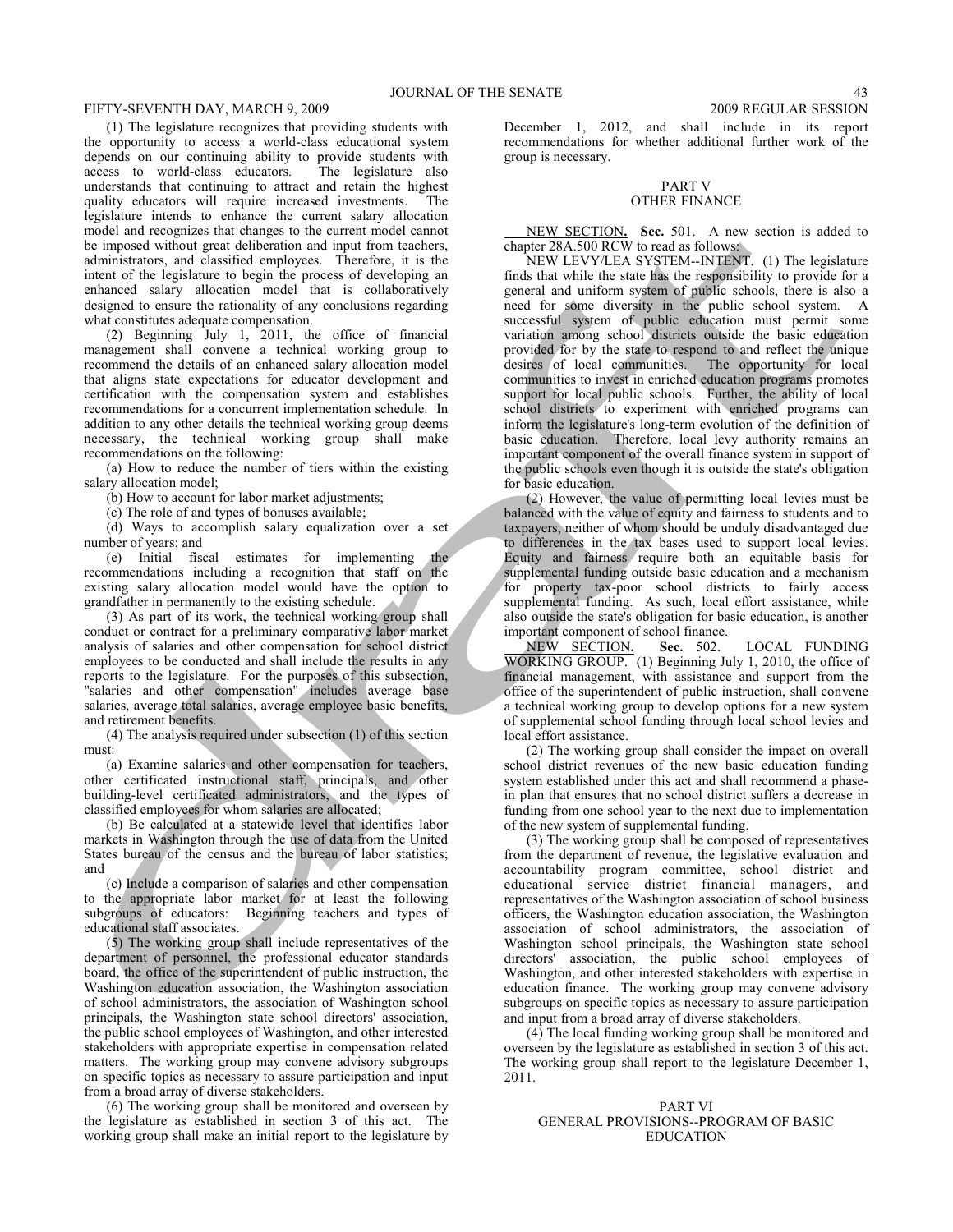(1) The legislature recognizes that providing students with the opportunity to access a world-class educational system depends on our continuing ability to provide students with access to world-class educators. The legislature also access to world-class educators. understands that continuing to attract and retain the highest quality educators will require increased investments. The legislature intends to enhance the current salary allocation model and recognizes that changes to the current model cannot be imposed without great deliberation and input from teachers, administrators, and classified employees. Therefore, it is the intent of the legislature to begin the process of developing an enhanced salary allocation model that is collaboratively designed to ensure the rationality of any conclusions regarding what constitutes adequate compensation.

(2) Beginning July 1, 2011, the office of financial management shall convene a technical working group to recommend the details of an enhanced salary allocation model that aligns state expectations for educator development and certification with the compensation system and establishes recommendations for a concurrent implementation schedule. In addition to any other details the technical working group deems necessary, the technical working group shall make recommendations on the following:

(a) How to reduce the number of tiers within the existing salary allocation model;

(b) How to account for labor market adjustments;

(c) The role of and types of bonuses available;

(d) Ways to accomplish salary equalization over a set number of years; and

(e) Initial fiscal estimates for implementing recommendations including a recognition that staff on the existing salary allocation model would have the option to grandfather in permanently to the existing schedule.

(3) As part of its work, the technical working group shall conduct or contract for a preliminary comparative labor market analysis of salaries and other compensation for school district employees to be conducted and shall include the results in any reports to the legislature. For the purposes of this subsection, "salaries and other compensation" includes average base salaries, average total salaries, average employee basic benefits, and retirement benefits.

(4) The analysis required under subsection (1) of this section must:

(a) Examine salaries and other compensation for teachers, other certificated instructional staff, principals, and other building-level certificated administrators, and the types of classified employees for whom salaries are allocated;

(b) Be calculated at a statewide level that identifies labor markets in Washington through the use of data from the United States bureau of the census and the bureau of labor statistics; and

(c) Include a comparison of salaries and other compensation to the appropriate labor market for at least the following subgroups of educators: Beginning teachers and types of educational staff associates.

(5) The working group shall include representatives of the department of personnel, the professional educator standards board, the office of the superintendent of public instruction, the Washington education association, the Washington association of school administrators, the association of Washington school principals, the Washington state school directors' association, the public school employees of Washington, and other interested stakeholders with appropriate expertise in compensation related matters. The working group may convene advisory subgroups on specific topics as necessary to assure participation and input from a broad array of diverse stakeholders.

(6) The working group shall be monitored and overseen by the legislature as established in section 3 of this act. The working group shall make an initial report to the legislature by December 1, 2012, and shall include in its report recommendations for whether additional further work of the group is necessary.

## PART V OTHER FINANCE

NEW SECTION**. Sec.** 501. A new section is added to chapter 28A.500 RCW to read as follows:

NEW LEVY/LEA SYSTEM--INTENT. (1) The legislature finds that while the state has the responsibility to provide for a general and uniform system of public schools, there is also a need for some diversity in the public school system. A successful system of public education must permit some variation among school districts outside the basic education provided for by the state to respond to and reflect the unique desires of local communities. The opportunity for local communities to invest in enriched education programs promotes support for local public schools. Further, the ability of local school districts to experiment with enriched programs can inform the legislature's long-term evolution of the definition of basic education. Therefore, local levy authority remains an important component of the overall finance system in support of the public schools even though it is outside the state's obligation for basic education.

(2) However, the value of permitting local levies must be balanced with the value of equity and fairness to students and to taxpayers, neither of whom should be unduly disadvantaged due to differences in the tax bases used to support local levies. Equity and fairness require both an equitable basis for supplemental funding outside basic education and a mechanism for property tax-poor school districts to fairly access supplemental funding. As such, local effort assistance, while also outside the state's obligation for basic education, is another important component of school finance.<br>NEW SECTION. Sec. 502.

NEW SECTION**. Sec.** 502. LOCAL FUNDING WORKING GROUP. (1) Beginning July 1, 2010, the office of financial management, with assistance and support from the office of the superintendent of public instruction, shall convene a technical working group to develop options for a new system of supplemental school funding through local school levies and local effort assistance.

(2) The working group shall consider the impact on overall school district revenues of the new basic education funding system established under this act and shall recommend a phasein plan that ensures that no school district suffers a decrease in funding from one school year to the next due to implementation of the new system of supplemental funding.

(3) The working group shall be composed of representatives from the department of revenue, the legislative evaluation and accountability program committee, school district and educational service district financial managers, and representatives of the Washington association of school business officers, the Washington education association, the Washington association of school administrators, the association of Washington school principals, the Washington state school directors' association, the public school employees of Washington, and other interested stakeholders with expertise in education finance. The working group may convene advisory subgroups on specific topics as necessary to assure participation and input from a broad array of diverse stakeholders.

(4) The local funding working group shall be monitored and overseen by the legislature as established in section 3 of this act. The working group shall report to the legislature December 1, 2011.

## PART VI GENERAL PROVISIONS--PROGRAM OF BASIC EDUCATION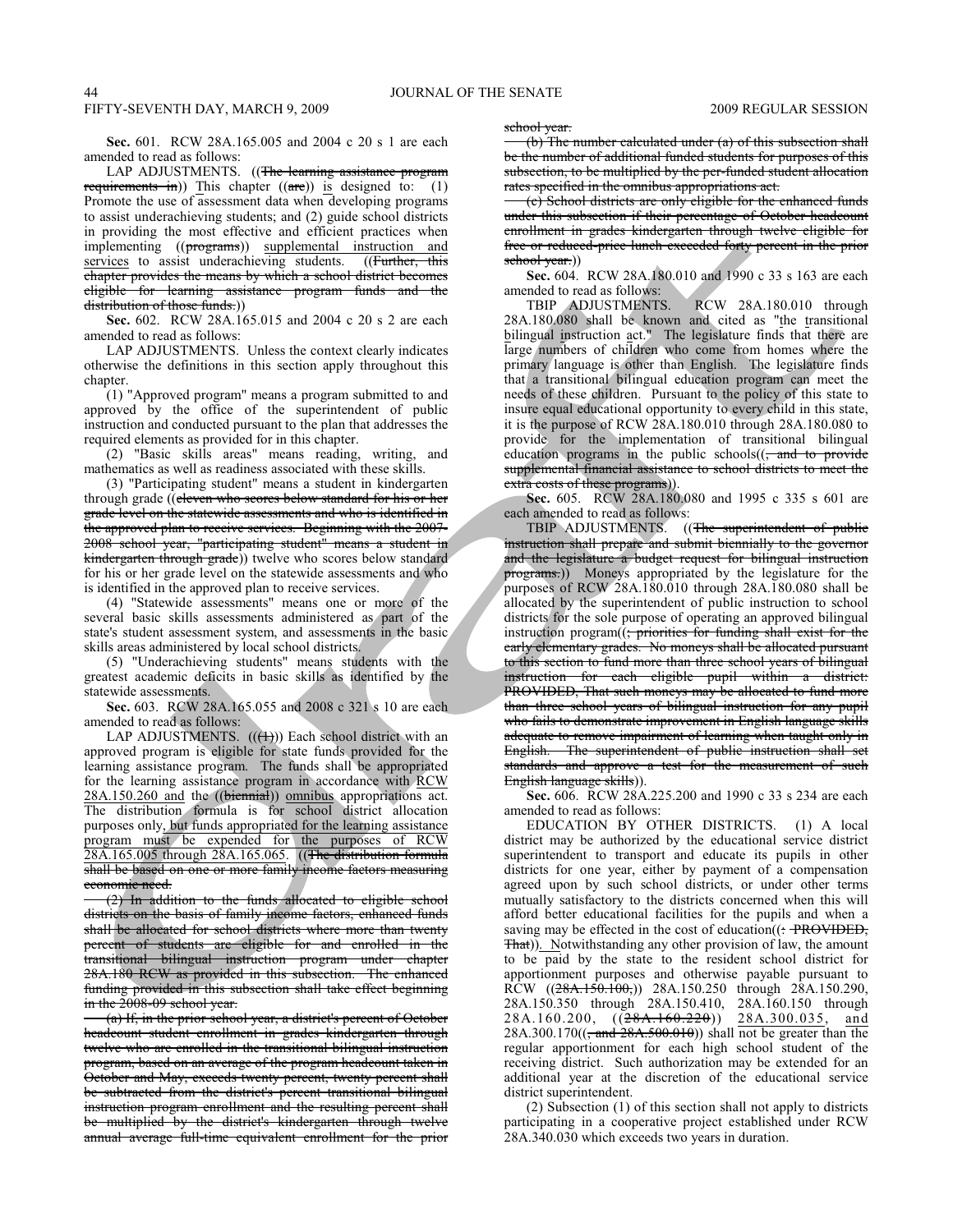**Sec.** 601. RCW 28A.165.005 and 2004 c 20 s 1 are each amended to read as follows:

LAP ADJUSTMENTS. ((The learning assistance program requirements in)) This chapter  $((are))$  is designed to: (1) Promote the use of assessment data when developing programs to assist underachieving students; and (2) guide school districts in providing the most effective and efficient practices when implementing ((programs)) supplemental instruction and services to assist underachieving students. ((Further, this chapter provides the means by which a school district becomes eligible for learning assistance program funds and the distribution of those funds.))

**Sec.** 602. RCW 28A.165.015 and 2004 c 20 s 2 are each amended to read as follows:

LAP ADJUSTMENTS. Unless the context clearly indicates otherwise the definitions in this section apply throughout this chapter.

(1) "Approved program" means a program submitted to and approved by the office of the superintendent of public instruction and conducted pursuant to the plan that addresses the required elements as provided for in this chapter.

(2) "Basic skills areas" means reading, writing, and mathematics as well as readiness associated with these skills.

(3) "Participating student" means a student in kindergarten through grade ((eleven who scores below standard for his or her grade level on the statewide assessments and who is identified in the approved plan to receive services. Beginning with the 2007- 2008 school year, "participating student" means a student in kindergarten through grade)) twelve who scores below standard for his or her grade level on the statewide assessments and who is identified in the approved plan to receive services.

(4) "Statewide assessments" means one or more of the several basic skills assessments administered as part of the state's student assessment system, and assessments in the basic skills areas administered by local school districts.

(5) "Underachieving students" means students with the greatest academic deficits in basic skills as identified by the statewide assessments.

**Sec.** 603. RCW 28A.165.055 and 2008 c 321 s 10 are each amended to read as follows:

LAP ADJUSTMENTS.  $((+)$ ) Each school district with an approved program is eligible for state funds provided for the learning assistance program. The funds shall be appropriated for the learning assistance program in accordance with RCW 28A.150.260 and the ((biennial)) omnibus appropriations act. The distribution formula is for school district allocation purposes only, but funds appropriated for the learning assistance program must be expended for the purposes of RCW 28A.165.005 through 28A.165.065. ((The distribution formula shall be based on one or more family income factors measuring economic need.

(2) In addition to the funds allocated to eligible school districts on the basis of family income factors, enhanced funds shall be allocated for school districts where more than twenty percent of students are eligible for and enrolled in the transitional bilingual instruction program under chapter 28A.180 RCW as provided in this subsection. The enhanced funding provided in this subsection shall take effect beginning in the 2008-09 school year.

(a) If, in the prior school year, a district's percent of October headcount student enrollment in grades kindergarten through twelve who are enrolled in the transitional bilingual instruction program, based on an average of the program headcount taken in October and May, exceeds twenty percent, twenty percent shall be subtracted from the district's percent transitional bilingual instruction program enrollment and the resulting percent shall be multiplied by the district's kindergarten through twelve annual average full-time equivalent enrollment for the prior

school year.

(b) The number calculated under (a) of this subsection shall be the number of additional funded students for purposes of this subsection, to be multiplied by the per-funded student allocation rates specified in the omnibus appropriations act.

(c) School districts are only eligible for the enhanced funds under this subsection if their percentage of October headcount enrollment in grades kindergarten through twelve eligible for free or reduced-price lunch exceeded forty percent in the prior school year.))

**Sec.** 604. RCW 28A.180.010 and 1990 c 33 s 163 are each amended to read as follows:

TBIP ADJUSTMENTS. RCW 28A.180.010 through 28A.180.080 shall be known and cited as "the transitional bilingual instruction act." The legislature finds that there are large numbers of children who come from homes where the primary language is other than English. The legislature finds that a transitional bilingual education program can meet the needs of these children. Pursuant to the policy of this state to insure equal educational opportunity to every child in this state, it is the purpose of RCW 28A.180.010 through 28A.180.080 to provide for the implementation of transitional bilingual education programs in the public schools $((, and to provide)$ supplemental financial assistance to school districts to meet the extra costs of these programs)).

**Sec.** 605. RCW 28A.180.080 and 1995 c 335 s 601 are each amended to read as follows:

TBIP ADJUSTMENTS. ((The superintendent of public instruction shall prepare and submit biennially to the governor and the legislature a budget request for bilingual instruction programs.)) Moneys appropriated by the legislature for the purposes of RCW 28A.180.010 through 28A.180.080 shall be allocated by the superintendent of public instruction to school districts for the sole purpose of operating an approved bilingual instruction program((<del>; priorities for funding shall exist for the</del> early elementary grades. No moneys shall be allocated pursuant to this section to fund more than three school years of bilingual instruction for each eligible pupil within a district: PROVIDED, That such moneys may be allocated to fund more than three school years of bilingual instruction for any pupil who fails to demonstrate improvement in English language skills adequate to remove impairment of learning when taught only in English. The superintendent of public instruction shall set standards and approve a test for the measurement of such English language skills)).

**Sec.** 606. RCW 28A.225.200 and 1990 c 33 s 234 are each amended to read as follows:

EDUCATION BY OTHER DISTRICTS. (1) A local district may be authorized by the educational service district superintendent to transport and educate its pupils in other districts for one year, either by payment of a compensation agreed upon by such school districts, or under other terms mutually satisfactory to the districts concerned when this will afford better educational facilities for the pupils and when a saving may be effected in the cost of education((: -PROVIDED, That)). Notwithstanding any other provision of law, the amount to be paid by the state to the resident school district for apportionment purposes and otherwise payable pursuant to RCW ((28A.150.100,)) 28A.150.250 through 28A.150.290, 28A.150.350 through 28A.150.410, 28A.160.150 through 28A.160.200, ((<del>28A.160.220</del>)) 28A.300.035, and 28A.300.170((<del>, and 28A.500.010</del>)) shall not be greater than the regular apportionment for each high school student of the receiving district. Such authorization may be extended for an additional year at the discretion of the educational service district superintendent.

(2) Subsection (1) of this section shall not apply to districts participating in a cooperative project established under RCW 28A.340.030 which exceeds two years in duration.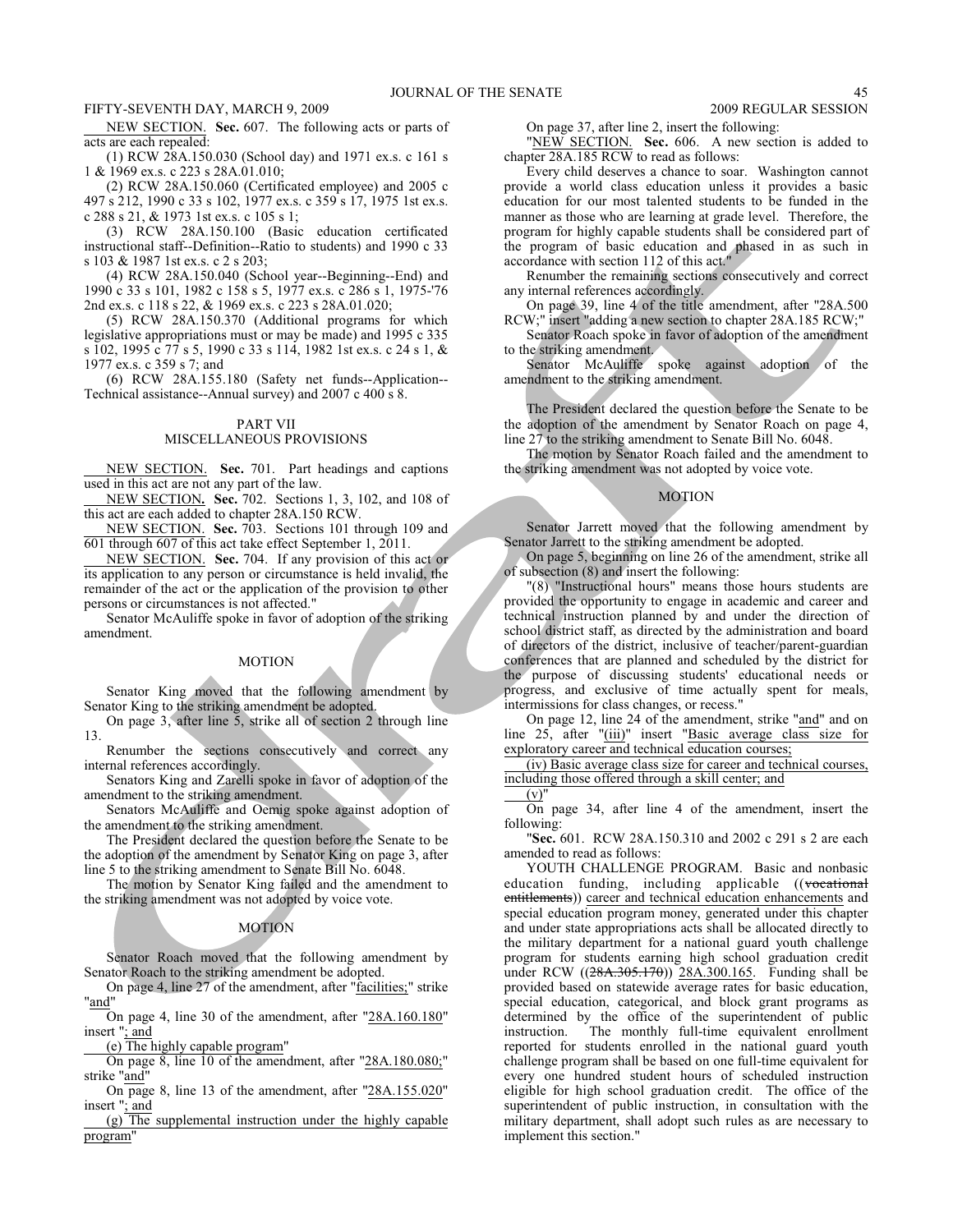NEW SECTION. **Sec.** 607. The following acts or parts of acts are each repealed:

(1) RCW 28A.150.030 (School day) and 1971 ex.s. c 161 s 1 & 1969 ex.s. c 223 s 28A.01.010;

(2) RCW 28A.150.060 (Certificated employee) and 2005 c 497 s 212, 1990 c 33 s 102, 1977 ex.s. c 359 s 17, 1975 1st ex.s. c 288 s 21, & 1973 1st ex.s. c 105 s 1;

(3) RCW 28A.150.100 (Basic education certificated instructional staff--Definition--Ratio to students) and 1990 c 33 s 103 & 1987 1st ex.s. c 2 s 203;

(4) RCW 28A.150.040 (School year--Beginning--End) and 1990 c 33 s 101, 1982 c 158 s 5, 1977 ex.s. c 286 s 1, 1975-'76 2nd ex.s. c 118 s 22, & 1969 ex.s. c 223 s 28A.01.020;

(5) RCW 28A.150.370 (Additional programs for which legislative appropriations must or may be made) and 1995 c 335 s 102, 1995 c 77 s 5, 1990 c 33 s 114, 1982 1st ex.s. c 24 s 1, & 1977 ex.s. c 359 s 7; and

(6) RCW 28A.155.180 (Safety net funds--Application-- Technical assistance--Annual survey) and 2007 c 400 s 8.

# PART VII MISCELLANEOUS PROVISIONS

NEW SECTION. **Sec.** 701. Part headings and captions used in this act are not any part of the law.

NEW SECTION**. Sec.** 702. Sections 1, 3, 102, and 108 of this act are each added to chapter 28A.150 RCW.

NEW SECTION. **Sec.** 703. Sections 101 through 109 and 601 through 607 of this act take effect September 1, 2011.

NEW SECTION. **Sec.** 704. If any provision of this act or its application to any person or circumstance is held invalid, the remainder of the act or the application of the provision to other persons or circumstances is not affected."

Senator McAuliffe spoke in favor of adoption of the striking amendment.

# MOTION

Senator King moved that the following amendment by Senator King to the striking amendment be adopted.

On page 3, after line 5, strike all of section 2 through line 13.

Renumber the sections consecutively and correct any internal references accordingly.

Senators King and Zarelli spoke in favor of adoption of the amendment to the striking amendment.

Senators McAuliffe and Oemig spoke against adoption of the amendment to the striking amendment.

The President declared the question before the Senate to be the adoption of the amendment by Senator King on page 3, after line 5 to the striking amendment to Senate Bill No. 6048.

The motion by Senator King failed and the amendment to the striking amendment was not adopted by voice vote.

# MOTION

Senator Roach moved that the following amendment by Senator Roach to the striking amendment be adopted.

On page 4, line 27 of the amendment, after "facilities;" strike 'and"

On page 4, line 30 of the amendment, after "28A.160.180" insert "; and

(e) The highly capable program"

On page 8, line 10 of the amendment, after "28A.180.080;" strike "and"

On page 8, line 13 of the amendment, after "28A.155.020" insert "; and

(g) The supplemental instruction under the highly capable program"

On page 37, after line 2, insert the following:

"NEW SECTION. **Sec.** 606.A new section is added to chapter 28A.185 RCW to read as follows:

Every child deserves a chance to soar. Washington cannot provide a world class education unless it provides a basic education for our most talented students to be funded in the manner as those who are learning at grade level. Therefore, the program for highly capable students shall be considered part of the program of basic education and phased in as such in accordance with section 112 of this act."

Renumber the remaining sections consecutively and correct any internal references accordingly.

On page 39, line 4 of the title amendment, after "28A.500 RCW;" insert "adding a new section to chapter 28A.185 RCW;"

Senator Roach spoke in favor of adoption of the amendment to the striking amendment.

Senator McAuliffe spoke against adoption of the amendment to the striking amendment.

The President declared the question before the Senate to be the adoption of the amendment by Senator Roach on page 4, line 27 to the striking amendment to Senate Bill No. 6048.

The motion by Senator Roach failed and the amendment to the striking amendment was not adopted by voice vote.

# MOTION

Senator Jarrett moved that the following amendment by Senator Jarrett to the striking amendment be adopted.

On page 5, beginning on line 26 of the amendment, strike all of subsection (8) and insert the following:

"(8) "Instructional hours" means those hours students are provided the opportunity to engage in academic and career and technical instruction planned by and under the direction of school district staff, as directed by the administration and board of directors of the district, inclusive of teacher/parent-guardian conferences that are planned and scheduled by the district for the purpose of discussing students' educational needs or progress, and exclusive of time actually spent for meals, intermissions for class changes, or recess."

On page 12, line 24 of the amendment, strike "and" and on line 25, after "(iii)" insert "Basic average class size for exploratory career and technical education courses;

(iv) Basic average class size for career and technical courses, including those offered through a skill center; and

 $(v)$ " On page 34, after line 4 of the amendment, insert the following:

"**Sec.** 601.RCW 28A.150.310 and 2002 c 291 s 2 are each amended to read as follows:

YOUTH CHALLENGE PROGRAM. Basic and nonbasic education funding, including applicable ((vocational entitlements)) career and technical education enhancements and special education program money, generated under this chapter and under state appropriations acts shall be allocated directly to the military department for a national guard youth challenge program for students earning high school graduation credit under RCW ((28A.305.170)) 28A.300.165. Funding shall be provided based on statewide average rates for basic education, special education, categorical, and block grant programs as determined by the office of the superintendent of public instruction. The monthly full-time equivalent enrollment reported for students enrolled in the national guard youth challenge program shall be based on one full-time equivalent for every one hundred student hours of scheduled instruction eligible for high school graduation credit. The office of the superintendent of public instruction, in consultation with the military department, shall adopt such rules as are necessary to implement this section."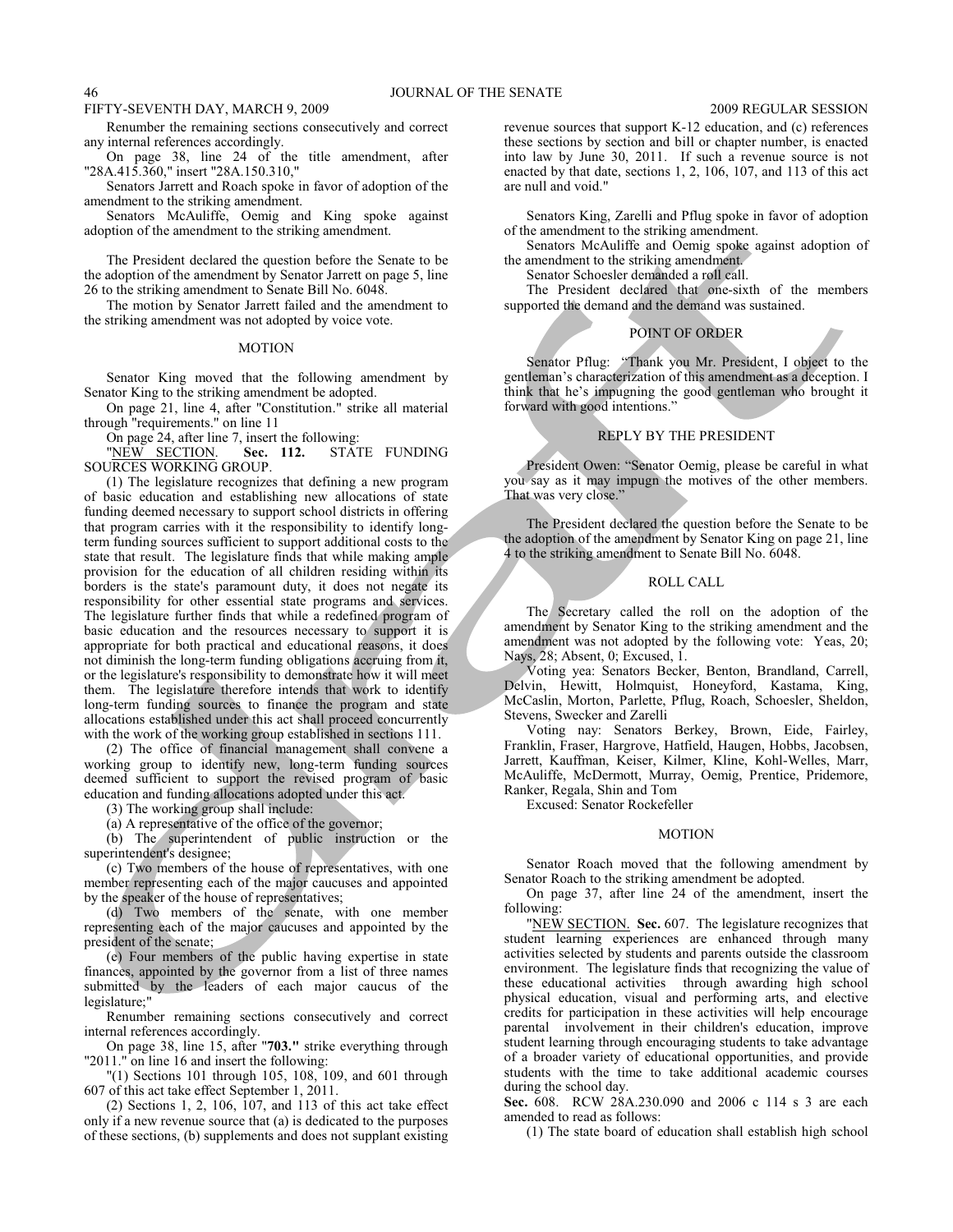Renumber the remaining sections consecutively and correct any internal references accordingly.

On page 38, line 24 of the title amendment, after "28A.415.360," insert "28A.150.310,"

Senators Jarrett and Roach spoke in favor of adoption of the amendment to the striking amendment.

Senators McAuliffe, Oemig and King spoke against adoption of the amendment to the striking amendment.

The President declared the question before the Senate to be the adoption of the amendment by Senator Jarrett on page 5, line 26 to the striking amendment to Senate Bill No. 6048.

The motion by Senator Jarrett failed and the amendment to the striking amendment was not adopted by voice vote.

## MOTION

Senator King moved that the following amendment by Senator King to the striking amendment be adopted.

On page 21, line 4, after "Constitution." strike all material through "requirements." on line 11

On page 24, after line 7, insert the following:<br>"NEW SECTION. **Sec. 112.** STATE FUNDING "NEW SECTION. **Sec. 112.** SOURCES WORKING GROUP.

(1) The legislature recognizes that defining a new program of basic education and establishing new allocations of state funding deemed necessary to support school districts in offering that program carries with it the responsibility to identify longterm funding sources sufficient to support additional costs to the state that result. The legislature finds that while making ample provision for the education of all children residing within its borders is the state's paramount duty, it does not negate its responsibility for other essential state programs and services. The legislature further finds that while a redefined program of basic education and the resources necessary to support it is appropriate for both practical and educational reasons, it does not diminish the long-term funding obligations accruing from it, or the legislature's responsibility to demonstrate how it will meet them. The legislature therefore intends that work to identify long-term funding sources to finance the program and state allocations established under this act shall proceed concurrently with the work of the working group established in sections 111.

(2) The office of financial management shall convene a working group to identify new, long-term funding sources deemed sufficient to support the revised program of basic education and funding allocations adopted under this act.

(3) The working group shall include:

(a) A representative of the office of the governor;

(b) The superintendent of public instruction or the superintendent's designee;

(c) Two members of the house of representatives, with one member representing each of the major caucuses and appointed by the speaker of the house of representatives;

(d) Two members of the senate, with one member representing each of the major caucuses and appointed by the president of the senate;

(e) Four members of the public having expertise in state finances, appointed by the governor from a list of three names submitted by the leaders of each major caucus of the legislature;"

Renumber remaining sections consecutively and correct internal references accordingly.

On page 38, line 15, after "**703."** strike everything through "2011." on line 16 and insert the following:

"(1) Sections 101 through 105, 108, 109, and 601 through 607 of this act take effect September 1, 2011.

(2) Sections 1, 2, 106, 107, and 113 of this act take effect only if a new revenue source that (a) is dedicated to the purposes of these sections, (b) supplements and does not supplant existing revenue sources that support K-12 education, and (c) references these sections by section and bill or chapter number, is enacted into law by June 30, 2011. If such a revenue source is not enacted by that date, sections 1, 2, 106, 107, and 113 of this act are null and void."

Senators King, Zarelli and Pflug spoke in favor of adoption of the amendment to the striking amendment.

Senators McAuliffe and Oemig spoke against adoption of the amendment to the striking amendment.

Senator Schoesler demanded a roll call.

The President declared that one-sixth of the members supported the demand and the demand was sustained.

# POINT OF ORDER

Senator Pflug: "Thank you Mr. President, I object to the gentleman's characterization of this amendment as a deception. I think that he's impugning the good gentleman who brought it forward with good intentions.'

# REPLY BY THE PRESIDENT

President Owen: "Senator Oemig, please be careful in what you say as it may impugn the motives of the other members. That was very close."

The President declared the question before the Senate to be the adoption of the amendment by Senator King on page 21, line 4 to the striking amendment to Senate Bill No. 6048.

# ROLL CALL

The Secretary called the roll on the adoption of the amendment by Senator King to the striking amendment and the amendment was not adopted by the following vote: Yeas, 20; Nays, 28; Absent, 0; Excused, 1.

Voting yea: Senators Becker, Benton, Brandland, Carrell, Delvin, Hewitt, Holmquist, Honeyford, Kastama, King, McCaslin, Morton, Parlette, Pflug, Roach, Schoesler, Sheldon, Stevens, Swecker and Zarelli

Voting nay: Senators Berkey, Brown, Eide, Fairley, Franklin, Fraser, Hargrove, Hatfield, Haugen, Hobbs, Jacobsen, Jarrett, Kauffman, Keiser, Kilmer, Kline, Kohl-Welles, Marr, McAuliffe, McDermott, Murray, Oemig, Prentice, Pridemore, Ranker, Regala, Shin and Tom

Excused: Senator Rockefeller

## MOTION

Senator Roach moved that the following amendment by Senator Roach to the striking amendment be adopted.

On page 37, after line 24 of the amendment, insert the following:

"NEW SECTION. **Sec.** 607.The legislature recognizes that student learning experiences are enhanced through many activities selected by students and parents outside the classroom environment. The legislature finds that recognizing the value of these educational activities through awarding high school physical education, visual and performing arts, and elective credits for participation in these activities will help encourage parental involvement in their children's education, improve student learning through encouraging students to take advantage of a broader variety of educational opportunities, and provide students with the time to take additional academic courses during the school day.

**Sec.** 608.RCW 28A.230.090 and 2006 c 114 s 3 are each amended to read as follows:

(1) The state board of education shall establish high school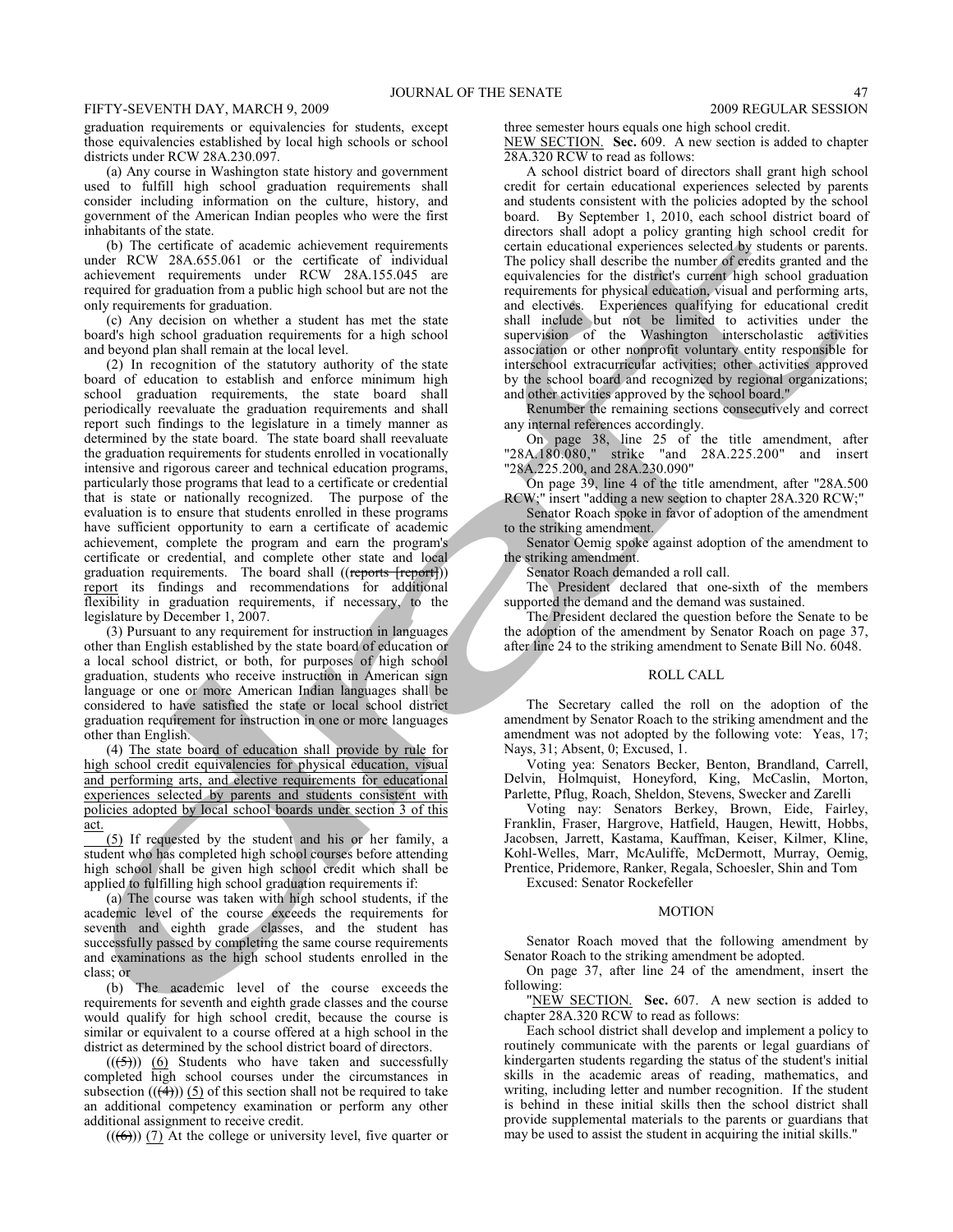graduation requirements or equivalencies for students, except those equivalencies established by local high schools or school districts under RCW 28A.230.097.

(a) Any course in Washington state history and government used to fulfill high school graduation requirements shall consider including information on the culture, history, and government of the American Indian peoples who were the first inhabitants of the state.

(b) The certificate of academic achievement requirements under RCW 28A.655.061 or the certificate of individual achievement requirements under RCW 28A.155.045 are required for graduation from a public high school but are not the only requirements for graduation.

(c) Any decision on whether a student has met the state board's high school graduation requirements for a high school and beyond plan shall remain at the local level.

(2) In recognition of the statutory authority of the state board of education to establish and enforce minimum high school graduation requirements, the state board shall periodically reevaluate the graduation requirements and shall report such findings to the legislature in a timely manner as determined by the state board. The state board shall reevaluate the graduation requirements for students enrolled in vocationally intensive and rigorous career and technical education programs, particularly those programs that lead to a certificate or credential that is state or nationally recognized. The purpose of the evaluation is to ensure that students enrolled in these programs have sufficient opportunity to earn a certificate of academic achievement, complete the program and earn the program's certificate or credential, and complete other state and local graduation requirements. The board shall ((reports [report])) report its findings and recommendations for additional flexibility in graduation requirements, if necessary, to the legislature by December 1, 2007.

(3) Pursuant to any requirement for instruction in languages other than English established by the state board of education or a local school district, or both, for purposes of high school graduation, students who receive instruction in American sign language or one or more American Indian languages shall be considered to have satisfied the state or local school district graduation requirement for instruction in one or more languages other than English.

(4) The state board of education shall provide by rule for high school credit equivalencies for physical education, visual and performing arts, and elective requirements for educational experiences selected by parents and students consistent with policies adopted by local school boards under section 3 of this act.

(5) If requested by the student and his or her family, a student who has completed high school courses before attending high school shall be given high school credit which shall be applied to fulfilling high school graduation requirements if:

(a) The course was taken with high school students, if the academic level of the course exceeds the requirements for seventh and eighth grade classes, and the student has successfully passed by completing the same course requirements and examinations as the high school students enrolled in the class; or

(b) The academic level of the course exceeds the requirements for seventh and eighth grade classes and the course would qualify for high school credit, because the course is similar or equivalent to a course offered at a high school in the district as determined by the school district board of directors.

 $((\leftarrow{\textbf{(f)}}))$  (6) Students who have taken and successfully completed high school courses under the circumstances in subsection  $((4))$  (5) of this section shall not be required to take an additional competency examination or perform any other additional assignment to receive credit.

 $((\textbf{(6)}))$  (7) At the college or university level, five quarter or

47

three semester hours equals one high school credit.

NEW SECTION. **Sec.** 609.A new section is added to chapter 28A.320 RCW to read as follows:

A school district board of directors shall grant high school credit for certain educational experiences selected by parents and students consistent with the policies adopted by the school board. By September 1, 2010, each school district board of directors shall adopt a policy granting high school credit for certain educational experiences selected by students or parents. The policy shall describe the number of credits granted and the equivalencies for the district's current high school graduation requirements for physical education, visual and performing arts, and electives. Experiences qualifying for educational credit shall include but not be limited to activities under the supervision of the Washington interscholastic activities association or other nonprofit voluntary entity responsible for interschool extracurricular activities; other activities approved by the school board and recognized by regional organizations; and other activities approved by the school board."

Renumber the remaining sections consecutively and correct any internal references accordingly.

On page 38, line 25 of the title amendment, after "28A.180.080," strike "and 28A.225.200" and insert "28A.225.200, and 28A.230.090"

On page 39, line 4 of the title amendment, after "28A.500 RCW;" insert "adding a new section to chapter 28A.320 RCW;"

Senator Roach spoke in favor of adoption of the amendment to the striking amendment.

Senator Oemig spoke against adoption of the amendment to the striking amendment.

Senator Roach demanded a roll call.

The President declared that one-sixth of the members supported the demand and the demand was sustained.

The President declared the question before the Senate to be the adoption of the amendment by Senator Roach on page 37, after line 24 to the striking amendment to Senate Bill No. 6048.

## ROLL CALL

The Secretary called the roll on the adoption of the amendment by Senator Roach to the striking amendment and the amendment was not adopted by the following vote: Yeas, 17; Nays, 31; Absent, 0; Excused, 1.

Voting yea: Senators Becker, Benton, Brandland, Carrell, Delvin, Holmquist, Honeyford, King, McCaslin, Morton, Parlette, Pflug, Roach, Sheldon, Stevens, Swecker and Zarelli

Voting nay: Senators Berkey, Brown, Eide, Fairley, Franklin, Fraser, Hargrove, Hatfield, Haugen, Hewitt, Hobbs, Jacobsen, Jarrett, Kastama, Kauffman, Keiser, Kilmer, Kline, Kohl-Welles, Marr, McAuliffe, McDermott, Murray, Oemig, Prentice, Pridemore, Ranker, Regala, Schoesler, Shin and Tom

Excused: Senator Rockefeller

# MOTION

Senator Roach moved that the following amendment by Senator Roach to the striking amendment be adopted.

On page 37, after line 24 of the amendment, insert the following:

"NEW SECTION. **Sec.** 607.A new section is added to chapter 28A.320 RCW to read as follows:

Each school district shall develop and implement a policy to routinely communicate with the parents or legal guardians of kindergarten students regarding the status of the student's initial skills in the academic areas of reading, mathematics, and writing, including letter and number recognition. If the student is behind in these initial skills then the school district shall provide supplemental materials to the parents or guardians that may be used to assist the student in acquiring the initial skills."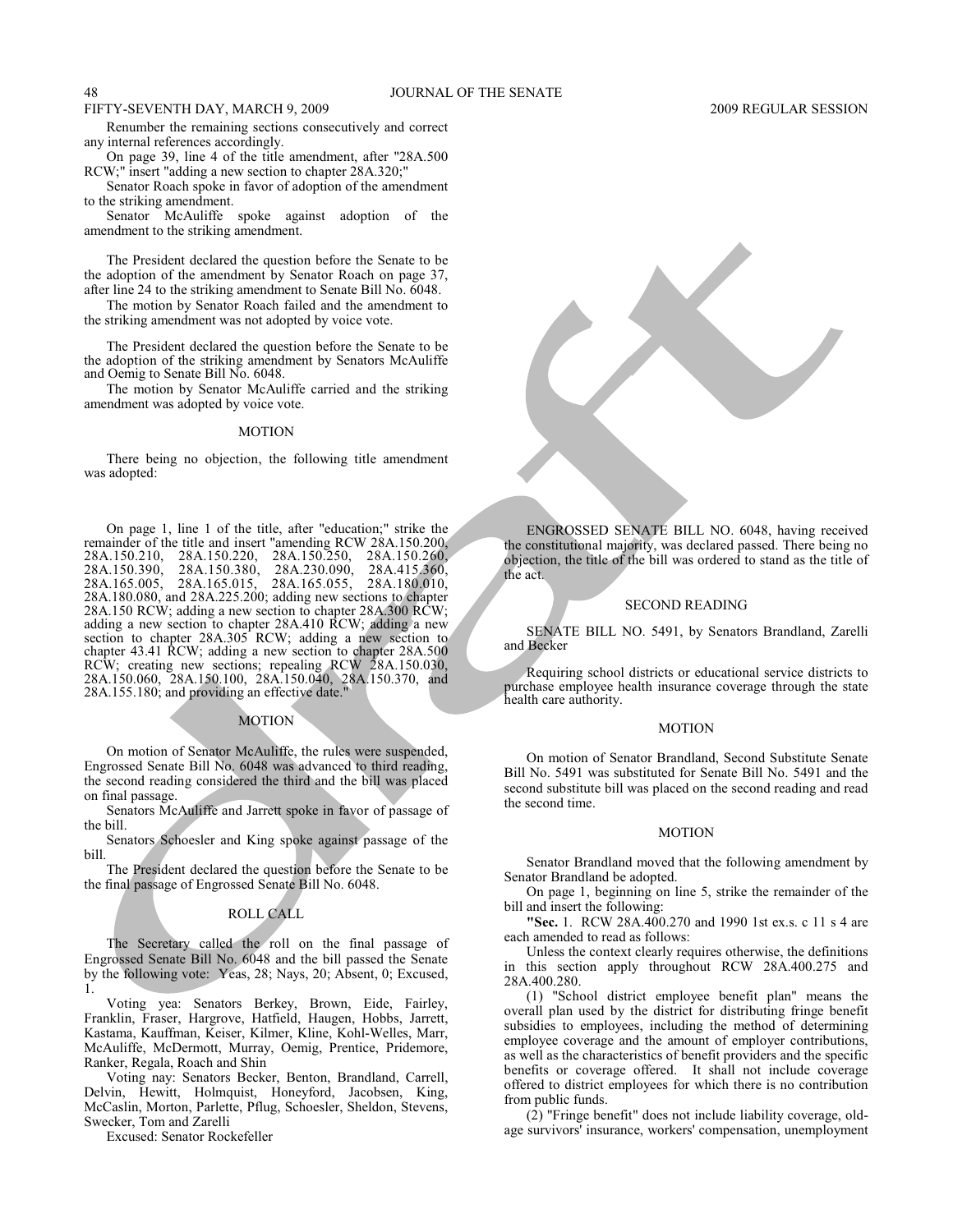Renumber the remaining sections consecutively and correct any internal references accordingly.

On page 39, line 4 of the title amendment, after "28A.500 RCW;" insert "adding a new section to chapter 28A.320;"

Senator Roach spoke in favor of adoption of the amendment to the striking amendment.

Senator McAuliffe spoke against adoption of the amendment to the striking amendment.

The President declared the question before the Senate to be the adoption of the amendment by Senator Roach on page 37, after line 24 to the striking amendment to Senate Bill No. 6048.

The motion by Senator Roach failed and the amendment to the striking amendment was not adopted by voice vote.

The President declared the question before the Senate to be the adoption of the striking amendment by Senators McAuliffe and Oemig to Senate Bill No. 6048.

The motion by Senator McAuliffe carried and the striking amendment was adopted by voice vote.

## MOTION

There being no objection, the following title amendment was adopted:

On page 1, line 1 of the title, after "education;" strike the remainder of the title and insert "amending RCW 28A.150.200, 28A.150.210, 28A.150.220, 28A.150.250, 28A.150.260, 28A.150.390, 28A.150.380, 28A.230.090, 28A.415.360, 28A.165.005, 28A.165.015, 28A.165.055, 28A.180.080, and 28A.225.200; adding new sections to chapter 28A.150 RCW; adding a new section to chapter 28A.300 RCW; adding a new section to chapter 28A.410 RCW; adding a new section to chapter 28A.305 RCW; adding a new section to chapter 43.41 RCW; adding a new section to chapter 28A.500 RCW; creating new sections; repealing RCW 28A.150.030, 28A.150.060, 28A.150.100, 28A.150.040, 28A.150.370, and 28A.155.180; and providing an effective date."

# MOTION

On motion of Senator McAuliffe, the rules were suspended, Engrossed Senate Bill No. 6048 was advanced to third reading, the second reading considered the third and the bill was placed on final passage.

Senators McAuliffe and Jarrett spoke in favor of passage of the bill.

Senators Schoesler and King spoke against passage of the bill.

The President declared the question before the Senate to be the final passage of Engrossed Senate Bill No. 6048.

## ROLL CALL

The Secretary called the roll on the final passage of Engrossed Senate Bill No. 6048 and the bill passed the Senate by the following vote: Yeas, 28; Nays, 20; Absent, 0; Excused, 1.

Voting yea: Senators Berkey, Brown, Eide, Fairley, Franklin, Fraser, Hargrove, Hatfield, Haugen, Hobbs, Jarrett, Kastama, Kauffman, Keiser, Kilmer, Kline, Kohl-Welles, Marr, McAuliffe, McDermott, Murray, Oemig, Prentice, Pridemore, Ranker, Regala, Roach and Shin

Voting nay: Senators Becker, Benton, Brandland, Carrell, Delvin, Hewitt, Holmquist, Honeyford, Jacobsen, King, McCaslin, Morton, Parlette, Pflug, Schoesler, Sheldon, Stevens, Swecker, Tom and Zarelli

Excused: Senator Rockefeller



the constitutional majority, was declared passed. There being no objection, the title of the bill was ordered to stand as the title of the act.

## SECOND READING

SENATE BILL NO. 5491, by Senators Brandland, Zarelli and Becker

Requiring school districts or educational service districts to purchase employee health insurance coverage through the state health care authority.

### MOTION

On motion of Senator Brandland, Second Substitute Senate Bill No. 5491 was substituted for Senate Bill No. 5491 and the second substitute bill was placed on the second reading and read the second time.

## MOTION

Senator Brandland moved that the following amendment by Senator Brandland be adopted.

On page 1, beginning on line 5, strike the remainder of the bill and insert the following:

**"Sec.** 1.RCW 28A.400.270 and 1990 1st ex.s. c 11 s 4 are each amended to read as follows:

Unless the context clearly requires otherwise, the definitions in this section apply throughout RCW 28A.400.275 and 28A.400.280.

(1) "School district employee benefit plan" means the overall plan used by the district for distributing fringe benefit subsidies to employees, including the method of determining employee coverage and the amount of employer contributions, as well as the characteristics of benefit providers and the specific benefits or coverage offered. It shall not include coverage offered to district employees for which there is no contribution from public funds.

(2) "Fringe benefit" does not include liability coverage, oldage survivors' insurance, workers' compensation, unemployment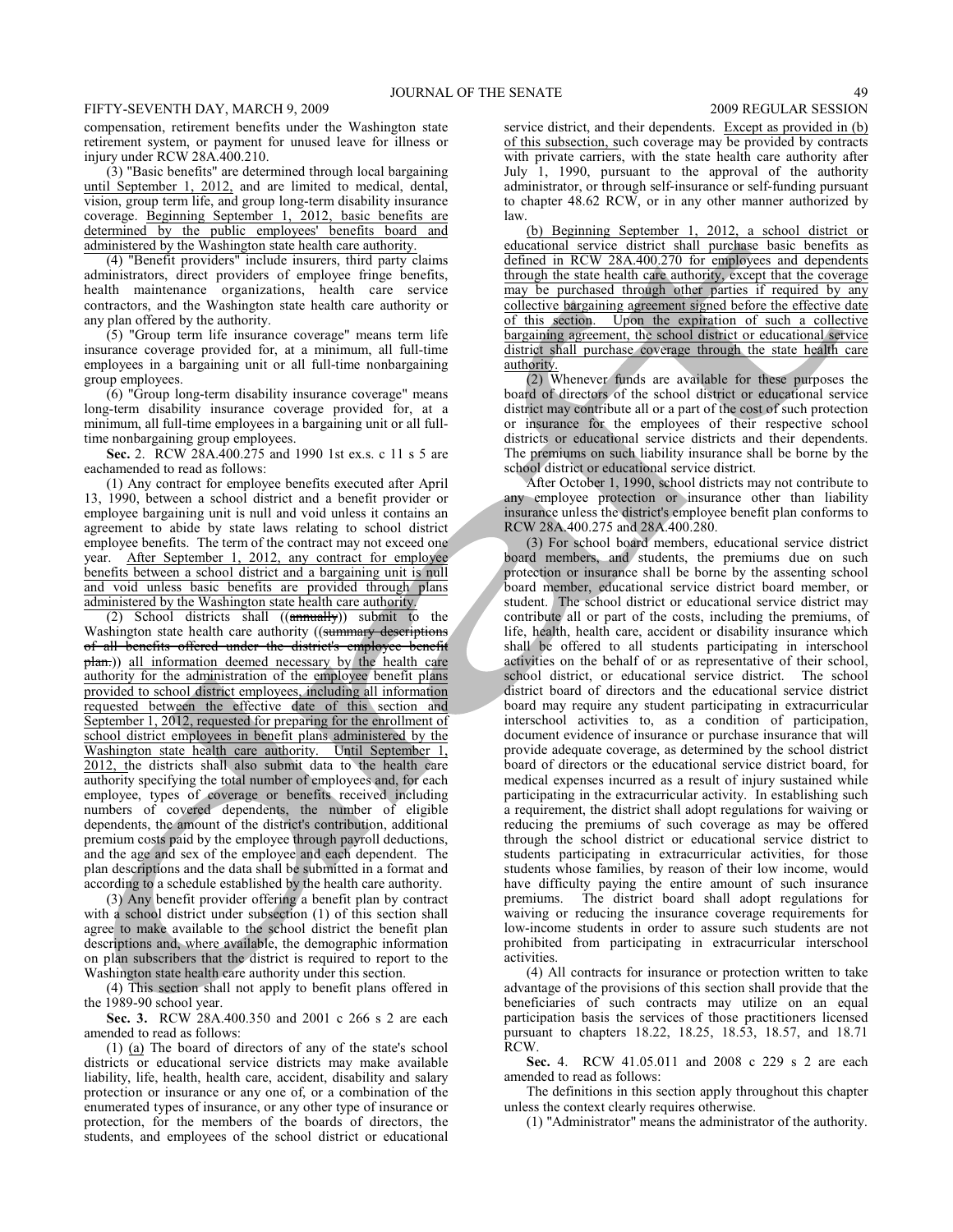compensation, retirement benefits under the Washington state retirement system, or payment for unused leave for illness or injury under RCW 28A.400.210.

(3) "Basic benefits" are determined through local bargaining until September 1, 2012, and are limited to medical, dental, vision, group term life, and group long-term disability insurance coverage. Beginning September 1, 2012, basic benefits are determined by the public employees' benefits board and administered by the Washington state health care authority.

(4) "Benefit providers" include insurers, third party claims administrators, direct providers of employee fringe benefits, health maintenance organizations, health care service contractors, and the Washington state health care authority or any plan offered by the authority.

(5) "Group term life insurance coverage" means term life insurance coverage provided for, at a minimum, all full-time employees in a bargaining unit or all full-time nonbargaining group employees.

(6) "Group long-term disability insurance coverage" means long-term disability insurance coverage provided for, at a minimum, all full-time employees in a bargaining unit or all fulltime nonbargaining group employees.

**Sec.** 2.RCW 28A.400.275 and 1990 1st ex.s. c 11 s 5 are eachamended to read as follows:

(1) Any contract for employee benefits executed after April 13, 1990, between a school district and a benefit provider or employee bargaining unit is null and void unless it contains an agreement to abide by state laws relating to school district employee benefits. The term of the contract may not exceed one year. After September 1, 2012, any contract for employee benefits between a school district and a bargaining unit is null and void unless basic benefits are provided through plans administered by the Washington state health care authority.

(2) School districts shall ((annually)) submit to the Washington state health care authority ((summary descriptions) of all benefits offered under the district's employee benefit plan.)) all information deemed necessary by the health care authority for the administration of the employee benefit plans provided to school district employees, including all information requested between the effective date of this section and September 1, 2012, requested for preparing for the enrollment of school district employees in benefit plans administered by the Washington state health care authority. Until September 1, 2012, the districts shall also submit data to the health care authority specifying the total number of employees and, for each employee, types of coverage or benefits received including numbers of covered dependents, the number of eligible dependents, the amount of the district's contribution, additional premium costs paid by the employee through payroll deductions, and the age and sex of the employee and each dependent. The plan descriptions and the data shall be submitted in a format and according to a schedule established by the health care authority.

(3) Any benefit provider offering a benefit plan by contract with a school district under subsection (1) of this section shall agree to make available to the school district the benefit plan descriptions and, where available, the demographic information on plan subscribers that the district is required to report to the Washington state health care authority under this section.

(4) This section shall not apply to benefit plans offered in the 1989-90 school year.

**Sec. 3.** RCW 28A.400.350 and 2001 c 266 s 2 are each amended to read as follows:

(1) (a) The board of directors of any of the state's school districts or educational service districts may make available liability, life, health, health care, accident, disability and salary protection or insurance or any one of, or a combination of the enumerated types of insurance, or any other type of insurance or protection, for the members of the boards of directors, the students, and employees of the school district or educational service district, and their dependents. Except as provided in (b) of this subsection, such coverage may be provided by contracts with private carriers, with the state health care authority after July 1, 1990, pursuant to the approval of the authority administrator, or through self-insurance or self-funding pursuant to chapter 48.62 RCW, or in any other manner authorized by law.

(b) Beginning September 1, 2012, a school district or educational service district shall purchase basic benefits as defined in RCW 28A.400.270 for employees and dependents through the state health care authority, except that the coverage may be purchased through other parties if required by any collective bargaining agreement signed before the effective date of this section. Upon the expiration of such a collective bargaining agreement, the school district or educational service district shall purchase coverage through the state health care authority.

(2) Whenever funds are available for these purposes the board of directors of the school district or educational service district may contribute all or a part of the cost of such protection or insurance for the employees of their respective school districts or educational service districts and their dependents. The premiums on such liability insurance shall be borne by the school district or educational service district.

After October 1, 1990, school districts may not contribute to any employee protection or insurance other than liability insurance unless the district's employee benefit plan conforms to RCW 28A.400.275 and 28A.400.280.

(3) For school board members, educational service district board members, and students, the premiums due on such protection or insurance shall be borne by the assenting school board member, educational service district board member, or student. The school district or educational service district may contribute all or part of the costs, including the premiums, of life, health, health care, accident or disability insurance which shall be offered to all students participating in interschool activities on the behalf of or as representative of their school, school district, or educational service district. The school district board of directors and the educational service district board may require any student participating in extracurricular interschool activities to, as a condition of participation, document evidence of insurance or purchase insurance that will provide adequate coverage, as determined by the school district board of directors or the educational service district board, for medical expenses incurred as a result of injury sustained while participating in the extracurricular activity. In establishing such a requirement, the district shall adopt regulations for waiving or reducing the premiums of such coverage as may be offered through the school district or educational service district to students participating in extracurricular activities, for those students whose families, by reason of their low income, would have difficulty paying the entire amount of such insurance<br>premiums. The district board shall adopt regulations for The district board shall adopt regulations for waiving or reducing the insurance coverage requirements for low-income students in order to assure such students are not prohibited from participating in extracurricular interschool activities.

(4) All contracts for insurance or protection written to take advantage of the provisions of this section shall provide that the beneficiaries of such contracts may utilize on an equal participation basis the services of those practitioners licensed pursuant to chapters 18.22, 18.25, 18.53, 18.57, and 18.71 RCW.

**Sec.** 4.RCW 41.05.011 and 2008 c 229 s 2 are each amended to read as follows:

The definitions in this section apply throughout this chapter unless the context clearly requires otherwise.

(1) "Administrator" means the administrator of the authority.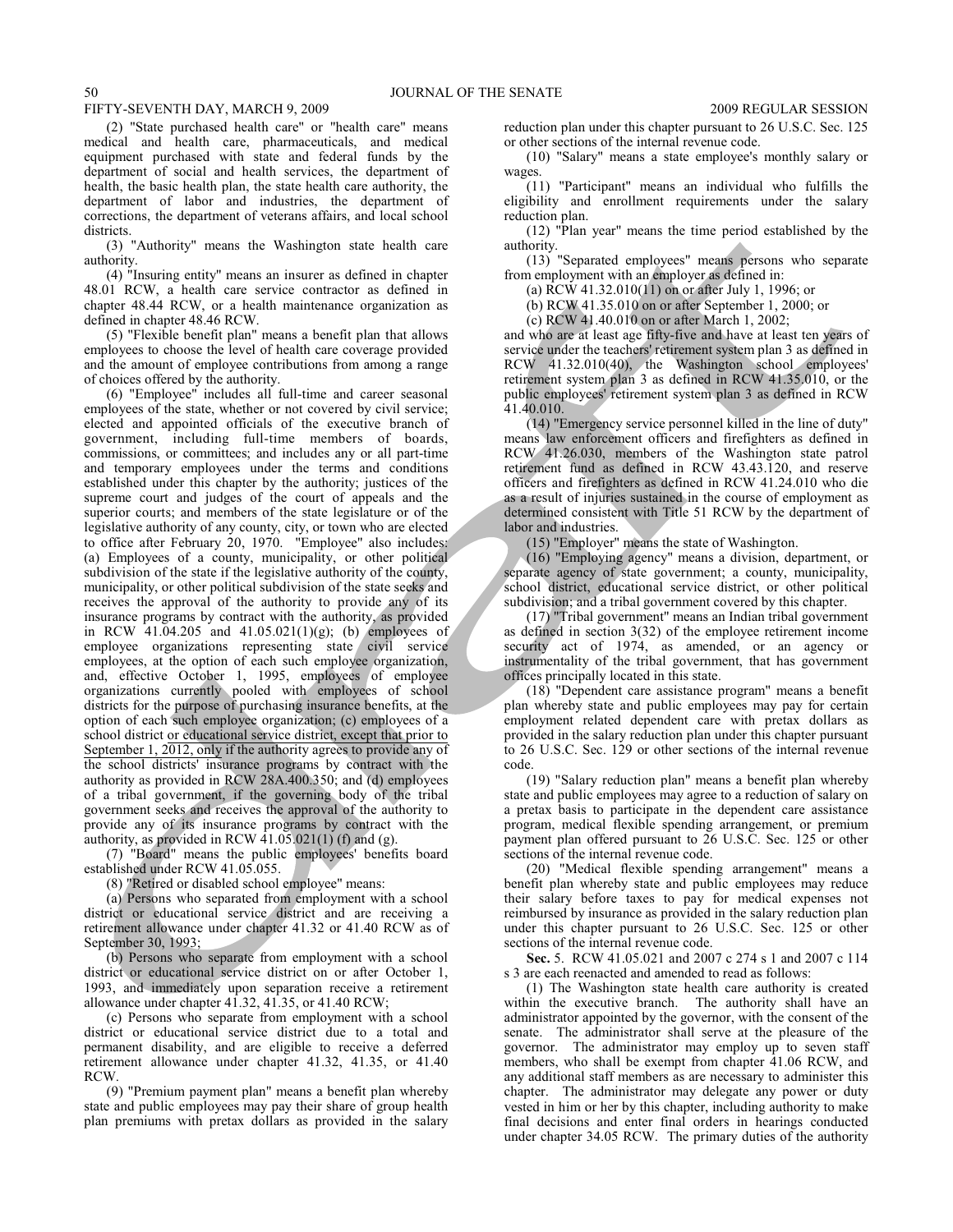(2) "State purchased health care" or "health care" means medical and health care, pharmaceuticals, and medical equipment purchased with state and federal funds by the department of social and health services, the department of health, the basic health plan, the state health care authority, the department of labor and industries, the department of corrections, the department of veterans affairs, and local school districts.

(3) "Authority" means the Washington state health care authority.

(4) "Insuring entity" means an insurer as defined in chapter 48.01 RCW, a health care service contractor as defined in chapter 48.44 RCW, or a health maintenance organization as defined in chapter 48.46 RCW.

(5) "Flexible benefit plan" means a benefit plan that allows employees to choose the level of health care coverage provided and the amount of employee contributions from among a range of choices offered by the authority.

(6) "Employee" includes all full-time and career seasonal employees of the state, whether or not covered by civil service; elected and appointed officials of the executive branch of government, including full-time members of boards, commissions, or committees; and includes any or all part-time and temporary employees under the terms and conditions established under this chapter by the authority; justices of the supreme court and judges of the court of appeals and the superior courts; and members of the state legislature or of the legislative authority of any county, city, or town who are elected to office after February 20, 1970. "Employee" also includes: (a) Employees of a county, municipality, or other political subdivision of the state if the legislative authority of the county, municipality, or other political subdivision of the state seeks and receives the approval of the authority to provide any of its insurance programs by contract with the authority, as provided in RCW  $41.04.205$  and  $41.05.021(1)(g)$ ; (b) employees of employee organizations representing state civil service employees, at the option of each such employee organization, and, effective October 1, 1995, employees of employee organizations currently pooled with employees of school districts for the purpose of purchasing insurance benefits, at the option of each such employee organization; (c) employees of a school district or educational service district, except that prior to September 1, 2012, only if the authority agrees to provide any of the school districts' insurance programs by contract with the authority as provided in RCW 28A.400.350; and (d) employees of a tribal government, if the governing body of the tribal government seeks and receives the approval of the authority to provide any of its insurance programs by contract with the authority, as provided in RCW  $\overline{41.05.021(1)}$  (f) and (g).

(7) "Board" means the public employees' benefits board established under RCW 41.05.055.

(8) "Retired or disabled school employee" means:

(a) Persons who separated from employment with a school district or educational service district and are receiving a retirement allowance under chapter 41.32 or 41.40 RCW as of September 30, 1993;

(b) Persons who separate from employment with a school district or educational service district on or after October 1, 1993, and immediately upon separation receive a retirement allowance under chapter 41.32, 41.35, or 41.40 RCW;

(c) Persons who separate from employment with a school district or educational service district due to a total and permanent disability, and are eligible to receive a deferred retirement allowance under chapter 41.32, 41.35, or 41.40 RCW.

(9) "Premium payment plan" means a benefit plan whereby state and public employees may pay their share of group health plan premiums with pretax dollars as provided in the salary reduction plan under this chapter pursuant to 26 U.S.C. Sec. 125 or other sections of the internal revenue code.

(10) "Salary" means a state employee's monthly salary or wages.

(11) "Participant" means an individual who fulfills the eligibility and enrollment requirements under the salary reduction plan.

(12) "Plan year" means the time period established by the authority.

(13) "Separated employees" means persons who separate from employment with an employer as defined in:

(a) RCW 41.32.010(11) on or after July 1, 1996; or

(b) RCW 41.35.010 on or after September 1, 2000; or

(c) RCW 41.40.010 on or after March 1, 2002;

and who are at least age fifty-five and have at least ten years of service under the teachers' retirement system plan 3 as defined in RCW 41.32.010(40), the Washington school employees' retirement system plan 3 as defined in RCW 41.35.010, or the public employees' retirement system plan 3 as defined in RCW  $41.40.010$ 

(14) "Emergency service personnel killed in the line of duty" means law enforcement officers and firefighters as defined in RCW 41.26.030, members of the Washington state patrol retirement fund as defined in RCW 43.43.120, and reserve officers and firefighters as defined in RCW 41.24.010 who die as a result of injuries sustained in the course of employment as determined consistent with Title 51 RCW by the department of labor and industries.

(15) "Employer" means the state of Washington.

(16) "Employing agency" means a division, department, or separate agency of state government; a county, municipality, school district, educational service district, or other political subdivision; and a tribal government covered by this chapter.

(17) "Tribal government" means an Indian tribal government as defined in section 3(32) of the employee retirement income security act of 1974, as amended, or an agency or instrumentality of the tribal government, that has government offices principally located in this state.

(18) "Dependent care assistance program" means a benefit plan whereby state and public employees may pay for certain employment related dependent care with pretax dollars as provided in the salary reduction plan under this chapter pursuant to 26 U.S.C. Sec. 129 or other sections of the internal revenue code.

(19) "Salary reduction plan" means a benefit plan whereby state and public employees may agree to a reduction of salary on a pretax basis to participate in the dependent care assistance program, medical flexible spending arrangement, or premium payment plan offered pursuant to 26 U.S.C. Sec. 125 or other sections of the internal revenue code.

(20) "Medical flexible spending arrangement" means a benefit plan whereby state and public employees may reduce their salary before taxes to pay for medical expenses not reimbursed by insurance as provided in the salary reduction plan under this chapter pursuant to 26 U.S.C. Sec. 125 or other sections of the internal revenue code.

**Sec.** 5.RCW 41.05.021 and 2007 c 274 s 1 and 2007 c 114 s 3 are each reenacted and amended to read as follows:

(1) The Washington state health care authority is created within the executive branch. The authority shall have an administrator appointed by the governor, with the consent of the senate. The administrator shall serve at the pleasure of the governor. The administrator may employ up to seven staff members, who shall be exempt from chapter 41.06 RCW, and any additional staff members as are necessary to administer this chapter. The administrator may delegate any power or duty vested in him or her by this chapter, including authority to make final decisions and enter final orders in hearings conducted under chapter 34.05 RCW. The primary duties of the authority

50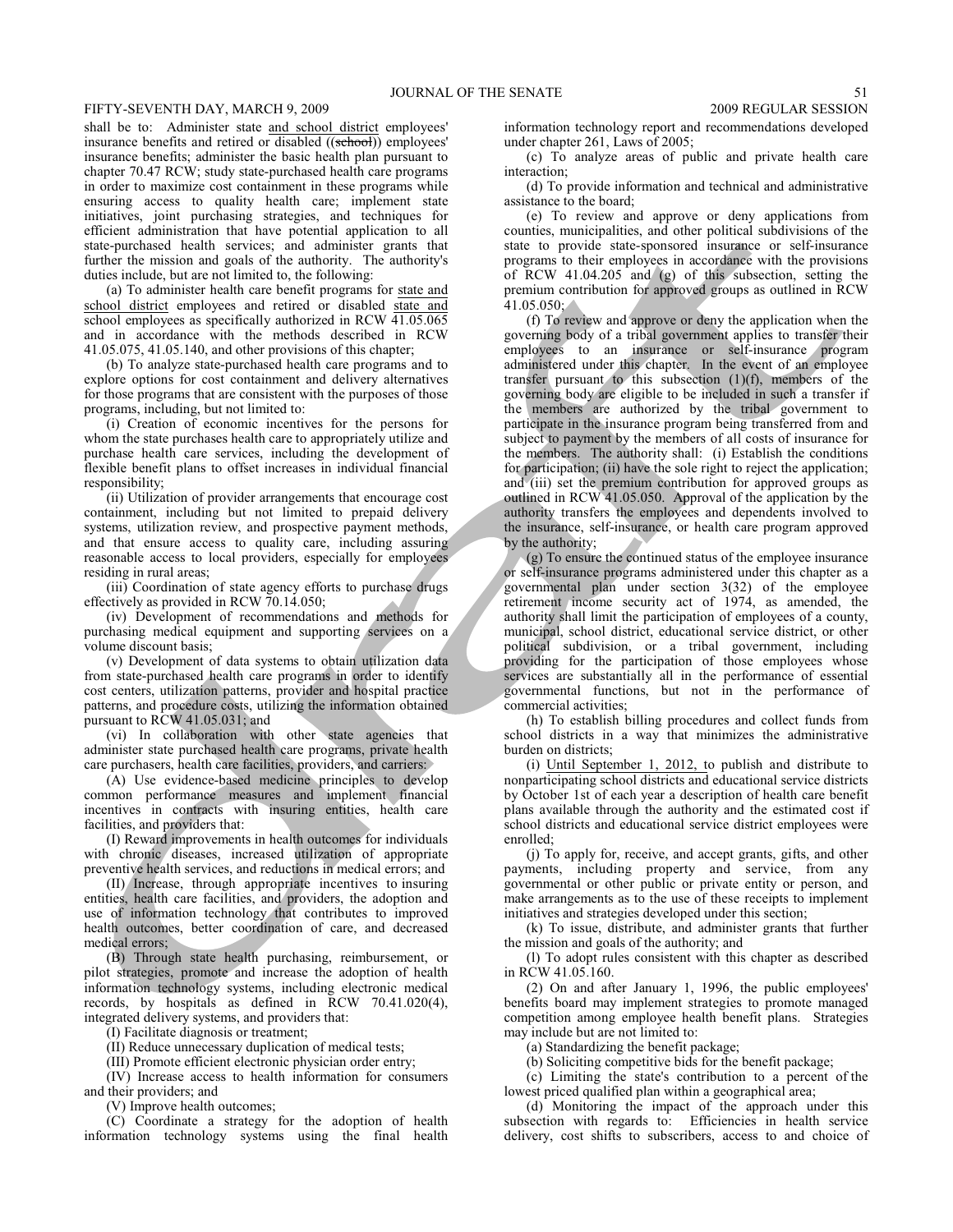shall be to: Administer state and school district employees' insurance benefits and retired or disabled ((school)) employees' insurance benefits; administer the basic health plan pursuant to chapter 70.47 RCW; study state-purchased health care programs in order to maximize cost containment in these programs while ensuring access to quality health care; implement state initiatives, joint purchasing strategies, and techniques for efficient administration that have potential application to all state-purchased health services; and administer grants that further the mission and goals of the authority. The authority's duties include, but are not limited to, the following:

(a) To administer health care benefit programs for state and school district employees and retired or disabled state and school employees as specifically authorized in RCW 41.05.065 and in accordance with the methods described in RCW 41.05.075, 41.05.140, and other provisions of this chapter;

(b) To analyze state-purchased health care programs and to explore options for cost containment and delivery alternatives for those programs that are consistent with the purposes of those programs, including, but not limited to:

(i) Creation of economic incentives for the persons for whom the state purchases health care to appropriately utilize and purchase health care services, including the development of flexible benefit plans to offset increases in individual financial responsibility;

(ii) Utilization of provider arrangements that encourage cost containment, including but not limited to prepaid delivery systems, utilization review, and prospective payment methods, and that ensure access to quality care, including assuring reasonable access to local providers, especially for employees residing in rural areas;

(iii) Coordination of state agency efforts to purchase drugs effectively as provided in RCW 70.14.050;

(iv) Development of recommendations and methods for purchasing medical equipment and supporting services on a volume discount basis;

(v) Development of data systems to obtain utilization data from state-purchased health care programs in order to identify cost centers, utilization patterns, provider and hospital practice patterns, and procedure costs, utilizing the information obtained pursuant to RCW 41.05.031; and

(vi) In collaboration with other state agencies that administer state purchased health care programs, private health care purchasers, health care facilities, providers, and carriers:

(A) Use evidence-based medicine principles to develop common performance measures and implement financial incentives in contracts with insuring entities, health care facilities, and providers that:

(I) Reward improvements in health outcomes for individuals with chronic diseases, increased utilization of appropriate preventive health services, and reductions in medical errors; and

(II) Increase, through appropriate incentives to insuring entities, health care facilities, and providers, the adoption and use of information technology that contributes to improved health outcomes, better coordination of care, and decreased medical errors;

(B) Through state health purchasing, reimbursement, or pilot strategies, promote and increase the adoption of health information technology systems, including electronic medical records, by hospitals as defined in RCW 70.41.020(4), integrated delivery systems, and providers that:

(I) Facilitate diagnosis or treatment;

(II) Reduce unnecessary duplication of medical tests;

(III) Promote efficient electronic physician order entry;

(IV) Increase access to health information for consumers and their providers; and

(V) Improve health outcomes;

(C) Coordinate a strategy for the adoption of health information technology systems using the final health

information technology report and recommendations developed under chapter 261, Laws of 2005;

(c) To analyze areas of public and private health care interaction;

(d) To provide information and technical and administrative assistance to the board;

(e) To review and approve or deny applications from counties, municipalities, and other political subdivisions of the state to provide state-sponsored insurance or self-insurance programs to their employees in accordance with the provisions of RCW 41.04.205 and (g) of this subsection, setting the premium contribution for approved groups as outlined in RCW 41.05.050;

(f) To review and approve or deny the application when the governing body of a tribal government applies to transfer their employees to an insurance or self-insurance program administered under this chapter. In the event of an employee transfer pursuant to this subsection (1)(f), members of the governing body are eligible to be included in such a transfer if the members are authorized by the tribal government to participate in the insurance program being transferred from and subject to payment by the members of all costs of insurance for the members. The authority shall: (i) Establish the conditions for participation; (ii) have the sole right to reject the application; and (iii) set the premium contribution for approved groups as outlined in RCW 41.05.050. Approval of the application by the authority transfers the employees and dependents involved to the insurance, self-insurance, or health care program approved by the authority;

(g) To ensure the continued status of the employee insurance or self-insurance programs administered under this chapter as a governmental plan under section 3(32) of the employee retirement income security act of 1974, as amended, the authority shall limit the participation of employees of a county, municipal, school district, educational service district, or other political subdivision, or a tribal government, including providing for the participation of those employees whose services are substantially all in the performance of essential governmental functions, but not in the performance of commercial activities;

(h) To establish billing procedures and collect funds from school districts in a way that minimizes the administrative burden on districts;

(i) Until September 1, 2012, to publish and distribute to nonparticipating school districts and educational service districts by October 1st of each year a description of health care benefit plans available through the authority and the estimated cost if school districts and educational service district employees were enrolled;

(j) To apply for, receive, and accept grants, gifts, and other payments, including property and service, from any governmental or other public or private entity or person, and make arrangements as to the use of these receipts to implement initiatives and strategies developed under this section;

(k) To issue, distribute, and administer grants that further the mission and goals of the authority; and

(l) To adopt rules consistent with this chapter as described in RCW 41.05.160.

(2) On and after January 1, 1996, the public employees' benefits board may implement strategies to promote managed competition among employee health benefit plans. Strategies may include but are not limited to:

(a) Standardizing the benefit package;

(b) Soliciting competitive bids for the benefit package;

(c) Limiting the state's contribution to a percent of the lowest priced qualified plan within a geographical area;

(d) Monitoring the impact of the approach under this subsection with regards to: Efficiencies in health service delivery, cost shifts to subscribers, access to and choice of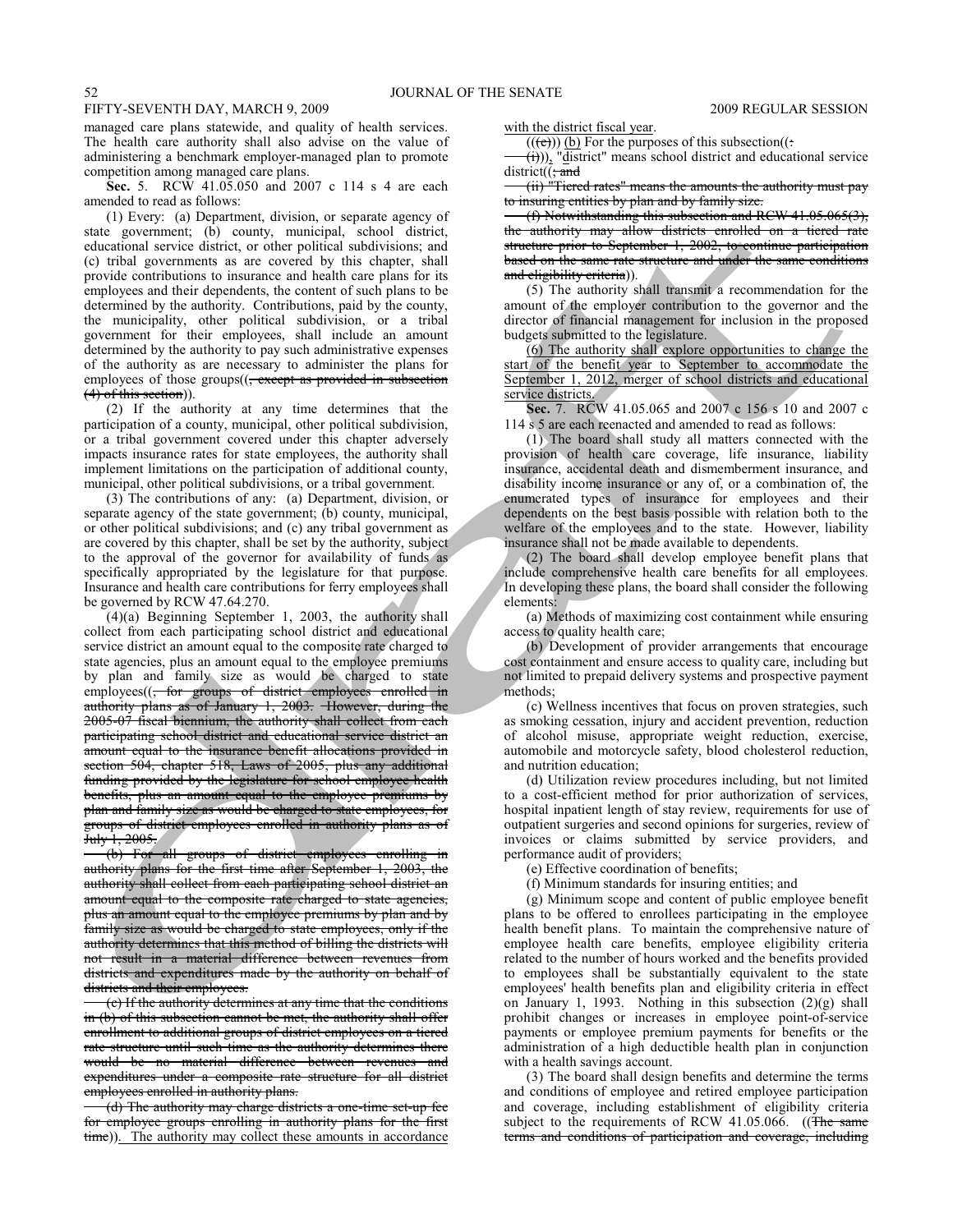managed care plans statewide, and quality of health services. The health care authority shall also advise on the value of administering a benchmark employer-managed plan to promote competition among managed care plans.

**Sec.** 5.RCW 41.05.050 and 2007 c 114 s 4 are each amended to read as follows:

(1) Every: (a) Department, division, or separate agency of state government; (b) county, municipal, school district, educational service district, or other political subdivisions; and (c) tribal governments as are covered by this chapter, shall provide contributions to insurance and health care plans for its employees and their dependents, the content of such plans to be determined by the authority. Contributions, paid by the county, the municipality, other political subdivision, or a tribal government for their employees, shall include an amount determined by the authority to pay such administrative expenses of the authority as are necessary to administer the plans for employees of those groups $((\frac{1}{x} \cdot \frac{1}{x})$  as provided in subsection (4) of this section)).

(2) If the authority at any time determines that the participation of a county, municipal, other political subdivision, or a tribal government covered under this chapter adversely impacts insurance rates for state employees, the authority shall implement limitations on the participation of additional county, municipal, other political subdivisions, or a tribal government.

(3) The contributions of any: (a) Department, division, or separate agency of the state government; (b) county, municipal, or other political subdivisions; and (c) any tribal government as are covered by this chapter, shall be set by the authority, subject to the approval of the governor for availability of funds as specifically appropriated by the legislature for that purpose. Insurance and health care contributions for ferry employees shall be governed by RCW 47.64.270.

(4)(a) Beginning September 1, 2003, the authority shall collect from each participating school district and educational service district an amount equal to the composite rate charged to state agencies, plus an amount equal to the employee premiums by plan and family size as would be charged to state employees((<del>, for groups of district employees enrolled in</del> authority plans as of January 1, 2003. However, during the 2005-07 fiscal biennium, the authority shall collect from each participating school district and educational service district an amount equal to the insurance benefit allocations provided in section 504, chapter 518, Laws of 2005, plus any additional funding provided by the legislature for school employee health benefits, plus an amount equal to the employee premiums by plan and family size as would be charged to state employees, for groups of district employees enrolled in authority plans as of July 1, 2005.

(b) For all groups of district employees enrolling in authority plans for the first time after September 1, 2003, the authority shall collect from each participating school district an amount equal to the composite rate charged to state agencies, plus an amount equal to the employee premiums by plan and by family size as would be charged to state employees, only if the authority determines that this method of billing the districts will not result in a material difference between revenues from districts and expenditures made by the authority on behalf of districts and their employees.

(c) If the authority determines at any time that the conditions in (b) of this subsection cannot be met, the authority shall offer enrollment to additional groups of district employees on a tiered rate structure until such time as the authority determines there would be no material difference between revenues and expenditures under a composite rate structure for all district employees enrolled in authority plans.

(d) The authority may charge districts a one-time set-up fee for employee groups enrolling in authority plans for the first time)). The authority may collect these amounts in accordance with the district fiscal year.

 $((e))$  (b) For the purposes of this subsection( $(e)$ )  $(\overrightarrow{t})$ ), "district" means school district and educational service

district $((; and)$ (ii) "Tiered rates" means the amounts the authority must pay to insuring entities by plan and by family size.

(f) Notwithstanding this subsection and RCW 41.05.065(3), the authority may allow districts enrolled on a tiered rate structure prior to September 1, 2002, to continue participation based on the same rate structure and under the same conditions and eligibility criteria)).

(5) The authority shall transmit a recommendation for the amount of the employer contribution to the governor and the director of financial management for inclusion in the proposed budgets submitted to the legislature.

(6) The authority shall explore opportunities to change the start of the benefit year to September to accommodate the September 1, 2012, merger of school districts and educational service districts.

**Sec.** 7.RCW 41.05.065 and 2007 c 156 s 10 and 2007 c 114 s 5 are each reenacted and amended to read as follows:

(1) The board shall study all matters connected with the provision of health care coverage, life insurance, liability insurance, accidental death and dismemberment insurance, and disability income insurance or any of, or a combination of, the enumerated types of insurance for employees and their dependents on the best basis possible with relation both to the welfare of the employees and to the state. However, liability insurance shall not be made available to dependents.

(2) The board shall develop employee benefit plans that include comprehensive health care benefits for all employees. In developing these plans, the board shall consider the following elements:

(a) Methods of maximizing cost containment while ensuring access to quality health care;

(b) Development of provider arrangements that encourage cost containment and ensure access to quality care, including but not limited to prepaid delivery systems and prospective payment methods;

(c) Wellness incentives that focus on proven strategies, such as smoking cessation, injury and accident prevention, reduction of alcohol misuse, appropriate weight reduction, exercise, automobile and motorcycle safety, blood cholesterol reduction, and nutrition education;

(d) Utilization review procedures including, but not limited to a cost-efficient method for prior authorization of services, hospital inpatient length of stay review, requirements for use of outpatient surgeries and second opinions for surgeries, review of invoices or claims submitted by service providers, and performance audit of providers;

(e) Effective coordination of benefits;

(f) Minimum standards for insuring entities; and

(g) Minimum scope and content of public employee benefit plans to be offered to enrollees participating in the employee health benefit plans. To maintain the comprehensive nature of employee health care benefits, employee eligibility criteria related to the number of hours worked and the benefits provided to employees shall be substantially equivalent to the state employees' health benefits plan and eligibility criteria in effect on January 1, 1993. Nothing in this subsection (2)(g) shall prohibit changes or increases in employee point-of-service payments or employee premium payments for benefits or the administration of a high deductible health plan in conjunction with a health savings account.

(3) The board shall design benefits and determine the terms and conditions of employee and retired employee participation and coverage, including establishment of eligibility criteria subject to the requirements of RCW  $41.05.066$ . ((The same terms and conditions of participation and coverage, including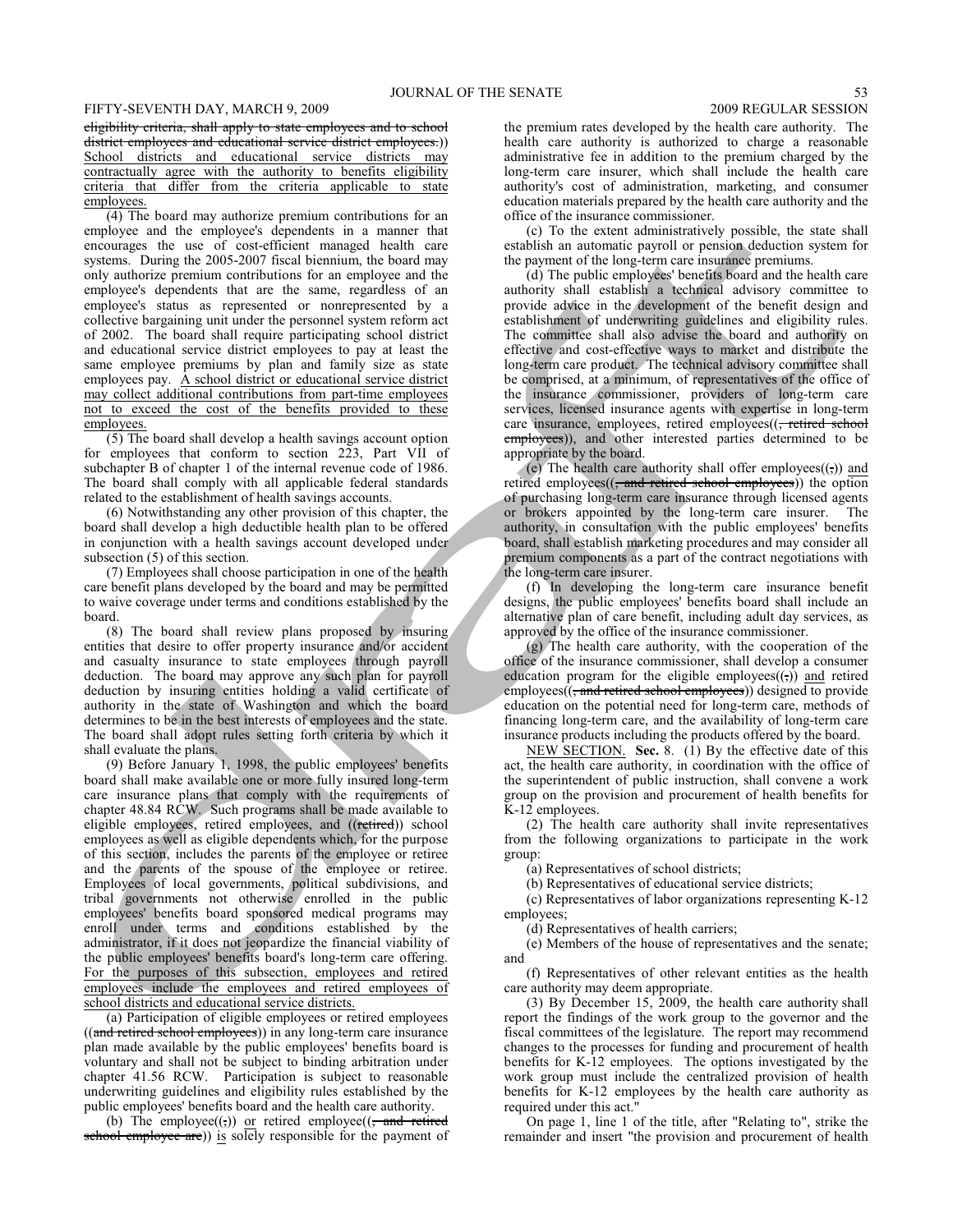eligibility criteria, shall apply to state employees and to school district employees and educational service district employees.)) School districts and educational service districts may contractually agree with the authority to benefits eligibility criteria that differ from the criteria applicable to state employees.

(4) The board may authorize premium contributions for an employee and the employee's dependents in a manner that encourages the use of cost-efficient managed health care systems. During the 2005-2007 fiscal biennium, the board may only authorize premium contributions for an employee and the employee's dependents that are the same, regardless of an employee's status as represented or nonrepresented by a collective bargaining unit under the personnel system reform act of 2002. The board shall require participating school district and educational service district employees to pay at least the same employee premiums by plan and family size as state employees pay. A school district or educational service district may collect additional contributions from part-time employees not to exceed the cost of the benefits provided to these employees.

(5) The board shall develop a health savings account option for employees that conform to section 223, Part VII of subchapter B of chapter 1 of the internal revenue code of 1986. The board shall comply with all applicable federal standards related to the establishment of health savings accounts.

(6) Notwithstanding any other provision of this chapter, the board shall develop a high deductible health plan to be offered in conjunction with a health savings account developed under subsection (5) of this section.

(7) Employees shall choose participation in one of the health care benefit plans developed by the board and may be permitted to waive coverage under terms and conditions established by the board.

(8) The board shall review plans proposed by insuring entities that desire to offer property insurance and/or accident and casualty insurance to state employees through payroll deduction. The board may approve any such plan for payroll deduction by insuring entities holding a valid certificate of authority in the state of Washington and which the board determines to be in the best interests of employees and the state. The board shall adopt rules setting forth criteria by which it shall evaluate the plans.

(9) Before January 1, 1998, the public employees' benefits board shall make available one or more fully insured long-term care insurance plans that comply with the requirements of chapter 48.84 RCW. Such programs shall be made available to eligible employees, retired employees, and ((retired)) school employees as well as eligible dependents which, for the purpose of this section, includes the parents of the employee or retiree and the parents of the spouse of the employee or retiree. Employees of local governments, political subdivisions, and tribal governments not otherwise enrolled in the public employees' benefits board sponsored medical programs may enroll under terms and conditions established by the administrator, if it does not jeopardize the financial viability of the public employees' benefits board's long-term care offering. For the purposes of this subsection, employees and retired employees include the employees and retired employees of school districts and educational service districts.

(a) Participation of eligible employees or retired employees ((and retired school employees)) in any long-term care insurance plan made available by the public employees' benefits board is voluntary and shall not be subject to binding arbitration under chapter 41.56 RCW. Participation is subject to reasonable underwriting guidelines and eligibility rules established by the public employees' benefits board and the health care authority.

(b) The employee $((,))$  or retired employee $((, \text{ and \text{ retired})})$ school employee are)) is solely responsible for the payment of the premium rates developed by the health care authority. The health care authority is authorized to charge a reasonable administrative fee in addition to the premium charged by the long-term care insurer, which shall include the health care authority's cost of administration, marketing, and consumer education materials prepared by the health care authority and the office of the insurance commissioner.

(c) To the extent administratively possible, the state shall establish an automatic payroll or pension deduction system for the payment of the long-term care insurance premiums.

(d) The public employees' benefits board and the health care authority shall establish a technical advisory committee to provide advice in the development of the benefit design and establishment of underwriting guidelines and eligibility rules. The committee shall also advise the board and authority on effective and cost-effective ways to market and distribute the long-term care product. The technical advisory committee shall be comprised, at a minimum, of representatives of the office of the insurance commissioner, providers of long-term care services, licensed insurance agents with expertise in long-term care insurance, employees, retired employees((<del>, retired school</del> employees)), and other interested parties determined to be appropriate by the board.

(e) The health care authority shall offer employees((,)) and retired employees((<del>, and retired school employees</del>)) the option of purchasing long-term care insurance through licensed agents or brokers appointed by the long-term care insurer. The authority, in consultation with the public employees' benefits board, shall establish marketing procedures and may consider all premium components as a part of the contract negotiations with the long-term care insurer.

(f) In developing the long-term care insurance benefit designs, the public employees' benefits board shall include an alternative plan of care benefit, including adult day services, as approved by the office of the insurance commissioner.

(g) The health care authority, with the cooperation of the office of the insurance commissioner, shall develop a consumer education program for the eligible employees $((,))$  and retired employees((, and retired school employees)) designed to provide education on the potential need for long-term care, methods of financing long-term care, and the availability of long-term care insurance products including the products offered by the board.

NEW SECTION. **Sec.** 8.(1) By the effective date of this act, the health care authority, in coordination with the office of the superintendent of public instruction, shall convene a work group on the provision and procurement of health benefits for K-12 employees.

(2) The health care authority shall invite representatives from the following organizations to participate in the work group:

(a) Representatives of school districts;

(b) Representatives of educational service districts;

(c) Representatives of labor organizations representing K-12 employees;

(d) Representatives of health carriers;

(e) Members of the house of representatives and the senate; and

(f) Representatives of other relevant entities as the health care authority may deem appropriate.

(3) By December 15, 2009, the health care authority shall report the findings of the work group to the governor and the fiscal committees of the legislature. The report may recommend changes to the processes for funding and procurement of health benefits for K-12 employees. The options investigated by the work group must include the centralized provision of health benefits for K-12 employees by the health care authority as required under this act."

On page 1, line 1 of the title, after "Relating to", strike the remainder and insert "the provision and procurement of health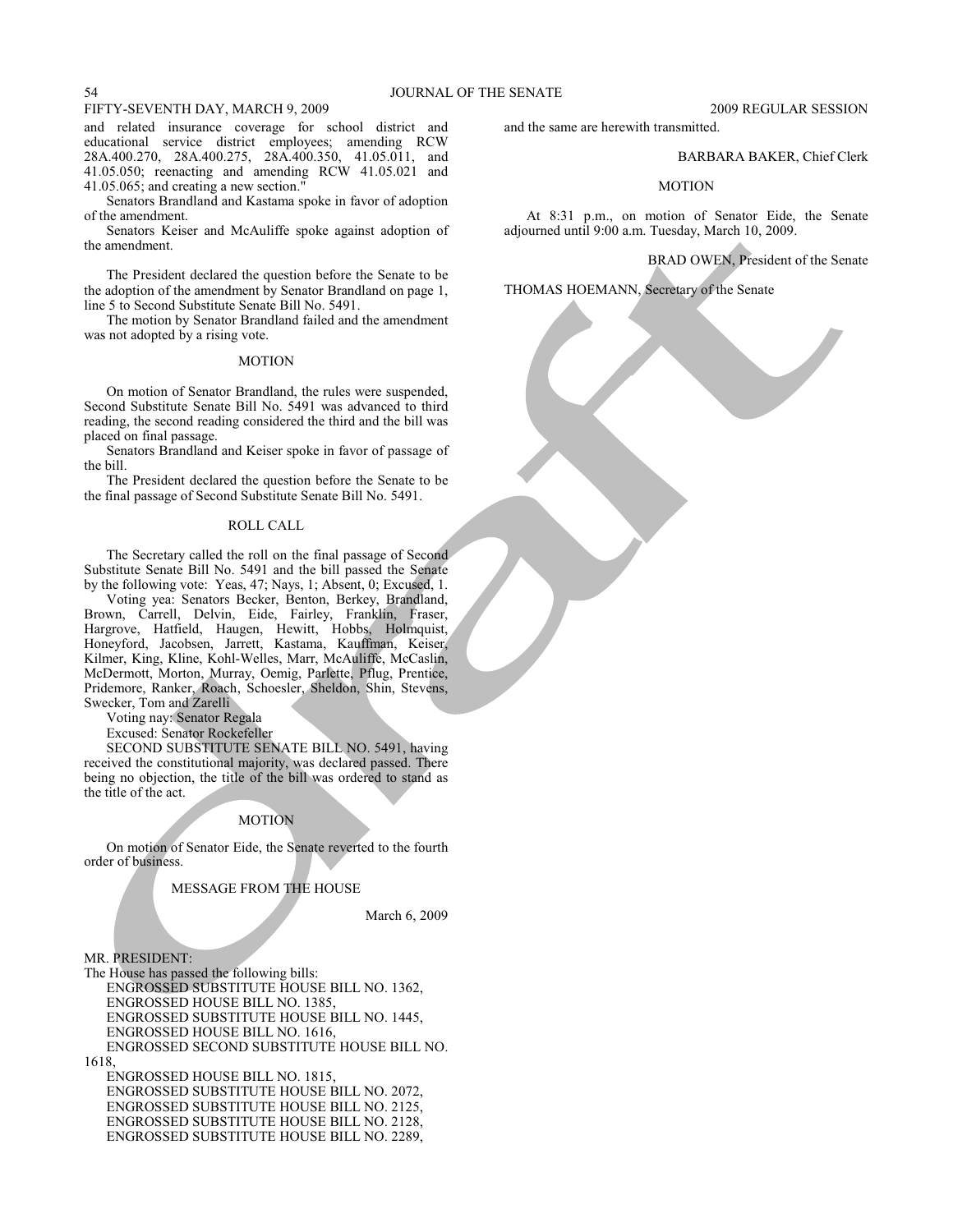and related insurance coverage for school district and educational service district employees; amending RCW 28A.400.270, 28A.400.275, 28A.400.350, 41.05.011, and 41.05.050; reenacting and amending RCW 41.05.021 and 41.05.065; and creating a new section."

Senators Brandland and Kastama spoke in favor of adoption of the amendment.

Senators Keiser and McAuliffe spoke against adoption of the amendment.

The President declared the question before the Senate to be the adoption of the amendment by Senator Brandland on page 1, line 5 to Second Substitute Senate Bill No. 5491.

The motion by Senator Brandland failed and the amendment was not adopted by a rising vote.

## MOTION

On motion of Senator Brandland, the rules were suspended, Second Substitute Senate Bill No. 5491 was advanced to third reading, the second reading considered the third and the bill was placed on final passage.

Senators Brandland and Keiser spoke in favor of passage of the bill.

The President declared the question before the Senate to be the final passage of Second Substitute Senate Bill No. 5491.

## ROLL CALL

The Secretary called the roll on the final passage of Second Substitute Senate Bill No. 5491 and the bill passed the Senate by the following vote: Yeas, 47; Nays, 1; Absent, 0; Excused, 1.

Voting yea: Senators Becker, Benton, Berkey, Brandland, Brown, Carrell, Delvin, Eide, Fairley, Franklin, Fraser, Hargrove, Hatfield, Haugen, Hewitt, Hobbs, Holmquist, Honeyford, Jacobsen, Jarrett, Kastama, Kauffman, Keiser, Kilmer, King, Kline, Kohl-Welles, Marr, McAuliffe, McCaslin, McDermott, Morton, Murray, Oemig, Parlette, Pflug, Prentice, Pridemore, Ranker, Roach, Schoesler, Sheldon, Shin, Stevens, Swecker, Tom and Zarelli

Voting nay: Senator Regala

Excused: Senator Rockefeller

SECOND SUBSTITUTE SENATE BILL NO. 5491, having received the constitutional majority, was declared passed. There being no objection, the title of the bill was ordered to stand as the title of the act.

# MOTION

On motion of Senator Eide, the Senate reverted to the fourth order of business.

MESSAGE FROM THE HOUSE

March 6, 2009

# MR. PRESIDENT:

The House has passed the following bills: ENGROSSED SUBSTITUTE HOUSE BILL NO. 1362, ENGROSSED HOUSE BILL NO. 1385, ENGROSSED SUBSTITUTE HOUSE BILL NO. 1445, ENGROSSED HOUSE BILL NO. 1616, ENGROSSED SECOND SUBSTITUTE HOUSE BILL NO. 1618,

ENGROSSED HOUSE BILL NO. 1815, ENGROSSED SUBSTITUTE HOUSE BILL NO. 2072, ENGROSSED SUBSTITUTE HOUSE BILL NO. 2125, ENGROSSED SUBSTITUTE HOUSE BILL NO. 2128, ENGROSSED SUBSTITUTE HOUSE BILL NO. 2289,

and the same are herewith transmitted.

# BARBARA BAKER, Chief Clerk

## MOTION

At 8:31 p.m., on motion of Senator Eide, the Senate adjourned until 9:00 a.m. Tuesday, March 10, 2009.

BRAD OWEN, President of the Senate

THOMAS HOEMANN, Secretary of the Senate

54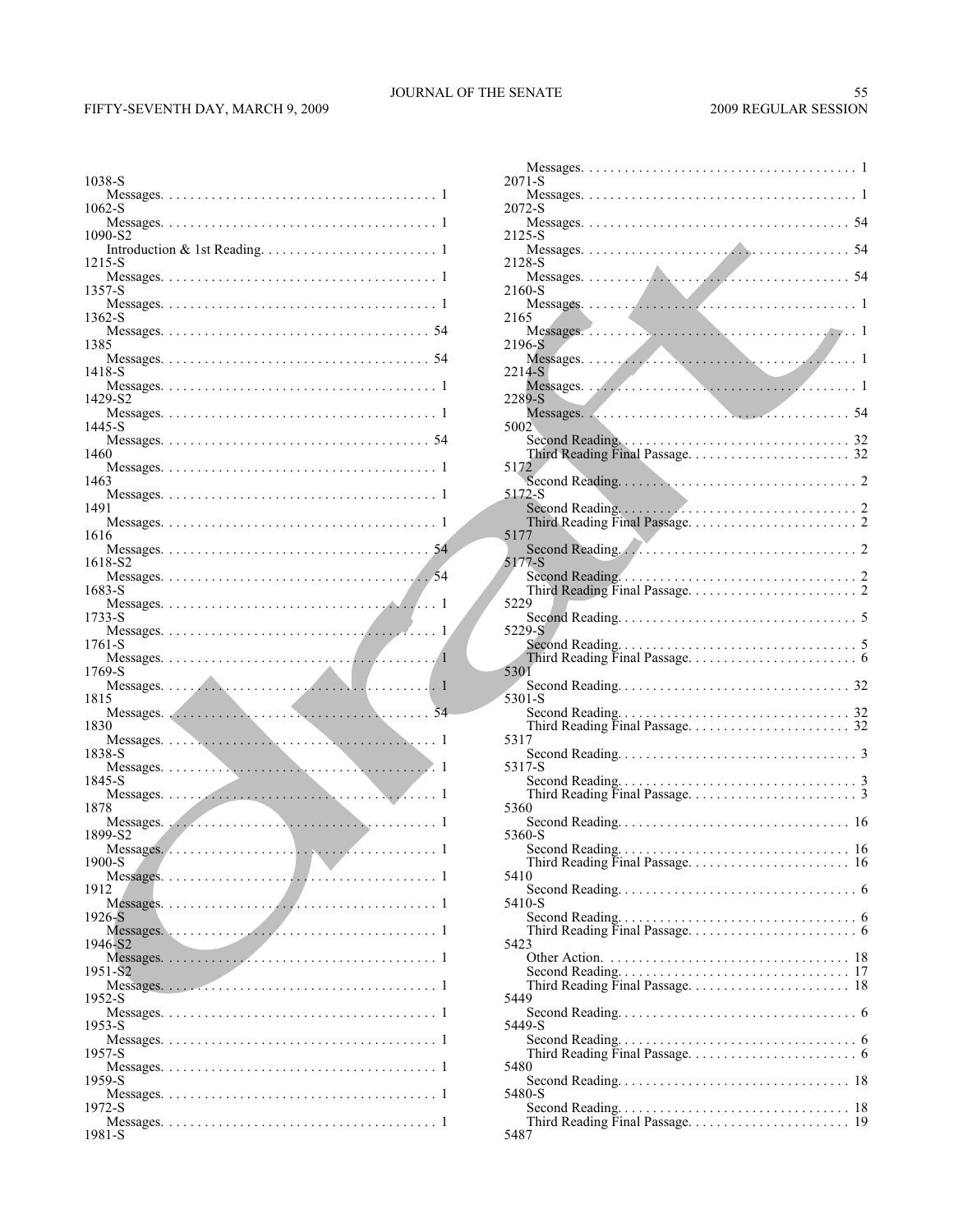| 1<br>1062-S<br>Messages.<br>1<br>1090-S2<br>-1<br>1215-S<br>1357-S<br>1362-S<br>1385<br>-54<br>1418-S<br>1429-S2<br>1445-S<br>54<br>1460<br>1463<br>1<br>1491<br>1616<br>-54<br>1618-S2<br>1683-S<br>1733-S<br>$1761 - S$<br>1<br>1769-S<br>$\Box \ldots$<br>п<br>1815<br>54<br>1830<br>1838-S<br>1845-S<br>1<br>1878<br>1<br>1899-S2<br>1<br>1900-S<br>1912<br>1926-S<br>1946-S2<br>1951-S2<br>1952-S<br>1953-S<br>1957-S<br>-1<br>1959-S<br>1972-S | 1038-S |
|------------------------------------------------------------------------------------------------------------------------------------------------------------------------------------------------------------------------------------------------------------------------------------------------------------------------------------------------------------------------------------------------------------------------------------------------------|--------|
|                                                                                                                                                                                                                                                                                                                                                                                                                                                      |        |
|                                                                                                                                                                                                                                                                                                                                                                                                                                                      |        |
|                                                                                                                                                                                                                                                                                                                                                                                                                                                      |        |
|                                                                                                                                                                                                                                                                                                                                                                                                                                                      |        |
|                                                                                                                                                                                                                                                                                                                                                                                                                                                      |        |
|                                                                                                                                                                                                                                                                                                                                                                                                                                                      |        |
|                                                                                                                                                                                                                                                                                                                                                                                                                                                      |        |
|                                                                                                                                                                                                                                                                                                                                                                                                                                                      |        |
|                                                                                                                                                                                                                                                                                                                                                                                                                                                      |        |
|                                                                                                                                                                                                                                                                                                                                                                                                                                                      |        |
|                                                                                                                                                                                                                                                                                                                                                                                                                                                      |        |
|                                                                                                                                                                                                                                                                                                                                                                                                                                                      |        |
|                                                                                                                                                                                                                                                                                                                                                                                                                                                      |        |
|                                                                                                                                                                                                                                                                                                                                                                                                                                                      |        |
|                                                                                                                                                                                                                                                                                                                                                                                                                                                      |        |
|                                                                                                                                                                                                                                                                                                                                                                                                                                                      |        |
|                                                                                                                                                                                                                                                                                                                                                                                                                                                      |        |
|                                                                                                                                                                                                                                                                                                                                                                                                                                                      |        |
|                                                                                                                                                                                                                                                                                                                                                                                                                                                      |        |
|                                                                                                                                                                                                                                                                                                                                                                                                                                                      |        |
|                                                                                                                                                                                                                                                                                                                                                                                                                                                      |        |
|                                                                                                                                                                                                                                                                                                                                                                                                                                                      |        |
|                                                                                                                                                                                                                                                                                                                                                                                                                                                      |        |
|                                                                                                                                                                                                                                                                                                                                                                                                                                                      |        |
|                                                                                                                                                                                                                                                                                                                                                                                                                                                      |        |
|                                                                                                                                                                                                                                                                                                                                                                                                                                                      |        |
|                                                                                                                                                                                                                                                                                                                                                                                                                                                      |        |
|                                                                                                                                                                                                                                                                                                                                                                                                                                                      |        |
|                                                                                                                                                                                                                                                                                                                                                                                                                                                      |        |
|                                                                                                                                                                                                                                                                                                                                                                                                                                                      |        |
|                                                                                                                                                                                                                                                                                                                                                                                                                                                      |        |
|                                                                                                                                                                                                                                                                                                                                                                                                                                                      |        |
|                                                                                                                                                                                                                                                                                                                                                                                                                                                      |        |
|                                                                                                                                                                                                                                                                                                                                                                                                                                                      |        |
| 1981-S                                                                                                                                                                                                                                                                                                                                                                                                                                               |        |

| 2071-S |  |
|--------|--|
|        |  |
| 2072-S |  |
| 2125-S |  |
| 2128-S |  |
| 2160-S |  |
| 2165   |  |
| 2196-S |  |
| 2214-S |  |
| 2289-S |  |
| 5002   |  |
|        |  |
| 5172   |  |
| 5172-S |  |
|        |  |
| 5177   |  |
| 5177-S |  |
| 5229   |  |
|        |  |
| 5229-S |  |
| 5301   |  |
| 5301-S |  |
|        |  |
| 5317   |  |
| 5317-S |  |
|        |  |
| 5360   |  |
| 5360-S |  |
| 5410   |  |
| 5410-S |  |
|        |  |
| 5423   |  |
|        |  |
| 5449   |  |
| 5449-S |  |
|        |  |
| 5480   |  |
| 5480-S |  |
|        |  |
| 5487   |  |